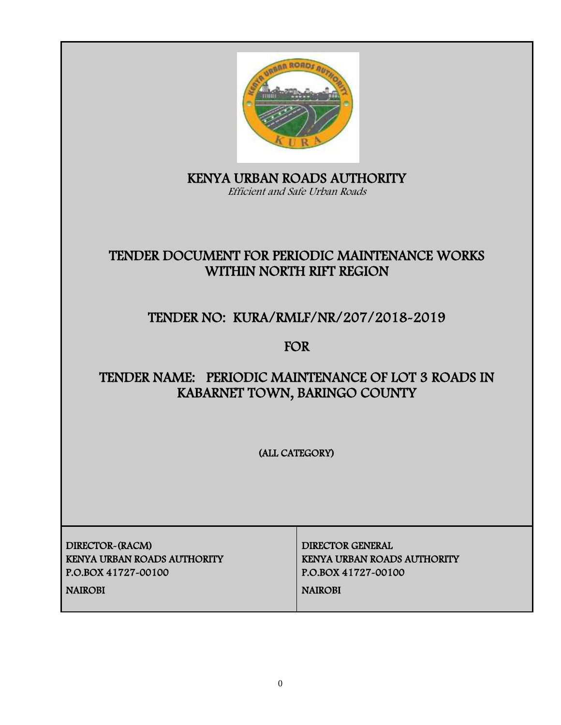

KENYA URBAN ROADS AUTHORITY Efficient and Safe Urban Roads

# TENDER DOCUMENT FOR PERIODIC MAINTENANCE WORKS WITHIN NORTH RIFT REGION

# TENDER NO: KURA/RMLF/NR/207/2018-2019

FOR

# TENDER NAME: PERIODIC MAINTENANCE OF LOT 3 ROADS IN KABARNET TOWN, BARINGO COUNTY

(ALL CATEGORY)

DIRECTOR-(RACM) DIRECTOR GENERAL KENYA URBAN ROADS AUTHORITY KENYA URBAN ROADS AUTHORITY P.O.BOX 41727-00100 P.O.BOX 41727-00100

NAIROBI NAIROBI NAIROBI NAIROBI NAIROBI NAIROBI NAIROBI NAIROBI NAIROBI NAIROBI NAIROBI NAIROBI NAIROBI NAIROB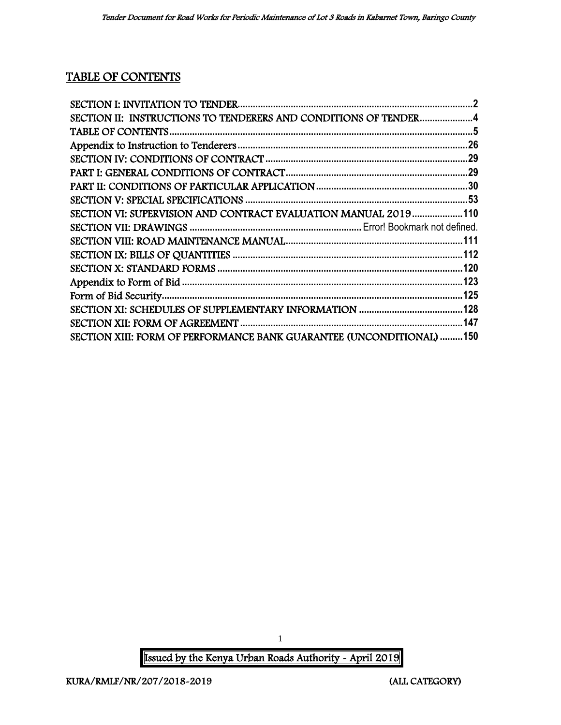# TABLE OF CONTENTS

| SECTION II: INSTRUCTIONS TO TENDERERS AND CONDITIONS OF TENDER4      |  |
|----------------------------------------------------------------------|--|
|                                                                      |  |
|                                                                      |  |
|                                                                      |  |
|                                                                      |  |
|                                                                      |  |
|                                                                      |  |
| SECTION VI: SUPERVISION AND CONTRACT EVALUATION MANUAL 2019110       |  |
|                                                                      |  |
|                                                                      |  |
|                                                                      |  |
|                                                                      |  |
|                                                                      |  |
|                                                                      |  |
|                                                                      |  |
|                                                                      |  |
| SECTION XIII: FORM OF PERFORMANCE BANK GUARANTEE (UNCONDITIONAL) 150 |  |

Issued by the Kenya Urban Roads Authority - April 2019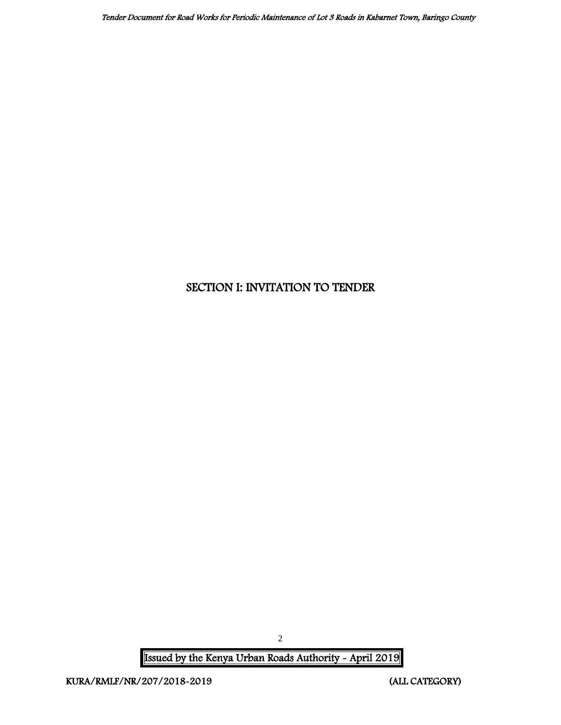## <span id="page-2-0"></span>SECTION I: INVITATION TO TENDER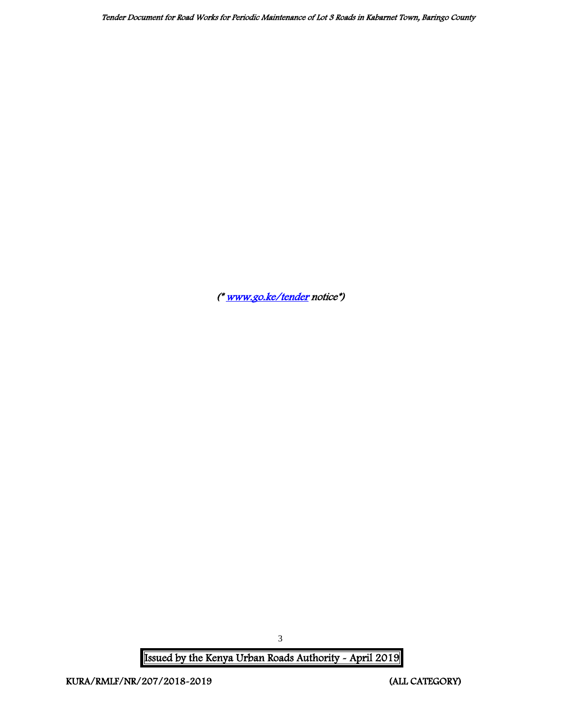Tender Document for Road Works for Periodic Maintenance of Lot 3 Roads in Kabarnet Town, Baringo County

([\\* www.go.ke/tender](http://www.go.ke/tender) notice\*)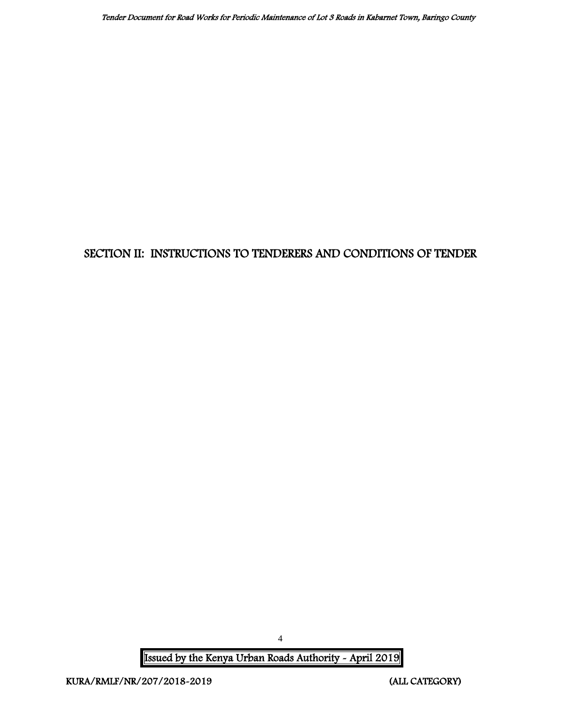## <span id="page-4-0"></span>SECTION II: INSTRUCTIONS TO TENDERERS AND CONDITIONS OF TENDER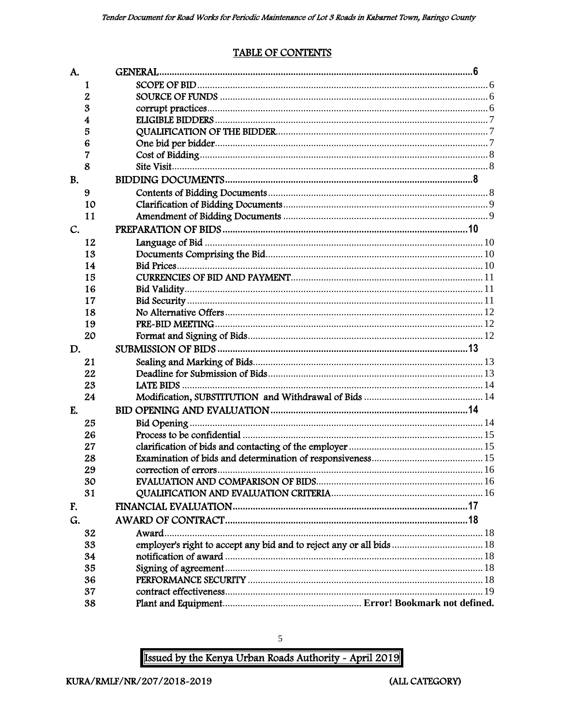### **TABLE OF CONTENTS**

<span id="page-5-0"></span>

| A.        |    |                                                                      |  |
|-----------|----|----------------------------------------------------------------------|--|
|           | 1  |                                                                      |  |
|           | 2  |                                                                      |  |
|           | 3  |                                                                      |  |
|           | 4  |                                                                      |  |
|           | 5  |                                                                      |  |
|           | 6  |                                                                      |  |
|           | 7  |                                                                      |  |
|           | 8  |                                                                      |  |
| <b>B.</b> |    |                                                                      |  |
|           | 9  |                                                                      |  |
|           | 10 |                                                                      |  |
|           | 11 |                                                                      |  |
| C.        |    |                                                                      |  |
|           | 12 |                                                                      |  |
|           | 13 |                                                                      |  |
|           | 14 |                                                                      |  |
|           | 15 |                                                                      |  |
|           | 16 |                                                                      |  |
|           | 17 |                                                                      |  |
|           | 18 |                                                                      |  |
|           | 19 |                                                                      |  |
|           | 20 |                                                                      |  |
| D.        |    |                                                                      |  |
|           | 21 |                                                                      |  |
|           | 22 |                                                                      |  |
|           | 23 |                                                                      |  |
|           | 24 |                                                                      |  |
| E.        |    |                                                                      |  |
|           | 25 |                                                                      |  |
|           | 26 |                                                                      |  |
|           | 27 |                                                                      |  |
|           | 28 |                                                                      |  |
|           | 29 |                                                                      |  |
|           | 30 |                                                                      |  |
|           | 31 |                                                                      |  |
| F.        |    |                                                                      |  |
| G.        |    |                                                                      |  |
|           | 32 | Award                                                                |  |
|           | 33 | employer's right to accept any bid and to reject any or all bids  18 |  |
|           | 34 |                                                                      |  |
|           | 35 |                                                                      |  |
|           | 36 |                                                                      |  |
|           | 37 |                                                                      |  |
|           | 38 |                                                                      |  |

Issued by the Kenya Urban Roads Authority - April 2019

 $\sqrt{5}$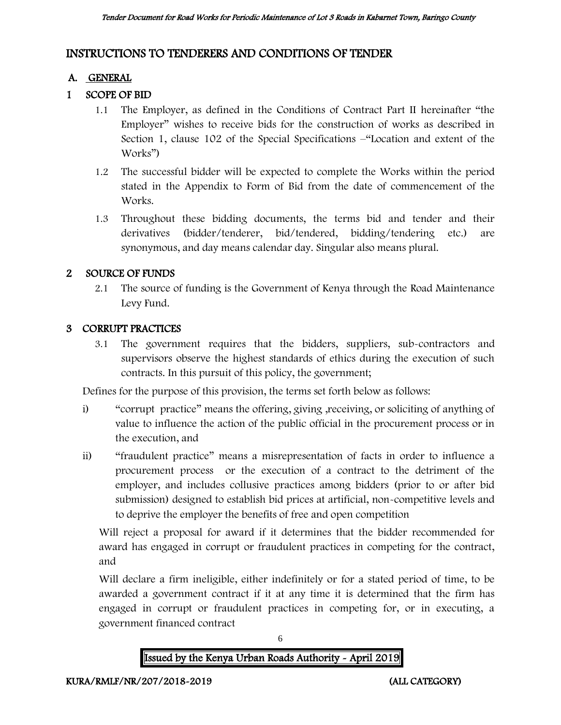### INSTRUCTIONS TO TENDERERS AND CONDITIONS OF TENDER

### A. GENERAL

### 1 SCOPE OF BID

- 1.1 The Employer, as defined in the Conditions of Contract Part II hereinafter "the Employer" wishes to receive bids for the construction of works as described in Section 1, clause 102 of the Special Specifications –"Location and extent of the Works")
- 1.2 The successful bidder will be expected to complete the Works within the period stated in the Appendix to Form of Bid from the date of commencement of the Works.
- 1.3 Throughout these bidding documents, the terms bid and tender and their derivatives (bidder/tenderer, bid/tendered, bidding/tendering etc.) are synonymous, and day means calendar day. Singular also means plural.

### 2 SOURCE OF FUNDS

2.1 The source of funding is the Government of Kenya through the Road Maintenance Levy Fund.

### 3 CORRUPT PRACTICES

3.1 The government requires that the bidders, suppliers, sub-contractors and supervisors observe the highest standards of ethics during the execution of such contracts. In this pursuit of this policy, the government;

Defines for the purpose of this provision, the terms set forth below as follows:

- i) "corrupt practice" means the offering, giving ,receiving, or soliciting of anything of value to influence the action of the public official in the procurement process or in the execution, and
- ii) "fraudulent practice" means a misrepresentation of facts in order to influence a procurement process or the execution of a contract to the detriment of the employer, and includes collusive practices among bidders (prior to or after bid submission) designed to establish bid prices at artificial, non-competitive levels and to deprive the employer the benefits of free and open competition

Will reject a proposal for award if it determines that the bidder recommended for award has engaged in corrupt or fraudulent practices in competing for the contract, and

Will declare a firm ineligible, either indefinitely or for a stated period of time, to be awarded a government contract if it at any time it is determined that the firm has engaged in corrupt or fraudulent practices in competing for, or in executing, a government financed contract

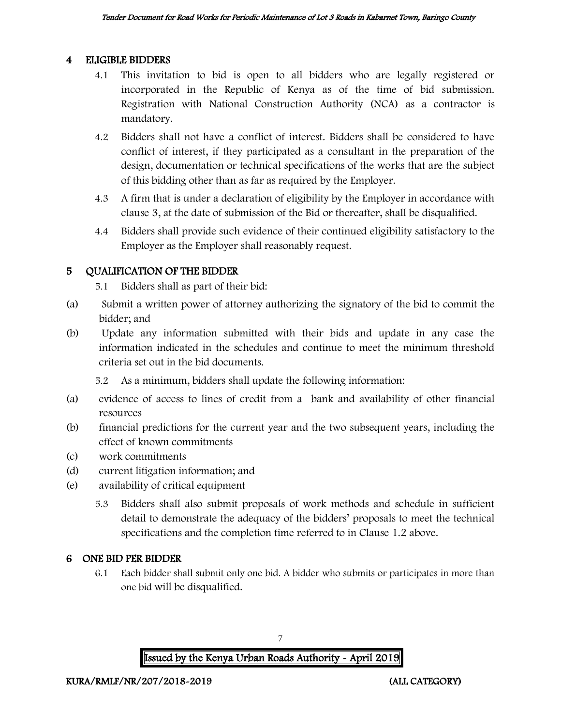#### 4 ELIGIBLE BIDDERS

- 4.1 This invitation to bid is open to all bidders who are legally registered or incorporated in the Republic of Kenya as of the time of bid submission. Registration with National Construction Authority (NCA) as a contractor is mandatory.
- 4.2 Bidders shall not have a conflict of interest. Bidders shall be considered to have conflict of interest, if they participated as a consultant in the preparation of the design, documentation or technical specifications of the works that are the subject of this bidding other than as far as required by the Employer.
- 4.3 A firm that is under a declaration of eligibility by the Employer in accordance with clause 3, at the date of submission of the Bid or thereafter, shall be disqualified.
- 4.4 Bidders shall provide such evidence of their continued eligibility satisfactory to the Employer as the Employer shall reasonably request.

### 5 QUALIFICATION OF THE BIDDER

5.1 Bidders shall as part of their bid:

- (a) Submit a written power of attorney authorizing the signatory of the bid to commit the bidder; and
- (b) Update any information submitted with their bids and update in any case the information indicated in the schedules and continue to meet the minimum threshold criteria set out in the bid documents.

5.2 As a minimum, bidders shall update the following information:

- (a) evidence of access to lines of credit from a bank and availability of other financial resources
- (b) financial predictions for the current year and the two subsequent years, including the effect of known commitments
- (c) work commitments
- (d) current litigation information; and
- (e) availability of critical equipment
	- 5.3 Bidders shall also submit proposals of work methods and schedule in sufficient detail to demonstrate the adequacy of the bidders' proposals to meet the technical specifications and the completion time referred to in Clause 1.2 above.

### 6 ONE BID PER BIDDER

6.1 Each bidder shall submit only one bid. A bidder who submits or participates in more than one bid will be disqualified.

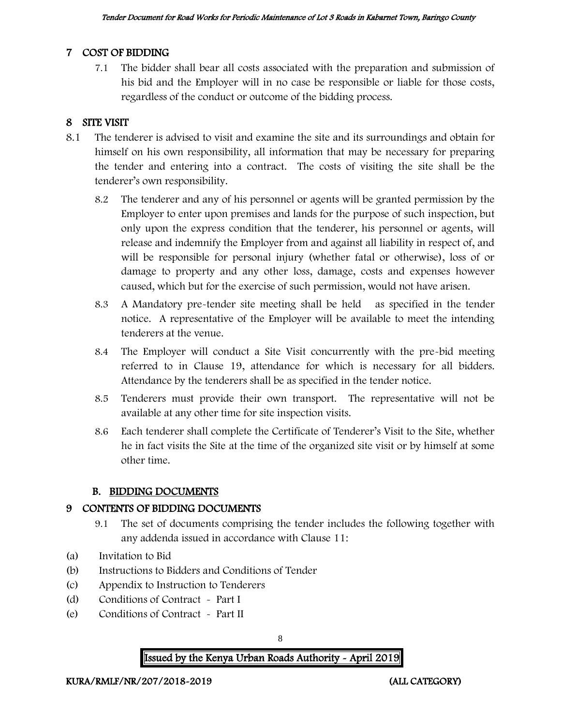### 7 COST OF BIDDING

7.1 The bidder shall bear all costs associated with the preparation and submission of his bid and the Employer will in no case be responsible or liable for those costs, regardless of the conduct or outcome of the bidding process.

### 8 SITE VISIT

- 8.1 The tenderer is advised to visit and examine the site and its surroundings and obtain for himself on his own responsibility, all information that may be necessary for preparing the tender and entering into a contract. The costs of visiting the site shall be the tenderer's own responsibility.
	- 8.2 The tenderer and any of his personnel or agents will be granted permission by the Employer to enter upon premises and lands for the purpose of such inspection, but only upon the express condition that the tenderer, his personnel or agents, will release and indemnify the Employer from and against all liability in respect of, and will be responsible for personal injury (whether fatal or otherwise), loss of or damage to property and any other loss, damage, costs and expenses however caused, which but for the exercise of such permission, would not have arisen.
	- 8.3 A Mandatory pre-tender site meeting shall be held as specified in the tender notice. A representative of the Employer will be available to meet the intending tenderers at the venue.
	- 8.4 The Employer will conduct a Site Visit concurrently with the pre-bid meeting referred to in Clause 19, attendance for which is necessary for all bidders. Attendance by the tenderers shall be as specified in the tender notice.
	- 8.5 Tenderers must provide their own transport. The representative will not be available at any other time for site inspection visits.
	- 8.6 Each tenderer shall complete the Certificate of Tenderer's Visit to the Site, whether he in fact visits the Site at the time of the organized site visit or by himself at some other time.

### B. BIDDING DOCUMENTS

### 9 CONTENTS OF BIDDING DOCUMENTS

- 9.1 The set of documents comprising the tender includes the following together with any addenda issued in accordance with Clause 11:
- (a) Invitation to Bid
- (b) Instructions to Bidders and Conditions of Tender
- (c) Appendix to Instruction to Tenderers
- (d) Conditions of Contract Part I
- (e) Conditions of Contract Part II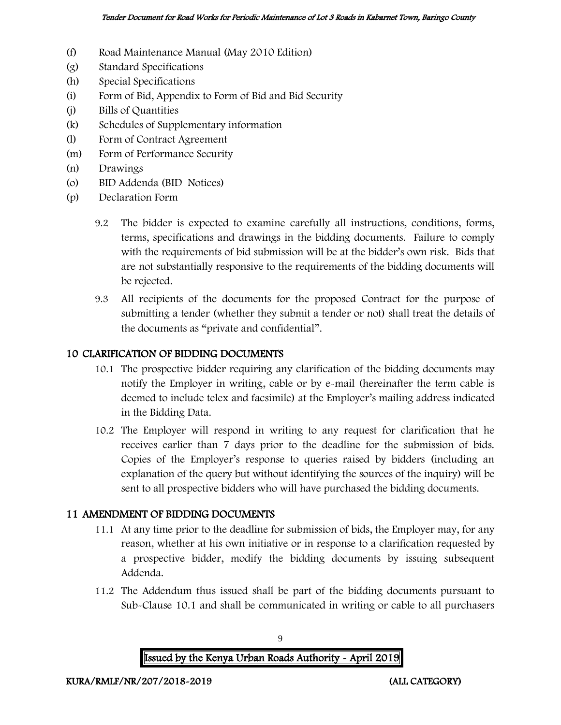- (f) Road Maintenance Manual (May 2010 Edition)
- (g) Standard Specifications
- (h) Special Specifications
- (i) Form of Bid, Appendix to Form of Bid and Bid Security
- (j) Bills of Quantities
- (k) Schedules of Supplementary information
- (l) Form of Contract Agreement
- (m) Form of Performance Security
- (n) Drawings
- (o) BID Addenda (BID Notices)
- (p) Declaration Form
	- 9.2 The bidder is expected to examine carefully all instructions, conditions, forms, terms, specifications and drawings in the bidding documents. Failure to comply with the requirements of bid submission will be at the bidder's own risk. Bids that are not substantially responsive to the requirements of the bidding documents will be rejected.
	- 9.3 All recipients of the documents for the proposed Contract for the purpose of submitting a tender (whether they submit a tender or not) shall treat the details of the documents as "private and confidential".

#### 10 CLARIFICATION OF BIDDING DOCUMENTS

- 10.1 The prospective bidder requiring any clarification of the bidding documents may notify the Employer in writing, cable or by e-mail (hereinafter the term cable is deemed to include telex and facsimile) at the Employer's mailing address indicated in the Bidding Data.
- 10.2 The Employer will respond in writing to any request for clarification that he receives earlier than 7 days prior to the deadline for the submission of bids. Copies of the Employer's response to queries raised by bidders (including an explanation of the query but without identifying the sources of the inquiry) will be sent to all prospective bidders who will have purchased the bidding documents.

#### 11 AMENDMENT OF BIDDING DOCUMENTS

- 11.1 At any time prior to the deadline for submission of bids, the Employer may, for any reason, whether at his own initiative or in response to a clarification requested by a prospective bidder, modify the bidding documents by issuing subsequent Addenda.
- 11.2 The Addendum thus issued shall be part of the bidding documents pursuant to Sub-Clause 10.1 and shall be communicated in writing or cable to all purchasers

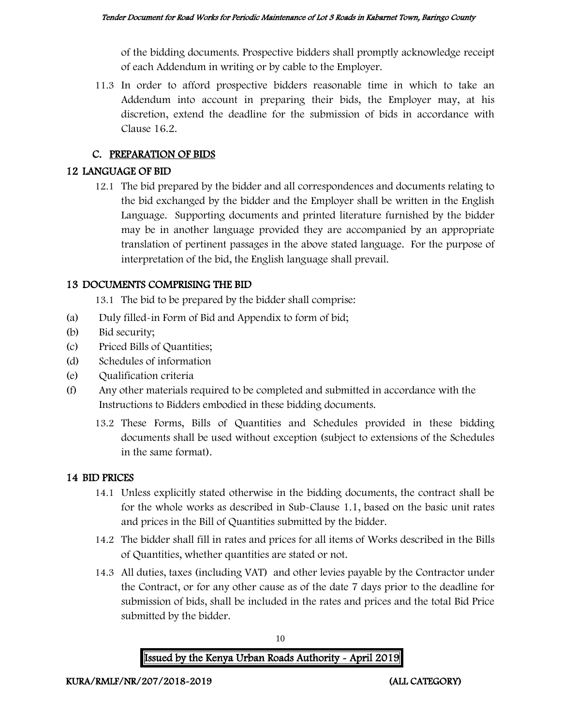of the bidding documents. Prospective bidders shall promptly acknowledge receipt of each Addendum in writing or by cable to the Employer.

11.3 In order to afford prospective bidders reasonable time in which to take an Addendum into account in preparing their bids, the Employer may, at his discretion, extend the deadline for the submission of bids in accordance with Clause 16.2.

### C. PREPARATION OF BIDS

#### 12 LANGUAGE OF BID

12.1 The bid prepared by the bidder and all correspondences and documents relating to the bid exchanged by the bidder and the Employer shall be written in the English Language. Supporting documents and printed literature furnished by the bidder may be in another language provided they are accompanied by an appropriate translation of pertinent passages in the above stated language. For the purpose of interpretation of the bid, the English language shall prevail.

### 13 DOCUMENTS COMPRISING THE BID

13.1 The bid to be prepared by the bidder shall comprise:

- (a) Duly filled-in Form of Bid and Appendix to form of bid;
- (b) Bid security;
- (c) Priced Bills of Quantities;
- (d) Schedules of information
- (e) Qualification criteria
- (f) Any other materials required to be completed and submitted in accordance with the Instructions to Bidders embodied in these bidding documents.
	- 13.2 These Forms, Bills of Quantities and Schedules provided in these bidding documents shall be used without exception (subject to extensions of the Schedules in the same format).

#### 14 BID PRICES

- 14.1 Unless explicitly stated otherwise in the bidding documents, the contract shall be for the whole works as described in Sub-Clause 1.1, based on the basic unit rates and prices in the Bill of Quantities submitted by the bidder.
- 14.2 The bidder shall fill in rates and prices for all items of Works described in the Bills of Quantities, whether quantities are stated or not.
- 14.3 All duties, taxes (including VAT) and other levies payable by the Contractor under the Contract, or for any other cause as of the date 7 days prior to the deadline for submission of bids, shall be included in the rates and prices and the total Bid Price submitted by the bidder.

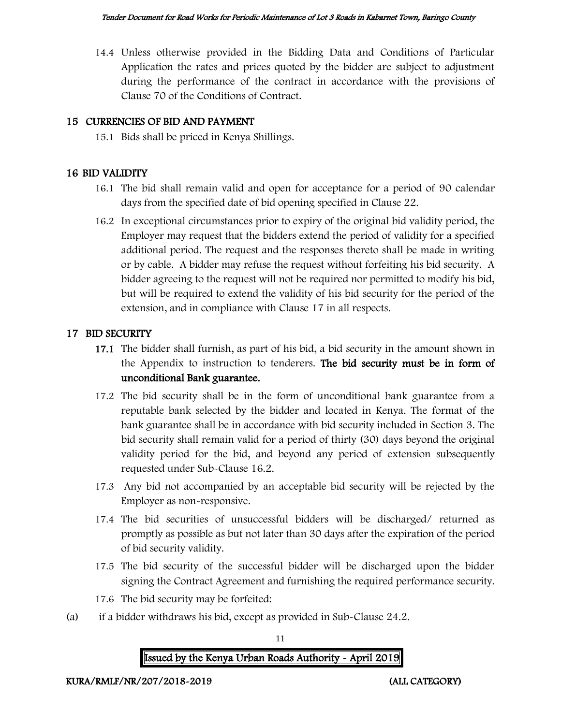14.4 Unless otherwise provided in the Bidding Data and Conditions of Particular Application the rates and prices quoted by the bidder are subject to adjustment during the performance of the contract in accordance with the provisions of Clause 70 of the Conditions of Contract.

### 15 CURRENCIES OF BID AND PAYMENT

15.1 Bids shall be priced in Kenya Shillings.

### 16 BID VALIDITY

- 16.1 The bid shall remain valid and open for acceptance for a period of 90 calendar days from the specified date of bid opening specified in Clause 22.
- 16.2 In exceptional circumstances prior to expiry of the original bid validity period, the Employer may request that the bidders extend the period of validity for a specified additional period. The request and the responses thereto shall be made in writing or by cable. A bidder may refuse the request without forfeiting his bid security. A bidder agreeing to the request will not be required nor permitted to modify his bid, but will be required to extend the validity of his bid security for the period of the extension, and in compliance with Clause 17 in all respects.

### 17 BID SECURITY

- 17.1 The bidder shall furnish, as part of his bid, a bid security in the amount shown in the Appendix to instruction to tenderers. The bid security must be in form of unconditional Bank guarantee.
- 17.2 The bid security shall be in the form of unconditional bank guarantee from a reputable bank selected by the bidder and located in Kenya. The format of the bank guarantee shall be in accordance with bid security included in Section 3. The bid security shall remain valid for a period of thirty (30) days beyond the original validity period for the bid, and beyond any period of extension subsequently requested under Sub-Clause 16.2.
- 17.3 Any bid not accompanied by an acceptable bid security will be rejected by the Employer as non-responsive.
- 17.4 The bid securities of unsuccessful bidders will be discharged/ returned as promptly as possible as but not later than 30 days after the expiration of the period of bid security validity.
- 17.5 The bid security of the successful bidder will be discharged upon the bidder signing the Contract Agreement and furnishing the required performance security.
- 17.6 The bid security may be forfeited:
- (a) if a bidder withdraws his bid, except as provided in Sub-Clause 24.2.

11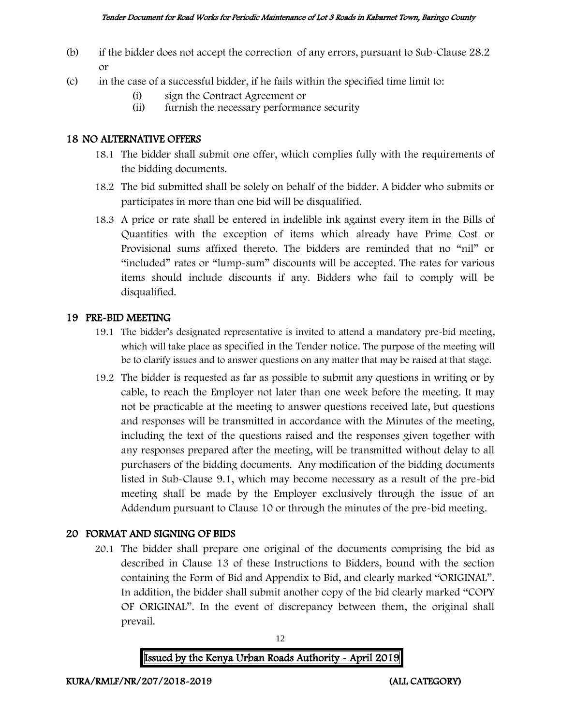- (b) if the bidder does not accept the correction of any errors, pursuant to Sub-Clause 28.2 or
- (c) in the case of a successful bidder, if he fails within the specified time limit to:
	- (i) sign the Contract Agreement or
	- (ii) furnish the necessary performance security

#### 18 NO ALTERNATIVE OFFERS

- 18.1 The bidder shall submit one offer, which complies fully with the requirements of the bidding documents.
- 18.2 The bid submitted shall be solely on behalf of the bidder. A bidder who submits or participates in more than one bid will be disqualified.
- 18.3 A price or rate shall be entered in indelible ink against every item in the Bills of Quantities with the exception of items which already have Prime Cost or Provisional sums affixed thereto. The bidders are reminded that no "nil" or "included" rates or "lump-sum" discounts will be accepted. The rates for various items should include discounts if any. Bidders who fail to comply will be disqualified.

#### 19 PRE-BID MEETING

- 19.1 The bidder's designated representative is invited to attend a mandatory pre-bid meeting, which will take place as specified in the Tender notice. The purpose of the meeting will be to clarify issues and to answer questions on any matter that may be raised at that stage.
- 19.2 The bidder is requested as far as possible to submit any questions in writing or by cable, to reach the Employer not later than one week before the meeting. It may not be practicable at the meeting to answer questions received late, but questions and responses will be transmitted in accordance with the Minutes of the meeting, including the text of the questions raised and the responses given together with any responses prepared after the meeting, will be transmitted without delay to all purchasers of the bidding documents. Any modification of the bidding documents listed in Sub-Clause 9.1, which may become necessary as a result of the pre-bid meeting shall be made by the Employer exclusively through the issue of an Addendum pursuant to Clause 10 or through the minutes of the pre-bid meeting.

### 20 FORMAT AND SIGNING OF BIDS

20.1 The bidder shall prepare one original of the documents comprising the bid as described in Clause 13 of these Instructions to Bidders, bound with the section containing the Form of Bid and Appendix to Bid, and clearly marked "ORIGINAL". In addition, the bidder shall submit another copy of the bid clearly marked "COPY OF ORIGINAL". In the event of discrepancy between them, the original shall prevail.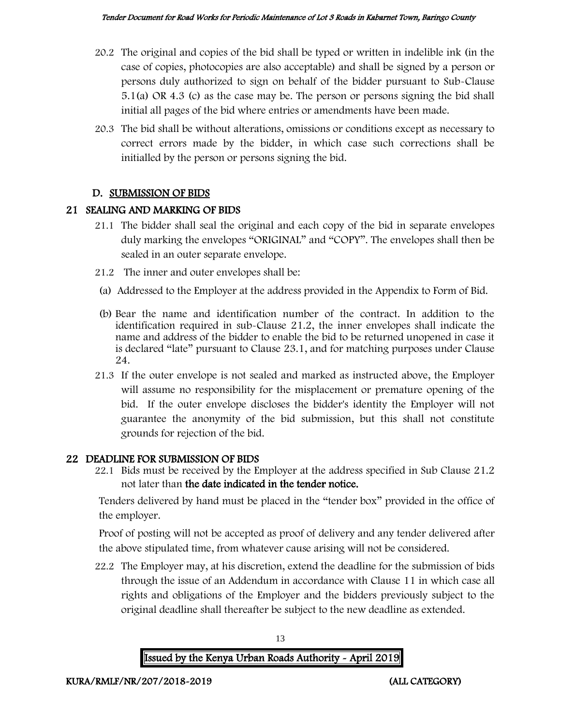- 20.2 The original and copies of the bid shall be typed or written in indelible ink (in the case of copies, photocopies are also acceptable) and shall be signed by a person or persons duly authorized to sign on behalf of the bidder pursuant to Sub-Clause 5.1(a) OR 4.3 (c) as the case may be. The person or persons signing the bid shall initial all pages of the bid where entries or amendments have been made.
- 20.3 The bid shall be without alterations, omissions or conditions except as necessary to correct errors made by the bidder, in which case such corrections shall be initialled by the person or persons signing the bid.

### D. SUBMISSION OF BIDS

### 21 SEALING AND MARKING OF BIDS

- 21.1 The bidder shall seal the original and each copy of the bid in separate envelopes duly marking the envelopes "ORIGINAL" and "COPY". The envelopes shall then be sealed in an outer separate envelope.
- 21.2 The inner and outer envelopes shall be:
- (a) Addressed to the Employer at the address provided in the Appendix to Form of Bid.
- (b) Bear the name and identification number of the contract. In addition to the identification required in sub-Clause 21.2, the inner envelopes shall indicate the name and address of the bidder to enable the bid to be returned unopened in case it is declared "late" pursuant to Clause 23.1, and for matching purposes under Clause 24.
- 21.3 If the outer envelope is not sealed and marked as instructed above, the Employer will assume no responsibility for the misplacement or premature opening of the bid. If the outer envelope discloses the bidder's identity the Employer will not guarantee the anonymity of the bid submission, but this shall not constitute grounds for rejection of the bid.

### 22 DEADLINE FOR SUBMISSION OF BIDS

22.1 Bids must be received by the Employer at the address specified in Sub Clause 21.2 not later than the date indicated in the tender notice.

Tenders delivered by hand must be placed in the "tender box" provided in the office of the employer.

Proof of posting will not be accepted as proof of delivery and any tender delivered after the above stipulated time, from whatever cause arising will not be considered.

22.2 The Employer may, at his discretion, extend the deadline for the submission of bids through the issue of an Addendum in accordance with Clause 11 in which case all rights and obligations of the Employer and the bidders previously subject to the original deadline shall thereafter be subject to the new deadline as extended.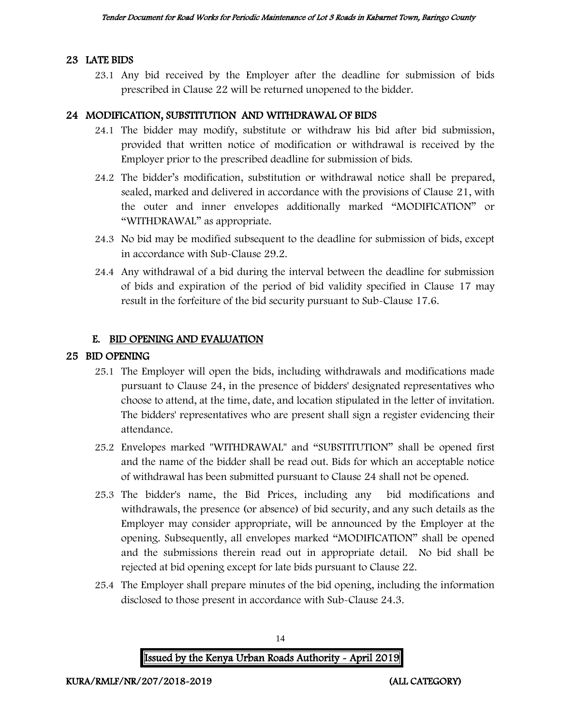#### 23 LATE BIDS

23.1 Any bid received by the Employer after the deadline for submission of bids prescribed in Clause 22 will be returned unopened to the bidder.

#### 24 MODIFICATION, SUBSTITUTION AND WITHDRAWAL OF BIDS

- 24.1 The bidder may modify, substitute or withdraw his bid after bid submission, provided that written notice of modification or withdrawal is received by the Employer prior to the prescribed deadline for submission of bids.
- 24.2 The bidder's modification, substitution or withdrawal notice shall be prepared, sealed, marked and delivered in accordance with the provisions of Clause 21, with the outer and inner envelopes additionally marked "MODIFICATION" or "WITHDRAWAL" as appropriate.
- 24.3 No bid may be modified subsequent to the deadline for submission of bids, except in accordance with Sub-Clause 29.2.
- 24.4 Any withdrawal of a bid during the interval between the deadline for submission of bids and expiration of the period of bid validity specified in Clause 17 may result in the forfeiture of the bid security pursuant to Sub-Clause 17.6.

#### E. BID OPENING AND EVALUATION

#### 25 BID OPENING

- 25.1 The Employer will open the bids, including withdrawals and modifications made pursuant to Clause 24, in the presence of bidders' designated representatives who choose to attend, at the time, date, and location stipulated in the letter of invitation. The bidders' representatives who are present shall sign a register evidencing their attendance.
- 25.2 Envelopes marked "WITHDRAWAL" and "SUBSTITUTION" shall be opened first and the name of the bidder shall be read out. Bids for which an acceptable notice of withdrawal has been submitted pursuant to Clause 24 shall not be opened.
- 25.3 The bidder's name, the Bid Prices, including any bid modifications and withdrawals, the presence (or absence) of bid security, and any such details as the Employer may consider appropriate, will be announced by the Employer at the opening. Subsequently, all envelopes marked "MODIFICATION" shall be opened and the submissions therein read out in appropriate detail. No bid shall be rejected at bid opening except for late bids pursuant to Clause 22.
- 25.4 The Employer shall prepare minutes of the bid opening, including the information disclosed to those present in accordance with Sub-Clause 24.3.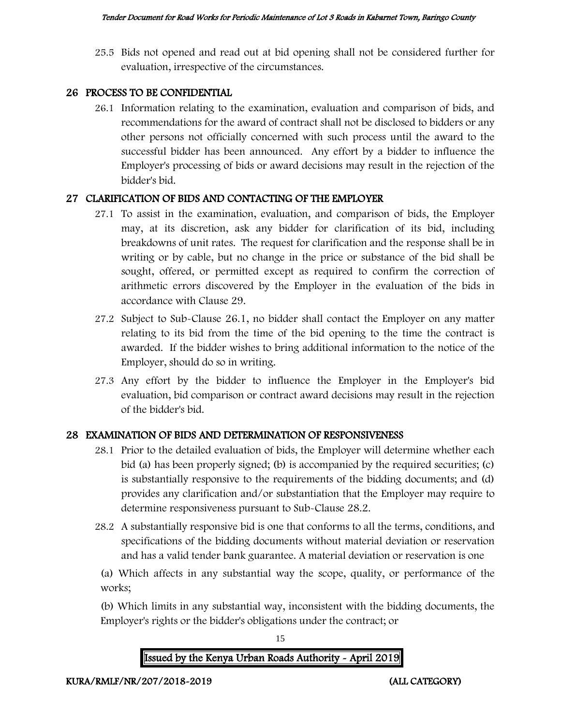25.5 Bids not opened and read out at bid opening shall not be considered further for evaluation, irrespective of the circumstances.

### 26 PROCESS TO BE CONFIDENTIAL

26.1 Information relating to the examination, evaluation and comparison of bids, and recommendations for the award of contract shall not be disclosed to bidders or any other persons not officially concerned with such process until the award to the successful bidder has been announced. Any effort by a bidder to influence the Employer's processing of bids or award decisions may result in the rejection of the bidder's bid.

### 27 CLARIFICATION OF BIDS AND CONTACTING OF THE EMPLOYER

- 27.1 To assist in the examination, evaluation, and comparison of bids, the Employer may, at its discretion, ask any bidder for clarification of its bid, including breakdowns of unit rates. The request for clarification and the response shall be in writing or by cable, but no change in the price or substance of the bid shall be sought, offered, or permitted except as required to confirm the correction of arithmetic errors discovered by the Employer in the evaluation of the bids in accordance with Clause 29.
- 27.2 Subject to Sub-Clause 26.1, no bidder shall contact the Employer on any matter relating to its bid from the time of the bid opening to the time the contract is awarded. If the bidder wishes to bring additional information to the notice of the Employer, should do so in writing.
- 27.3 Any effort by the bidder to influence the Employer in the Employer's bid evaluation, bid comparison or contract award decisions may result in the rejection of the bidder's bid.

### 28 EXAMINATION OF BIDS AND DETERMINATION OF RESPONSIVENESS

- 28.1 Prior to the detailed evaluation of bids, the Employer will determine whether each bid (a) has been properly signed; (b) is accompanied by the required securities; (c) is substantially responsive to the requirements of the bidding documents; and (d) provides any clarification and/or substantiation that the Employer may require to determine responsiveness pursuant to Sub-Clause 28.2.
- 28.2 A substantially responsive bid is one that conforms to all the terms, conditions, and specifications of the bidding documents without material deviation or reservation and has a valid tender bank guarantee. A material deviation or reservation is one

(a) Which affects in any substantial way the scope, quality, or performance of the works;

(b) Which limits in any substantial way, inconsistent with the bidding documents, the Employer's rights or the bidder's obligations under the contract; or

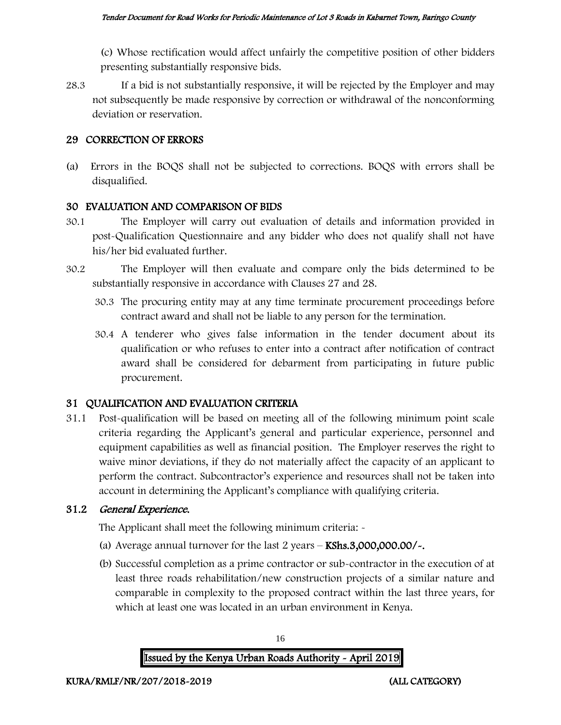(c) Whose rectification would affect unfairly the competitive position of other bidders presenting substantially responsive bids.

28.3 If a bid is not substantially responsive, it will be rejected by the Employer and may not subsequently be made responsive by correction or withdrawal of the nonconforming deviation or reservation.

#### 29 CORRECTION OF ERRORS

(a) Errors in the BOQS shall not be subjected to corrections. BOQS with errors shall be disqualified.

#### 30 EVALUATION AND COMPARISON OF BIDS

- 30.1 The Employer will carry out evaluation of details and information provided in post-Qualification Questionnaire and any bidder who does not qualify shall not have his/her bid evaluated further.
- 30.2 The Employer will then evaluate and compare only the bids determined to be substantially responsive in accordance with Clauses 27 and 28.
	- 30.3 The procuring entity may at any time terminate procurement proceedings before contract award and shall not be liable to any person for the termination.
	- 30.4 A tenderer who gives false information in the tender document about its qualification or who refuses to enter into a contract after notification of contract award shall be considered for debarment from participating in future public procurement.

#### 31 QUALIFICATION AND EVALUATION CRITERIA

31.1 Post-qualification will be based on meeting all of the following minimum point scale criteria regarding the Applicant's general and particular experience, personnel and equipment capabilities as well as financial position. The Employer reserves the right to waive minor deviations, if they do not materially affect the capacity of an applicant to perform the contract. Subcontractor's experience and resources shall not be taken into account in determining the Applicant's compliance with qualifying criteria.

#### 31.2 General Experience.

The Applicant shall meet the following minimum criteria: -

- (a) Average annual turnover for the last  $2$  years  $-$  KShs.3,000,000.00/ $\sim$ .
- (b) Successful completion as a prime contractor or sub-contractor in the execution of at least three roads rehabilitation/new construction projects of a similar nature and comparable in complexity to the proposed contract within the last three years, for which at least one was located in an urban environment in Kenya.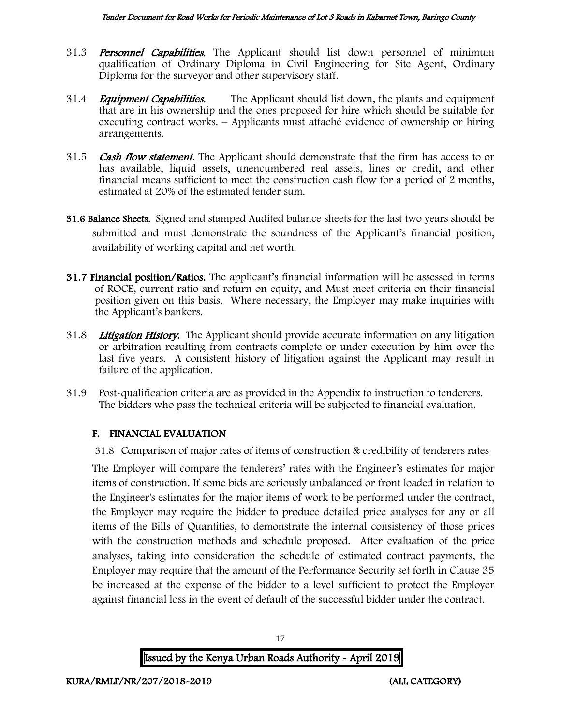- 31.3 **Personnel Capabilities.** The Applicant should list down personnel of minimum qualification of Ordinary Diploma in Civil Engineering for Site Agent, Ordinary Diploma for the surveyor and other supervisory staff.
- 31.4 *Equipment Capabilities.* The Applicant should list down, the plants and equipment that are in his ownership and the ones proposed for hire which should be suitable for executing contract works. – Applicants must attaché evidence of ownership or hiring arrangements.
- 31.5 **Cash flow statement**. The Applicant should demonstrate that the firm has access to or has available, liquid assets, unencumbered real assets, lines or credit, and other financial means sufficient to meet the construction cash flow for a period of 2 months, estimated at 20% of the estimated tender sum.
- 31.6 Balance Sheets. Signed and stamped Audited balance sheets for the last two years should be submitted and must demonstrate the soundness of the Applicant's financial position, availability of working capital and net worth.
- 31.7 Financial position/Ratios. The applicant's financial information will be assessed in terms of ROCE, current ratio and return on equity, and Must meet criteria on their financial position given on this basis. Where necessary, the Employer may make inquiries with the Applicant's bankers.
- 31.8 Litigation History. The Applicant should provide accurate information on any litigation or arbitration resulting from contracts complete or under execution by him over the last five years. A consistent history of litigation against the Applicant may result in failure of the application.
- 31.9 Post-qualification criteria are as provided in the Appendix to instruction to tenderers. The bidders who pass the technical criteria will be subjected to financial evaluation.

### F. FINANCIAL EVALUATION

31.8 Comparison of major rates of items of construction & credibility of tenderers rates

The Employer will compare the tenderers' rates with the Engineer's estimates for major items of construction. If some bids are seriously unbalanced or front loaded in relation to the Engineer's estimates for the major items of work to be performed under the contract, the Employer may require the bidder to produce detailed price analyses for any or all items of the Bills of Quantities, to demonstrate the internal consistency of those prices with the construction methods and schedule proposed. After evaluation of the price analyses, taking into consideration the schedule of estimated contract payments, the Employer may require that the amount of the Performance Security set forth in Clause 35 be increased at the expense of the bidder to a level sufficient to protect the Employer against financial loss in the event of default of the successful bidder under the contract.

Issued by the Kenya Urban Roads Authority - April 2019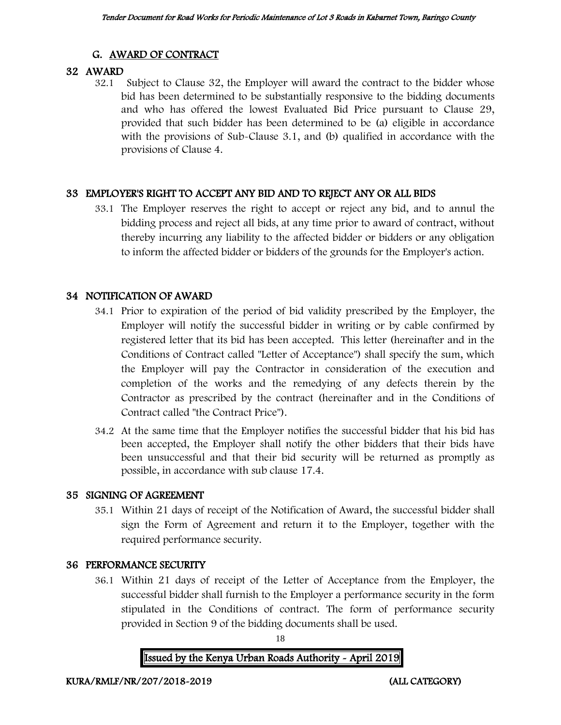### G. AWARD OF CONTRACT

### 32 AWARD

32.1 Subject to Clause 32, the Employer will award the contract to the bidder whose bid has been determined to be substantially responsive to the bidding documents and who has offered the lowest Evaluated Bid Price pursuant to Clause 29, provided that such bidder has been determined to be (a) eligible in accordance with the provisions of Sub-Clause 3.1, and (b) qualified in accordance with the provisions of Clause 4.

### 33 EMPLOYER'S RIGHT TO ACCEPT ANY BID AND TO REJECT ANY OR ALL BIDS

33.1 The Employer reserves the right to accept or reject any bid, and to annul the bidding process and reject all bids, at any time prior to award of contract, without thereby incurring any liability to the affected bidder or bidders or any obligation to inform the affected bidder or bidders of the grounds for the Employer's action.

### 34 NOTIFICATION OF AWARD

- 34.1 Prior to expiration of the period of bid validity prescribed by the Employer, the Employer will notify the successful bidder in writing or by cable confirmed by registered letter that its bid has been accepted. This letter (hereinafter and in the Conditions of Contract called "Letter of Acceptance") shall specify the sum, which the Employer will pay the Contractor in consideration of the execution and completion of the works and the remedying of any defects therein by the Contractor as prescribed by the contract (hereinafter and in the Conditions of Contract called "the Contract Price").
- 34.2 At the same time that the Employer notifies the successful bidder that his bid has been accepted, the Employer shall notify the other bidders that their bids have been unsuccessful and that their bid security will be returned as promptly as possible, in accordance with sub clause 17.4.

### 35 SIGNING OF AGREEMENT

35.1 Within 21 days of receipt of the Notification of Award, the successful bidder shall sign the Form of Agreement and return it to the Employer, together with the required performance security.

### 36 PERFORMANCE SECURITY

36.1 Within 21 days of receipt of the Letter of Acceptance from the Employer, the successful bidder shall furnish to the Employer a performance security in the form stipulated in the Conditions of contract. The form of performance security provided in Section 9 of the bidding documents shall be used.

18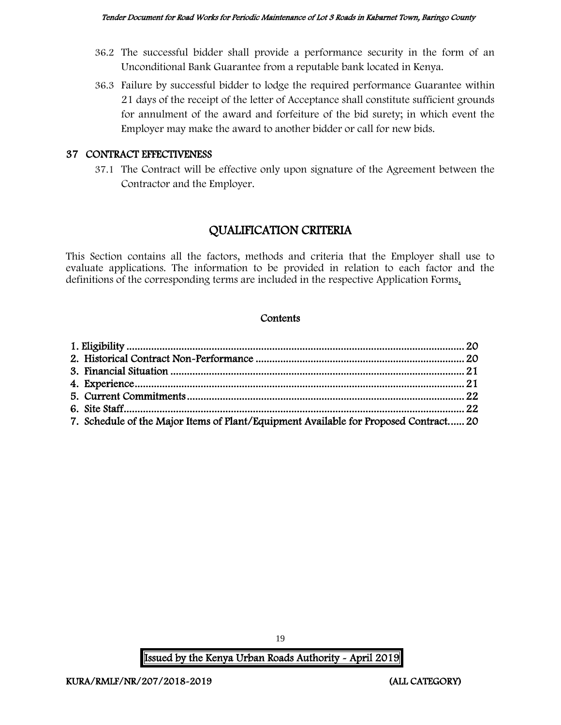- 36.2 The successful bidder shall provide a performance security in the form of an Unconditional Bank Guarantee from a reputable bank located in Kenya.
- 36.3 Failure by successful bidder to lodge the required performance Guarantee within 21 days of the receipt of the letter of Acceptance shall constitute sufficient grounds for annulment of the award and forfeiture of the bid surety; in which event the Employer may make the award to another bidder or call for new bids.

### 37 CONTRACT EFFECTIVENESS

37.1 The Contract will be effective only upon signature of the Agreement between the Contractor and the Employer.

# QUALIFICATION CRITERIA

This Section contains all the factors, methods and criteria that the Employer shall use to evaluate applications. The information to be provided in relation to each factor and the definitions of the corresponding terms are included in the respective Application Forms.

#### **Contents**

| 7. Schedule of the Major Items of Plant/Equipment Available for Proposed Contract 20 |  |
|--------------------------------------------------------------------------------------|--|

Issued by the Kenya Urban Roads Authority - April 2019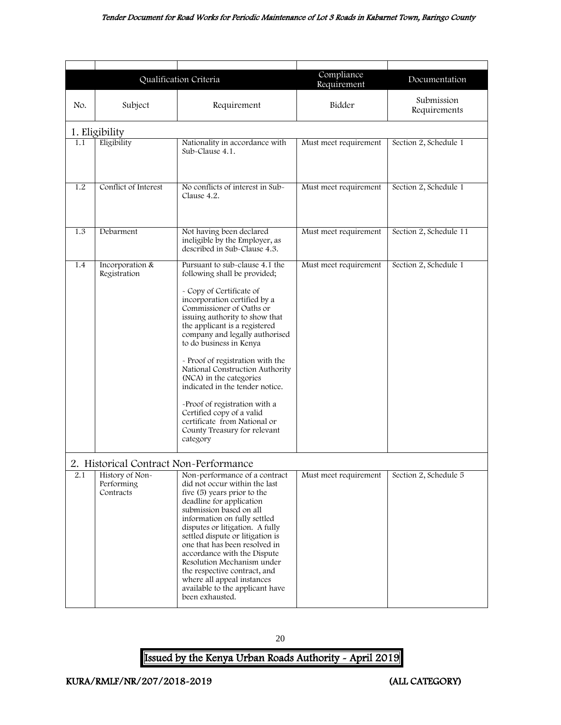#### Tender Document for Road Works for Periodic Maintenance of Lot 3 Roads in Kabarnet Town, Baringo County

<span id="page-20-2"></span><span id="page-20-0"></span>

|     |                                                                                      | Qualification Criteria                                                                                                                                                                                                                                                                                                                                                                                                                                                                                                                                                | Compliance<br>Requirement | Documentation              |
|-----|--------------------------------------------------------------------------------------|-----------------------------------------------------------------------------------------------------------------------------------------------------------------------------------------------------------------------------------------------------------------------------------------------------------------------------------------------------------------------------------------------------------------------------------------------------------------------------------------------------------------------------------------------------------------------|---------------------------|----------------------------|
| No. | Subject                                                                              | Requirement                                                                                                                                                                                                                                                                                                                                                                                                                                                                                                                                                           | Bidder                    | Submission<br>Requirements |
|     | 1. Eligibility                                                                       |                                                                                                                                                                                                                                                                                                                                                                                                                                                                                                                                                                       |                           |                            |
| 1.1 | Eligibility                                                                          | Nationality in accordance with<br>Sub-Clause 4.1.                                                                                                                                                                                                                                                                                                                                                                                                                                                                                                                     | Must meet requirement     | Section 2, Schedule 1      |
| 1.2 | Conflict of Interest                                                                 | No conflicts of interest in Sub-<br>Clause 4.2.                                                                                                                                                                                                                                                                                                                                                                                                                                                                                                                       | Must meet requirement     | Section 2, Schedule 1      |
| 1.3 | Debarment                                                                            | Not having been declared<br>ineligible by the Employer, as<br>described in Sub-Clause 4.3.                                                                                                                                                                                                                                                                                                                                                                                                                                                                            | Must meet requirement     | Section 2, Schedule 11     |
| 1.4 | Incorporation &<br>Registration                                                      | Pursuant to sub-clause 4.1 the<br>following shall be provided;<br>- Copy of Certificate of<br>incorporation certified by a<br>Commissioner of Oaths or<br>issuing authority to show that<br>the applicant is a registered<br>company and legally authorised<br>to do business in Kenya<br>- Proof of registration with the<br>National Construction Authority<br>(NCA) in the categories<br>indicated in the tender notice.<br>-Proof of registration with a<br>Certified copy of a valid<br>certificate from National or<br>County Treasury for relevant<br>category | Must meet requirement     | Section 2, Schedule 1      |
| 2.1 | 2. Historical Contract Non-Performance<br>History of Non-<br>Performing<br>Contracts | Non-performance of a contract<br>did not occur within the last<br>five (5) years prior to the<br>deadline for application<br>submission based on all<br>information on fully settled<br>disputes or litigation. A fully<br>settled dispute or litigation is<br>one that has been resolved in<br>accordance with the Dispute<br>Resolution Mechanism under<br>the respective contract, and<br>where all appeal instances<br>available to the applicant have<br>been exhausted.                                                                                         | Must meet requirement     | Section 2, Schedule 5      |

<span id="page-20-1"></span>20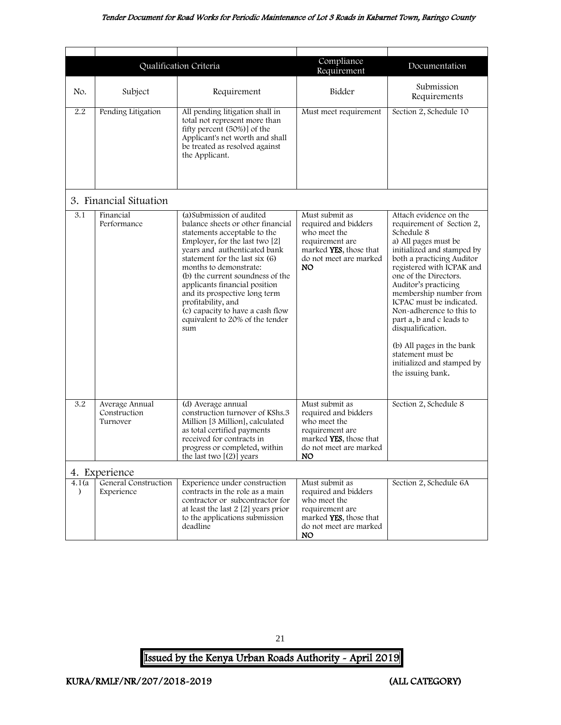#### Tender Document for Road Works for Periodic Maintenance of Lot 3 Roads in Kabarnet Town, Baringo County

<span id="page-21-0"></span>

|                         |                                            | Qualification Criteria                                                                                                                                                                                                                                                                                                                                                                                                                 | Compliance                                                                                                                                 | Documentation                                                                                                                                                                                                                                                                                                                                                                                                                                                              |
|-------------------------|--------------------------------------------|----------------------------------------------------------------------------------------------------------------------------------------------------------------------------------------------------------------------------------------------------------------------------------------------------------------------------------------------------------------------------------------------------------------------------------------|--------------------------------------------------------------------------------------------------------------------------------------------|----------------------------------------------------------------------------------------------------------------------------------------------------------------------------------------------------------------------------------------------------------------------------------------------------------------------------------------------------------------------------------------------------------------------------------------------------------------------------|
| No.                     | Subject                                    | Requirement                                                                                                                                                                                                                                                                                                                                                                                                                            | Requirement<br>Bidder                                                                                                                      | Submission<br>Requirements                                                                                                                                                                                                                                                                                                                                                                                                                                                 |
| 2.2                     | Pending Litigation                         | All pending litigation shall in<br>total not represent more than<br>fifty percent (50%)] of the<br>Applicant's net worth and shall<br>be treated as resolved against<br>the Applicant.                                                                                                                                                                                                                                                 | Must meet requirement                                                                                                                      | Section 2, Schedule 10                                                                                                                                                                                                                                                                                                                                                                                                                                                     |
|                         | 3. Financial Situation                     |                                                                                                                                                                                                                                                                                                                                                                                                                                        |                                                                                                                                            |                                                                                                                                                                                                                                                                                                                                                                                                                                                                            |
| 3.1                     | Financial<br>Performance                   | (a) Submission of audited<br>balance sheets or other financial<br>statements acceptable to the<br>Employer, for the last two [2]<br>years and authenticated bank<br>statement for the last six (6)<br>months to demonstrate:<br>(b) the current soundness of the<br>applicants financial position<br>and its prospective long term<br>profitability, and<br>(c) capacity to have a cash flow<br>equivalent to 20% of the tender<br>sum | Must submit as<br>required and bidders<br>who meet the<br>requirement are<br>marked YES, those that<br>do not meet are marked<br><b>NO</b> | Attach evidence on the<br>requirement of Section 2,<br>Schedule 8<br>a) All pages must be<br>initialized and stamped by<br>both a practicing Auditor<br>registered with ICPAK and<br>one of the Directors.<br>Auditor's practicing<br>membership number from<br>ICPAC must be indicated.<br>Non-adherence to this to<br>part a, b and c leads to<br>disqualification.<br>(b) All pages in the bank<br>statement must be<br>initialized and stamped by<br>the issuing bank. |
| $\overline{3.2}$        | Average Annual<br>Construction<br>Turnover | (d) Average annual<br>construction turnover of KShs.3<br>Million [3 Million], calculated<br>as total certified payments<br>received for contracts in<br>progress or completed, within<br>the last two $[(2)]$ years                                                                                                                                                                                                                    | Must submit as<br>required and bidders<br>who meet the<br>requirement are<br>marked YES, those that<br>do not meet are marked<br>NO.       | Section 2, Schedule 8                                                                                                                                                                                                                                                                                                                                                                                                                                                      |
|                         | 4. Experience                              |                                                                                                                                                                                                                                                                                                                                                                                                                                        |                                                                                                                                            |                                                                                                                                                                                                                                                                                                                                                                                                                                                                            |
| 4.1(a)<br>$\mathcal{L}$ | General Construction<br>Experience         | Experience under construction<br>contracts in the role as a main<br>contractor or subcontractor for<br>at least the last 2 [2] years prior<br>to the applications submission<br>deadline                                                                                                                                                                                                                                               | Must submit as<br>required and bidders<br>who meet the<br>requirement are<br>marked YES, those that<br>do not meet are marked<br>NO.       | Section 2, Schedule 6A                                                                                                                                                                                                                                                                                                                                                                                                                                                     |

<span id="page-21-1"></span>21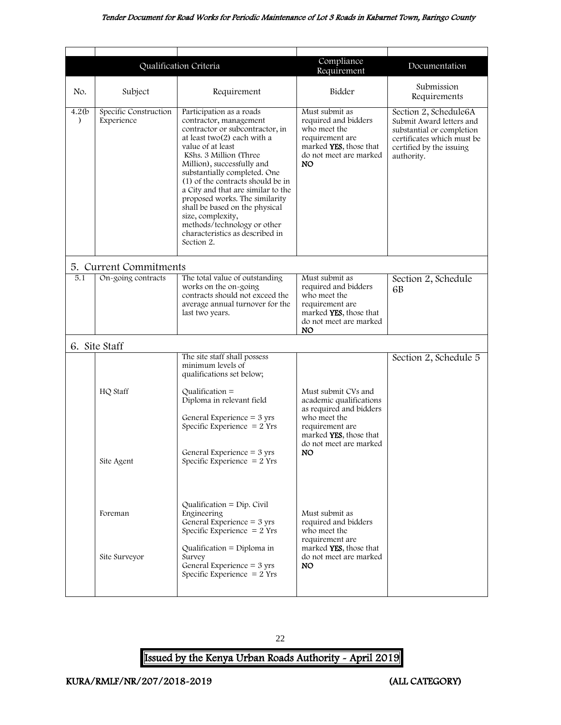<span id="page-22-1"></span><span id="page-22-0"></span>

|                         | Qualification Criteria              |                                                                                                                                                                                                                                                                                                                                                                                                                                                                                       | Compliance<br>Requirement                                                                                                                   | Documentation                                                                                                                                          |
|-------------------------|-------------------------------------|---------------------------------------------------------------------------------------------------------------------------------------------------------------------------------------------------------------------------------------------------------------------------------------------------------------------------------------------------------------------------------------------------------------------------------------------------------------------------------------|---------------------------------------------------------------------------------------------------------------------------------------------|--------------------------------------------------------------------------------------------------------------------------------------------------------|
| No.                     | Subject                             | Requirement                                                                                                                                                                                                                                                                                                                                                                                                                                                                           | Bidder                                                                                                                                      | Submission<br>Requirements                                                                                                                             |
| 4.2(b)<br>$\mathcal{F}$ | Specific Construction<br>Experience | Participation as a roads<br>contractor, management<br>contractor or subcontractor, in<br>at least two(2) each with a<br>value of at least<br>KShs. 3 Million (Three<br>Million), successfully and<br>substantially completed. One<br>(1) of the contracts should be in<br>a City and that are similar to the<br>proposed works. The similarity<br>shall be based on the physical<br>size, complexity,<br>methods/technology or other<br>characteristics as described in<br>Section 2. | Must submit as<br>required and bidders<br>who meet the<br>requirement are<br>marked YES, those that<br>do not meet are marked<br>NO.        | Section 2, Schedule6A<br>Submit Award letters and<br>substantial or completion<br>certificates which must be<br>certified by the issuing<br>authority. |
|                         | 5. Current Commitments              |                                                                                                                                                                                                                                                                                                                                                                                                                                                                                       |                                                                                                                                             |                                                                                                                                                        |
| 5.1                     | On-going contracts                  | The total value of outstanding<br>works on the on-going<br>contracts should not exceed the<br>average annual turnover for the<br>last two years.                                                                                                                                                                                                                                                                                                                                      | Must submit as<br>required and bidders<br>who meet the<br>requirement are<br>marked <b>YES</b> , those that<br>do not meet are marked<br>NO | Section 2, Schedule<br>6 <sub>B</sub>                                                                                                                  |
|                         | 6. Site Staff                       |                                                                                                                                                                                                                                                                                                                                                                                                                                                                                       |                                                                                                                                             |                                                                                                                                                        |
|                         | HQ Staff                            | The site staff shall possess<br>minimum levels of<br>qualifications set below;<br>Qualification $=$<br>Diploma in relevant field<br>General Experience = $3 \text{ yrs}$<br>Specific Experience $= 2$ Yrs                                                                                                                                                                                                                                                                             | Must submit CVs and<br>academic qualifications<br>as required and bidders<br>who meet the<br>requirement are<br>marked YES, those that      | Section 2, Schedule 5                                                                                                                                  |
|                         | Site Agent                          | General Experience $=$ 3 yrs<br>Specific Experience $= 2$ Yrs                                                                                                                                                                                                                                                                                                                                                                                                                         | do not meet are marked<br>NO.                                                                                                               |                                                                                                                                                        |
|                         | Foreman<br>Site Surveyor            | Qualification = $Dip$ . Civil<br>Engineering<br>General Experience $=$ 3 yrs<br>Specific Experience $= 2$ Yrs<br>Qualification = Diploma in<br>Survey<br>General Experience = $3 \text{ yrs}$<br>Specific Experience $= 2$ Yrs                                                                                                                                                                                                                                                        | Must submit as<br>required and bidders<br>who meet the<br>requirement are<br>marked YES, those that<br>do not meet are marked<br>NO.        |                                                                                                                                                        |
|                         |                                     |                                                                                                                                                                                                                                                                                                                                                                                                                                                                                       |                                                                                                                                             |                                                                                                                                                        |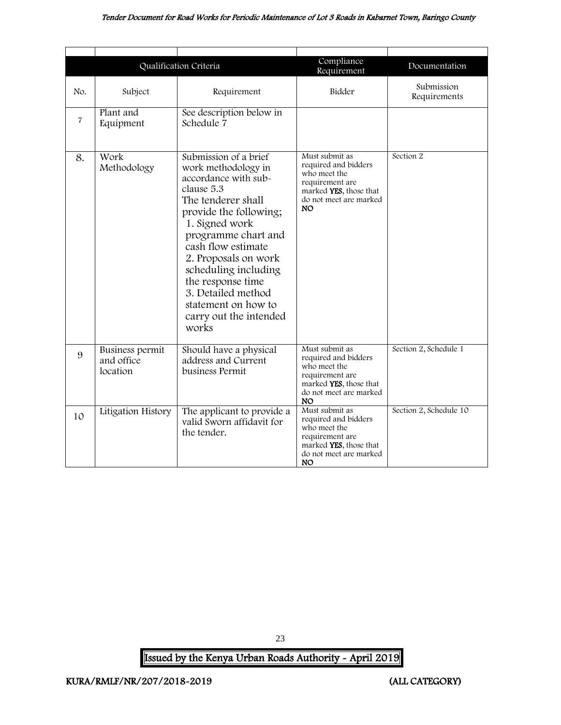#### Tender Document for Road Works for Periodic Maintenance of Lot 3 Roads in Kabarnet Town, Baringo County

|                |                                           | Qualification Criteria                                                                                                                                                                                                                                                                                                                                 | Compliance<br>Requirement                                                                                                                  | Documentation              |
|----------------|-------------------------------------------|--------------------------------------------------------------------------------------------------------------------------------------------------------------------------------------------------------------------------------------------------------------------------------------------------------------------------------------------------------|--------------------------------------------------------------------------------------------------------------------------------------------|----------------------------|
| No.            | Subject                                   | Requirement                                                                                                                                                                                                                                                                                                                                            | Bidder                                                                                                                                     | Submission<br>Requirements |
| $\overline{7}$ | Plant and<br>Equipment                    | See description below in<br>Schedule 7                                                                                                                                                                                                                                                                                                                 |                                                                                                                                            |                            |
| 8.             | Work<br>Methodology                       | Submission of a brief<br>work methodology in<br>accordance with sub-<br>clause 5.3<br>The tenderer shall<br>provide the following;<br>1. Signed work<br>programme chart and<br>cash flow estimate<br>2. Proposals on work<br>scheduling including<br>the response time<br>3. Detailed method<br>statement on how to<br>carry out the intended<br>works | Must submit as<br>required and bidders<br>who meet the<br>requirement are<br>marked YES, those that<br>do not meet are marked<br><b>NO</b> | Section 2                  |
| 9              | Business permit<br>and office<br>location | Should have a physical<br>address and Current<br>business Permit                                                                                                                                                                                                                                                                                       | Must submit as<br>required and bidders<br>who meet the<br>requirement are<br>marked YES, those that<br>do not meet are marked<br>NO.       | Section 2, Schedule 1      |
| 10             | Litigation History                        | The applicant to provide a<br>valid Sworn affidavit for<br>the tender.                                                                                                                                                                                                                                                                                 | Must submit as<br>required and bidders<br>who meet the<br>requirement are<br>marked YES, those that<br>do not meet are marked<br>NO.       | Section 2, Schedule 10     |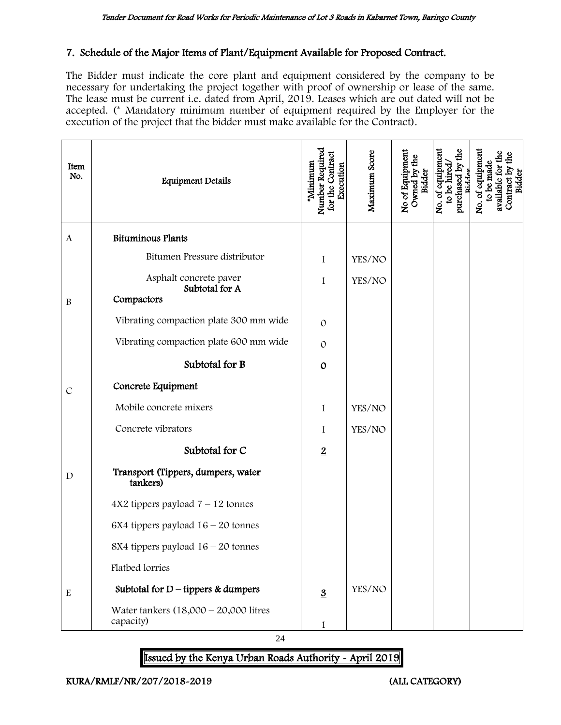### 7. Schedule of the Major Items of Plant/Equipment Available for Proposed Contract.

The Bidder must indicate the core plant and equipment considered by the company to be necessary for undertaking the project together with proof of ownership or lease of the same. The lease must be current i.e. dated from April, 2019. Leases which are out dated will not be accepted. (\* Mandatory minimum number of equipment required by the Employer for the execution of the project that the bidder must make available for the Contract).

| Item<br>No.   | <b>Equipment Details</b>                               | Number Required<br>for the Contract<br>*Minimum<br>Execution | Maximum Score | No of Equipment<br>Owned by the<br>Bidder | purchased by the<br>No. of equipment<br>to be hired<br>Bidder | No. of equipment<br>to be made<br>available for<br>Contract by<br>Bidder |
|---------------|--------------------------------------------------------|--------------------------------------------------------------|---------------|-------------------------------------------|---------------------------------------------------------------|--------------------------------------------------------------------------|
| $\mathbf{A}$  | <b>Bituminous Plants</b>                               |                                                              |               |                                           |                                                               |                                                                          |
|               | Bitumen Pressure distributor                           | 1                                                            | YES/NO        |                                           |                                                               |                                                                          |
| $\, {\bf B}$  | Asphalt concrete paver<br>Subtotal for A<br>Compactors | 1                                                            | YES/NO        |                                           |                                                               |                                                                          |
|               | Vibrating compaction plate 300 mm wide                 | $\Omega$                                                     |               |                                           |                                                               |                                                                          |
|               | Vibrating compaction plate 600 mm wide                 | $\mathcal{O}$                                                |               |                                           |                                                               |                                                                          |
|               | Subtotal for B                                         | $\underline{0}$                                              |               |                                           |                                                               |                                                                          |
| $\mathcal{C}$ | Concrete Equipment                                     |                                                              |               |                                           |                                                               |                                                                          |
|               | Mobile concrete mixers                                 | $\mathbf{1}$                                                 | YES/NO        |                                           |                                                               |                                                                          |
|               | Concrete vibrators                                     | 1                                                            | YES/NO        |                                           |                                                               |                                                                          |
|               | Subtotal for C                                         | $\overline{2}$                                               |               |                                           |                                                               |                                                                          |
| $\mathbf D$   | Transport (Tippers, dumpers, water<br>tankers)         |                                                              |               |                                           |                                                               |                                                                          |
|               | $4X2$ tippers payload $7 - 12$ tonnes                  |                                                              |               |                                           |                                                               |                                                                          |
|               | 6X4 tippers payload $16 - 20$ tonnes                   |                                                              |               |                                           |                                                               |                                                                          |
|               | 8X4 tippers payload $16 - 20$ tonnes                   |                                                              |               |                                           |                                                               |                                                                          |
|               | Flatbed lorries                                        |                                                              |               |                                           |                                                               |                                                                          |
| ${\bf E}$     | Subtotal for $D$ – tippers & dumpers                   | $\underline{3}$                                              | YES/NO        |                                           |                                                               |                                                                          |
|               | Water tankers $(18,000 - 20,000)$ litres<br>capacity)  | $\mathbf{1}$                                                 |               |                                           |                                                               |                                                                          |

24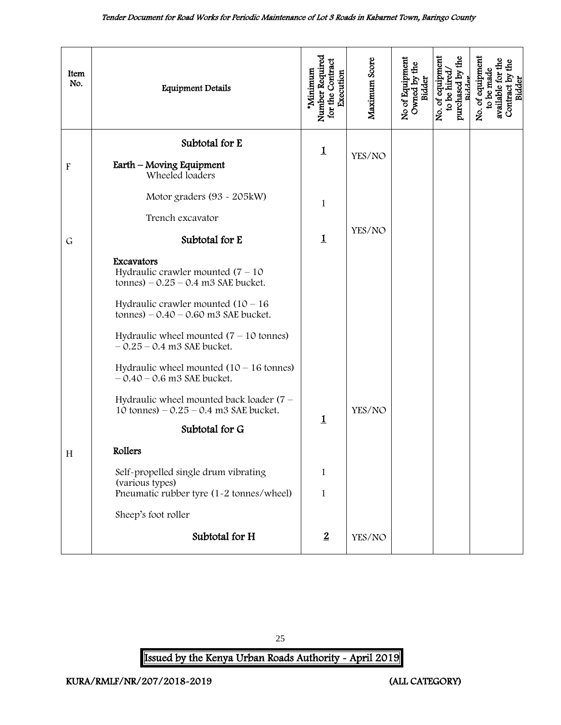<span id="page-25-0"></span>

| Item<br>No.               | <b>Equipment Details</b>                                                                            | Number Required<br>for the Contract<br>'Minimum<br>Execution | Maximum Score | No of Equipment<br>Owned by the<br>Bidder | purchased by the<br>No. of equipment<br>to be hired<br>Ridder | No. of equipment<br>available for the<br>Contract by the<br>Bidder<br>to be made |
|---------------------------|-----------------------------------------------------------------------------------------------------|--------------------------------------------------------------|---------------|-------------------------------------------|---------------------------------------------------------------|----------------------------------------------------------------------------------|
| $\boldsymbol{\mathrm{F}}$ | Subtotal for E<br>Earth - Moving Equipment                                                          | $\mathbf 1$                                                  | YES/NO        |                                           |                                                               |                                                                                  |
|                           | Wheeled loaders<br>Motor graders (93 - 205kW)<br>Trench excavator                                   | 1                                                            |               |                                           |                                                               |                                                                                  |
| $\mathsf{G}$              | Subtotal for E                                                                                      | $\overline{1}$                                               | YES/NO        |                                           |                                                               |                                                                                  |
|                           | Excavators<br>Hydraulic crawler mounted $(7 - 10)$<br>tonnes) $-0.25 - 0.4$ m3 SAE bucket.          |                                                              |               |                                           |                                                               |                                                                                  |
|                           | Hydraulic crawler mounted $(10 - 16)$<br>tonnes) $-0.40 - 0.60$ m3 SAE bucket.                      |                                                              |               |                                           |                                                               |                                                                                  |
|                           | Hydraulic wheel mounted $(7 - 10)$ tonnes)<br>$-0.25 - 0.4$ m3 SAE bucket.                          |                                                              |               |                                           |                                                               |                                                                                  |
|                           | Hydraulic wheel mounted $(10 - 16$ tonnes)<br>$-0.40 - 0.6$ m3 SAE bucket.                          |                                                              |               |                                           |                                                               |                                                                                  |
|                           | Hydraulic wheel mounted back loader $(7 -$<br>10 tonnes) $-0.25 - 0.4$ m3 SAE bucket.               |                                                              | YES/NO        |                                           |                                                               |                                                                                  |
|                           | Subtotal for G                                                                                      | $\mathbf 1$                                                  |               |                                           |                                                               |                                                                                  |
| H                         | Rollers                                                                                             |                                                              |               |                                           |                                                               |                                                                                  |
|                           | Self-propelled single drum vibrating<br>(various types)<br>Pneumatic rubber tyre (1-2 tonnes/wheel) | 1<br>$\mathbf{1}$                                            |               |                                           |                                                               |                                                                                  |
|                           | Sheep's foot roller                                                                                 |                                                              |               |                                           |                                                               |                                                                                  |
|                           | Subtotal for H                                                                                      | $\overline{2}$                                               | YES/NO        |                                           |                                                               |                                                                                  |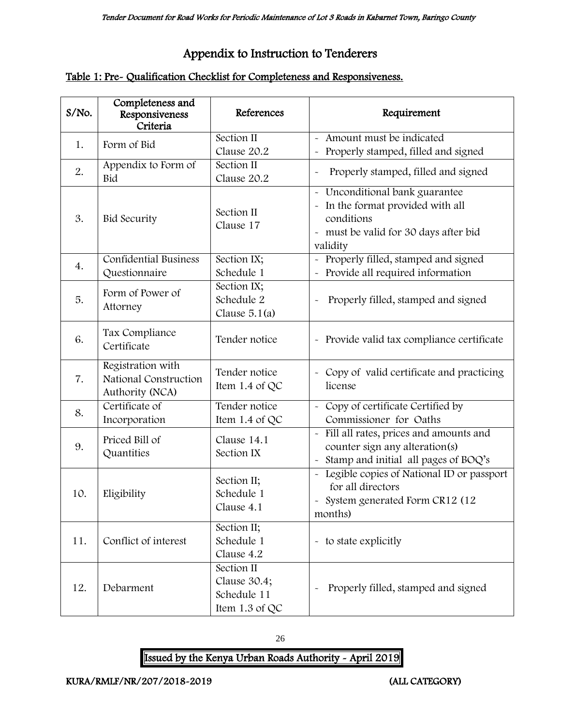# Appendix to Instruction to Tenderers

### Table 1: Pre- Qualification Checklist for Completeness and Responsiveness.

| S/No. | Completeness and<br>Responsiveness<br>Criteria                | References                                                  | Requirement                                                                                                                            |
|-------|---------------------------------------------------------------|-------------------------------------------------------------|----------------------------------------------------------------------------------------------------------------------------------------|
| 1.    | Form of Bid                                                   | Section II<br>Clause 20.2                                   | - Amount must be indicated<br>Properly stamped, filled and signed                                                                      |
| 2.    | Appendix to Form of<br>Bid                                    | Section II<br>Clause 20.2                                   | Properly stamped, filled and signed                                                                                                    |
| 3.    | <b>Bid Security</b>                                           | Section II<br>Clause 17                                     | - Unconditional bank guarantee<br>- In the format provided with all<br>conditions<br>- must be valid for 30 days after bid<br>validity |
| 4.    | Confidential Business<br>Questionnaire                        | Section IX;<br>Schedule 1                                   | - Properly filled, stamped and signed<br>Provide all required information                                                              |
| 5.    | Form of Power of<br>Attorney                                  | Section IX;<br>Schedule 2<br>Clause $5.1(a)$                | Properly filled, stamped and signed                                                                                                    |
| 6.    | Tax Compliance<br>Certificate                                 | Tender notice                                               | - Provide valid tax compliance certificate                                                                                             |
| 7.    | Registration with<br>National Construction<br>Authority (NCA) | Tender notice<br>Item 1.4 of QC                             | - Copy of valid certificate and practicing<br>license                                                                                  |
| 8.    | Certificate of<br>Incorporation                               | Tender notice<br>Item 1.4 of QC                             | - Copy of certificate Certified by<br>Commissioner for Oaths                                                                           |
| 9.    | Priced Bill of<br>Quantities                                  | Clause 14.1<br>Section IX                                   | - Fill all rates, prices and amounts and<br>counter sign any alteration(s)<br>Stamp and initial all pages of BOQ's                     |
| 10.   | Eligibility                                                   | Section II;<br>Schedule 1<br>Clause 4.1                     | - Legible copies of National ID or passport<br>for all directors<br>- System generated Form CR12 (12<br>months)                        |
| 11.   | Conflict of interest                                          | Section II;<br>Schedule 1<br>Clause 4.2                     | - to state explicitly                                                                                                                  |
| 12.   | Debarment                                                     | Section II<br>Clause 30.4;<br>Schedule 11<br>Item 1.3 of QC | Properly filled, stamped and signed                                                                                                    |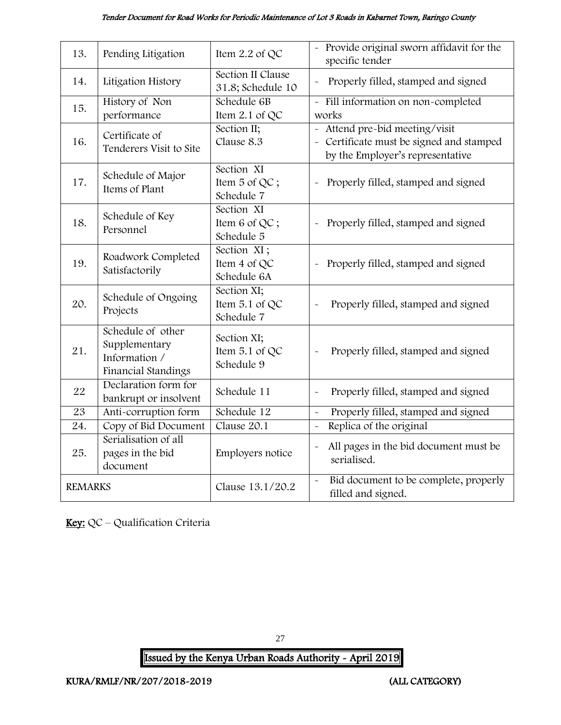#### Tender Document for Road Works for Periodic Maintenance of Lot 3 Roads in Kabarnet Town, Baringo County

| 13.               | Pending Litigation      | Item 2.2 of QC                         | - Provide original sworn affidavit for the<br>specific tender  |
|-------------------|-------------------------|----------------------------------------|----------------------------------------------------------------|
| 14.               | Litigation History      | Section II Clause<br>31.8; Schedule 10 | Properly filled, stamped and signed                            |
| 15.               | History of Non          | Schedule 6B                            | Fill information on non-completed                              |
|                   | performance             | Item $2.1$ of QC                       | works                                                          |
|                   | Certificate of          | Section II;                            | - Attend pre-bid meeting/visit                                 |
| 16.               | Tenderers Visit to Site | Clause 8.3                             | - Certificate must be signed and stamped                       |
|                   |                         |                                        | by the Employer's representative                               |
|                   | Schedule of Major       | Section XI                             |                                                                |
| 17.               | Items of Plant          | Item 5 of QC;                          | Properly filled, stamped and signed<br>$\tilde{\phantom{a}}$   |
|                   |                         | Schedule 7                             |                                                                |
|                   | Schedule of Key         | Section XI                             |                                                                |
| 18.               | Personnel               | Item 6 of QC;                          | Properly filled, stamped and signed                            |
|                   |                         | Schedule 5                             |                                                                |
|                   | Roadwork Completed      | Section XI;                            |                                                                |
| 19.               | Satisfactorily          | Item 4 of QC                           | Properly filled, stamped and signed                            |
|                   |                         | Schedule 6A                            |                                                                |
|                   | Schedule of Ongoing     | Section XI;                            |                                                                |
| 20.               | Projects                | Item 5.1 of QC                         | Properly filled, stamped and signed                            |
|                   |                         | Schedule 7                             |                                                                |
|                   | Schedule of other       | Section XI;                            |                                                                |
| 21.               | Supplementary           | Item 5.1 of QC                         | Properly filled, stamped and signed                            |
|                   | Information /           | Schedule 9                             |                                                                |
|                   | Financial Standings     |                                        |                                                                |
| 22                | Declaration form for    | Schedule 11                            | Properly filled, stamped and signed<br>$\tilde{}$              |
|                   | bankrupt or insolvent   |                                        |                                                                |
| $\overline{23}$   | Anti-corruption form    | Schedule 12                            | Properly filled, stamped and signed<br>$\tilde{\phantom{a}}$   |
| $\overline{24}$ . | Copy of Bid Document    | Clause 20.1                            | Replica of the original<br>$\tilde{\phantom{a}}$               |
|                   | Serialisation of all    |                                        | All pages in the bid document must be<br>$\tilde{}$            |
| 25.               | pages in the bid        | Employers notice                       | serialised.                                                    |
|                   | document                |                                        |                                                                |
| <b>REMARKS</b>    |                         | Clause 13.1/20.2                       | Bid document to be complete, properly<br>$\tilde{\phantom{a}}$ |
|                   |                         |                                        | filled and signed.                                             |

Key: QC - Qualification Criteria

27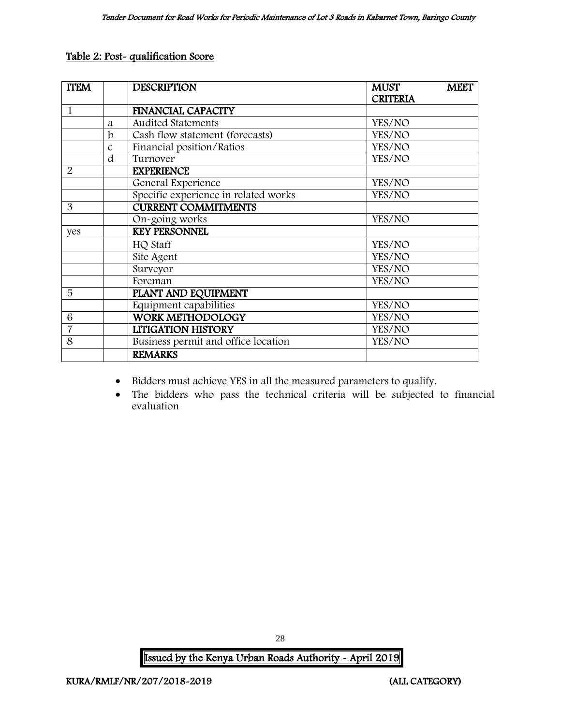#### Table 2: Post- qualification Score

| <b>TTEM</b>    |               | <b>DESCRIPTION</b>                   | <b>MUST</b>     | <b>MEET</b> |
|----------------|---------------|--------------------------------------|-----------------|-------------|
|                |               |                                      | <b>CRITERIA</b> |             |
| $\mathbf{1}$   |               | <b>FINANCIAL CAPACITY</b>            |                 |             |
|                | a             | <b>Audited Statements</b>            | YES/NO          |             |
|                | $\mathbf b$   | Cash flow statement (forecasts)      | YES/NO          |             |
|                | $\mathcal{C}$ | Financial position/Ratios            | YES/NO          |             |
|                | d             | Turnover                             | YES/NO          |             |
| $\overline{2}$ |               | <b>EXPERIENCE</b>                    |                 |             |
|                |               | General Experience                   | YES/NO          |             |
|                |               | Specific experience in related works | YES/NO          |             |
| 3              |               | <b>CURRENT COMMITMENTS</b>           |                 |             |
|                |               | On-going works                       | YES/NO          |             |
| yes            |               | <b>KEY PERSONNEL</b>                 |                 |             |
|                |               | HQ Staff                             | YES/NO          |             |
|                |               | Site Agent                           | YES/NO          |             |
|                |               | Surveyor                             | YES/NO          |             |
|                |               | Foreman                              | YES/NO          |             |
| 5              |               | PLANT AND EQUIPMENT                  |                 |             |
|                |               | Equipment capabilities               | YES/NO          |             |
| 6              |               | <b>WORK METHODOLOGY</b>              | YES/NO          |             |
| $\overline{7}$ |               | <b>LITIGATION HISTORY</b>            | YES/NO          |             |
| 8              |               | Business permit and office location  | YES/NO          |             |
|                |               | <b>REMARKS</b>                       |                 |             |

- Bidders must achieve YES in all the measured parameters to qualify.
- The bidders who pass the technical criteria will be subjected to financial evaluation

Issued by the Kenya Urban Roads Authority - April 2019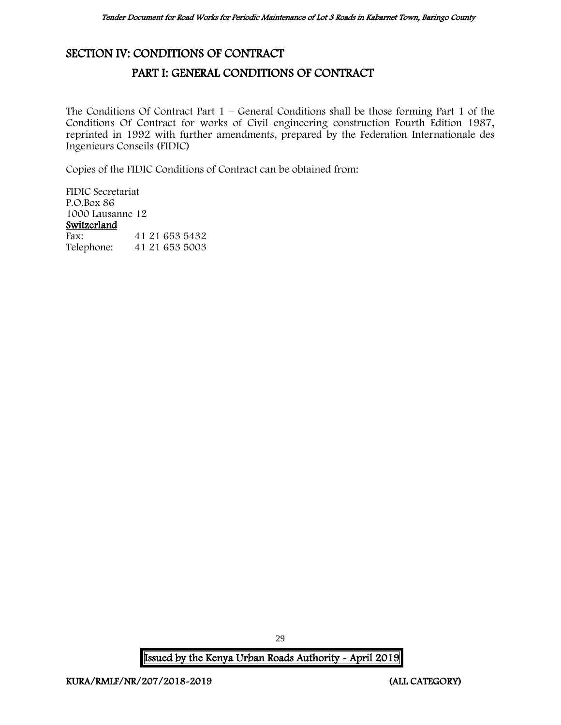### <span id="page-29-1"></span><span id="page-29-0"></span>SECTION IV: CONDITIONS OF CONTRACT

### PART I: GENERAL CONDITIONS OF CONTRACT

The Conditions Of Contract Part  $1$  – General Conditions shall be those forming Part 1 of the Conditions Of Contract for works of Civil engineering construction Fourth Edition 1987, reprinted in 1992 with further amendments, prepared by the Federation Internationale des Ingenieurs Conseils (FIDIC)

Copies of the FIDIC Conditions of Contract can be obtained from:

FIDIC Secretariat P.O.Box 86 1000 Lausanne 12 Switzerland<br>Fax: Fax: 41 21 653 5432<br>Telephone: 41 21 653 5003 Telephone: 41 21 653 5003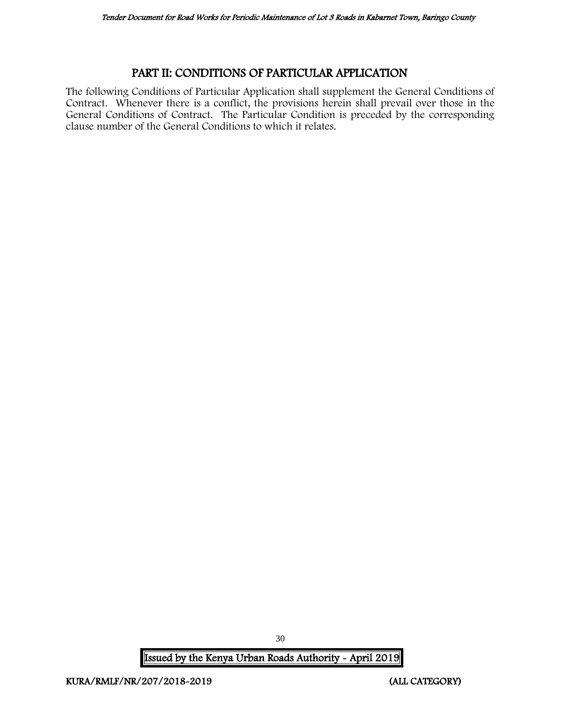### PART II: CONDITIONS OF PARTICULAR APPLICATION

<span id="page-30-0"></span>The following Conditions of Particular Application shall supplement the General Conditions of Contract. Whenever there is a conflict, the provisions herein shall prevail over those in the General Conditions of Contract. The Particular Condition is preceded by the corresponding clause number of the General Conditions to which it relates.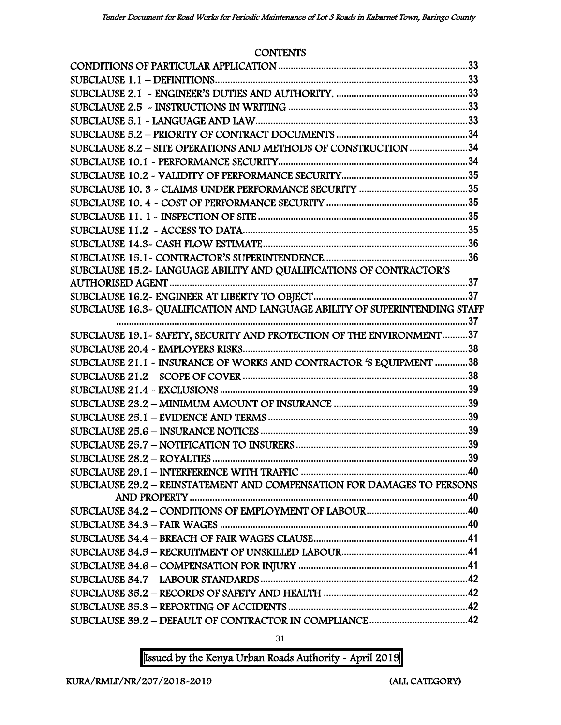#### **CONTENTS**

| SUBCLAUSE 8.2 - SITE OPERATIONS AND METHODS OF CONSTRUCTION 34         |     |
|------------------------------------------------------------------------|-----|
|                                                                        |     |
|                                                                        |     |
|                                                                        |     |
|                                                                        |     |
|                                                                        |     |
|                                                                        |     |
|                                                                        |     |
|                                                                        |     |
| SUBCLAUSE 15.2- LANGUAGE ABILITY AND QUALIFICATIONS OF CONTRACTOR'S    |     |
|                                                                        |     |
|                                                                        |     |
|                                                                        |     |
|                                                                        | .37 |
| SUBCLAUSE 19.1 - SAFETY, SECURITY AND PROTECTION OF THE ENVIRONMENT37  |     |
|                                                                        |     |
| SUBCLAUSE 21.1 - INSURANCE OF WORKS AND CONTRACTOR 'S EQUIPMENT 38     |     |
|                                                                        |     |
|                                                                        |     |
|                                                                        |     |
|                                                                        |     |
|                                                                        |     |
|                                                                        |     |
|                                                                        |     |
| SUBCLAUSE 29.2 - REINSTATEMENT AND COMPENSATION FOR DAMAGES TO PERSONS |     |
|                                                                        |     |
|                                                                        |     |
|                                                                        |     |
|                                                                        |     |
|                                                                        |     |
|                                                                        |     |
|                                                                        |     |
|                                                                        |     |
|                                                                        |     |
|                                                                        |     |
|                                                                        |     |

31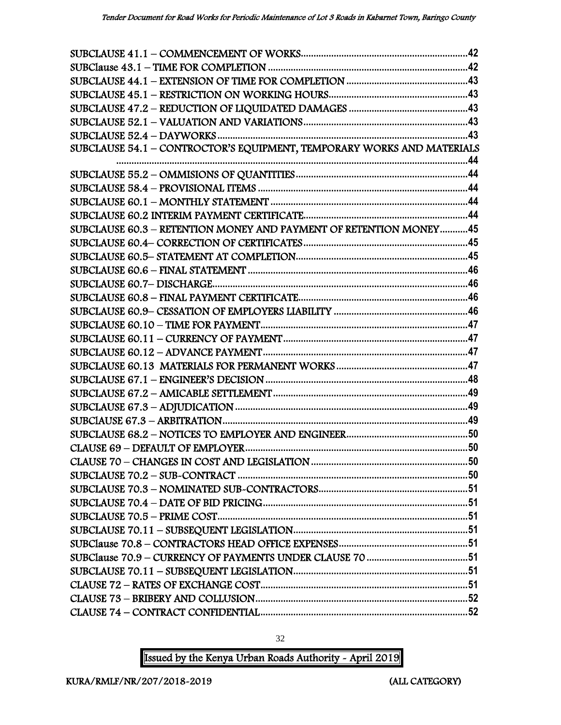| SUBCLAUSE 54.1 - CONTROCTOR'S EQUIPMENT, TEMPORARY WORKS AND MATERIALS |  |
|------------------------------------------------------------------------|--|
|                                                                        |  |
|                                                                        |  |
|                                                                        |  |
|                                                                        |  |
|                                                                        |  |
| SUBCLAUSE 60.3 - RETENTION MONEY AND PAYMENT OF RETENTION MONEY45      |  |
|                                                                        |  |
|                                                                        |  |
|                                                                        |  |
|                                                                        |  |
|                                                                        |  |
|                                                                        |  |
|                                                                        |  |
|                                                                        |  |
|                                                                        |  |
|                                                                        |  |
|                                                                        |  |
|                                                                        |  |
|                                                                        |  |
|                                                                        |  |
|                                                                        |  |
|                                                                        |  |
|                                                                        |  |
|                                                                        |  |
|                                                                        |  |
|                                                                        |  |
|                                                                        |  |
|                                                                        |  |
|                                                                        |  |
|                                                                        |  |
|                                                                        |  |
|                                                                        |  |
|                                                                        |  |
|                                                                        |  |

Issued by the Kenya Urban Roads Authority - April 2019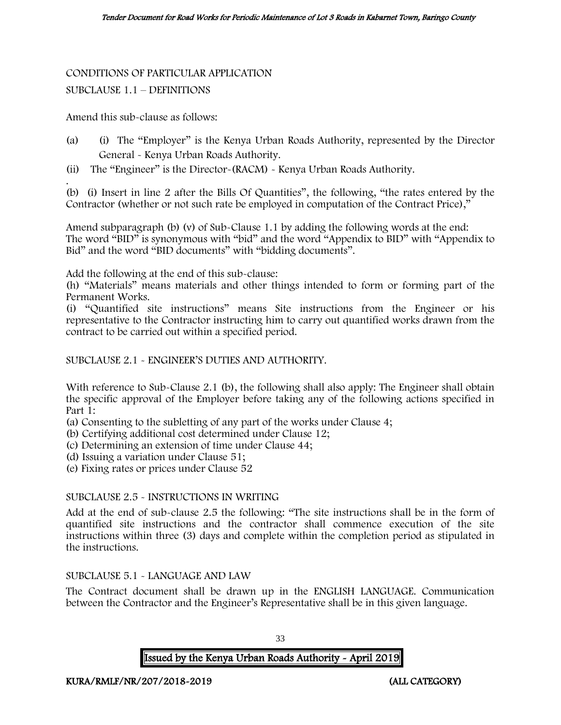# CONDITIONS OF PARTICULAR APPLICATION

#### SUBCLAUSE 1.1 – DEFINITIONS

Amend this sub-clause as follows:

- (a) (i) The "Employer" is the Kenya Urban Roads Authority, represented by the Director General - Kenya Urban Roads Authority.
- (ii) The "Engineer" is the Director-(RACM) Kenya Urban Roads Authority.

. (b) (i) Insert in line 2 after the Bills Of Quantities", the following, "the rates entered by the Contractor (whether or not such rate be employed in computation of the Contract Price),"

Amend subparagraph (b) (v) of Sub-Clause 1.1 by adding the following words at the end: The word "BID" is synonymous with "bid" and the word "Appendix to BID" with "Appendix to Bid" and the word "BID documents" with "bidding documents".

Add the following at the end of this sub-clause:

(h) "Materials" means materials and other things intended to form or forming part of the Permanent Works.

(i) "Quantified site instructions" means Site instructions from the Engineer or his representative to the Contractor instructing him to carry out quantified works drawn from the contract to be carried out within a specified period.

SUBCLAUSE 2.1 - ENGINEER'S DUTIES AND AUTHORITY.

With reference to Sub-Clause 2.1 (b), the following shall also apply: The Engineer shall obtain the specific approval of the Employer before taking any of the following actions specified in Part 1:

- (a) Consenting to the subletting of any part of the works under Clause 4;
- (b) Certifying additional cost determined under Clause 12;
- (c) Determining an extension of time under Clause 44;
- (d) Issuing a variation under Clause 51;
- (e) Fixing rates or prices under Clause 52

#### SUBCLAUSE 2.5 - INSTRUCTIONS IN WRITING

Add at the end of sub-clause 2.5 the following: "The site instructions shall be in the form of quantified site instructions and the contractor shall commence execution of the site instructions within three (3) days and complete within the completion period as stipulated in the instructions.

#### SUBCLAUSE 5.1 - LANGUAGE AND LAW

The Contract document shall be drawn up in the ENGLISH LANGUAGE. Communication between the Contractor and the Engineer's Representative shall be in this given language.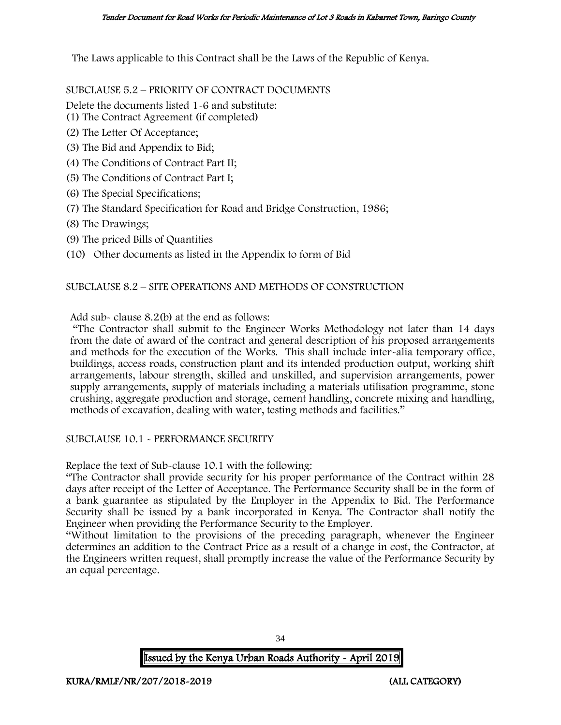The Laws applicable to this Contract shall be the Laws of the Republic of Kenya.

SUBCLAUSE 5.2 – PRIORITY OF CONTRACT DOCUMENTS

Delete the documents listed 1-6 and substitute:

- (1) The Contract Agreement (if completed)
- (2) The Letter Of Acceptance;
- (3) The Bid and Appendix to Bid;
- (4) The Conditions of Contract Part II;
- (5) The Conditions of Contract Part I;
- (6) The Special Specifications;
- (7) The Standard Specification for Road and Bridge Construction, 1986;
- (8) The Drawings;
- (9) The priced Bills of Quantities
- (10) Other documents as listed in the Appendix to form of Bid

### SUBCLAUSE 8.2 – SITE OPERATIONS AND METHODS OF CONSTRUCTION

Add sub- clause 8.2(b) at the end as follows:

"The Contractor shall submit to the Engineer Works Methodology not later than 14 days from the date of award of the contract and general description of his proposed arrangements and methods for the execution of the Works. This shall include inter-alia temporary office, buildings, access roads, construction plant and its intended production output, working shift arrangements, labour strength, skilled and unskilled, and supervision arrangements, power supply arrangements, supply of materials including a materials utilisation programme, stone crushing, aggregate production and storage, cement handling, concrete mixing and handling, methods of excavation, dealing with water, testing methods and facilities."

### SUBCLAUSE 10.1 - PERFORMANCE SECURITY

Replace the text of Sub-clause 10.1 with the following:

"The Contractor shall provide security for his proper performance of the Contract within 28 days after receipt of the Letter of Acceptance. The Performance Security shall be in the form of a bank guarantee as stipulated by the Employer in the Appendix to Bid. The Performance Security shall be issued by a bank incorporated in Kenya. The Contractor shall notify the Engineer when providing the Performance Security to the Employer.

"Without limitation to the provisions of the preceding paragraph, whenever the Engineer determines an addition to the Contract Price as a result of a change in cost, the Contractor, at the Engineers written request, shall promptly increase the value of the Performance Security by an equal percentage.

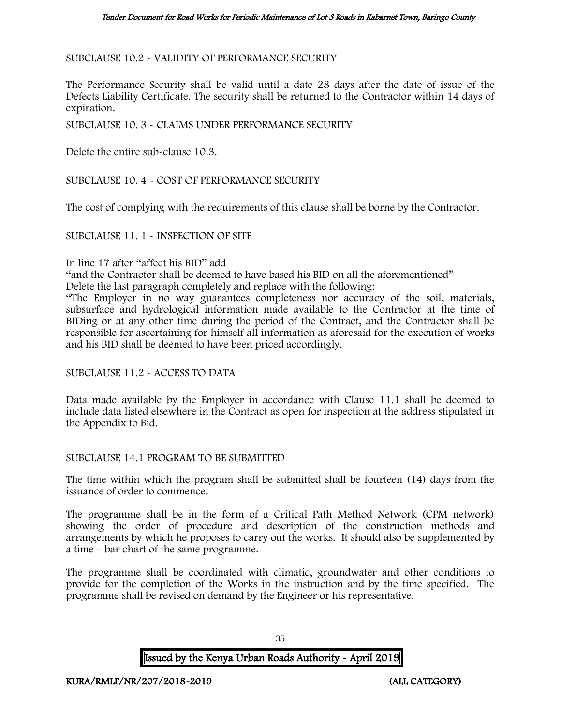SUBCLAUSE 10.2 - VALIDITY OF PERFORMANCE SECURITY

The Performance Security shall be valid until a date 28 days after the date of issue of the Defects Liability Certificate. The security shall be returned to the Contractor within 14 days of expiration.

SUBCLAUSE 10. 3 - CLAIMS UNDER PERFORMANCE SECURITY

Delete the entire sub-clause 10.3.

SUBCLAUSE 10. 4 - COST OF PERFORMANCE SECURITY

The cost of complying with the requirements of this clause shall be borne by the Contractor.

SUBCLAUSE 11. 1 - INSPECTION OF SITE

#### In line 17 after "affect his BID" add

"and the Contractor shall be deemed to have based his BID on all the aforementioned"

Delete the last paragraph completely and replace with the following:

"The Employer in no way guarantees completeness nor accuracy of the soil, materials, subsurface and hydrological information made available to the Contractor at the time of BIDing or at any other time during the period of the Contract, and the Contractor shall be responsible for ascertaining for himself all information as aforesaid for the execution of works and his BID shall be deemed to have been priced accordingly.

SUBCLAUSE 11.2 - ACCESS TO DATA

Data made available by the Employer in accordance with Clause 11.1 shall be deemed to include data listed elsewhere in the Contract as open for inspection at the address stipulated in the Appendix to Bid.

SUBCLAUSE 14.1 PROGRAM TO BE SUBMITTED

The time within which the program shall be submitted shall be fourteen (14) days from the issuance of order to commence.

The programme shall be in the form of a Critical Path Method Network (CPM network) showing the order of procedure and description of the construction methods and arrangements by which he proposes to carry out the works. It should also be supplemented by a time – bar chart of the same programme.

The programme shall be coordinated with climatic, groundwater and other conditions to provide for the completion of the Works in the instruction and by the time specified. The programme shall be revised on demand by the Engineer or his representative.

Issued by the Kenya Urban Roads Authority - April 2019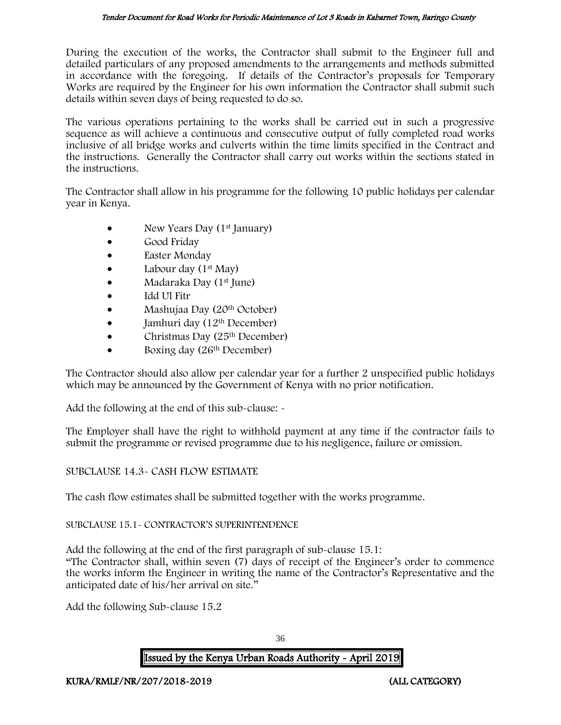During the execution of the works, the Contractor shall submit to the Engineer full and detailed particulars of any proposed amendments to the arrangements and methods submitted in accordance with the foregoing. If details of the Contractor's proposals for Temporary Works are required by the Engineer for his own information the Contractor shall submit such details within seven days of being requested to do so.

The various operations pertaining to the works shall be carried out in such a progressive sequence as will achieve a continuous and consecutive output of fully completed road works inclusive of all bridge works and culverts within the time limits specified in the Contract and the instructions. Generally the Contractor shall carry out works within the sections stated in the instructions.

The Contractor shall allow in his programme for the following 10 public holidays per calendar year in Kenya.

- New Years Day  $(1<sup>st</sup>$  January)
- Good Friday
- Easter Monday
- Labour day  $(1<sup>st</sup>$  May)
- Madaraka Day (1st June)
- Idd Ul Fitr
- Mashujaa Day (20th October)
- $\bullet$  Jamhuri day (12<sup>th</sup> December)
- Christmas Day  $(25<sup>th</sup> December)$
- Boxing day (26<sup>th</sup> December)

The Contractor should also allow per calendar year for a further 2 unspecified public holidays which may be announced by the Government of Kenya with no prior notification.

Add the following at the end of this sub-clause: -

The Employer shall have the right to withhold payment at any time if the contractor fails to submit the programme or revised programme due to his negligence, failure or omission.

### SUBCLAUSE 14.3- CASH FLOW ESTIMATE

The cash flow estimates shall be submitted together with the works programme.

### SUBCLAUSE 15.1- CONTRACTOR'S SUPERINTENDENCE

Add the following at the end of the first paragraph of sub-clause 15.1: "The Contractor shall, within seven (7) days of receipt of the Engineer's order to commence the works inform the Engineer in writing the name of the Contractor's Representative and the anticipated date of his/her arrival on site."

Add the following Sub-clause 15.2

36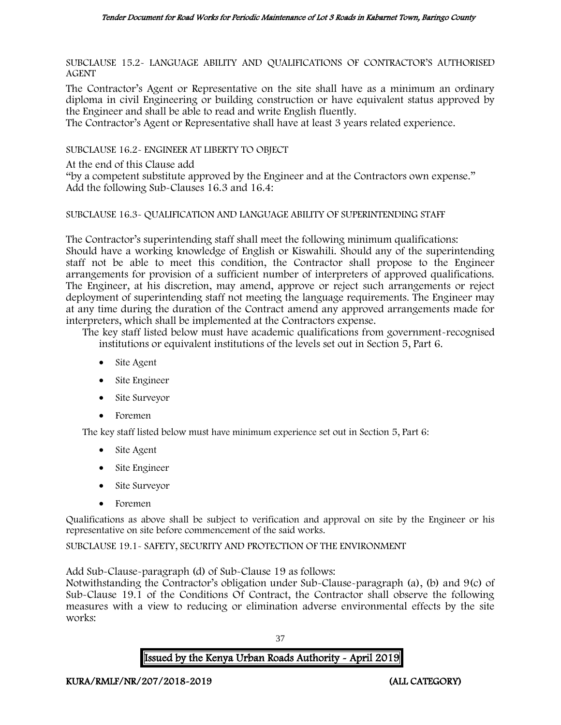SUBCLAUSE 15.2- LANGUAGE ABILITY AND QUALIFICATIONS OF CONTRACTOR'S AUTHORISED AGENT

The Contractor's Agent or Representative on the site shall have as a minimum an ordinary diploma in civil Engineering or building construction or have equivalent status approved by the Engineer and shall be able to read and write English fluently.

The Contractor's Agent or Representative shall have at least 3 years related experience.

SUBCLAUSE 16.2- ENGINEER AT LIBERTY TO OBJECT

At the end of this Clause add

"by a competent substitute approved by the Engineer and at the Contractors own expense." Add the following Sub-Clauses 16.3 and 16.4:

### SUBCLAUSE 16.3- QUALIFICATION AND LANGUAGE ABILITY OF SUPERINTENDING STAFF

The Contractor's superintending staff shall meet the following minimum qualifications: Should have a working knowledge of English or Kiswahili. Should any of the superintending staff not be able to meet this condition, the Contractor shall propose to the Engineer arrangements for provision of a sufficient number of interpreters of approved qualifications. The Engineer, at his discretion, may amend, approve or reject such arrangements or reject deployment of superintending staff not meeting the language requirements. The Engineer may at any time during the duration of the Contract amend any approved arrangements made for interpreters, which shall be implemented at the Contractors expense.

The key staff listed below must have academic qualifications from government-recognised institutions or equivalent institutions of the levels set out in Section 5, Part 6.

- Site Agent
- Site Engineer
- Site Surveyor
- Foremen

The key staff listed below must have minimum experience set out in Section 5, Part 6:

- Site Agent
- Site Engineer
- Site Surveyor
- Foremen

Qualifications as above shall be subject to verification and approval on site by the Engineer or his representative on site before commencement of the said works.

SUBCLAUSE 19.1- SAFETY, SECURITY AND PROTECTION OF THE ENVIRONMENT

Add Sub-Clause-paragraph (d) of Sub-Clause 19 as follows:

Notwithstanding the Contractor's obligation under Sub-Clause-paragraph (a), (b) and 9(c) of Sub-Clause 19.1 of the Conditions Of Contract, the Contractor shall observe the following measures with a view to reducing or elimination adverse environmental effects by the site works:

37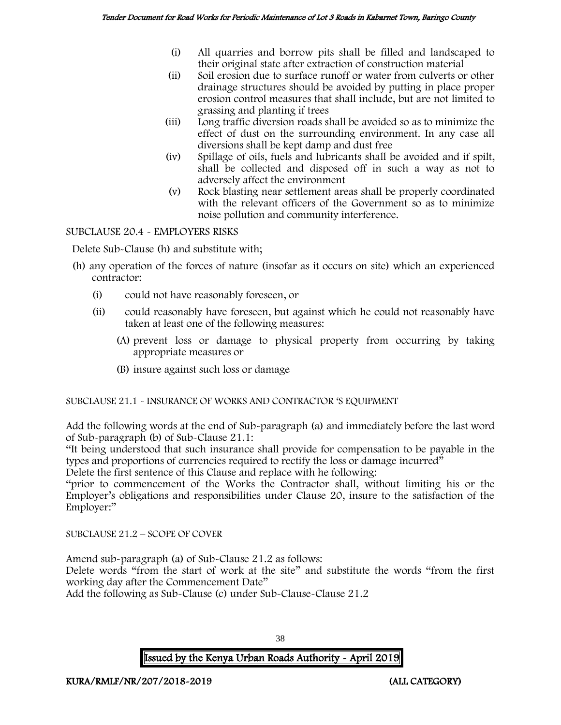- (i) All quarries and borrow pits shall be filled and landscaped to their original state after extraction of construction material
- (ii) Soil erosion due to surface runoff or water from culverts or other drainage structures should be avoided by putting in place proper erosion control measures that shall include, but are not limited to grassing and planting if trees
- (iii) Long traffic diversion roads shall be avoided so as to minimize the effect of dust on the surrounding environment. In any case all diversions shall be kept damp and dust free
- (iv) Spillage of oils, fuels and lubricants shall be avoided and if spilt, shall be collected and disposed off in such a way as not to adversely affect the environment
- (v) Rock blasting near settlement areas shall be properly coordinated with the relevant officers of the Government so as to minimize noise pollution and community interference.

SUBCLAUSE 20.4 - EMPLOYERS RISKS

Delete Sub-Clause (h) and substitute with;

- (h) any operation of the forces of nature (insofar as it occurs on site) which an experienced contractor:
	- (i) could not have reasonably foreseen, or
	- (ii) could reasonably have foreseen, but against which he could not reasonably have taken at least one of the following measures:
		- (A) prevent loss or damage to physical property from occurring by taking appropriate measures or
		- (B) insure against such loss or damage

SUBCLAUSE 21.1 - INSURANCE OF WORKS AND CONTRACTOR 'S EQUIPMENT

Add the following words at the end of Sub-paragraph (a) and immediately before the last word of Sub-paragraph (b) of Sub-Clause 21.1:

"It being understood that such insurance shall provide for compensation to be payable in the types and proportions of currencies required to rectify the loss or damage incurred"

Delete the first sentence of this Clause and replace with he following:

"prior to commencement of the Works the Contractor shall, without limiting his or the Employer's obligations and responsibilities under Clause 20, insure to the satisfaction of the Employer:"

SUBCLAUSE 21.2 – SCOPE OF COVER

Amend sub-paragraph (a) of Sub-Clause 21.2 as follows:

Delete words "from the start of work at the site" and substitute the words "from the first working day after the Commencement Date"

Add the following as Sub-Clause (c) under Sub-Clause-Clause 21.2

Issued by the Kenya Urban Roads Authority - April 2019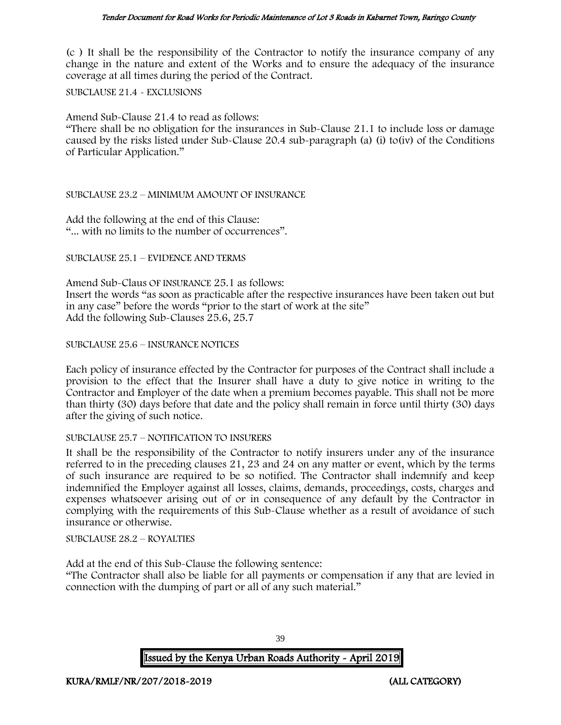(c ) It shall be the responsibility of the Contractor to notify the insurance company of any change in the nature and extent of the Works and to ensure the adequacy of the insurance coverage at all times during the period of the Contract.

SUBCLAUSE 21.4 - EXCLUSIONS

Amend Sub-Clause 21.4 to read as follows:

"There shall be no obligation for the insurances in Sub-Clause 21.1 to include loss or damage caused by the risks listed under Sub-Clause 20.4 sub-paragraph (a) (i) to(iv) of the Conditions of Particular Application."

### SUBCLAUSE 23.2 – MINIMUM AMOUNT OF INSURANCE

Add the following at the end of this Clause: "... with no limits to the number of occurrences".

SUBCLAUSE 25.1 – EVIDENCE AND TERMS

Amend Sub-Claus OF INSURANCE 25.1 as follows: Insert the words "as soon as practicable after the respective insurances have been taken out but in any case" before the words "prior to the start of work at the site" Add the following Sub-Clauses 25.6, 25.7

### SUBCLAUSE 25.6 – INSURANCE NOTICES

Each policy of insurance effected by the Contractor for purposes of the Contract shall include a provision to the effect that the Insurer shall have a duty to give notice in writing to the Contractor and Employer of the date when a premium becomes payable. This shall not be more than thirty (30) days before that date and the policy shall remain in force until thirty (30) days after the giving of such notice.

### SUBCLAUSE 25.7 – NOTIFICATION TO INSURERS

It shall be the responsibility of the Contractor to notify insurers under any of the insurance referred to in the preceding clauses 21, 23 and 24 on any matter or event, which by the terms of such insurance are required to be so notified. The Contractor shall indemnify and keep indemnified the Employer against all losses, claims, demands, proceedings, costs, charges and expenses whatsoever arising out of or in consequence of any default by the Contractor in complying with the requirements of this Sub-Clause whether as a result of avoidance of such insurance or otherwise.

SUBCLAUSE 28.2 – ROYALTIES

Add at the end of this Sub-Clause the following sentence:

"The Contractor shall also be liable for all payments or compensation if any that are levied in connection with the dumping of part or all of any such material."

Issued by the Kenya Urban Roads Authority - April 2019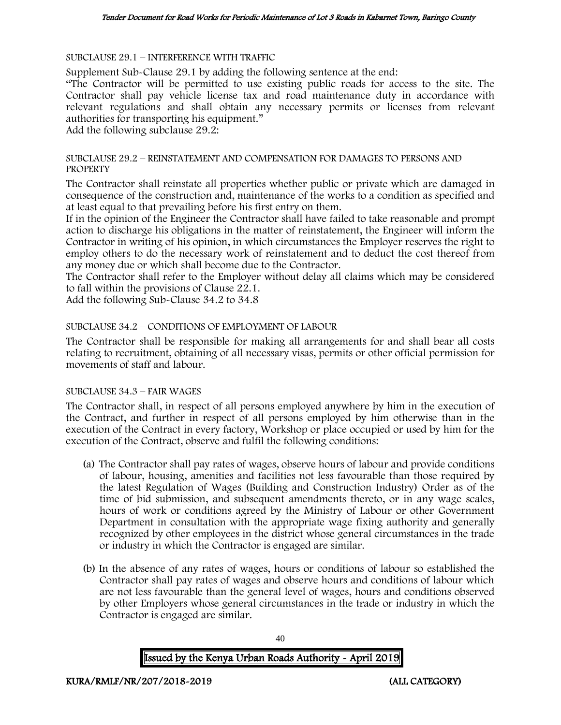SUBCLAUSE 29.1 – INTERFERENCE WITH TRAFFIC

Supplement Sub-Clause 29.1 by adding the following sentence at the end:

"The Contractor will be permitted to use existing public roads for access to the site. The Contractor shall pay vehicle license tax and road maintenance duty in accordance with relevant regulations and shall obtain any necessary permits or licenses from relevant authorities for transporting his equipment."

Add the following subclause 29.2:

### SUBCLAUSE 29.2 – REINSTATEMENT AND COMPENSATION FOR DAMAGES TO PERSONS AND **PROPERTY**

The Contractor shall reinstate all properties whether public or private which are damaged in consequence of the construction and, maintenance of the works to a condition as specified and at least equal to that prevailing before his first entry on them.

If in the opinion of the Engineer the Contractor shall have failed to take reasonable and prompt action to discharge his obligations in the matter of reinstatement, the Engineer will inform the Contractor in writing of his opinion, in which circumstances the Employer reserves the right to employ others to do the necessary work of reinstatement and to deduct the cost thereof from any money due or which shall become due to the Contractor.

The Contractor shall refer to the Employer without delay all claims which may be considered to fall within the provisions of Clause 22.1.

Add the following Sub-Clause 34.2 to 34.8

### SUBCLAUSE 34.2 – CONDITIONS OF EMPLOYMENT OF LABOUR

The Contractor shall be responsible for making all arrangements for and shall bear all costs relating to recruitment, obtaining of all necessary visas, permits or other official permission for movements of staff and labour.

### SUBCLAUSE 34.3 – FAIR WAGES

The Contractor shall, in respect of all persons employed anywhere by him in the execution of the Contract, and further in respect of all persons employed by him otherwise than in the execution of the Contract in every factory, Workshop or place occupied or used by him for the execution of the Contract, observe and fulfil the following conditions:

- (a) The Contractor shall pay rates of wages, observe hours of labour and provide conditions of labour, housing, amenities and facilities not less favourable than those required by the latest Regulation of Wages (Building and Construction Industry) Order as of the time of bid submission, and subsequent amendments thereto, or in any wage scales, hours of work or conditions agreed by the Ministry of Labour or other Government Department in consultation with the appropriate wage fixing authority and generally recognized by other employees in the district whose general circumstances in the trade or industry in which the Contractor is engaged are similar.
- (b) In the absence of any rates of wages, hours or conditions of labour so established the Contractor shall pay rates of wages and observe hours and conditions of labour which are not less favourable than the general level of wages, hours and conditions observed by other Employers whose general circumstances in the trade or industry in which the Contractor is engaged are similar.

Issued by the Kenya Urban Roads Authority - April 2019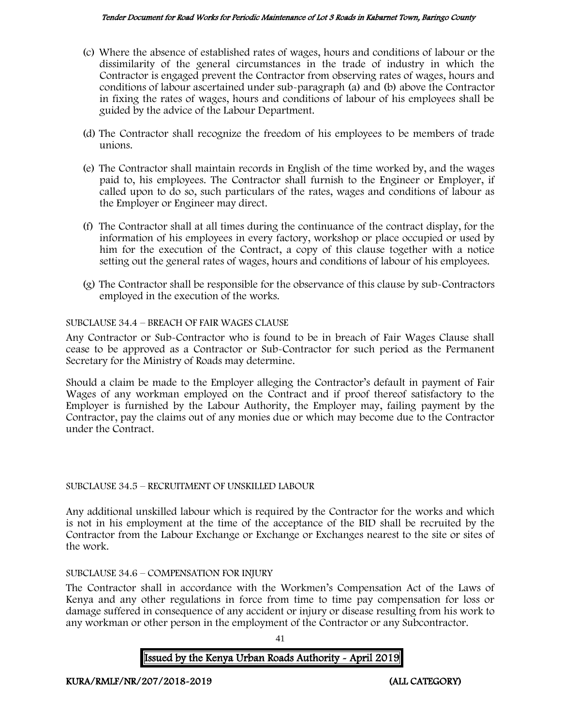#### Tender Document for Road Works for Periodic Maintenance of Lot 3 Roads in Kabarnet Town, Baringo County

- (c) Where the absence of established rates of wages, hours and conditions of labour or the dissimilarity of the general circumstances in the trade of industry in which the Contractor is engaged prevent the Contractor from observing rates of wages, hours and conditions of labour ascertained under sub-paragraph (a) and (b) above the Contractor in fixing the rates of wages, hours and conditions of labour of his employees shall be guided by the advice of the Labour Department.
- (d) The Contractor shall recognize the freedom of his employees to be members of trade unions.
- (e) The Contractor shall maintain records in English of the time worked by, and the wages paid to, his employees. The Contractor shall furnish to the Engineer or Employer, if called upon to do so, such particulars of the rates, wages and conditions of labour as the Employer or Engineer may direct.
- (f) The Contractor shall at all times during the continuance of the contract display, for the information of his employees in every factory, workshop or place occupied or used by him for the execution of the Contract, a copy of this clause together with a notice setting out the general rates of wages, hours and conditions of labour of his employees.
- (g) The Contractor shall be responsible for the observance of this clause by sub-Contractors employed in the execution of the works.

### SUBCLAUSE 34.4 – BREACH OF FAIR WAGES CLAUSE

Any Contractor or Sub-Contractor who is found to be in breach of Fair Wages Clause shall cease to be approved as a Contractor or Sub-Contractor for such period as the Permanent Secretary for the Ministry of Roads may determine.

Should a claim be made to the Employer alleging the Contractor's default in payment of Fair Wages of any workman employed on the Contract and if proof thereof satisfactory to the Employer is furnished by the Labour Authority, the Employer may, failing payment by the Contractor, pay the claims out of any monies due or which may become due to the Contractor under the Contract.

### SUBCLAUSE 34.5 – RECRUITMENT OF UNSKILLED LABOUR

Any additional unskilled labour which is required by the Contractor for the works and which is not in his employment at the time of the acceptance of the BID shall be recruited by the Contractor from the Labour Exchange or Exchange or Exchanges nearest to the site or sites of the work.

### SUBCLAUSE 34.6 – COMPENSATION FOR INJURY

The Contractor shall in accordance with the Workmen's Compensation Act of the Laws of Kenya and any other regulations in force from time to time pay compensation for loss or damage suffered in consequence of any accident or injury or disease resulting from his work to any workman or other person in the employment of the Contractor or any Subcontractor.

41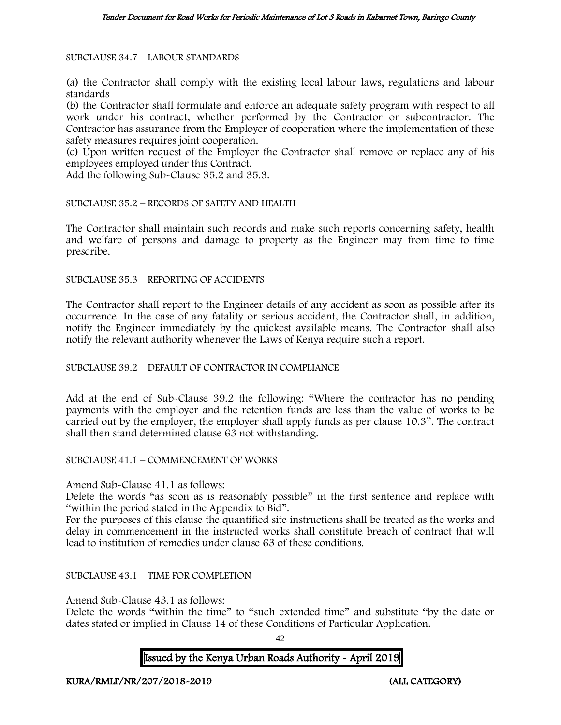SUBCLAUSE 34.7 – LABOUR STANDARDS

(a) the Contractor shall comply with the existing local labour laws, regulations and labour standards

(b) the Contractor shall formulate and enforce an adequate safety program with respect to all work under his contract, whether performed by the Contractor or subcontractor. The Contractor has assurance from the Employer of cooperation where the implementation of these safety measures requires joint cooperation.

(c) Upon written request of the Employer the Contractor shall remove or replace any of his employees employed under this Contract.

Add the following Sub-Clause 35.2 and 35.3.

SUBCLAUSE 35.2 – RECORDS OF SAFETY AND HEALTH

The Contractor shall maintain such records and make such reports concerning safety, health and welfare of persons and damage to property as the Engineer may from time to time prescribe.

SUBCLAUSE 35.3 – REPORTING OF ACCIDENTS

The Contractor shall report to the Engineer details of any accident as soon as possible after its occurrence. In the case of any fatality or serious accident, the Contractor shall, in addition, notify the Engineer immediately by the quickest available means. The Contractor shall also notify the relevant authority whenever the Laws of Kenya require such a report.

### SUBCLAUSE 39.2 – DEFAULT OF CONTRACTOR IN COMPLIANCE

Add at the end of Sub-Clause 39.2 the following: "Where the contractor has no pending payments with the employer and the retention funds are less than the value of works to be carried out by the employer, the employer shall apply funds as per clause 10.3". The contract shall then stand determined clause 63 not withstanding.

SUBCLAUSE 41.1 – COMMENCEMENT OF WORKS

Amend Sub-Clause 41.1 as follows:

Delete the words "as soon as is reasonably possible" in the first sentence and replace with "within the period stated in the Appendix to Bid".

For the purposes of this clause the quantified site instructions shall be treated as the works and delay in commencement in the instructed works shall constitute breach of contract that will lead to institution of remedies under clause 63 of these conditions.

SUBCLAUSE 43.1 – TIME FOR COMPLETION

Amend Sub-Clause 43.1 as follows:

Delete the words "within the time" to "such extended time" and substitute "by the date or dates stated or implied in Clause 14 of these Conditions of Particular Application.

 $42$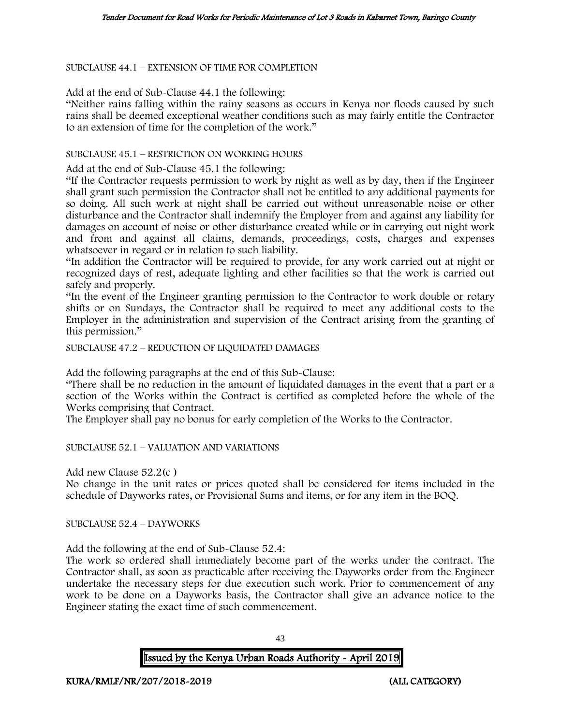SUBCLAUSE 44.1 – EXTENSION OF TIME FOR COMPLETION

Add at the end of Sub-Clause 44.1 the following:

"Neither rains falling within the rainy seasons as occurs in Kenya nor floods caused by such rains shall be deemed exceptional weather conditions such as may fairly entitle the Contractor to an extension of time for the completion of the work."

#### SUBCLAUSE 45.1 – RESTRICTION ON WORKING HOURS

Add at the end of Sub-Clause 45.1 the following:

"If the Contractor requests permission to work by night as well as by day, then if the Engineer shall grant such permission the Contractor shall not be entitled to any additional payments for so doing. All such work at night shall be carried out without unreasonable noise or other disturbance and the Contractor shall indemnify the Employer from and against any liability for damages on account of noise or other disturbance created while or in carrying out night work and from and against all claims, demands, proceedings, costs, charges and expenses whatsoever in regard or in relation to such liability.

"In addition the Contractor will be required to provide, for any work carried out at night or recognized days of rest, adequate lighting and other facilities so that the work is carried out safely and properly.

"In the event of the Engineer granting permission to the Contractor to work double or rotary shifts or on Sundays, the Contractor shall be required to meet any additional costs to the Employer in the administration and supervision of the Contract arising from the granting of this permission."

SUBCLAUSE 47.2 – REDUCTION OF LIQUIDATED DAMAGES

Add the following paragraphs at the end of this Sub-Clause:

"There shall be no reduction in the amount of liquidated damages in the event that a part or a section of the Works within the Contract is certified as completed before the whole of the Works comprising that Contract.

The Employer shall pay no bonus for early completion of the Works to the Contractor.

SUBCLAUSE 52.1 – VALUATION AND VARIATIONS

Add new Clause 52.2(c )

No change in the unit rates or prices quoted shall be considered for items included in the schedule of Dayworks rates, or Provisional Sums and items, or for any item in the BOQ.

SUBCLAUSE 52.4 – DAYWORKS

Add the following at the end of Sub-Clause 52.4:

The work so ordered shall immediately become part of the works under the contract. The Contractor shall, as soon as practicable after receiving the Dayworks order from the Engineer undertake the necessary steps for due execution such work. Prior to commencement of any work to be done on a Dayworks basis, the Contractor shall give an advance notice to the Engineer stating the exact time of such commencement.

43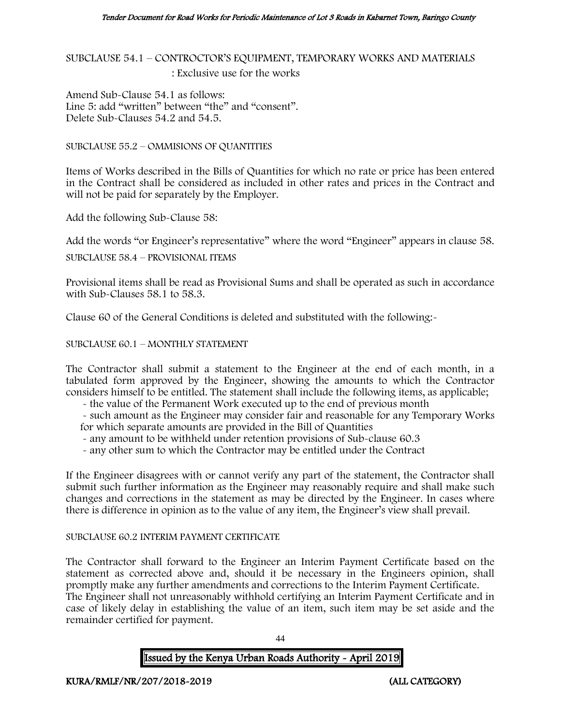SUBCLAUSE 54.1 – CONTROCTOR'S EQUIPMENT, TEMPORARY WORKS AND MATERIALS : Exclusive use for the works

Amend Sub-Clause 54.1 as follows: Line 5: add "written" between "the" and "consent". Delete Sub-Clauses 54.2 and 54.5.

SUBCLAUSE 55.2 – OMMISIONS OF QUANTITIES

Items of Works described in the Bills of Quantities for which no rate or price has been entered in the Contract shall be considered as included in other rates and prices in the Contract and will not be paid for separately by the Employer.

Add the following Sub-Clause 58:

Add the words "or Engineer's representative" where the word "Engineer" appears in clause 58.

SUBCLAUSE 58.4 – PROVISIONAL ITEMS

Provisional items shall be read as Provisional Sums and shall be operated as such in accordance with Sub-Clauses 58.1 to 58.3.

Clause 60 of the General Conditions is deleted and substituted with the following:-

SUBCLAUSE 60.1 – MONTHLY STATEMENT

The Contractor shall submit a statement to the Engineer at the end of each month, in a tabulated form approved by the Engineer, showing the amounts to which the Contractor considers himself to be entitled. The statement shall include the following items, as applicable;

- the value of the Permanent Work executed up to the end of previous month

- such amount as the Engineer may consider fair and reasonable for any Temporary Works for which separate amounts are provided in the Bill of Quantities

- any amount to be withheld under retention provisions of Sub-clause 60.3

- any other sum to which the Contractor may be entitled under the Contract

If the Engineer disagrees with or cannot verify any part of the statement, the Contractor shall submit such further information as the Engineer may reasonably require and shall make such changes and corrections in the statement as may be directed by the Engineer. In cases where there is difference in opinion as to the value of any item, the Engineer's view shall prevail.

### SUBCLAUSE 60.2 INTERIM PAYMENT CERTIFICATE

The Contractor shall forward to the Engineer an Interim Payment Certificate based on the statement as corrected above and, should it be necessary in the Engineers opinion, shall promptly make any further amendments and corrections to the Interim Payment Certificate. The Engineer shall not unreasonably withhold certifying an Interim Payment Certificate and in case of likely delay in establishing the value of an item, such item may be set aside and the remainder certified for payment.

 $\overline{A}A$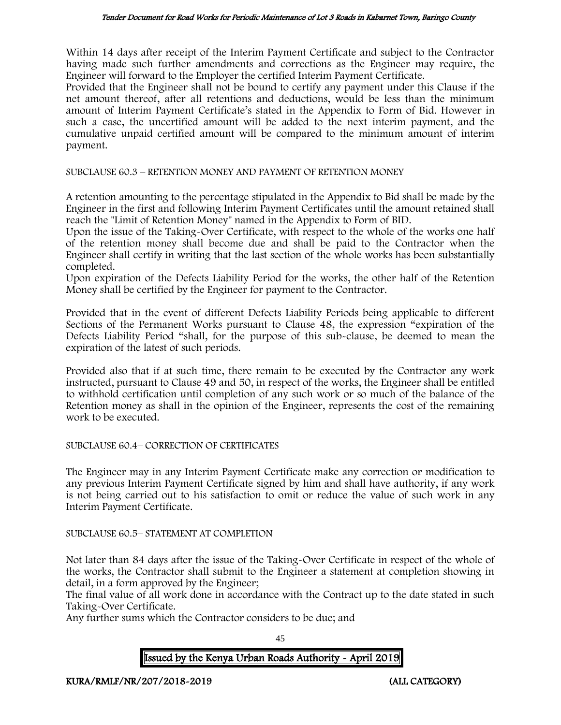Within 14 days after receipt of the Interim Payment Certificate and subject to the Contractor having made such further amendments and corrections as the Engineer may require, the Engineer will forward to the Employer the certified Interim Payment Certificate.

Provided that the Engineer shall not be bound to certify any payment under this Clause if the net amount thereof, after all retentions and deductions, would be less than the minimum amount of Interim Payment Certificate's stated in the Appendix to Form of Bid. However in such a case, the uncertified amount will be added to the next interim payment, and the cumulative unpaid certified amount will be compared to the minimum amount of interim payment.

SUBCLAUSE 60.3 – RETENTION MONEY AND PAYMENT OF RETENTION MONEY

A retention amounting to the percentage stipulated in the Appendix to Bid shall be made by the Engineer in the first and following Interim Payment Certificates until the amount retained shall reach the "Limit of Retention Money" named in the Appendix to Form of BID.

Upon the issue of the Taking-Over Certificate, with respect to the whole of the works one half of the retention money shall become due and shall be paid to the Contractor when the Engineer shall certify in writing that the last section of the whole works has been substantially completed.

Upon expiration of the Defects Liability Period for the works, the other half of the Retention Money shall be certified by the Engineer for payment to the Contractor.

Provided that in the event of different Defects Liability Periods being applicable to different Sections of the Permanent Works pursuant to Clause 48, the expression "expiration of the Defects Liability Period "shall, for the purpose of this sub-clause, be deemed to mean the expiration of the latest of such periods.

Provided also that if at such time, there remain to be executed by the Contractor any work instructed, pursuant to Clause 49 and 50, in respect of the works, the Engineer shall be entitled to withhold certification until completion of any such work or so much of the balance of the Retention money as shall in the opinion of the Engineer, represents the cost of the remaining work to be executed.

### SUBCLAUSE 60.4– CORRECTION OF CERTIFICATES

The Engineer may in any Interim Payment Certificate make any correction or modification to any previous Interim Payment Certificate signed by him and shall have authority, if any work is not being carried out to his satisfaction to omit or reduce the value of such work in any Interim Payment Certificate.

### SUBCLAUSE 60.5– STATEMENT AT COMPLETION

Not later than 84 days after the issue of the Taking-Over Certificate in respect of the whole of the works, the Contractor shall submit to the Engineer a statement at completion showing in detail, in a form approved by the Engineer;

The final value of all work done in accordance with the Contract up to the date stated in such Taking-Over Certificate.

Any further sums which the Contractor considers to be due; and

45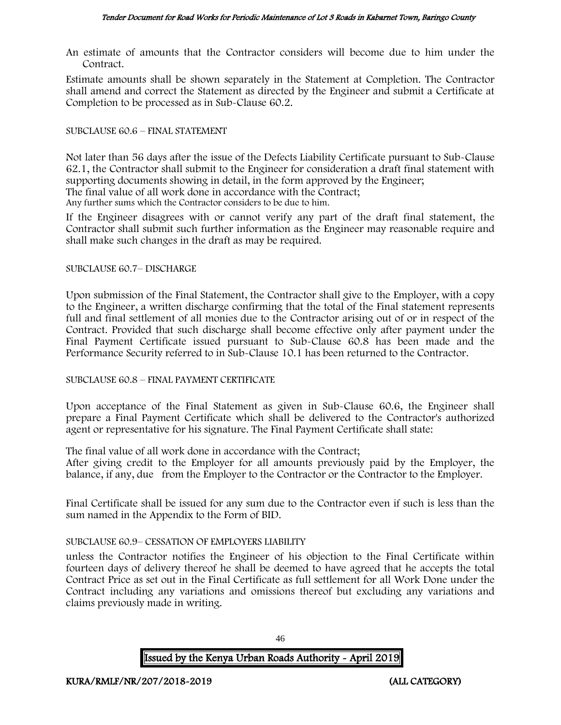An estimate of amounts that the Contractor considers will become due to him under the Contract.

Estimate amounts shall be shown separately in the Statement at Completion. The Contractor shall amend and correct the Statement as directed by the Engineer and submit a Certificate at Completion to be processed as in Sub-Clause 60.2.

### SUBCLAUSE 60.6 – FINAL STATEMENT

Not later than 56 days after the issue of the Defects Liability Certificate pursuant to Sub-Clause 62.1, the Contractor shall submit to the Engineer for consideration a draft final statement with supporting documents showing in detail, in the form approved by the Engineer;

The final value of all work done in accordance with the Contract;

Any further sums which the Contractor considers to be due to him.

If the Engineer disagrees with or cannot verify any part of the draft final statement, the Contractor shall submit such further information as the Engineer may reasonable require and shall make such changes in the draft as may be required.

### SUBCLAUSE 60.7– DISCHARGE

Upon submission of the Final Statement, the Contractor shall give to the Employer, with a copy to the Engineer, a written discharge confirming that the total of the Final statement represents full and final settlement of all monies due to the Contractor arising out of or in respect of the Contract. Provided that such discharge shall become effective only after payment under the Final Payment Certificate issued pursuant to Sub-Clause 60.8 has been made and the Performance Security referred to in Sub-Clause 10.1 has been returned to the Contractor.

### SUBCLAUSE 60.8 – FINAL PAYMENT CERTIFICATE

Upon acceptance of the Final Statement as given in Sub-Clause 60.6, the Engineer shall prepare a Final Payment Certificate which shall be delivered to the Contractor's authorized agent or representative for his signature. The Final Payment Certificate shall state:

The final value of all work done in accordance with the Contract;

After giving credit to the Employer for all amounts previously paid by the Employer, the balance, if any, due from the Employer to the Contractor or the Contractor to the Employer.

Final Certificate shall be issued for any sum due to the Contractor even if such is less than the sum named in the Appendix to the Form of BID.

### SUBCLAUSE 60.9– CESSATION OF EMPLOYERS LIABILITY

unless the Contractor notifies the Engineer of his objection to the Final Certificate within fourteen days of delivery thereof he shall be deemed to have agreed that he accepts the total Contract Price as set out in the Final Certificate as full settlement for all Work Done under the Contract including any variations and omissions thereof but excluding any variations and claims previously made in writing.

Issued by the Kenya Urban Roads Authority - April 2019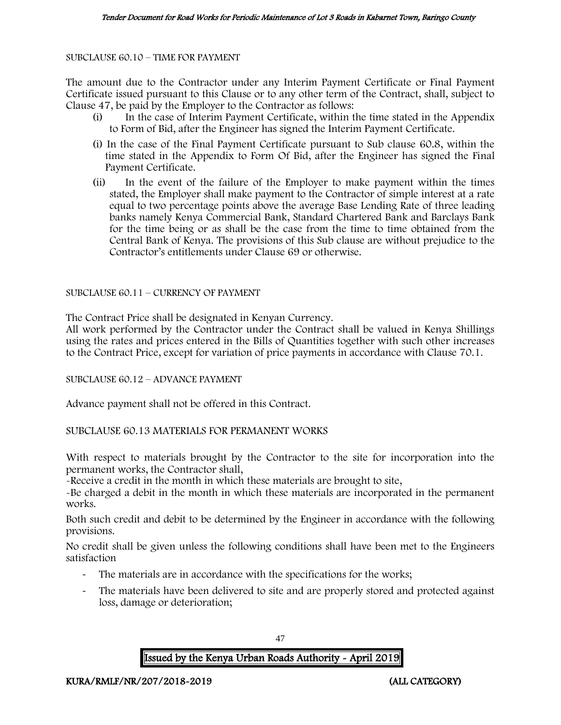SUBCLAUSE 60.10 – TIME FOR PAYMENT

The amount due to the Contractor under any Interim Payment Certificate or Final Payment Certificate issued pursuant to this Clause or to any other term of the Contract, shall, subject to Clause 47, be paid by the Employer to the Contractor as follows:

- (i) In the case of Interim Payment Certificate, within the time stated in the Appendix to Form of Bid, after the Engineer has signed the Interim Payment Certificate.
- (i) In the case of the Final Payment Certificate pursuant to Sub clause 60.8, within the time stated in the Appendix to Form Of Bid, after the Engineer has signed the Final Payment Certificate.
- (ii) In the event of the failure of the Employer to make payment within the times stated, the Employer shall make payment to the Contractor of simple interest at a rate equal to two percentage points above the average Base Lending Rate of three leading banks namely Kenya Commercial Bank, Standard Chartered Bank and Barclays Bank for the time being or as shall be the case from the time to time obtained from the Central Bank of Kenya. The provisions of this Sub clause are without prejudice to the Contractor's entitlements under Clause 69 or otherwise.

### SUBCLAUSE 60.11 – CURRENCY OF PAYMENT

The Contract Price shall be designated in Kenyan Currency.

All work performed by the Contractor under the Contract shall be valued in Kenya Shillings using the rates and prices entered in the Bills of Quantities together with such other increases to the Contract Price, except for variation of price payments in accordance with Clause 70.1.

SUBCLAUSE 60.12 – ADVANCE PAYMENT

Advance payment shall not be offered in this Contract.

SUBCLAUSE 60.13 MATERIALS FOR PERMANENT WORKS

With respect to materials brought by the Contractor to the site for incorporation into the permanent works, the Contractor shall,

-Receive a credit in the month in which these materials are brought to site,

-Be charged a debit in the month in which these materials are incorporated in the permanent works.

Both such credit and debit to be determined by the Engineer in accordance with the following provisions.

No credit shall be given unless the following conditions shall have been met to the Engineers satisfaction

- The materials are in accordance with the specifications for the works;
- The materials have been delivered to site and are properly stored and protected against loss, damage or deterioration;

Issued by the Kenya Urban Roads Authority - April 2019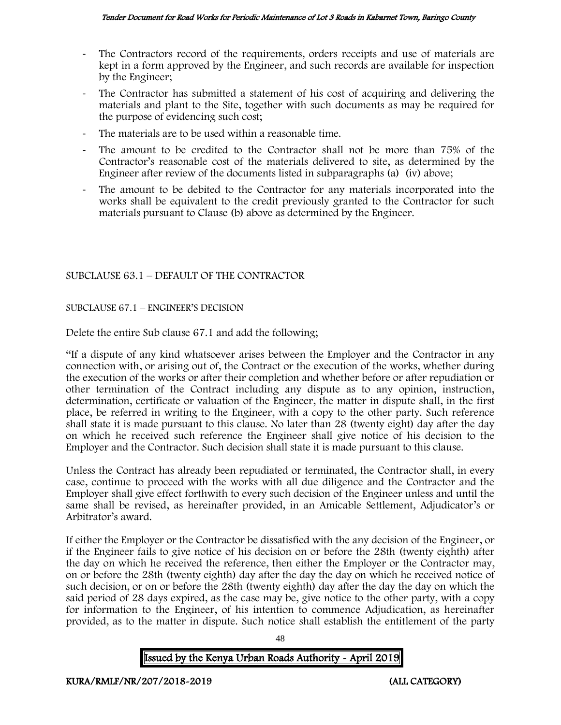- The Contractors record of the requirements, orders receipts and use of materials are kept in a form approved by the Engineer, and such records are available for inspection by the Engineer;
- The Contractor has submitted a statement of his cost of acquiring and delivering the materials and plant to the Site, together with such documents as may be required for the purpose of evidencing such cost;
- The materials are to be used within a reasonable time.
- The amount to be credited to the Contractor shall not be more than 75% of the Contractor's reasonable cost of the materials delivered to site, as determined by the Engineer after review of the documents listed in subparagraphs (a) (iv) above;
- The amount to be debited to the Contractor for any materials incorporated into the works shall be equivalent to the credit previously granted to the Contractor for such materials pursuant to Clause (b) above as determined by the Engineer.

### SUBCLAUSE 63.1 – DEFAULT OF THE CONTRACTOR

### SUBCLAUSE 67.1 – ENGINEER'S DECISION

Delete the entire Sub clause 67.1 and add the following;

"If a dispute of any kind whatsoever arises between the Employer and the Contractor in any connection with, or arising out of, the Contract or the execution of the works, whether during the execution of the works or after their completion and whether before or after repudiation or other termination of the Contract including any dispute as to any opinion, instruction, determination, certificate or valuation of the Engineer, the matter in dispute shall, in the first place, be referred in writing to the Engineer, with a copy to the other party. Such reference shall state it is made pursuant to this clause. No later than 28 (twenty eight) day after the day on which he received such reference the Engineer shall give notice of his decision to the Employer and the Contractor. Such decision shall state it is made pursuant to this clause.

Unless the Contract has already been repudiated or terminated, the Contractor shall, in every case, continue to proceed with the works with all due diligence and the Contractor and the Employer shall give effect forthwith to every such decision of the Engineer unless and until the same shall be revised, as hereinafter provided, in an Amicable Settlement, Adjudicator's or Arbitrator's award.

If either the Employer or the Contractor be dissatisfied with the any decision of the Engineer, or if the Engineer fails to give notice of his decision on or before the 28th (twenty eighth) after the day on which he received the reference, then either the Employer or the Contractor may, on or before the 28th (twenty eighth) day after the day the day on which he received notice of such decision, or on or before the 28th (twenty eighth) day after the day the day on which the said period of 28 days expired, as the case may be, give notice to the other party, with a copy for information to the Engineer, of his intention to commence Adjudication, as hereinafter provided, as to the matter in dispute. Such notice shall establish the entitlement of the party

48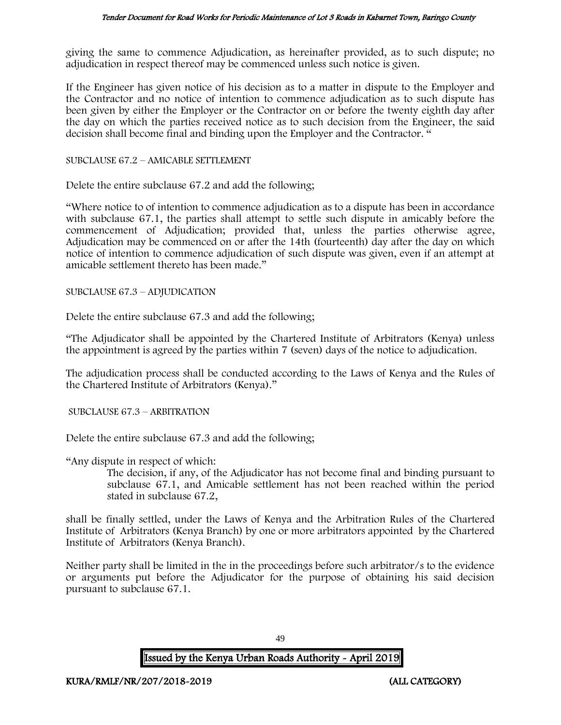giving the same to commence Adjudication, as hereinafter provided, as to such dispute; no adjudication in respect thereof may be commenced unless such notice is given.

If the Engineer has given notice of his decision as to a matter in dispute to the Employer and the Contractor and no notice of intention to commence adjudication as to such dispute has been given by either the Employer or the Contractor on or before the twenty eighth day after the day on which the parties received notice as to such decision from the Engineer, the said decision shall become final and binding upon the Employer and the Contractor. "

#### SUBCLAUSE 67.2 – AMICABLE SETTLEMENT

Delete the entire subclause 67.2 and add the following;

"Where notice to of intention to commence adjudication as to a dispute has been in accordance with subclause 67.1, the parties shall attempt to settle such dispute in amicably before the commencement of Adjudication; provided that, unless the parties otherwise agree, Adjudication may be commenced on or after the 14th (fourteenth) day after the day on which notice of intention to commence adjudication of such dispute was given, even if an attempt at amicable settlement thereto has been made."

SUBCLAUSE 67.3 – ADJUDICATION

Delete the entire subclause 67.3 and add the following;

"The Adjudicator shall be appointed by the Chartered Institute of Arbitrators (Kenya) unless the appointment is agreed by the parties within 7 (seven) days of the notice to adjudication.

The adjudication process shall be conducted according to the Laws of Kenya and the Rules of the Chartered Institute of Arbitrators (Kenya)."

SUBCLAUSE 67.3 – ARBITRATION

Delete the entire subclause 67.3 and add the following;

"Any dispute in respect of which:

The decision, if any, of the Adjudicator has not become final and binding pursuant to subclause 67.1, and Amicable settlement has not been reached within the period stated in subclause 67.2,

shall be finally settled, under the Laws of Kenya and the Arbitration Rules of the Chartered Institute of Arbitrators (Kenya Branch) by one or more arbitrators appointed by the Chartered Institute of Arbitrators (Kenya Branch).

Neither party shall be limited in the in the proceedings before such arbitrator/s to the evidence or arguments put before the Adjudicator for the purpose of obtaining his said decision pursuant to subclause 67.1.

49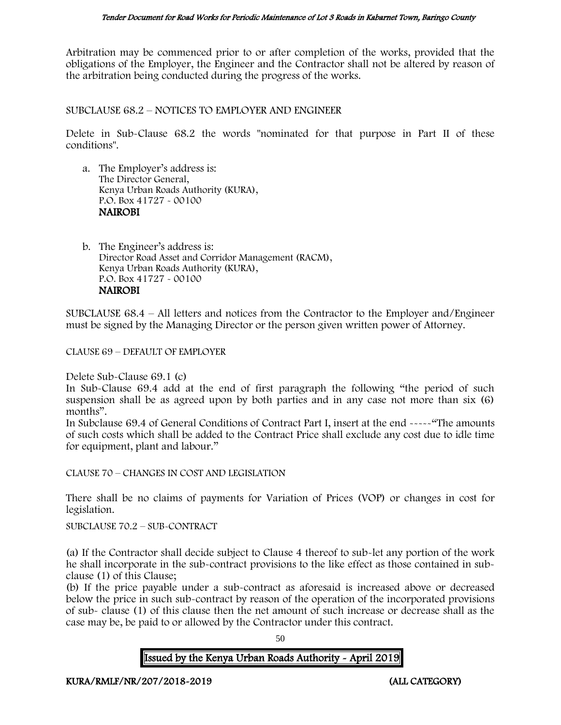Arbitration may be commenced prior to or after completion of the works, provided that the obligations of the Employer, the Engineer and the Contractor shall not be altered by reason of the arbitration being conducted during the progress of the works.

SUBCLAUSE 68.2 – NOTICES TO EMPLOYER AND ENGINEER

Delete in Sub-Clause 68.2 the words "nominated for that purpose in Part II of these conditions".

a. The Employer's address is: The Director General, Kenya Urban Roads Authority (KURA), P.O. Box 41727 - 00100 NAIROBI

b. The Engineer's address is: Director Road Asset and Corridor Management (RACM), Kenya Urban Roads Authority (KURA), P.O. Box 41727 - 00100 NAIROBI

SUBCLAUSE 68.4 – All letters and notices from the Contractor to the Employer and/Engineer must be signed by the Managing Director or the person given written power of Attorney.

CLAUSE 69 – DEFAULT OF EMPLOYER

Delete Sub-Clause 69.1 (c)

In Sub-Clause 69.4 add at the end of first paragraph the following "the period of such suspension shall be as agreed upon by both parties and in any case not more than six (6) months".

In Subclause 69.4 of General Conditions of Contract Part I, insert at the end -----"The amounts of such costs which shall be added to the Contract Price shall exclude any cost due to idle time for equipment, plant and labour."

CLAUSE 70 – CHANGES IN COST AND LEGISLATION

There shall be no claims of payments for Variation of Prices (VOP) or changes in cost for legislation.

SUBCLAUSE 70.2 – SUB-CONTRACT

(a) If the Contractor shall decide subject to Clause 4 thereof to sub-let any portion of the work he shall incorporate in the sub-contract provisions to the like effect as those contained in subclause (1) of this Clause;

(b) If the price payable under a sub-contract as aforesaid is increased above or decreased below the price in such sub-contract by reason of the operation of the incorporated provisions of sub- clause (1) of this clause then the net amount of such increase or decrease shall as the case may be, be paid to or allowed by the Contractor under this contract.

50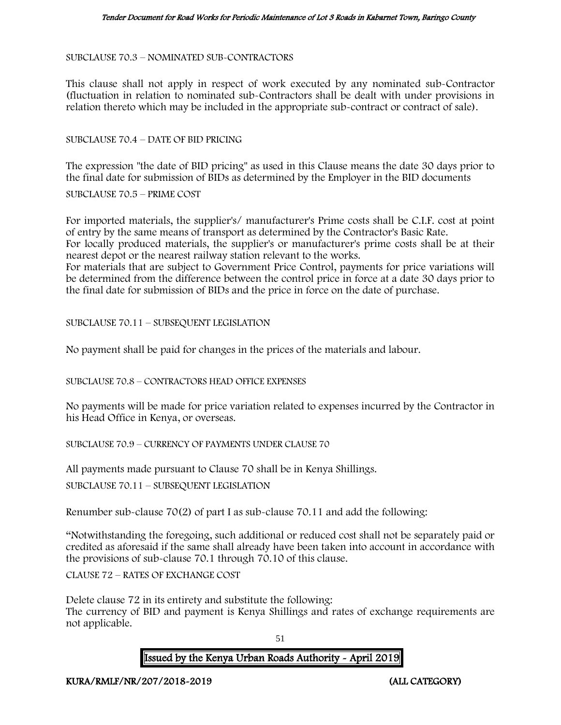SUBCLAUSE 70.3 – NOMINATED SUB-CONTRACTORS

This clause shall not apply in respect of work executed by any nominated sub-Contractor (fluctuation in relation to nominated sub-Contractors shall be dealt with under provisions in relation thereto which may be included in the appropriate sub-contract or contract of sale).

SUBCLAUSE 70.4 – DATE OF BID PRICING

The expression "the date of BID pricing" as used in this Clause means the date 30 days prior to the final date for submission of BIDs as determined by the Employer in the BID documents

SUBCLAUSE 70.5 – PRIME COST

For imported materials, the supplier's/ manufacturer's Prime costs shall be C.I.F. cost at point of entry by the same means of transport as determined by the Contractor's Basic Rate. For locally produced materials, the supplier's or manufacturer's prime costs shall be at their nearest depot or the nearest railway station relevant to the works.

For materials that are subject to Government Price Control, payments for price variations will be determined from the difference between the control price in force at a date 30 days prior to the final date for submission of BIDs and the price in force on the date of purchase.

SUBCLAUSE 70.11 – SUBSEQUENT LEGISLATION

No payment shall be paid for changes in the prices of the materials and labour.

SUBCLAUSE 70.8 – CONTRACTORS HEAD OFFICE EXPENSES

No payments will be made for price variation related to expenses incurred by the Contractor in his Head Office in Kenya, or overseas.

SUBCLAUSE 70.9 – CURRENCY OF PAYMENTS UNDER CLAUSE 70

All payments made pursuant to Clause 70 shall be in Kenya Shillings.

SUBCLAUSE 70.11 – SUBSEQUENT LEGISLATION

Renumber sub-clause 70(2) of part I as sub-clause 70.11 and add the following:

"Notwithstanding the foregoing, such additional or reduced cost shall not be separately paid or credited as aforesaid if the same shall already have been taken into account in accordance with the provisions of sub-clause 70.1 through 70.10 of this clause.

CLAUSE 72 – RATES OF EXCHANGE COST

Delete clause 72 in its entirety and substitute the following: The currency of BID and payment is Kenya Shillings and rates of exchange requirements are not applicable.

51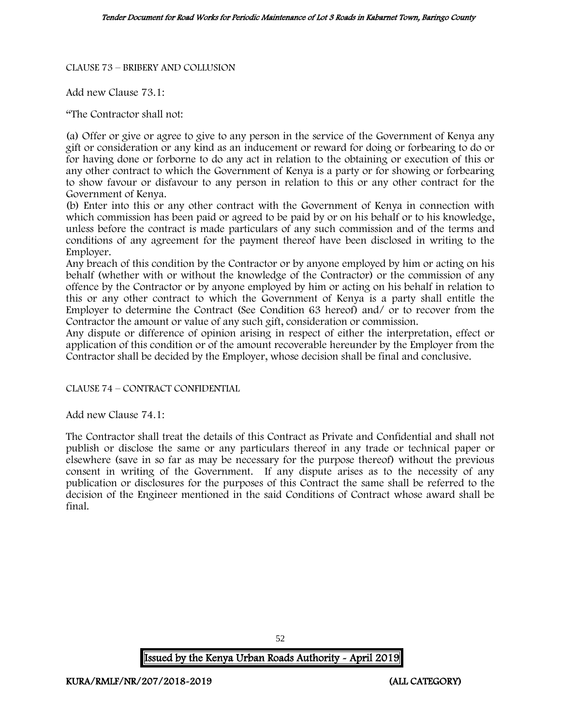#### CLAUSE 73 – BRIBERY AND COLLUSION

Add new Clause 73.1:

"The Contractor shall not:

(a) Offer or give or agree to give to any person in the service of the Government of Kenya any gift or consideration or any kind as an inducement or reward for doing or forbearing to do or for having done or forborne to do any act in relation to the obtaining or execution of this or any other contract to which the Government of Kenya is a party or for showing or forbearing to show favour or disfavour to any person in relation to this or any other contract for the Government of Kenya.

(b) Enter into this or any other contract with the Government of Kenya in connection with which commission has been paid or agreed to be paid by or on his behalf or to his knowledge, unless before the contract is made particulars of any such commission and of the terms and conditions of any agreement for the payment thereof have been disclosed in writing to the Employer.

Any breach of this condition by the Contractor or by anyone employed by him or acting on his behalf (whether with or without the knowledge of the Contractor) or the commission of any offence by the Contractor or by anyone employed by him or acting on his behalf in relation to this or any other contract to which the Government of Kenya is a party shall entitle the Employer to determine the Contract (See Condition 63 hereof) and/ or to recover from the Contractor the amount or value of any such gift, consideration or commission.

Any dispute or difference of opinion arising in respect of either the interpretation, effect or application of this condition or of the amount recoverable hereunder by the Employer from the Contractor shall be decided by the Employer, whose decision shall be final and conclusive.

CLAUSE 74 – CONTRACT CONFIDENTIAL

Add new Clause 74.1:

The Contractor shall treat the details of this Contract as Private and Confidential and shall not publish or disclose the same or any particulars thereof in any trade or technical paper or elsewhere (save in so far as may be necessary for the purpose thereof) without the previous consent in writing of the Government. If any dispute arises as to the necessity of any publication or disclosures for the purposes of this Contract the same shall be referred to the decision of the Engineer mentioned in the said Conditions of Contract whose award shall be final.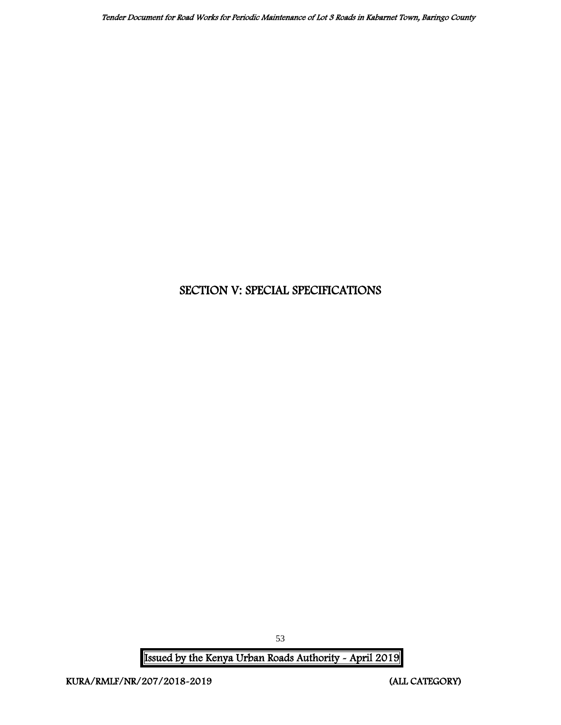# SECTION V: SPECIAL SPECIFICATIONS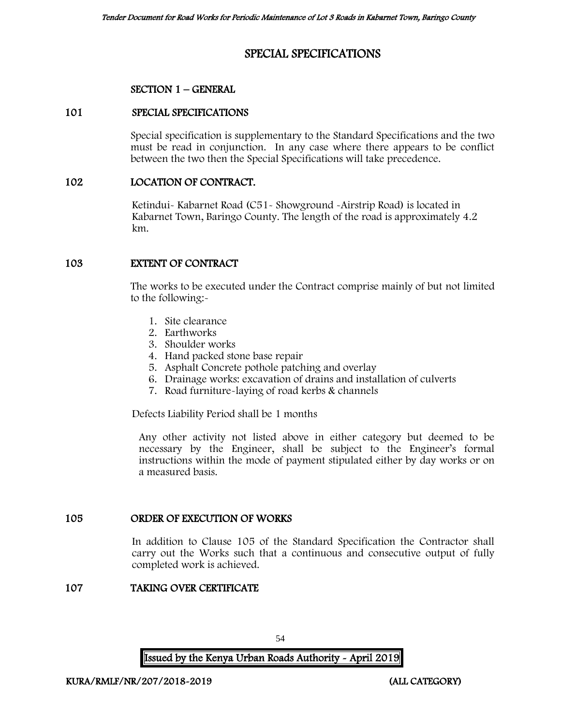# SPECIAL SPECIFICATIONS

### SECTION 1 – GENERAL

### 101 SPECIAL SPECIFICATIONS

Special specification is supplementary to the Standard Specifications and the two must be read in conjunction. In any case where there appears to be conflict between the two then the Special Specifications will take precedence.

### 102 LOCATION OF CONTRACT.

Ketindui- Kabarnet Road (C51- Showground -Airstrip Road) is located in Kabarnet Town, Baringo County. The length of the road is approximately 4.2 km.

### 103 EXTENT OF CONTRACT

The works to be executed under the Contract comprise mainly of but not limited to the following:-

- 1. Site clearance
- 2. Earthworks
- 3. Shoulder works
- 4. Hand packed stone base repair
- 5. Asphalt Concrete pothole patching and overlay
- 6. Drainage works: excavation of drains and installation of culverts
- 7. Road furniture-laying of road kerbs & channels

Defects Liability Period shall be 1 months

Any other activity not listed above in either category but deemed to be necessary by the Engineer, shall be subject to the Engineer's formal instructions within the mode of payment stipulated either by day works or on a measured basis.

### 105 ORDER OF EXECUTION OF WORKS

In addition to Clause 105 of the Standard Specification the Contractor shall carry out the Works such that a continuous and consecutive output of fully completed work is achieved.

### 107 TAKING OVER CERTIFICATE

54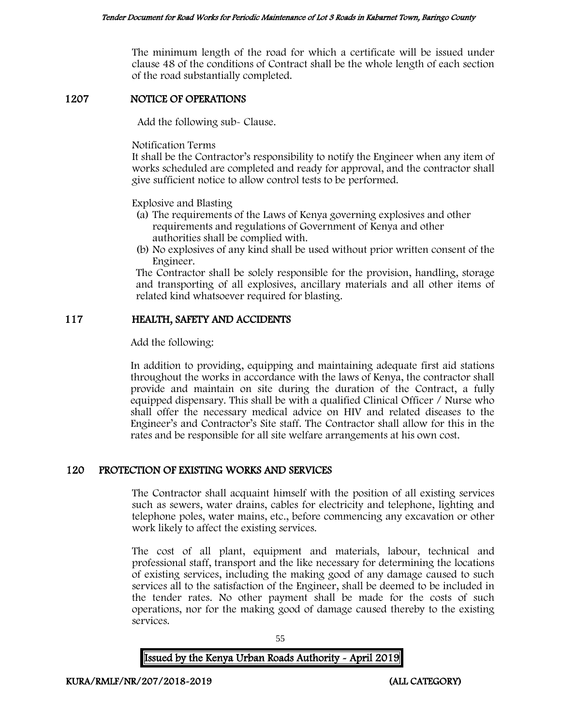The minimum length of the road for which a certificate will be issued under clause 48 of the conditions of Contract shall be the whole length of each section of the road substantially completed.

### 1207 NOTICE OF OPERATIONS

Add the following sub- Clause.

Notification Terms

It shall be the Contractor's responsibility to notify the Engineer when any item of works scheduled are completed and ready for approval, and the contractor shall give sufficient notice to allow control tests to be performed.

Explosive and Blasting

- (a) The requirements of the Laws of Kenya governing explosives and other requirements and regulations of Government of Kenya and other authorities shall be complied with.
- (b) No explosives of any kind shall be used without prior written consent of the Engineer.

The Contractor shall be solely responsible for the provision, handling, storage and transporting of all explosives, ancillary materials and all other items of related kind whatsoever required for blasting.

### 117 HEALTH, SAFETY AND ACCIDENTS

Add the following:

In addition to providing, equipping and maintaining adequate first aid stations throughout the works in accordance with the laws of Kenya, the contractor shall provide and maintain on site during the duration of the Contract, a fully equipped dispensary. This shall be with a qualified Clinical Officer / Nurse who shall offer the necessary medical advice on HIV and related diseases to the Engineer's and Contractor's Site staff. The Contractor shall allow for this in the rates and be responsible for all site welfare arrangements at his own cost.

### 120 PROTECTION OF EXISTING WORKS AND SERVICES

The Contractor shall acquaint himself with the position of all existing services such as sewers, water drains, cables for electricity and telephone, lighting and telephone poles, water mains, etc., before commencing any excavation or other work likely to affect the existing services.

The cost of all plant, equipment and materials, labour, technical and professional staff, transport and the like necessary for determining the locations of existing services, including the making good of any damage caused to such services all to the satisfaction of the Engineer, shall be deemed to be included in the tender rates. No other payment shall be made for the costs of such operations, nor for the making good of damage caused thereby to the existing services.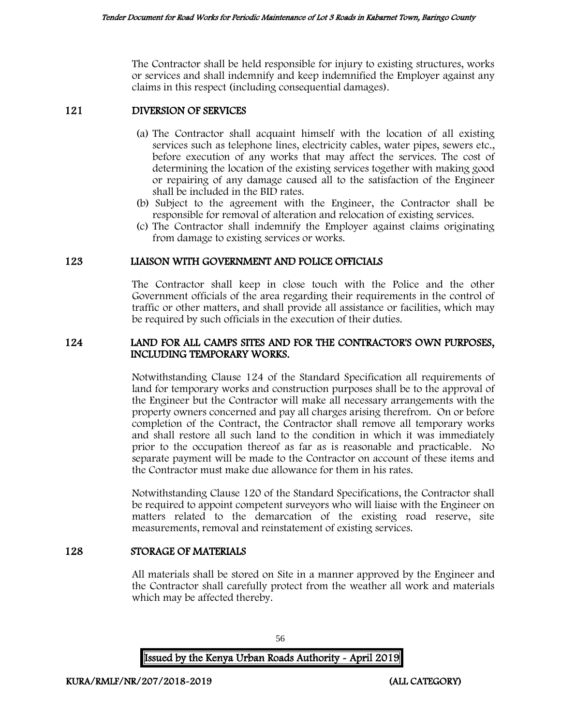The Contractor shall be held responsible for injury to existing structures, works or services and shall indemnify and keep indemnified the Employer against any claims in this respect (including consequential damages).

### 121 DIVERSION OF SERVICES

- (a) The Contractor shall acquaint himself with the location of all existing services such as telephone lines, electricity cables, water pipes, sewers etc., before execution of any works that may affect the services. The cost of determining the location of the existing services together with making good or repairing of any damage caused all to the satisfaction of the Engineer shall be included in the BID rates.
- (b) Subject to the agreement with the Engineer, the Contractor shall be responsible for removal of alteration and relocation of existing services.
- (c) The Contractor shall indemnify the Employer against claims originating from damage to existing services or works.

### 123 LIAISON WITH GOVERNMENT AND POLICE OFFICIALS

The Contractor shall keep in close touch with the Police and the other Government officials of the area regarding their requirements in the control of traffic or other matters, and shall provide all assistance or facilities, which may be required by such officials in the execution of their duties.

### 124 LAND FOR ALL CAMPS SITES AND FOR THE CONTRACTOR'S OWN PURPOSES, INCLUDING TEMPORARY WORKS.

Notwithstanding Clause 124 of the Standard Specification all requirements of land for temporary works and construction purposes shall be to the approval of the Engineer but the Contractor will make all necessary arrangements with the property owners concerned and pay all charges arising therefrom. On or before completion of the Contract, the Contractor shall remove all temporary works and shall restore all such land to the condition in which it was immediately prior to the occupation thereof as far as is reasonable and practicable. No separate payment will be made to the Contractor on account of these items and the Contractor must make due allowance for them in his rates.

Notwithstanding Clause 120 of the Standard Specifications, the Contractor shall be required to appoint competent surveyors who will liaise with the Engineer on matters related to the demarcation of the existing road reserve, site measurements, removal and reinstatement of existing services.

### 128 STORAGE OF MATERIALS

All materials shall be stored on Site in a manner approved by the Engineer and the Contractor shall carefully protect from the weather all work and materials which may be affected thereby.

Issued by the Kenya Urban Roads Authority - April 2019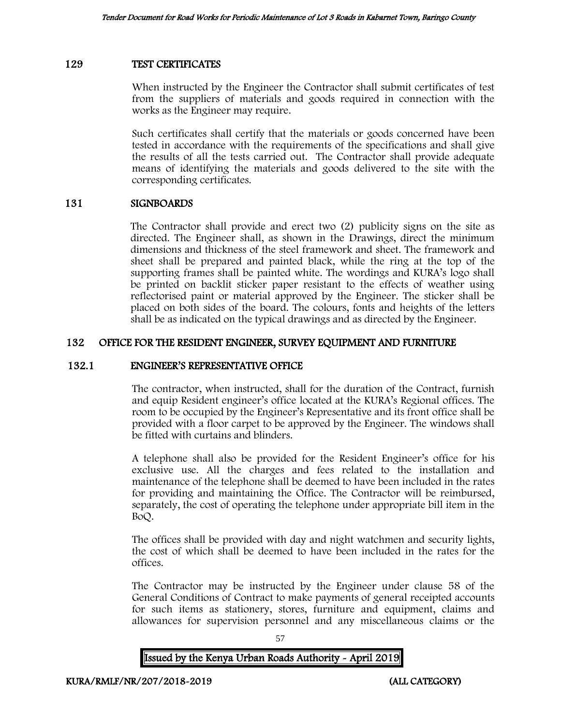#### 129 TEST CERTIFICATES

When instructed by the Engineer the Contractor shall submit certificates of test from the suppliers of materials and goods required in connection with the works as the Engineer may require.

Such certificates shall certify that the materials or goods concerned have been tested in accordance with the requirements of the specifications and shall give the results of all the tests carried out. The Contractor shall provide adequate means of identifying the materials and goods delivered to the site with the corresponding certificates.

### 131 SIGNBOARDS

The Contractor shall provide and erect two (2) publicity signs on the site as directed. The Engineer shall, as shown in the Drawings, direct the minimum dimensions and thickness of the steel framework and sheet. The framework and sheet shall be prepared and painted black, while the ring at the top of the supporting frames shall be painted white. The wordings and KURA's logo shall be printed on backlit sticker paper resistant to the effects of weather using reflectorised paint or material approved by the Engineer. The sticker shall be placed on both sides of the board. The colours, fonts and heights of the letters shall be as indicated on the typical drawings and as directed by the Engineer.

### 132 OFFICE FOR THE RESIDENT ENGINEER, SURVEY EQUIPMENT AND FURNITURE

#### 132.1 ENGINEER'S REPRESENTATIVE OFFICE

The contractor, when instructed, shall for the duration of the Contract, furnish and equip Resident engineer's office located at the KURA's Regional offices. The room to be occupied by the Engineer's Representative and its front office shall be provided with a floor carpet to be approved by the Engineer. The windows shall be fitted with curtains and blinders.

A telephone shall also be provided for the Resident Engineer's office for his exclusive use. All the charges and fees related to the installation and maintenance of the telephone shall be deemed to have been included in the rates for providing and maintaining the Office. The Contractor will be reimbursed, separately, the cost of operating the telephone under appropriate bill item in the BoQ.

The offices shall be provided with day and night watchmen and security lights, the cost of which shall be deemed to have been included in the rates for the offices.

The Contractor may be instructed by the Engineer under clause 58 of the General Conditions of Contract to make payments of general receipted accounts for such items as stationery, stores, furniture and equipment, claims and allowances for supervision personnel and any miscellaneous claims or the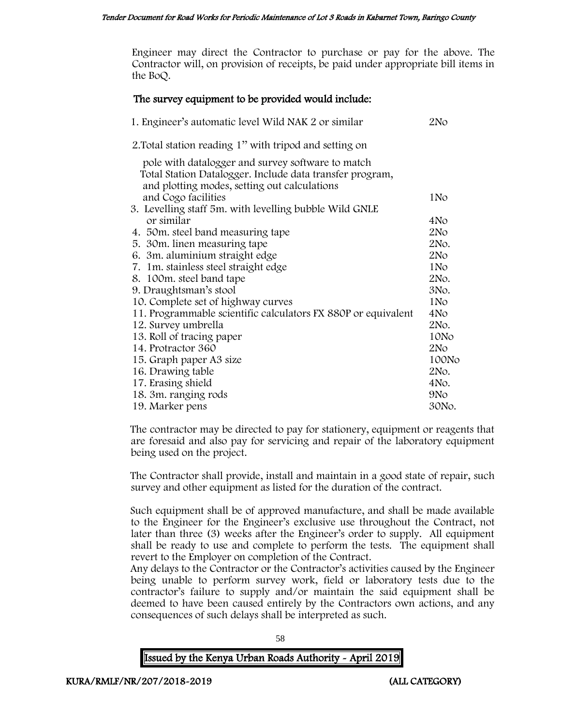Engineer may direct the Contractor to purchase or pay for the above. The Contractor will, on provision of receipts, be paid under appropriate bill items in the BoQ.

### The survey equipment to be provided would include:

| 1. Engineer's automatic level Wild NAK 2 or similar                                                                                                           | 2N <sub>O</sub> |
|---------------------------------------------------------------------------------------------------------------------------------------------------------------|-----------------|
| 2. Total station reading 1" with tripod and setting on                                                                                                        |                 |
| pole with datalogger and survey software to match<br>Total Station Datalogger. Include data transfer program,<br>and plotting modes, setting out calculations |                 |
| and Cogo facilities                                                                                                                                           | 1N <sub>o</sub> |
| 3. Levelling staff 5m. with levelling bubble Wild GNLE                                                                                                        |                 |
| or similar                                                                                                                                                    | 4No             |
| 4. 50m. steel band measuring tape                                                                                                                             | 2N <sub>O</sub> |
| 5. 30m. linen measuring tape                                                                                                                                  | 2No.            |
| 6. 3m. aluminium straight edge                                                                                                                                | 2N <sub>O</sub> |
| 7. 1m. stainless steel straight edge                                                                                                                          | 1N <sub>o</sub> |
| 8. 100m. steel band tape                                                                                                                                      | 2No.            |
| 9. Draughtsman's stool                                                                                                                                        | 3No.            |
| 10. Complete set of highway curves                                                                                                                            | 1N <sub>o</sub> |
| 11. Programmable scientific calculators FX 880P or equivalent                                                                                                 | 4No             |
| 12. Survey umbrella                                                                                                                                           | 2No.            |
| 13. Roll of tracing paper                                                                                                                                     | 10No            |
| 14. Protractor 360                                                                                                                                            | 2N <sub>O</sub> |
| 15. Graph paper A3 size                                                                                                                                       | 100No           |
| 16. Drawing table                                                                                                                                             | 2No.            |
| 17. Erasing shield                                                                                                                                            | 4No.            |
| 18. 3m. ranging rods                                                                                                                                          | 9 <sub>No</sub> |
| 19. Marker pens                                                                                                                                               | 30No.           |

The contractor may be directed to pay for stationery, equipment or reagents that are foresaid and also pay for servicing and repair of the laboratory equipment being used on the project.

The Contractor shall provide, install and maintain in a good state of repair, such survey and other equipment as listed for the duration of the contract.

Such equipment shall be of approved manufacture, and shall be made available to the Engineer for the Engineer's exclusive use throughout the Contract, not later than three (3) weeks after the Engineer's order to supply. All equipment shall be ready to use and complete to perform the tests. The equipment shall revert to the Employer on completion of the Contract.

Any delays to the Contractor or the Contractor's activities caused by the Engineer being unable to perform survey work, field or laboratory tests due to the contractor's failure to supply and/or maintain the said equipment shall be deemed to have been caused entirely by the Contractors own actions, and any consequences of such delays shall be interpreted as such.

58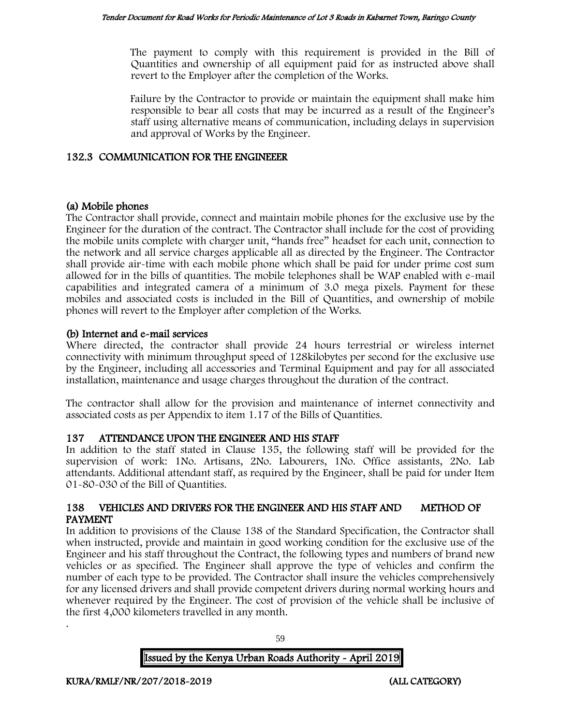The payment to comply with this requirement is provided in the Bill of Quantities and ownership of all equipment paid for as instructed above shall revert to the Employer after the completion of the Works.

Failure by the Contractor to provide or maintain the equipment shall make him responsible to bear all costs that may be incurred as a result of the Engineer's staff using alternative means of communication, including delays in supervision and approval of Works by the Engineer.

### 132.3 COMMUNICATION FOR THE ENGINEEER

### (a) Mobile phones

The Contractor shall provide, connect and maintain mobile phones for the exclusive use by the Engineer for the duration of the contract. The Contractor shall include for the cost of providing the mobile units complete with charger unit, "hands free" headset for each unit, connection to the network and all service charges applicable all as directed by the Engineer. The Contractor shall provide air-time with each mobile phone which shall be paid for under prime cost sum allowed for in the bills of quantities. The mobile telephones shall be WAP enabled with e-mail capabilities and integrated camera of a minimum of 3.0 mega pixels. Payment for these mobiles and associated costs is included in the Bill of Quantities, and ownership of mobile phones will revert to the Employer after completion of the Works.

### (b) Internet and e-mail services

Where directed, the contractor shall provide 24 hours terrestrial or wireless internet connectivity with minimum throughput speed of 128kilobytes per second for the exclusive use by the Engineer, including all accessories and Terminal Equipment and pay for all associated installation, maintenance and usage charges throughout the duration of the contract.

The contractor shall allow for the provision and maintenance of internet connectivity and associated costs as per Appendix to item 1.17 of the Bills of Quantities.

### 137 ATTENDANCE UPON THE ENGINEER AND HIS STAFF

In addition to the staff stated in Clause 135, the following staff will be provided for the supervision of work: 1No. Artisans, 2No. Labourers, 1No. Office assistants, 2No. Lab attendants. Additional attendant staff, as required by the Engineer, shall be paid for under Item 01-80-030 of the Bill of Quantities.

### 138 VEHICLES AND DRIVERS FOR THE ENGINEER AND HIS STAFF AND METHOD OF PAYMENT

In addition to provisions of the Clause 138 of the Standard Specification, the Contractor shall when instructed, provide and maintain in good working condition for the exclusive use of the Engineer and his staff throughout the Contract, the following types and numbers of brand new vehicles or as specified. The Engineer shall approve the type of vehicles and confirm the number of each type to be provided. The Contractor shall insure the vehicles comprehensively for any licensed drivers and shall provide competent drivers during normal working hours and whenever required by the Engineer. The cost of provision of the vehicle shall be inclusive of the first 4,000 kilometers travelled in any month.

59

### Issued by the Kenya Urban Roads Authority - April 2019

.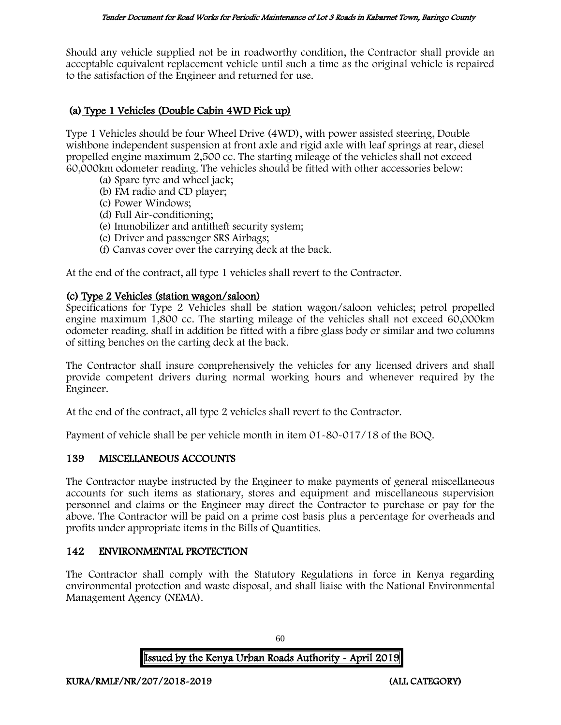Should any vehicle supplied not be in roadworthy condition, the Contractor shall provide an acceptable equivalent replacement vehicle until such a time as the original vehicle is repaired to the satisfaction of the Engineer and returned for use.

## (a) Type 1 Vehicles (Double Cabin 4WD Pick up)

Type 1 Vehicles should be four Wheel Drive (4WD), with power assisted steering, Double wishbone independent suspension at front axle and rigid axle with leaf springs at rear, diesel propelled engine maximum 2,500 cc. The starting mileage of the vehicles shall not exceed 60,000km odometer reading. The vehicles should be fitted with other accessories below:

- (a) Spare tyre and wheel jack;
- (b) FM radio and CD player;
- (c) Power Windows;
- (d) Full Air-conditioning;
- (e) Immobilizer and antitheft security system;
- (e) Driver and passenger SRS Airbags;
- (f) Canvas cover over the carrying deck at the back.

At the end of the contract, all type 1 vehicles shall revert to the Contractor.

### (c) Type 2 Vehicles (station wagon/saloon)

Specifications for Type 2 Vehicles shall be station wagon/saloon vehicles; petrol propelled engine maximum 1,800 cc. The starting mileage of the vehicles shall not exceed 60,000km odometer reading. shall in addition be fitted with a fibre glass body or similar and two columns of sitting benches on the carting deck at the back.

The Contractor shall insure comprehensively the vehicles for any licensed drivers and shall provide competent drivers during normal working hours and whenever required by the Engineer.

At the end of the contract, all type 2 vehicles shall revert to the Contractor.

Payment of vehicle shall be per vehicle month in item 01-80-017/18 of the BOQ.

### 139 MISCELLANEOUS ACCOUNTS

The Contractor maybe instructed by the Engineer to make payments of general miscellaneous accounts for such items as stationary, stores and equipment and miscellaneous supervision personnel and claims or the Engineer may direct the Contractor to purchase or pay for the above. The Contractor will be paid on a prime cost basis plus a percentage for overheads and profits under appropriate items in the Bills of Quantities.

### 142 ENVIRONMENTAL PROTECTION

The Contractor shall comply with the Statutory Regulations in force in Kenya regarding environmental protection and waste disposal, and shall liaise with the National Environmental Management Agency (NEMA).

Issued by the Kenya Urban Roads Authority - April 2019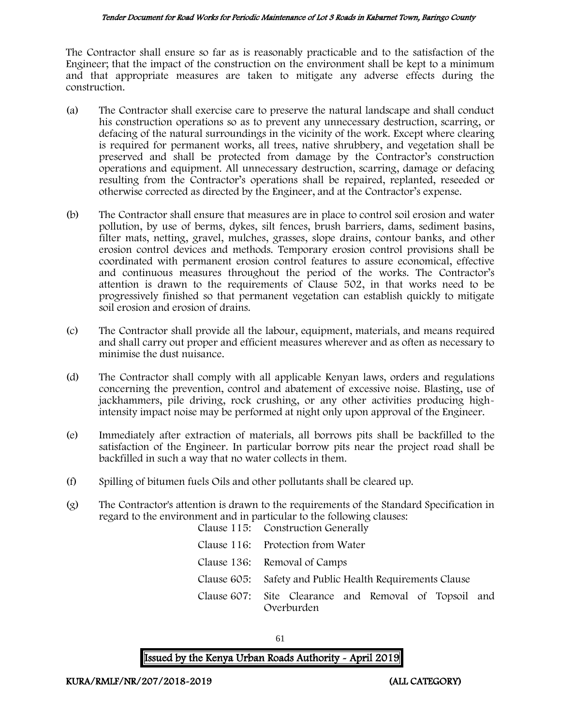#### Tender Document for Road Works for Periodic Maintenance of Lot 3 Roads in Kabarnet Town, Baringo County

The Contractor shall ensure so far as is reasonably practicable and to the satisfaction of the Engineer; that the impact of the construction on the environment shall be kept to a minimum and that appropriate measures are taken to mitigate any adverse effects during the construction.

- (a) The Contractor shall exercise care to preserve the natural landscape and shall conduct his construction operations so as to prevent any unnecessary destruction, scarring, or defacing of the natural surroundings in the vicinity of the work. Except where clearing is required for permanent works, all trees, native shrubbery, and vegetation shall be preserved and shall be protected from damage by the Contractor's construction operations and equipment. All unnecessary destruction, scarring, damage or defacing resulting from the Contractor's operations shall be repaired, replanted, reseeded or otherwise corrected as directed by the Engineer, and at the Contractor's expense.
- (b) The Contractor shall ensure that measures are in place to control soil erosion and water pollution, by use of berms, dykes, silt fences, brush barriers, dams, sediment basins, filter mats, netting, gravel, mulches, grasses, slope drains, contour banks, and other erosion control devices and methods. Temporary erosion control provisions shall be coordinated with permanent erosion control features to assure economical, effective and continuous measures throughout the period of the works. The Contractor's attention is drawn to the requirements of Clause 502, in that works need to be progressively finished so that permanent vegetation can establish quickly to mitigate soil erosion and erosion of drains.
- (c) The Contractor shall provide all the labour, equipment, materials, and means required and shall carry out proper and efficient measures wherever and as often as necessary to minimise the dust nuisance.
- (d) The Contractor shall comply with all applicable Kenyan laws, orders and regulations concerning the prevention, control and abatement of excessive noise. Blasting, use of jackhammers, pile driving, rock crushing, or any other activities producing highintensity impact noise may be performed at night only upon approval of the Engineer.
- (e) Immediately after extraction of materials, all borrows pits shall be backfilled to the satisfaction of the Engineer. In particular borrow pits near the project road shall be backfilled in such a way that no water collects in them.
- (f) Spilling of bitumen fuels Oils and other pollutants shall be cleared up.
- (g) The Contractor's attention is drawn to the requirements of the Standard Specification in regard to the environment and in particular to the following clauses: Clause 115: Construction Generally

| Clause 110. Construction denotally                                  |
|---------------------------------------------------------------------|
| Clause 116: Protection from Water                                   |
| Clause 136: Removal of Camps                                        |
| Clause 605: Safety and Public Health Requirements Clause            |
| Clause 607: Site Clearance and Removal of Topsoil and<br>Overburden |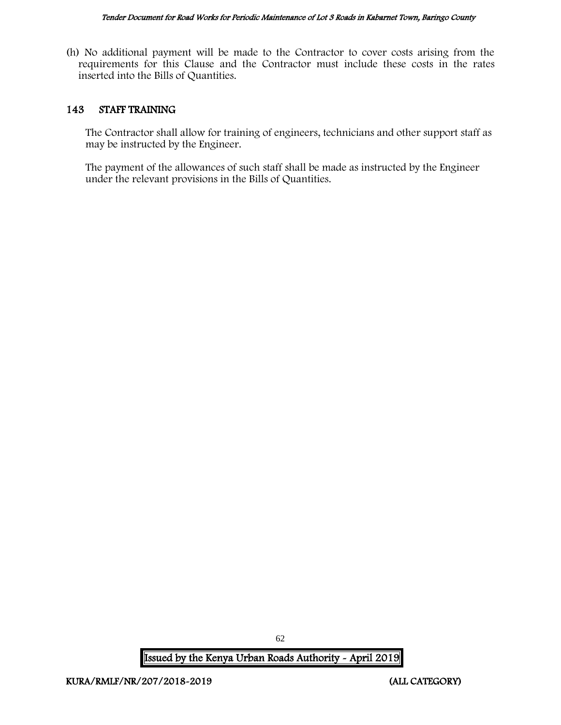(h) No additional payment will be made to the Contractor to cover costs arising from the requirements for this Clause and the Contractor must include these costs in the rates inserted into the Bills of Quantities.

### 143 STAFF TRAINING

The Contractor shall allow for training of engineers, technicians and other support staff as may be instructed by the Engineer.

The payment of the allowances of such staff shall be made as instructed by the Engineer under the relevant provisions in the Bills of Quantities.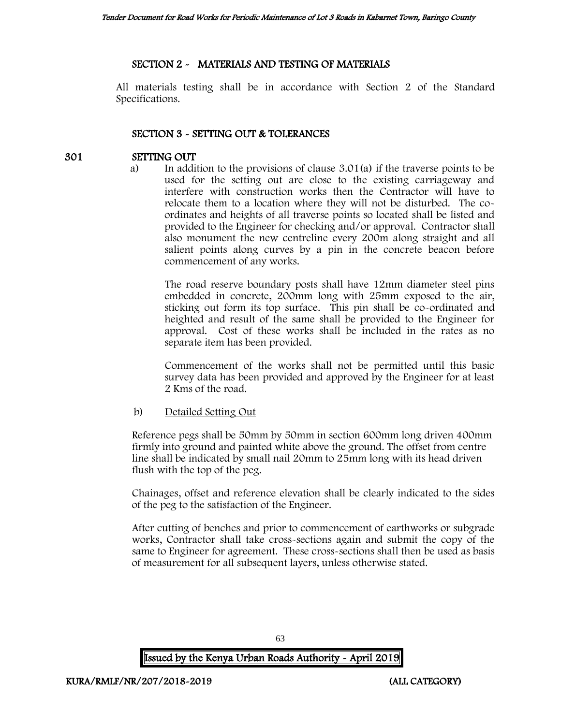### SECTION 2 - MATERIALS AND TESTING OF MATERIALS

All materials testing shall be in accordance with Section 2 of the Standard Specifications.

### SECTION 3 - SETTING OUT & TOLERANCES

### 301 SETTING OUT

a) In addition to the provisions of clause 3.01(a) if the traverse points to be used for the setting out are close to the existing carriageway and interfere with construction works then the Contractor will have to relocate them to a location where they will not be disturbed. The coordinates and heights of all traverse points so located shall be listed and provided to the Engineer for checking and/or approval. Contractor shall also monument the new centreline every 200m along straight and all salient points along curves by a pin in the concrete beacon before commencement of any works.

The road reserve boundary posts shall have 12mm diameter steel pins embedded in concrete, 200mm long with 25mm exposed to the air, sticking out form its top surface. This pin shall be co-ordinated and heighted and result of the same shall be provided to the Engineer for approval. Cost of these works shall be included in the rates as no separate item has been provided.

Commencement of the works shall not be permitted until this basic survey data has been provided and approved by the Engineer for at least 2 Kms of the road.

### b) Detailed Setting Out

Reference pegs shall be 50mm by 50mm in section 600mm long driven 400mm firmly into ground and painted white above the ground. The offset from centre line shall be indicated by small nail 20mm to 25mm long with its head driven flush with the top of the peg.

Chainages, offset and reference elevation shall be clearly indicated to the sides of the peg to the satisfaction of the Engineer.

After cutting of benches and prior to commencement of earthworks or subgrade works, Contractor shall take cross-sections again and submit the copy of the same to Engineer for agreement. These cross-sections shall then be used as basis of measurement for all subsequent layers, unless otherwise stated.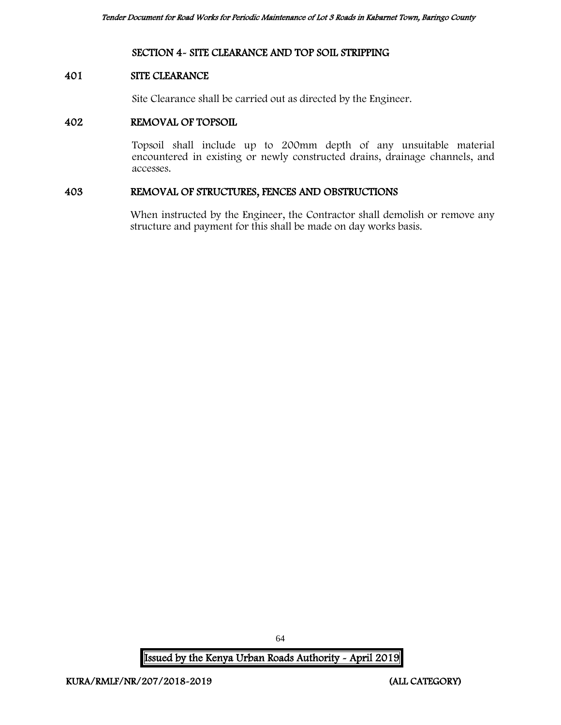### SECTION 4- SITE CLEARANCE AND TOP SOIL STRIPPING

#### 401 SITE CLEARANCE

Site Clearance shall be carried out as directed by the Engineer.

### 402 REMOVAL OF TOPSOIL

Topsoil shall include up to 200mm depth of any unsuitable material encountered in existing or newly constructed drains, drainage channels, and accesses.

#### 403 REMOVAL OF STRUCTURES, FENCES AND OBSTRUCTIONS

When instructed by the Engineer, the Contractor shall demolish or remove any structure and payment for this shall be made on day works basis.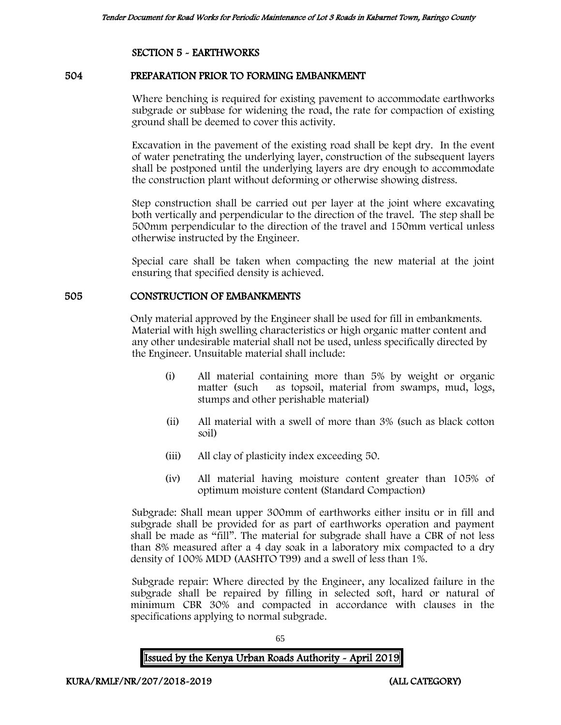### SECTION 5 - EARTHWORKS

### 504 PREPARATION PRIOR TO FORMING EMBANKMENT

Where benching is required for existing pavement to accommodate earthworks subgrade or subbase for widening the road, the rate for compaction of existing ground shall be deemed to cover this activity.

Excavation in the pavement of the existing road shall be kept dry. In the event of water penetrating the underlying layer, construction of the subsequent layers shall be postponed until the underlying layers are dry enough to accommodate the construction plant without deforming or otherwise showing distress.

Step construction shall be carried out per layer at the joint where excavating both vertically and perpendicular to the direction of the travel. The step shall be 500mm perpendicular to the direction of the travel and 150mm vertical unless otherwise instructed by the Engineer.

Special care shall be taken when compacting the new material at the joint ensuring that specified density is achieved.

### 505 CONSTRUCTION OF EMBANKMENTS

Only material approved by the Engineer shall be used for fill in embankments. Material with high swelling characteristics or high organic matter content and any other undesirable material shall not be used, unless specifically directed by the Engineer. Unsuitable material shall include:

- (i) All material containing more than 5% by weight or organic matter (such as topsoil, material from swamps, mud, logs, stumps and other perishable material)
- (ii) All material with a swell of more than 3% (such as black cotton soil)
- (iii) All clay of plasticity index exceeding 50.
- (iv) All material having moisture content greater than 105% of optimum moisture content (Standard Compaction)

Subgrade: Shall mean upper 300mm of earthworks either insitu or in fill and subgrade shall be provided for as part of earthworks operation and payment shall be made as "fill". The material for subgrade shall have a CBR of not less than 8% measured after a 4 day soak in a laboratory mix compacted to a dry density of 100% MDD (AASHTO T99) and a swell of less than 1%.

Subgrade repair: Where directed by the Engineer, any localized failure in the subgrade shall be repaired by filling in selected soft, hard or natural of minimum CBR 30% and compacted in accordance with clauses in the specifications applying to normal subgrade.

65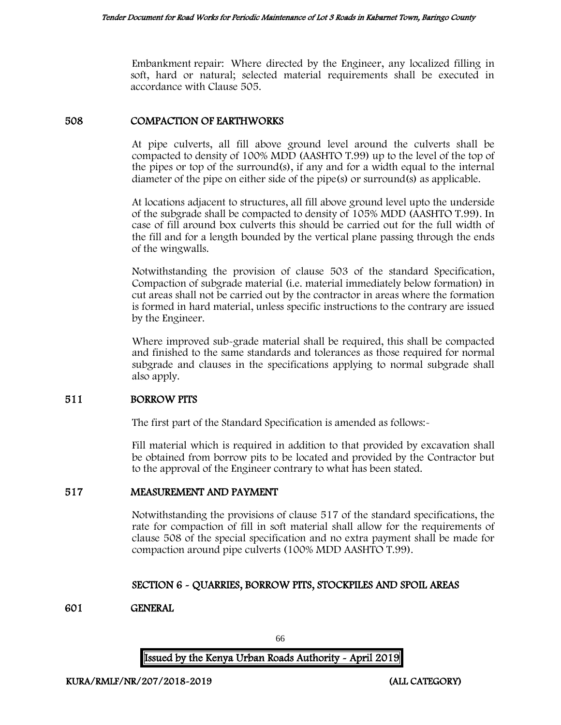Embankment repair: Where directed by the Engineer, any localized filling in soft, hard or natural; selected material requirements shall be executed in accordance with Clause 505.

### 508 COMPACTION OF EARTHWORKS

At pipe culverts, all fill above ground level around the culverts shall be compacted to density of 100% MDD (AASHTO T.99) up to the level of the top of the pipes or top of the surround(s), if any and for a width equal to the internal diameter of the pipe on either side of the pipe(s) or surround(s) as applicable.

At locations adjacent to structures, all fill above ground level upto the underside of the subgrade shall be compacted to density of 105% MDD (AASHTO T.99). In case of fill around box culverts this should be carried out for the full width of the fill and for a length bounded by the vertical plane passing through the ends of the wingwalls.

Notwithstanding the provision of clause 503 of the standard Specification, Compaction of subgrade material (i.e. material immediately below formation) in cut areas shall not be carried out by the contractor in areas where the formation is formed in hard material, unless specific instructions to the contrary are issued by the Engineer.

Where improved sub-grade material shall be required, this shall be compacted and finished to the same standards and tolerances as those required for normal subgrade and clauses in the specifications applying to normal subgrade shall also apply.

### 511 BORROW PITS

The first part of the Standard Specification is amended as follows:-

Fill material which is required in addition to that provided by excavation shall be obtained from borrow pits to be located and provided by the Contractor but to the approval of the Engineer contrary to what has been stated.

### 517 MEASUREMENT AND PAYMENT

Notwithstanding the provisions of clause 517 of the standard specifications, the rate for compaction of fill in soft material shall allow for the requirements of clause 508 of the special specification and no extra payment shall be made for compaction around pipe culverts (100% MDD AASHTO T.99).

### SECTION 6 - QUARRIES, BORROW PITS, STOCKPILES AND SPOIL AREAS

### 601 GENERAL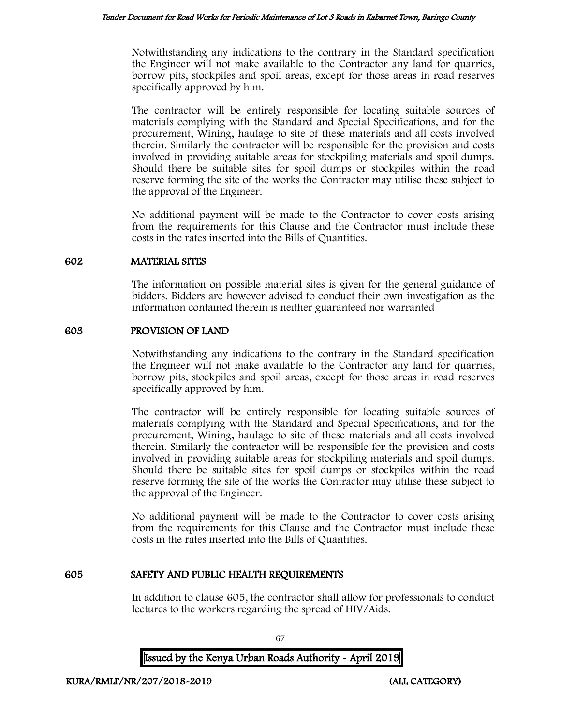Notwithstanding any indications to the contrary in the Standard specification the Engineer will not make available to the Contractor any land for quarries, borrow pits, stockpiles and spoil areas, except for those areas in road reserves specifically approved by him.

The contractor will be entirely responsible for locating suitable sources of materials complying with the Standard and Special Specifications, and for the procurement, Wining, haulage to site of these materials and all costs involved therein. Similarly the contractor will be responsible for the provision and costs involved in providing suitable areas for stockpiling materials and spoil dumps. Should there be suitable sites for spoil dumps or stockpiles within the road reserve forming the site of the works the Contractor may utilise these subject to the approval of the Engineer.

No additional payment will be made to the Contractor to cover costs arising from the requirements for this Clause and the Contractor must include these costs in the rates inserted into the Bills of Quantities.

### 602 MATERIAL SITES

The information on possible material sites is given for the general guidance of bidders. Bidders are however advised to conduct their own investigation as the information contained therein is neither guaranteed nor warranted

### 603 PROVISION OF LAND

Notwithstanding any indications to the contrary in the Standard specification the Engineer will not make available to the Contractor any land for quarries, borrow pits, stockpiles and spoil areas, except for those areas in road reserves specifically approved by him.

The contractor will be entirely responsible for locating suitable sources of materials complying with the Standard and Special Specifications, and for the procurement, Wining, haulage to site of these materials and all costs involved therein. Similarly the contractor will be responsible for the provision and costs involved in providing suitable areas for stockpiling materials and spoil dumps. Should there be suitable sites for spoil dumps or stockpiles within the road reserve forming the site of the works the Contractor may utilise these subject to the approval of the Engineer.

No additional payment will be made to the Contractor to cover costs arising from the requirements for this Clause and the Contractor must include these costs in the rates inserted into the Bills of Quantities.

### 605 SAFETY AND PUBLIC HEALTH REQUIREMENTS

In addition to clause 605, the contractor shall allow for professionals to conduct lectures to the workers regarding the spread of HIV/Aids.

Issued by the Kenya Urban Roads Authority - April 2019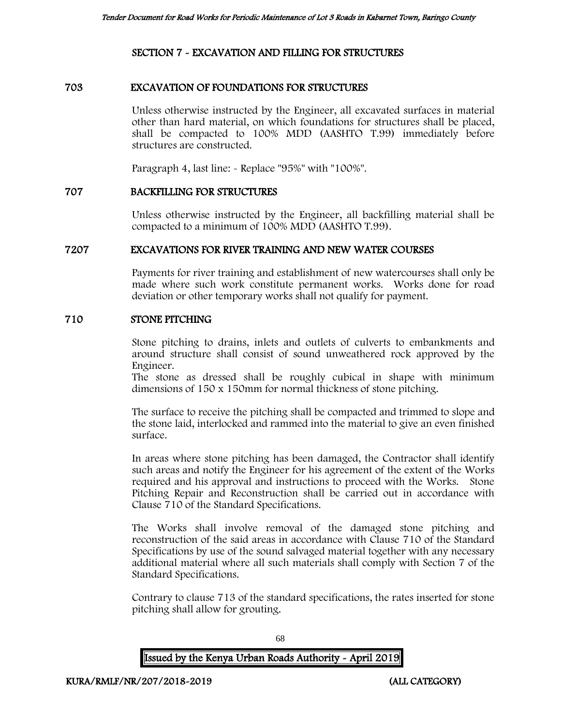### SECTION 7 - EXCAVATION AND FILLING FOR STRUCTURES

### 703 EXCAVATION OF FOUNDATIONS FOR STRUCTURES

Unless otherwise instructed by the Engineer, all excavated surfaces in material other than hard material, on which foundations for structures shall be placed, shall be compacted to 100% MDD (AASHTO T.99) immediately before structures are constructed.

Paragraph 4, last line: - Replace "95%" with "100%".

#### 707 BACKFILLING FOR STRUCTURES

Unless otherwise instructed by the Engineer, all backfilling material shall be compacted to a minimum of 100% MDD (AASHTO T.99).

#### 7207 EXCAVATIONS FOR RIVER TRAINING AND NEW WATER COURSES

Payments for river training and establishment of new watercourses shall only be made where such work constitute permanent works. Works done for road deviation or other temporary works shall not qualify for payment.

#### 710 STONE PITCHING

Stone pitching to drains, inlets and outlets of culverts to embankments and around structure shall consist of sound unweathered rock approved by the Engineer.

The stone as dressed shall be roughly cubical in shape with minimum dimensions of 150 x 150mm for normal thickness of stone pitching.

The surface to receive the pitching shall be compacted and trimmed to slope and the stone laid, interlocked and rammed into the material to give an even finished surface.

In areas where stone pitching has been damaged, the Contractor shall identify such areas and notify the Engineer for his agreement of the extent of the Works required and his approval and instructions to proceed with the Works. Stone Pitching Repair and Reconstruction shall be carried out in accordance with Clause 710 of the Standard Specifications.

The Works shall involve removal of the damaged stone pitching and reconstruction of the said areas in accordance with Clause 710 of the Standard Specifications by use of the sound salvaged material together with any necessary additional material where all such materials shall comply with Section 7 of the Standard Specifications.

Contrary to clause 713 of the standard specifications, the rates inserted for stone pitching shall allow for grouting.

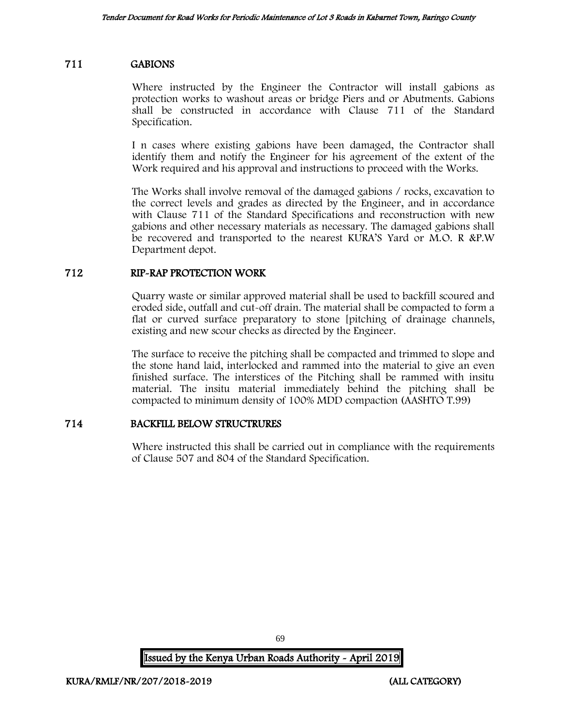### 711 GABIONS

Where instructed by the Engineer the Contractor will install gabions as protection works to washout areas or bridge Piers and or Abutments. Gabions shall be constructed in accordance with Clause 711 of the Standard Specification.

I n cases where existing gabions have been damaged, the Contractor shall identify them and notify the Engineer for his agreement of the extent of the Work required and his approval and instructions to proceed with the Works.

The Works shall involve removal of the damaged gabions / rocks, excavation to the correct levels and grades as directed by the Engineer, and in accordance with Clause 711 of the Standard Specifications and reconstruction with new gabions and other necessary materials as necessary. The damaged gabions shall be recovered and transported to the nearest KURA'S Yard or M.O. R &P.W Department depot.

### 712 RIP-RAP PROTECTION WORK

Quarry waste or similar approved material shall be used to backfill scoured and eroded side, outfall and cut-off drain. The material shall be compacted to form a flat or curved surface preparatory to stone [pitching of drainage channels, existing and new scour checks as directed by the Engineer.

The surface to receive the pitching shall be compacted and trimmed to slope and the stone hand laid, interlocked and rammed into the material to give an even finished surface. The interstices of the Pitching shall be rammed with insitu material. The insitu material immediately behind the pitching shall be compacted to minimum density of 100% MDD compaction (AASHTO T.99)

### 714 BACKFILL BELOW STRUCTRURES

Where instructed this shall be carried out in compliance with the requirements of Clause 507 and 804 of the Standard Specification.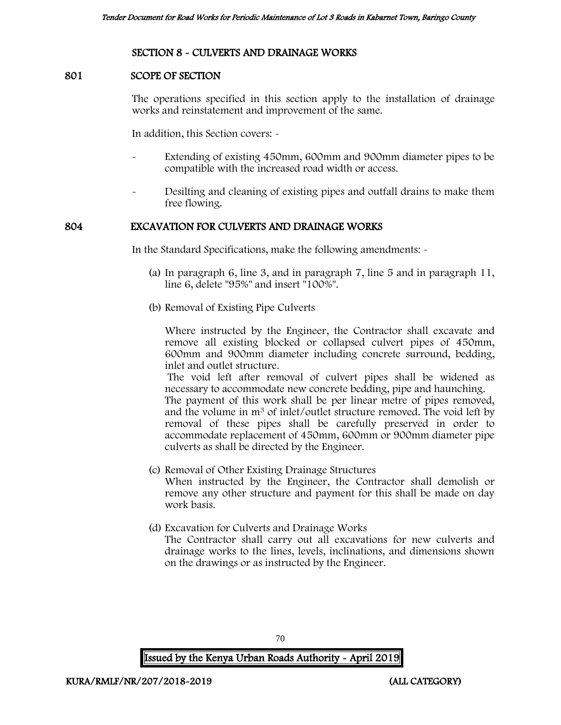### SECTION 8 - CULVERTS AND DRAINAGE WORKS

### 801 SCOPE OF SECTION

The operations specified in this section apply to the installation of drainage works and reinstatement and improvement of the same.

In addition, this Section covers: -

- Extending of existing 450mm, 600mm and 900mm diameter pipes to be compatible with the increased road width or access.
- Desilting and cleaning of existing pipes and outfall drains to make them free flowing.

### 804 EXCAVATION FOR CULVERTS AND DRAINAGE WORKS

In the Standard Specifications, make the following amendments: -

- (a) In paragraph 6, line 3, and in paragraph 7, line 5 and in paragraph 11, line 6, delete "95%" and insert "100%".
- (b) Removal of Existing Pipe Culverts

Where instructed by the Engineer, the Contractor shall excavate and remove all existing blocked or collapsed culvert pipes of 450mm, 600mm and 900mm diameter including concrete surround, bedding, inlet and outlet structure.

The void left after removal of culvert pipes shall be widened as necessary to accommodate new concrete bedding, pipe and haunching.

The payment of this work shall be per linear metre of pipes removed, and the volume in m<sup>3</sup> of inlet/outlet structure removed. The void left by removal of these pipes shall be carefully preserved in order to accommodate replacement of 450mm, 600mm or 900mm diameter pipe culverts as shall be directed by the Engineer.

- (c) Removal of Other Existing Drainage Structures When instructed by the Engineer, the Contractor shall demolish or remove any other structure and payment for this shall be made on day work basis.
- (d) Excavation for Culverts and Drainage Works

The Contractor shall carry out all excavations for new culverts and drainage works to the lines, levels, inclinations, and dimensions shown on the drawings or as instructed by the Engineer.

70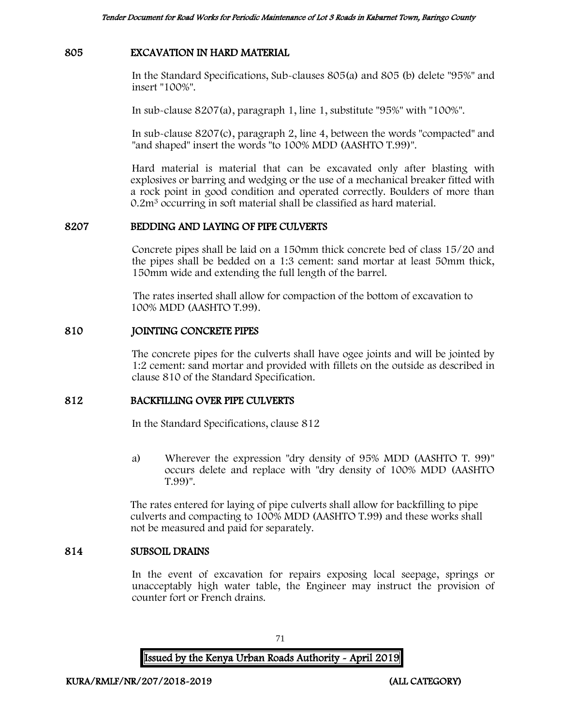#### 805 EXCAVATION IN HARD MATERIAL

In the Standard Specifications, Sub-clauses 805(a) and 805 (b) delete "95%" and insert "100%".

In sub-clause 8207(a), paragraph 1, line 1, substitute "95%" with "100%".

In sub-clause 8207(c), paragraph 2, line 4, between the words "compacted" and "and shaped" insert the words "to 100% MDD (AASHTO T.99)".

Hard material is material that can be excavated only after blasting with explosives or barring and wedging or the use of a mechanical breaker fitted with a rock point in good condition and operated correctly. Boulders of more than 0.2m<sup>3</sup> occurring in soft material shall be classified as hard material.

### 8207 BEDDING AND LAYING OF PIPE CULVERTS

Concrete pipes shall be laid on a 150mm thick concrete bed of class 15/20 and the pipes shall be bedded on a 1:3 cement: sand mortar at least 50mm thick, 150mm wide and extending the full length of the barrel.

The rates inserted shall allow for compaction of the bottom of excavation to 100% MDD (AASHTO T.99).

### 810 JOINTING CONCRETE PIPES

The concrete pipes for the culverts shall have ogee joints and will be jointed by 1:2 cement: sand mortar and provided with fillets on the outside as described in clause 810 of the Standard Specification.

### 812 BACKFILLING OVER PIPE CULVERTS

In the Standard Specifications, clause 812

a) Wherever the expression "dry density of 95% MDD (AASHTO T. 99)" occurs delete and replace with "dry density of 100% MDD (AASHTO T.99)".

The rates entered for laying of pipe culverts shall allow for backfilling to pipe culverts and compacting to 100% MDD (AASHTO T.99) and these works shall not be measured and paid for separately.

#### 814 SUBSOIL DRAINS

In the event of excavation for repairs exposing local seepage, springs or unacceptably high water table, the Engineer may instruct the provision of counter fort or French drains.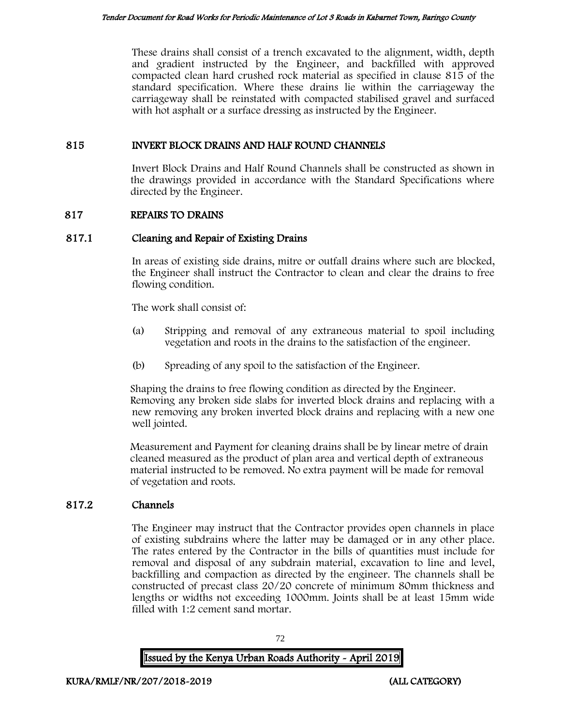These drains shall consist of a trench excavated to the alignment, width, depth and gradient instructed by the Engineer, and backfilled with approved compacted clean hard crushed rock material as specified in clause 815 of the standard specification. Where these drains lie within the carriageway the carriageway shall be reinstated with compacted stabilised gravel and surfaced with hot asphalt or a surface dressing as instructed by the Engineer.

## 815 INVERT BLOCK DRAINS AND HALF ROUND CHANNELS

Invert Block Drains and Half Round Channels shall be constructed as shown in the drawings provided in accordance with the Standard Specifications where directed by the Engineer.

## 817 REPAIRS TO DRAINS

## 817.1 Cleaning and Repair of Existing Drains

In areas of existing side drains, mitre or outfall drains where such are blocked, the Engineer shall instruct the Contractor to clean and clear the drains to free flowing condition.

The work shall consist of:

- (a) Stripping and removal of any extraneous material to spoil including vegetation and roots in the drains to the satisfaction of the engineer.
- (b) Spreading of any spoil to the satisfaction of the Engineer.

Shaping the drains to free flowing condition as directed by the Engineer. Removing any broken side slabs for inverted block drains and replacing with a new removing any broken inverted block drains and replacing with a new one well jointed.

Measurement and Payment for cleaning drains shall be by linear metre of drain cleaned measured as the product of plan area and vertical depth of extraneous material instructed to be removed. No extra payment will be made for removal of vegetation and roots.

## 817.2 Channels

The Engineer may instruct that the Contractor provides open channels in place of existing subdrains where the latter may be damaged or in any other place. The rates entered by the Contractor in the bills of quantities must include for removal and disposal of any subdrain material, excavation to line and level, backfilling and compaction as directed by the engineer. The channels shall be constructed of precast class 20/20 concrete of minimum 80mm thickness and lengths or widths not exceeding 1000mm. Joints shall be at least 15mm wide filled with 1:2 cement sand mortar.



72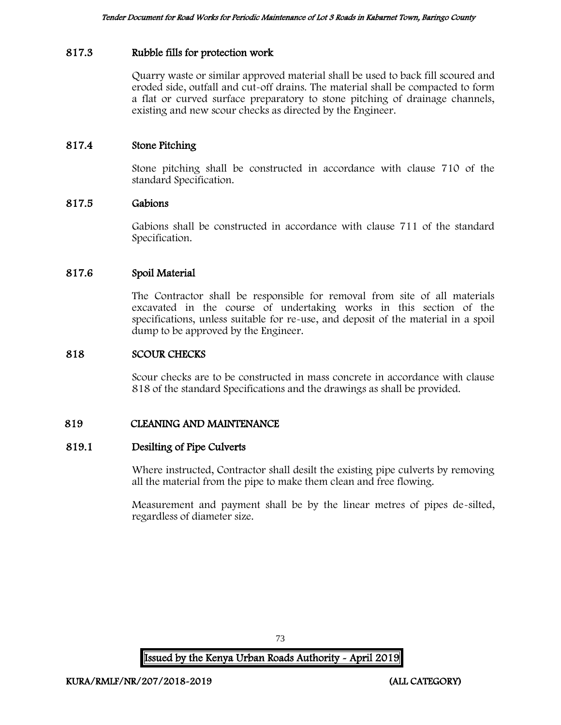## 817.3 Rubble fills for protection work

Quarry waste or similar approved material shall be used to back fill scoured and eroded side, outfall and cut-off drains. The material shall be compacted to form a flat or curved surface preparatory to stone pitching of drainage channels, existing and new scour checks as directed by the Engineer.

## 817.4 Stone Pitching

Stone pitching shall be constructed in accordance with clause 710 of the standard Specification.

## 817.5 Gabions

Gabions shall be constructed in accordance with clause 711 of the standard Specification.

## 817.6 Spoil Material

The Contractor shall be responsible for removal from site of all materials excavated in the course of undertaking works in this section of the specifications, unless suitable for re-use, and deposit of the material in a spoil dump to be approved by the Engineer.

## 818 SCOUR CHECKS

Scour checks are to be constructed in mass concrete in accordance with clause 818 of the standard Specifications and the drawings as shall be provided.

## 819 CLEANING AND MAINTENANCE

## 819.1 Desilting of Pipe Culverts

Where instructed, Contractor shall desilt the existing pipe culverts by removing all the material from the pipe to make them clean and free flowing.

Measurement and payment shall be by the linear metres of pipes de-silted, regardless of diameter size.

73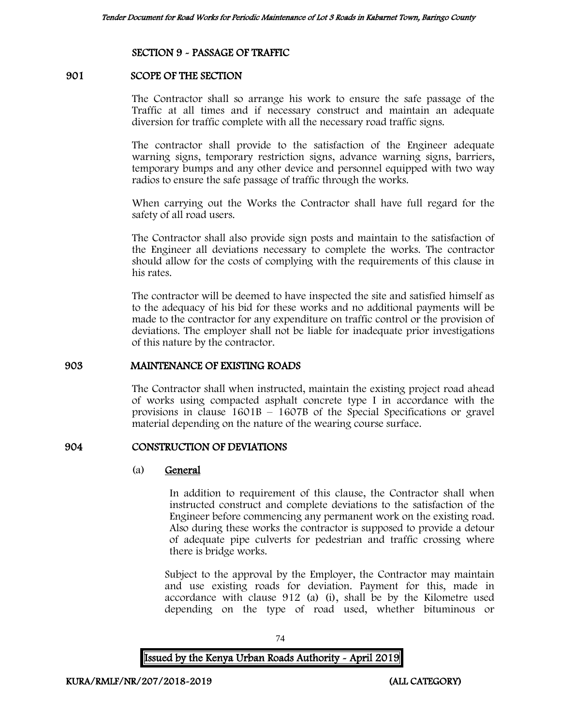## SECTION 9 - PASSAGE OF TRAFFIC

## 901 SCOPE OF THE SECTION

The Contractor shall so arrange his work to ensure the safe passage of the Traffic at all times and if necessary construct and maintain an adequate diversion for traffic complete with all the necessary road traffic signs.

The contractor shall provide to the satisfaction of the Engineer adequate warning signs, temporary restriction signs, advance warning signs, barriers, temporary bumps and any other device and personnel equipped with two way radios to ensure the safe passage of traffic through the works.

When carrying out the Works the Contractor shall have full regard for the safety of all road users.

The Contractor shall also provide sign posts and maintain to the satisfaction of the Engineer all deviations necessary to complete the works. The contractor should allow for the costs of complying with the requirements of this clause in his rates.

The contractor will be deemed to have inspected the site and satisfied himself as to the adequacy of his bid for these works and no additional payments will be made to the contractor for any expenditure on traffic control or the provision of deviations. The employer shall not be liable for inadequate prior investigations of this nature by the contractor.

#### 903 MAINTENANCE OF EXISTING ROADS

The Contractor shall when instructed, maintain the existing project road ahead of works using compacted asphalt concrete type I in accordance with the provisions in clause  $1601B - 1607B$  of the Special Specifications or gravel material depending on the nature of the wearing course surface.

## 904 CONSTRUCTION OF DEVIATIONS

## (a) General

In addition to requirement of this clause, the Contractor shall when instructed construct and complete deviations to the satisfaction of the Engineer before commencing any permanent work on the existing road. Also during these works the contractor is supposed to provide a detour of adequate pipe culverts for pedestrian and traffic crossing where there is bridge works.

Subject to the approval by the Employer, the Contractor may maintain and use existing roads for deviation. Payment for this, made in accordance with clause 912 (a) (i), shall be by the Kilometre used depending on the type of road used, whether bituminous or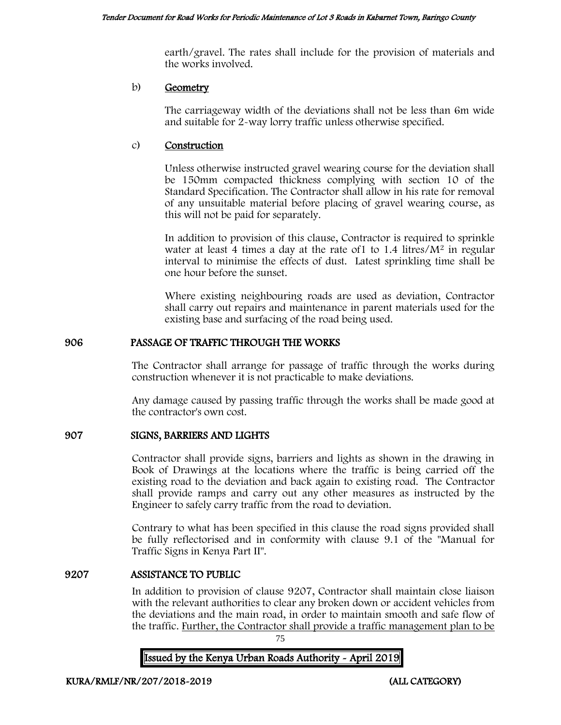earth/gravel. The rates shall include for the provision of materials and the works involved.

## b) Geometry

The carriageway width of the deviations shall not be less than 6m wide and suitable for 2-way lorry traffic unless otherwise specified.

## c) Construction

Unless otherwise instructed gravel wearing course for the deviation shall be 150mm compacted thickness complying with section 10 of the Standard Specification. The Contractor shall allow in his rate for removal of any unsuitable material before placing of gravel wearing course, as this will not be paid for separately.

In addition to provision of this clause, Contractor is required to sprinkle water at least 4 times a day at the rate of  $1$  to  $1.4$  litres/ $M<sup>2</sup>$  in regular interval to minimise the effects of dust. Latest sprinkling time shall be one hour before the sunset.

Where existing neighbouring roads are used as deviation, Contractor shall carry out repairs and maintenance in parent materials used for the existing base and surfacing of the road being used.

## 906 PASSAGE OF TRAFFIC THROUGH THE WORKS

The Contractor shall arrange for passage of traffic through the works during construction whenever it is not practicable to make deviations.

Any damage caused by passing traffic through the works shall be made good at the contractor's own cost.

## 907 SIGNS, BARRIERS AND LIGHTS

Contractor shall provide signs, barriers and lights as shown in the drawing in Book of Drawings at the locations where the traffic is being carried off the existing road to the deviation and back again to existing road. The Contractor shall provide ramps and carry out any other measures as instructed by the Engineer to safely carry traffic from the road to deviation.

Contrary to what has been specified in this clause the road signs provided shall be fully reflectorised and in conformity with clause 9.1 of the "Manual for Traffic Signs in Kenya Part II".

## 9207 ASSISTANCE TO PUBLIC

In addition to provision of clause 9207, Contractor shall maintain close liaison with the relevant authorities to clear any broken down or accident vehicles from the deviations and the main road, in order to maintain smooth and safe flow of the traffic. Further, the Contractor shall provide a traffic management plan to be

75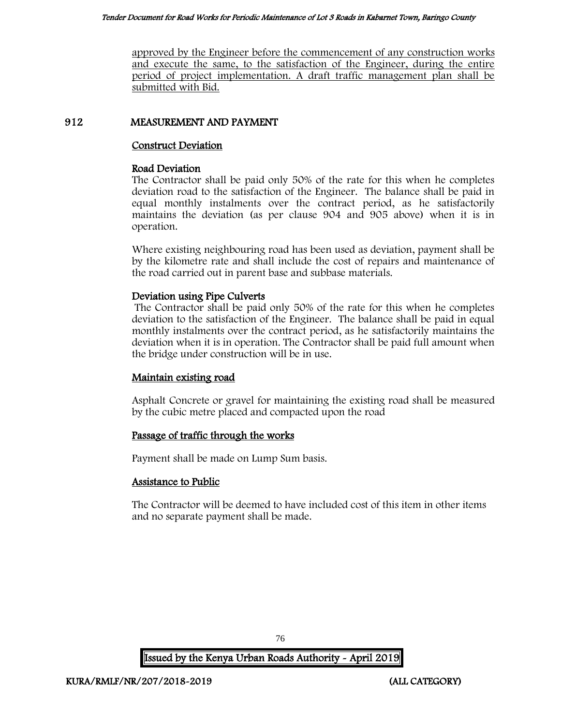approved by the Engineer before the commencement of any construction works and execute the same, to the satisfaction of the Engineer, during the entire period of project implementation. A draft traffic management plan shall be submitted with Bid.

## 912 MEASUREMENT AND PAYMENT

## Construct Deviation

## Road Deviation

The Contractor shall be paid only 50% of the rate for this when he completes deviation road to the satisfaction of the Engineer. The balance shall be paid in equal monthly instalments over the contract period, as he satisfactorily maintains the deviation (as per clause 904 and 905 above) when it is in operation.

Where existing neighbouring road has been used as deviation, payment shall be by the kilometre rate and shall include the cost of repairs and maintenance of the road carried out in parent base and subbase materials.

## Deviation using Pipe Culverts

The Contractor shall be paid only 50% of the rate for this when he completes deviation to the satisfaction of the Engineer. The balance shall be paid in equal monthly instalments over the contract period, as he satisfactorily maintains the deviation when it is in operation. The Contractor shall be paid full amount when the bridge under construction will be in use.

## Maintain existing road

Asphalt Concrete or gravel for maintaining the existing road shall be measured by the cubic metre placed and compacted upon the road

## Passage of traffic through the works

Payment shall be made on Lump Sum basis.

## Assistance to Public

The Contractor will be deemed to have included cost of this item in other items and no separate payment shall be made.

76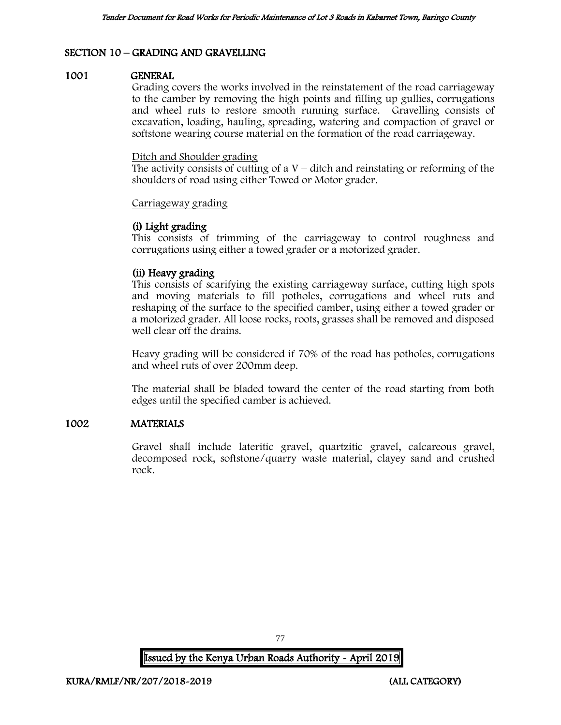## SECTION 10 – GRADING AND GRAVELLING

#### 1001 GENERAL

Grading covers the works involved in the reinstatement of the road carriageway to the camber by removing the high points and filling up gullies, corrugations and wheel ruts to restore smooth running surface. Gravelling consists of excavation, loading, hauling, spreading, watering and compaction of gravel or softstone wearing course material on the formation of the road carriageway.

#### Ditch and Shoulder grading

The activity consists of cutting of a  $V$  – ditch and reinstating or reforming of the shoulders of road using either Towed or Motor grader.

#### Carriageway grading

## (i) Light grading

This consists of trimming of the carriageway to control roughness and corrugations using either a towed grader or a motorized grader.

## (ii) Heavy grading

This consists of scarifying the existing carriageway surface, cutting high spots and moving materials to fill potholes, corrugations and wheel ruts and reshaping of the surface to the specified camber, using either a towed grader or a motorized grader. All loose rocks, roots, grasses shall be removed and disposed well clear off the drains.

Heavy grading will be considered if 70% of the road has potholes, corrugations and wheel ruts of over 200mm deep.

The material shall be bladed toward the center of the road starting from both edges until the specified camber is achieved.

## 1002 MATERIALS

Gravel shall include lateritic gravel, quartzitic gravel, calcareous gravel, decomposed rock, softstone/quarry waste material, clayey sand and crushed rock.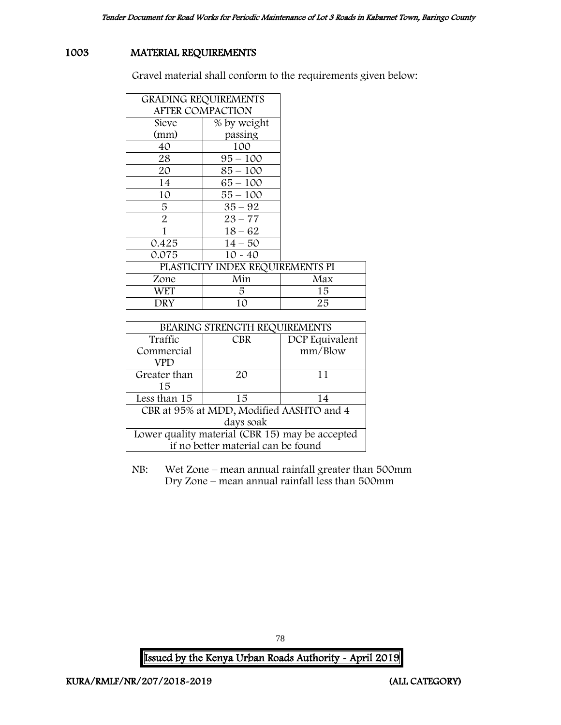# 1003 MATERIAL REQUIREMENTS

Gravel material shall conform to the requirements given below:

| <b>GRADING REQUIREMENTS</b>      |             |     |
|----------------------------------|-------------|-----|
| <b>AFTER COMPACTION</b>          |             |     |
| Sieve                            | % by weight |     |
| (mm)                             | passing     |     |
| 40                               | 100         |     |
| 28                               | $95 - 100$  |     |
| 20                               | $85 - 100$  |     |
| 14                               | 65 – 100    |     |
| 10                               | 55 – 100    |     |
| 5                                | $35 - 92$   |     |
| $\overline{2}$                   | $23 - 77$   |     |
| 1                                | $18 - 62$   |     |
| 0.425                            | $14 - 50$   |     |
| 0.075                            | $10 - 40$   |     |
| PLASTICITY INDEX REQUIREMENTS PI |             |     |
| Zone                             | Min         | Max |
| WET                              | 5.          | 15  |
| DRY                              | 10          | 25  |

| BEARING STRENGTH REQUIREMENTS                   |            |                |
|-------------------------------------------------|------------|----------------|
| Traffic                                         | <b>CBR</b> | DCP Equivalent |
| Commercial                                      |            | mm/Blow        |
| VPD                                             |            |                |
| Greater than                                    | 20         | 11             |
| 15                                              |            |                |
| Less than 15                                    | 15         | 14             |
| CBR at 95% at MDD, Modified AASHTO and 4        |            |                |
| days soak                                       |            |                |
| Lower quality material (CBR 15) may be accepted |            |                |
| if no better material can be found              |            |                |

NB: Wet Zone – mean annual rainfall greater than 500mm Dry Zone – mean annual rainfall less than 500mm

Issued by the Kenya Urban Roads Authority - April 2019

78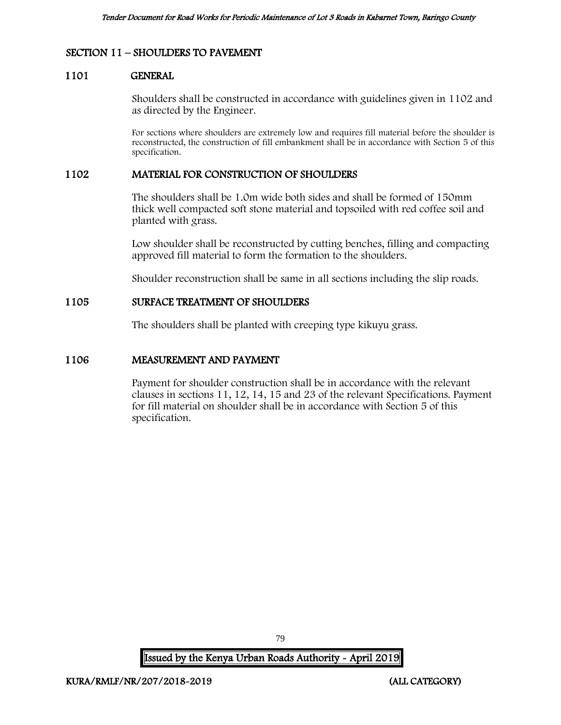## SECTION 11 – SHOULDERS TO PAVEMENT

#### 1101 GENERAL

Shoulders shall be constructed in accordance with guidelines given in 1102 and as directed by the Engineer.

For sections where shoulders are extremely low and requires fill material before the shoulder is reconstructed, the construction of fill embankment shall be in accordance with Section 5 of this specification.

## 1102 MATERIAL FOR CONSTRUCTION OF SHOULDERS

The shoulders shall be 1.0m wide both sides and shall be formed of 150mm thick well compacted soft stone material and topsoiled with red coffee soil and planted with grass.

Low shoulder shall be reconstructed by cutting benches, filling and compacting approved fill material to form the formation to the shoulders.

Shoulder reconstruction shall be same in all sections including the slip roads.

## 1105 SURFACE TREATMENT OF SHOULDERS

The shoulders shall be planted with creeping type kikuyu grass.

## 1106 MEASUREMENT AND PAYMENT

Payment for shoulder construction shall be in accordance with the relevant clauses in sections 11, 12, 14, 15 and 23 of the relevant Specifications. Payment for fill material on shoulder shall be in accordance with Section 5 of this specification.

Issued by the Kenya Urban Roads Authority - April 2019

79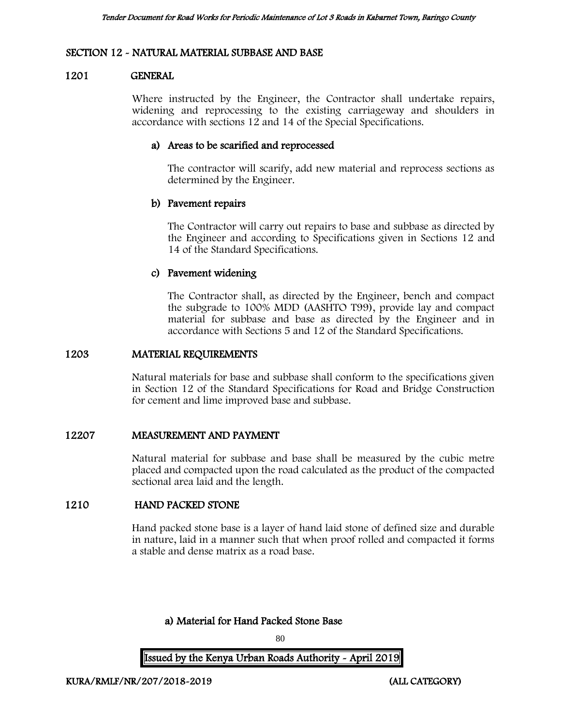## SECTION 12 - NATURAL MATERIAL SUBBASE AND BASE

## 1201 GENERAL

Where instructed by the Engineer, the Contractor shall undertake repairs, widening and reprocessing to the existing carriageway and shoulders in accordance with sections 12 and 14 of the Special Specifications.

## a) Areas to be scarified and reprocessed

The contractor will scarify, add new material and reprocess sections as determined by the Engineer.

## b) Pavement repairs

The Contractor will carry out repairs to base and subbase as directed by the Engineer and according to Specifications given in Sections 12 and 14 of the Standard Specifications.

## c) Pavement widening

The Contractor shall, as directed by the Engineer, bench and compact the subgrade to 100% MDD (AASHTO T99), provide lay and compact material for subbase and base as directed by the Engineer and in accordance with Sections 5 and 12 of the Standard Specifications.

## 1203 MATERIAL REQUIREMENTS

Natural materials for base and subbase shall conform to the specifications given in Section 12 of the Standard Specifications for Road and Bridge Construction for cement and lime improved base and subbase.

## 12207 MEASUREMENT AND PAYMENT

Natural material for subbase and base shall be measured by the cubic metre placed and compacted upon the road calculated as the product of the compacted sectional area laid and the length.

## 1210 HAND PACKED STONE

Hand packed stone base is a layer of hand laid stone of defined size and durable in nature, laid in a manner such that when proof rolled and compacted it forms a stable and dense matrix as a road base.

a) Material for Hand Packed Stone Base

80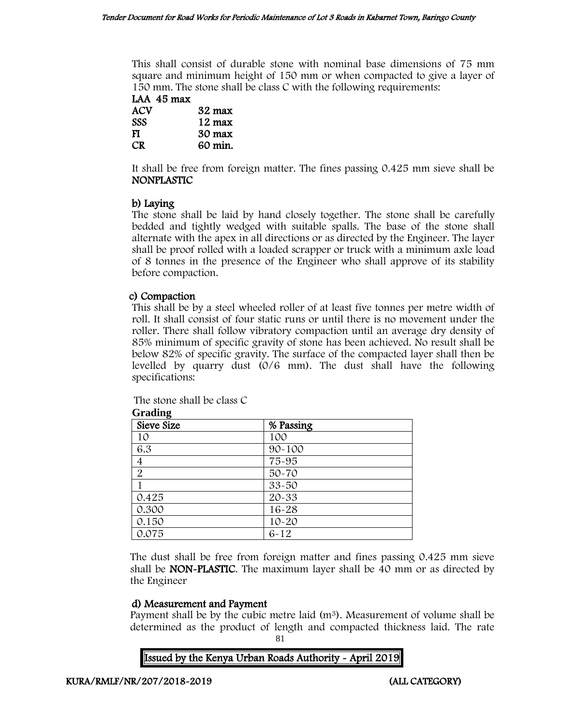This shall consist of durable stone with nominal base dimensions of 75 mm square and minimum height of 150 mm or when compacted to give a layer of 150 mm. The stone shall be class C with the following requirements:

| LAA 45 max |                  |
|------------|------------------|
| ACV        | $32 \text{ max}$ |
| <b>SSS</b> | $12 \text{ max}$ |
| и          | 20 $m$           |

FI 30 max CR 60 min.

It shall be free from foreign matter. The fines passing 0.425 mm sieve shall be NONPLASTIC

# b) Laying

The stone shall be laid by hand closely together. The stone shall be carefully bedded and tightly wedged with suitable spalls. The base of the stone shall alternate with the apex in all directions or as directed by the Engineer. The layer shall be proof rolled with a loaded scrapper or truck with a minimum axle load of 8 tonnes in the presence of the Engineer who shall approve of its stability before compaction.

## c) Compaction

This shall be by a steel wheeled roller of at least five tonnes per metre width of roll. It shall consist of four static runs or until there is no movement under the roller. There shall follow vibratory compaction until an average dry density of 85% minimum of specific gravity of stone has been achieved. No result shall be below 82% of specific gravity. The surface of the compacted layer shall then be levelled by quarry dust (0/6 mm). The dust shall have the following specifications:

The stone shall be class C

| Sieve Size     | % Passing  |  |
|----------------|------------|--|
| 10             | 100        |  |
| 6.3            | $90 - 100$ |  |
| $\overline{4}$ | 75-95      |  |
| $\overline{2}$ | 50-70      |  |
|                | 33-50      |  |
| 0.425          | 20-33      |  |
| 0.300          | 16-28      |  |
| 0.150          | $10 - 20$  |  |
| 0.075          | $6 - 12$   |  |

**Grading**

The dust shall be free from foreign matter and fines passing 0.425 mm sieve shall be NON-PLASTIC. The maximum layer shall be 40 mm or as directed by the Engineer

## d) Measurement and Payment

Payment shall be by the cubic metre laid  $(m^3)$ . Measurement of volume shall be determined as the product of length and compacted thickness laid. The rate

81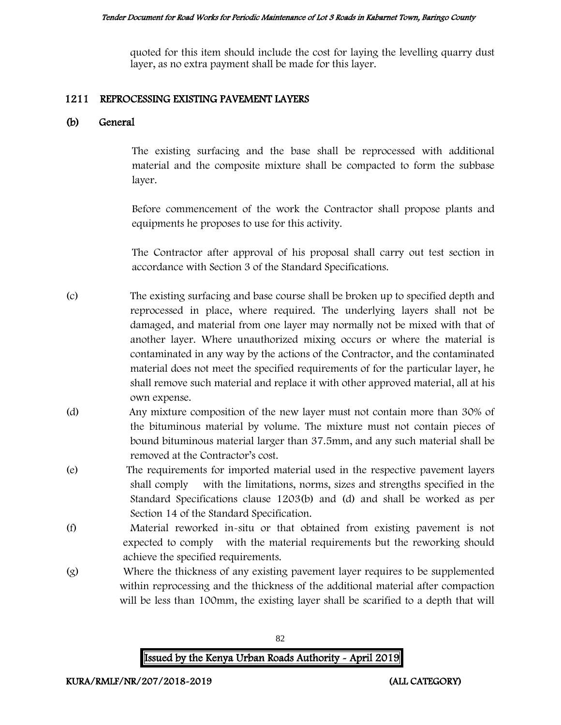quoted for this item should include the cost for laying the levelling quarry dust layer, as no extra payment shall be made for this layer.

#### 1211 REPROCESSING EXISTING PAVEMENT LAYERS

## (b) General

The existing surfacing and the base shall be reprocessed with additional material and the composite mixture shall be compacted to form the subbase layer.

Before commencement of the work the Contractor shall propose plants and equipments he proposes to use for this activity.

The Contractor after approval of his proposal shall carry out test section in accordance with Section 3 of the Standard Specifications.

- (c) The existing surfacing and base course shall be broken up to specified depth and reprocessed in place, where required. The underlying layers shall not be damaged, and material from one layer may normally not be mixed with that of another layer. Where unauthorized mixing occurs or where the material is contaminated in any way by the actions of the Contractor, and the contaminated material does not meet the specified requirements of for the particular layer, he shall remove such material and replace it with other approved material, all at his own expense.
- (d) Any mixture composition of the new layer must not contain more than 30% of the bituminous material by volume. The mixture must not contain pieces of bound bituminous material larger than 37.5mm, and any such material shall be removed at the Contractor's cost.
- (e) The requirements for imported material used in the respective pavement layers shall comply with the limitations, norms, sizes and strengths specified in the Standard Specifications clause 1203(b) and (d) and shall be worked as per Section 14 of the Standard Specification.
- (f) Material reworked in-situ or that obtained from existing pavement is not expected to comply with the material requirements but the reworking should achieve the specified requirements.
- (g) Where the thickness of any existing pavement layer requires to be supplemented within reprocessing and the thickness of the additional material after compaction will be less than 100mm, the existing layer shall be scarified to a depth that will

82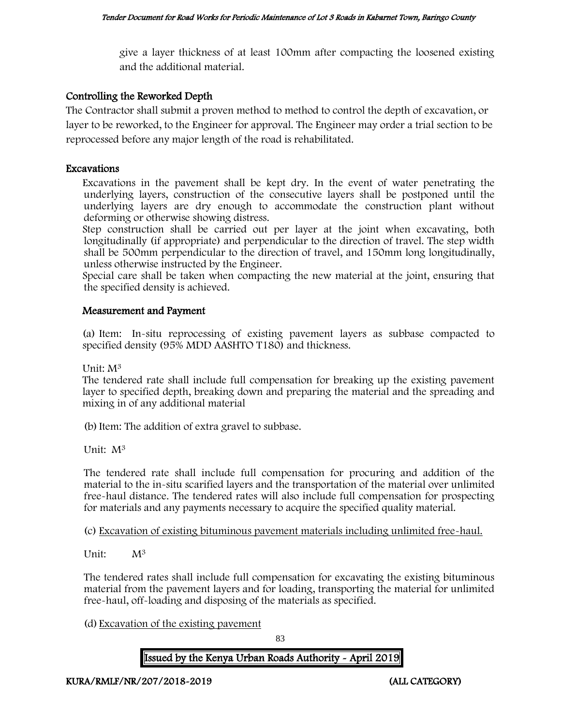give a layer thickness of at least 100mm after compacting the loosened existing and the additional material.

# Controlling the Reworked Depth

The Contractor shall submit a proven method to method to control the depth of excavation, or layer to be reworked, to the Engineer for approval. The Engineer may order a trial section to be reprocessed before any major length of the road is rehabilitated.

## Excavations

Excavations in the pavement shall be kept dry. In the event of water penetrating the underlying layers, construction of the consecutive layers shall be postponed until the underlying layers are dry enough to accommodate the construction plant without deforming or otherwise showing distress.

Step construction shall be carried out per layer at the joint when excavating, both longitudinally (if appropriate) and perpendicular to the direction of travel. The step width shall be 500mm perpendicular to the direction of travel, and 150mm long longitudinally, unless otherwise instructed by the Engineer.

Special care shall be taken when compacting the new material at the joint, ensuring that the specified density is achieved.

## Measurement and Payment

(a) Item: In-situ reprocessing of existing pavement layers as subbase compacted to specified density (95% MDD AASHTO T180) and thickness.

Unit: M<sup>3</sup>

The tendered rate shall include full compensation for breaking up the existing pavement layer to specified depth, breaking down and preparing the material and the spreading and mixing in of any additional material

(b)Item: The addition of extra gravel to subbase.

Unit: M<sup>3</sup>

The tendered rate shall include full compensation for procuring and addition of the material to the in-situ scarified layers and the transportation of the material over unlimited free-haul distance. The tendered rates will also include full compensation for prospecting for materials and any payments necessary to acquire the specified quality material.

(c) Excavation of existing bituminous pavement materials including unlimited free-haul.

Unit: M<sup>3</sup>

The tendered rates shall include full compensation for excavating the existing bituminous material from the pavement layers and for loading, transporting the material for unlimited free-haul, off-loading and disposing of the materials as specified.

(d) Excavation of the existing pavement

83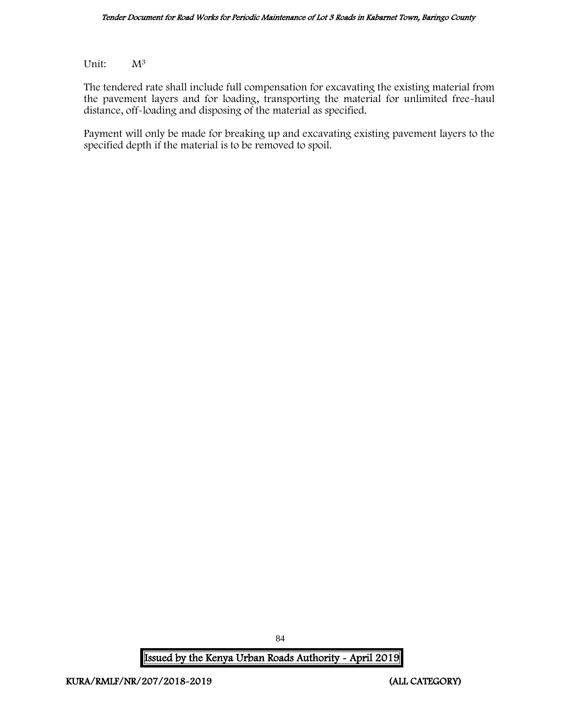Unit:  $M^3$ 

The tendered rate shall include full compensation for excavating the existing material from the pavement layers and for loading, transporting the material for unlimited free-haul distance, off-loading and disposing of the material as specified.

Payment will only be made for breaking up and excavating existing pavement layers to the specified depth if the material is to be removed to spoil.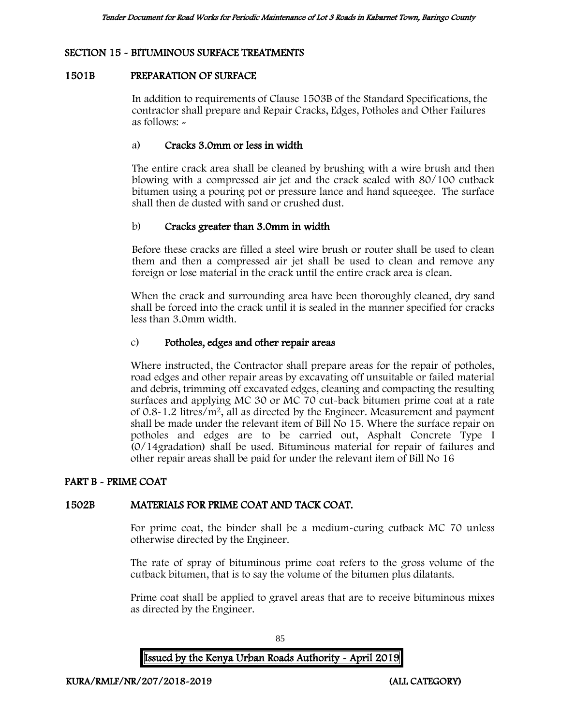## SECTION 15 - BITUMINOUS SURFACE TREATMENTS

## 1501B PREPARATION OF SURFACE

In addition to requirements of Clause 1503B of the Standard Specifications, the contractor shall prepare and Repair Cracks, Edges, Potholes and Other Failures as follows: -

## a) Cracks 3.0mm or less in width

The entire crack area shall be cleaned by brushing with a wire brush and then blowing with a compressed air jet and the crack sealed with 80/100 cutback bitumen using a pouring pot or pressure lance and hand squeegee. The surface shall then de dusted with sand or crushed dust.

## b) Cracks greater than 3.0mm in width

Before these cracks are filled a steel wire brush or router shall be used to clean them and then a compressed air jet shall be used to clean and remove any foreign or lose material in the crack until the entire crack area is clean.

When the crack and surrounding area have been thoroughly cleaned, dry sand shall be forced into the crack until it is sealed in the manner specified for cracks less than 3.0mm width.

## c) Potholes, edges and other repair areas

Where instructed, the Contractor shall prepare areas for the repair of potholes, road edges and other repair areas by excavating off unsuitable or failed material and debris, trimming off excavated edges, cleaning and compacting the resulting surfaces and applying MC 30 or MC 70 cut-back bitumen prime coat at a rate of 0.8-1.2 litres/m<sup>2</sup>, all as directed by the Engineer. Measurement and payment shall be made under the relevant item of Bill No 15. Where the surface repair on potholes and edges are to be carried out, Asphalt Concrete Type I (0/14gradation) shall be used. Bituminous material for repair of failures and other repair areas shall be paid for under the relevant item of Bill No 16

## PART B - PRIME COAT

## 1502B MATERIALS FOR PRIME COAT AND TACK COAT.

For prime coat, the binder shall be a medium-curing cutback MC 70 unless otherwise directed by the Engineer.

The rate of spray of bituminous prime coat refers to the gross volume of the cutback bitumen, that is to say the volume of the bitumen plus dilatants.

Prime coat shall be applied to gravel areas that are to receive bituminous mixes as directed by the Engineer.

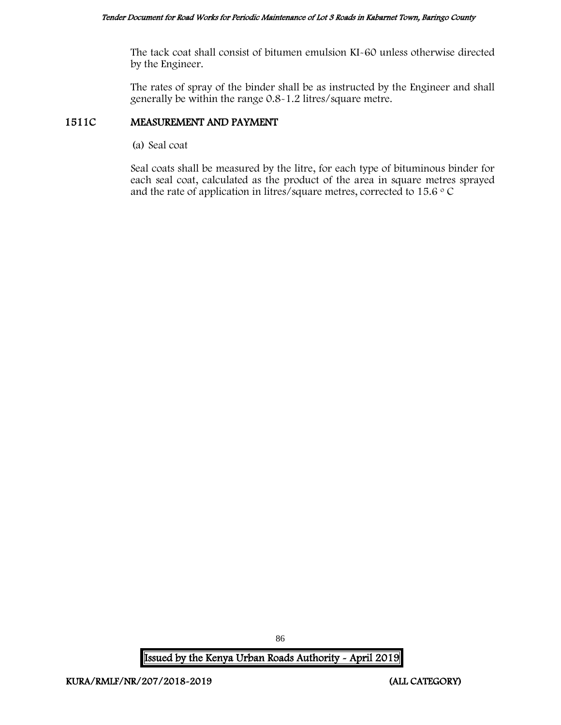The tack coat shall consist of bitumen emulsion KI-60 unless otherwise directed by the Engineer.

The rates of spray of the binder shall be as instructed by the Engineer and shall generally be within the range 0.8-1.2 litres/square metre.

## 1511C MEASUREMENT AND PAYMENT

(a) Seal coat

Seal coats shall be measured by the litre, for each type of bituminous binder for each seal coat, calculated as the product of the area in square metres sprayed and the rate of application in litres/square metres, corrected to 15.6  $\circ$  C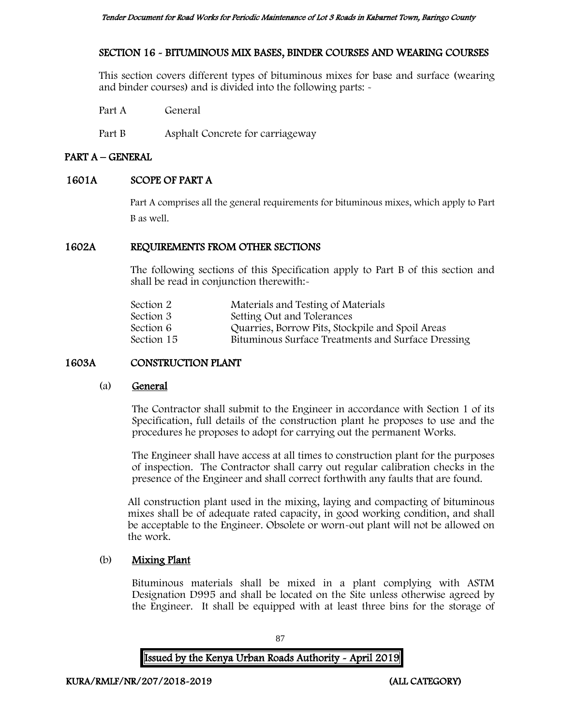# SECTION 16 - BITUMINOUS MIX BASES, BINDER COURSES AND WEARING COURSES

This section covers different types of bituminous mixes for base and surface (wearing and binder courses) and is divided into the following parts: -

Part A General

Part B Asphalt Concrete for carriageway

## PART A – GENERAL

## 1601A SCOPE OF PART A

Part A comprises all the general requirements for bituminous mixes, which apply to Part B as well.

## 1602A REQUIREMENTS FROM OTHER SECTIONS

The following sections of this Specification apply to Part B of this section and shall be read in conjunction therewith:-

| Section 2  | Materials and Testing of Materials                 |
|------------|----------------------------------------------------|
| Section 3  | Setting Out and Tolerances                         |
| Section 6  | Quarries, Borrow Pits, Stockpile and Spoil Areas   |
| Section 15 | Bituminous Surface Treatments and Surface Dressing |
|            |                                                    |

# 1603A CONSTRUCTION PLANT

## (a) General

The Contractor shall submit to the Engineer in accordance with Section 1 of its Specification, full details of the construction plant he proposes to use and the procedures he proposes to adopt for carrying out the permanent Works.

The Engineer shall have access at all times to construction plant for the purposes of inspection. The Contractor shall carry out regular calibration checks in the presence of the Engineer and shall correct forthwith any faults that are found.

All construction plant used in the mixing, laying and compacting of bituminous mixes shall be of adequate rated capacity, in good working condition, and shall be acceptable to the Engineer. Obsolete or worn-out plant will not be allowed on the work.

## (b) Mixing Plant

Bituminous materials shall be mixed in a plant complying with ASTM Designation D995 and shall be located on the Site unless otherwise agreed by the Engineer. It shall be equipped with at least three bins for the storage of

87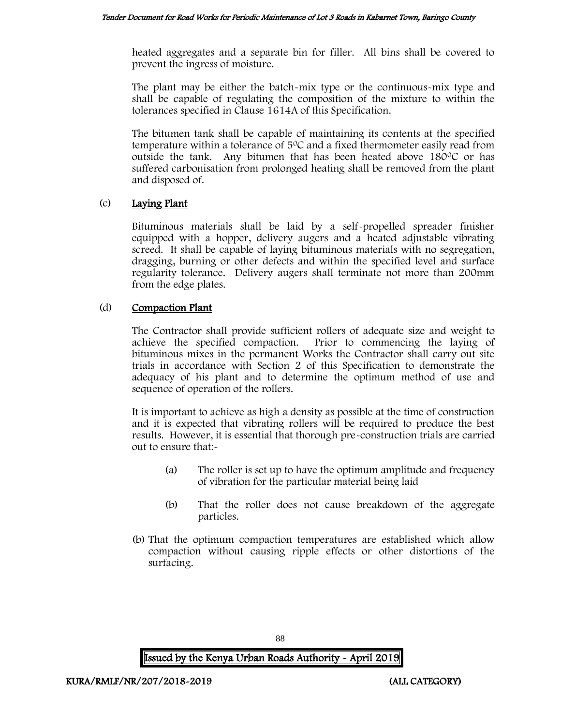heated aggregates and a separate bin for filler. All bins shall be covered to prevent the ingress of moisture.

The plant may be either the batch-mix type or the continuous-mix type and shall be capable of regulating the composition of the mixture to within the tolerances specified in Clause 1614A of this Specification.

The bitumen tank shall be capable of maintaining its contents at the specified temperature within a tolerance of  $5^{\circ}$ C and a fixed thermometer easily read from outside the tank. Any bitumen that has been heated above  $180^{\circ}$ C or has suffered carbonisation from prolonged heating shall be removed from the plant and disposed of.

## (c) Laying Plant

Bituminous materials shall be laid by a self-propelled spreader finisher equipped with a hopper, delivery augers and a heated adjustable vibrating screed. It shall be capable of laying bituminous materials with no segregation, dragging, burning or other defects and within the specified level and surface regularity tolerance. Delivery augers shall terminate not more than 200mm from the edge plates.

## (d) Compaction Plant

The Contractor shall provide sufficient rollers of adequate size and weight to achieve the specified compaction. Prior to commencing the laying of bituminous mixes in the permanent Works the Contractor shall carry out site trials in accordance with Section 2 of this Specification to demonstrate the adequacy of his plant and to determine the optimum method of use and sequence of operation of the rollers.

It is important to achieve as high a density as possible at the time of construction and it is expected that vibrating rollers will be required to produce the best results. However, it is essential that thorough pre-construction trials are carried out to ensure that:-

- (a) The roller is set up to have the optimum amplitude and frequency of vibration for the particular material being laid
- (b) That the roller does not cause breakdown of the aggregate particles.
- (b) That the optimum compaction temperatures are established which allow compaction without causing ripple effects or other distortions of the surfacing.

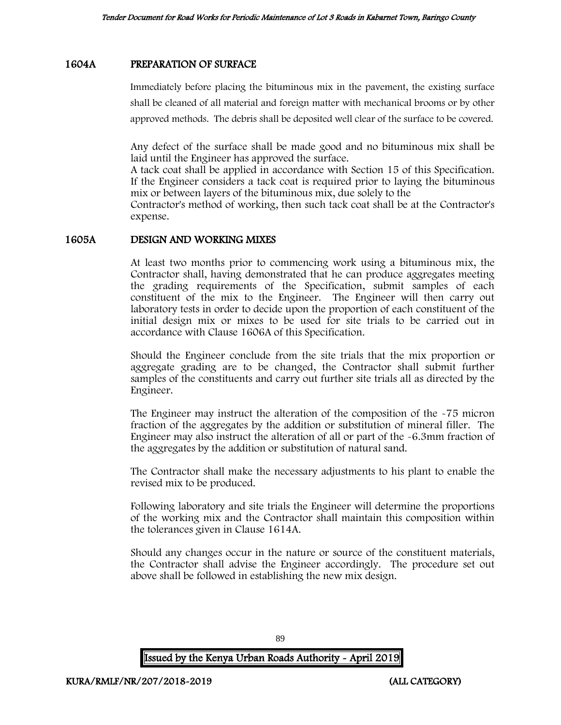## 1604A PREPARATION OF SURFACE

Immediately before placing the bituminous mix in the pavement, the existing surface shall be cleaned of all material and foreign matter with mechanical brooms or by other approved methods. The debris shall be deposited well clear of the surface to be covered.

Any defect of the surface shall be made good and no bituminous mix shall be laid until the Engineer has approved the surface.

A tack coat shall be applied in accordance with Section 15 of this Specification. If the Engineer considers a tack coat is required prior to laying the bituminous mix or between layers of the bituminous mix, due solely to the

Contractor's method of working, then such tack coat shall be at the Contractor's expense.

## 1605A DESIGN AND WORKING MIXES

At least two months prior to commencing work using a bituminous mix, the Contractor shall, having demonstrated that he can produce aggregates meeting the grading requirements of the Specification, submit samples of each constituent of the mix to the Engineer. The Engineer will then carry out laboratory tests in order to decide upon the proportion of each constituent of the initial design mix or mixes to be used for site trials to be carried out in accordance with Clause 1606A of this Specification.

Should the Engineer conclude from the site trials that the mix proportion or aggregate grading are to be changed, the Contractor shall submit further samples of the constituents and carry out further site trials all as directed by the Engineer.

The Engineer may instruct the alteration of the composition of the -75 micron fraction of the aggregates by the addition or substitution of mineral filler. The Engineer may also instruct the alteration of all or part of the -6.3mm fraction of the aggregates by the addition or substitution of natural sand.

The Contractor shall make the necessary adjustments to his plant to enable the revised mix to be produced.

Following laboratory and site trials the Engineer will determine the proportions of the working mix and the Contractor shall maintain this composition within the tolerances given in Clause 1614A.

Should any changes occur in the nature or source of the constituent materials, the Contractor shall advise the Engineer accordingly. The procedure set out above shall be followed in establishing the new mix design.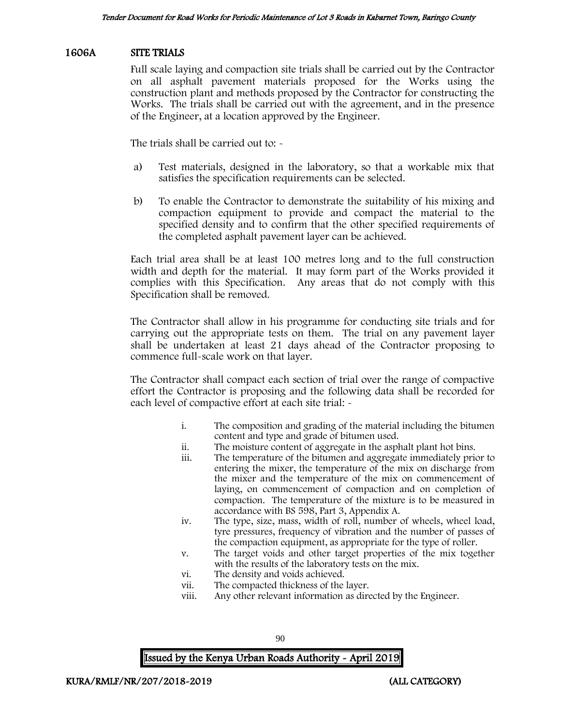#### 1606A SITE TRIALS

Full scale laying and compaction site trials shall be carried out by the Contractor on all asphalt pavement materials proposed for the Works using the construction plant and methods proposed by the Contractor for constructing the Works. The trials shall be carried out with the agreement, and in the presence of the Engineer, at a location approved by the Engineer.

The trials shall be carried out to: -

- a) Test materials, designed in the laboratory, so that a workable mix that satisfies the specification requirements can be selected.
- b) To enable the Contractor to demonstrate the suitability of his mixing and compaction equipment to provide and compact the material to the specified density and to confirm that the other specified requirements of the completed asphalt pavement layer can be achieved.

Each trial area shall be at least 100 metres long and to the full construction width and depth for the material. It may form part of the Works provided it complies with this Specification. Any areas that do not comply with this Specification shall be removed.

The Contractor shall allow in his programme for conducting site trials and for carrying out the appropriate tests on them. The trial on any pavement layer shall be undertaken at least 21 days ahead of the Contractor proposing to commence full-scale work on that layer.

The Contractor shall compact each section of trial over the range of compactive effort the Contractor is proposing and the following data shall be recorded for each level of compactive effort at each site trial: -

- i. The composition and grading of the material including the bitumen content and type and grade of bitumen used.
- ii. The moisture content of aggregate in the asphalt plant hot bins.
- The temperature of the bitumen and aggregate immediately prior to entering the mixer, the temperature of the mix on discharge from the mixer and the temperature of the mix on commencement of laying, on commencement of compaction and on completion of compaction. The temperature of the mixture is to be measured in accordance with BS 598, Part 3, Appendix A.
- iv. The type, size, mass, width of roll, number of wheels, wheel load, tyre pressures, frequency of vibration and the number of passes of the compaction equipment, as appropriate for the type of roller.
- v. The target voids and other target properties of the mix together with the results of the laboratory tests on the mix.
- vi. The density and voids achieved.
- vii. The compacted thickness of the layer.
- viii. Any other relevant information as directed by the Engineer.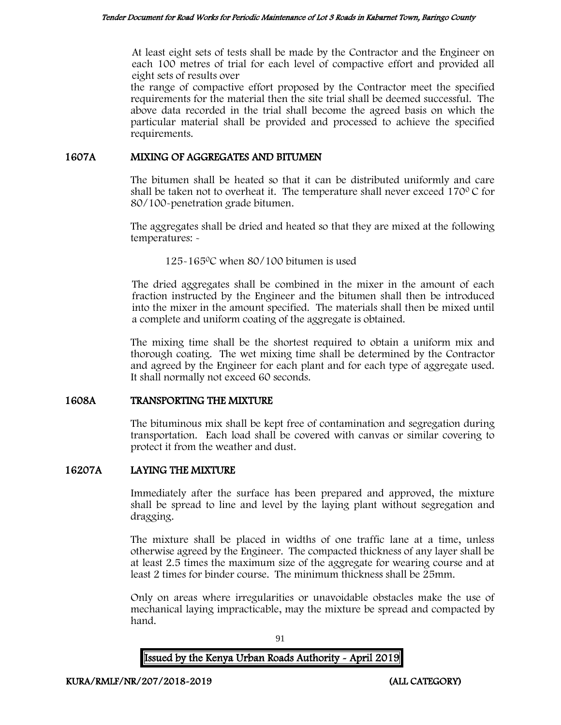At least eight sets of tests shall be made by the Contractor and the Engineer on each 100 metres of trial for each level of compactive effort and provided all eight sets of results over

the range of compactive effort proposed by the Contractor meet the specified requirements for the material then the site trial shall be deemed successful. The above data recorded in the trial shall become the agreed basis on which the particular material shall be provided and processed to achieve the specified requirements.

## 1607A MIXING OF AGGREGATES AND BITUMEN

The bitumen shall be heated so that it can be distributed uniformly and care shall be taken not to overheat it. The temperature shall never exceed  $170^{\circ}$ C for 80/100-penetration grade bitumen.

The aggregates shall be dried and heated so that they are mixed at the following temperatures: -

125-165<sup>0</sup>C when 80/100 bitumen is used

The dried aggregates shall be combined in the mixer in the amount of each fraction instructed by the Engineer and the bitumen shall then be introduced into the mixer in the amount specified. The materials shall then be mixed until a complete and uniform coating of the aggregate is obtained.

The mixing time shall be the shortest required to obtain a uniform mix and thorough coating. The wet mixing time shall be determined by the Contractor and agreed by the Engineer for each plant and for each type of aggregate used. It shall normally not exceed 60 seconds.

## 1608A TRANSPORTING THE MIXTURE

The bituminous mix shall be kept free of contamination and segregation during transportation. Each load shall be covered with canvas or similar covering to protect it from the weather and dust.

## 16207A LAYING THE MIXTURE

Immediately after the surface has been prepared and approved, the mixture shall be spread to line and level by the laying plant without segregation and dragging.

The mixture shall be placed in widths of one traffic lane at a time, unless otherwise agreed by the Engineer. The compacted thickness of any layer shall be at least 2.5 times the maximum size of the aggregate for wearing course and at least 2 times for binder course. The minimum thickness shall be 25mm.

Only on areas where irregularities or unavoidable obstacles make the use of mechanical laying impracticable, may the mixture be spread and compacted by hand.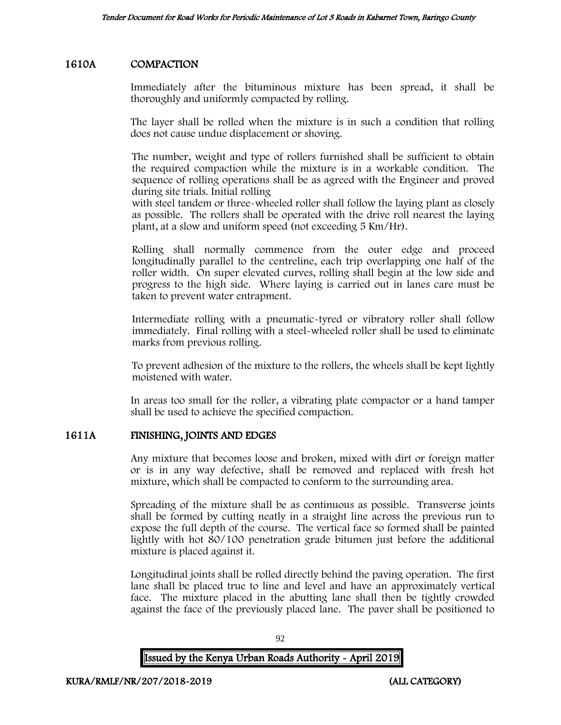## 1610A COMPACTION

Immediately after the bituminous mixture has been spread, it shall be thoroughly and uniformly compacted by rolling.

The layer shall be rolled when the mixture is in such a condition that rolling does not cause undue displacement or shoving.

The number, weight and type of rollers furnished shall be sufficient to obtain the required compaction while the mixture is in a workable condition. The sequence of rolling operations shall be as agreed with the Engineer and proved during site trials. Initial rolling

with steel tandem or three-wheeled roller shall follow the laying plant as closely as possible. The rollers shall be operated with the drive roll nearest the laying plant, at a slow and uniform speed (not exceeding 5 Km/Hr).

Rolling shall normally commence from the outer edge and proceed longitudinally parallel to the centreline, each trip overlapping one half of the roller width. On super elevated curves, rolling shall begin at the low side and progress to the high side. Where laying is carried out in lanes care must be taken to prevent water entrapment.

Intermediate rolling with a pneumatic-tyred or vibratory roller shall follow immediately. Final rolling with a steel-wheeled roller shall be used to eliminate marks from previous rolling.

To prevent adhesion of the mixture to the rollers, the wheels shall be kept lightly moistened with water.

In areas too small for the roller, a vibrating plate compactor or a hand tamper shall be used to achieve the specified compaction.

## 1611A FINISHING, JOINTS AND EDGES

Any mixture that becomes loose and broken, mixed with dirt or foreign matter or is in any way defective, shall be removed and replaced with fresh hot mixture, which shall be compacted to conform to the surrounding area.

Spreading of the mixture shall be as continuous as possible. Transverse joints shall be formed by cutting neatly in a straight line across the previous run to expose the full depth of the course. The vertical face so formed shall be painted lightly with hot 80/100 penetration grade bitumen just before the additional mixture is placed against it.

Longitudinal joints shall be rolled directly behind the paving operation. The first lane shall be placed true to line and level and have an approximately vertical face. The mixture placed in the abutting lane shall then be tightly crowded against the face of the previously placed lane. The paver shall be positioned to

| <b>Issued by the Kenya Urban Roads Authority - April 2019</b> |  |
|---------------------------------------------------------------|--|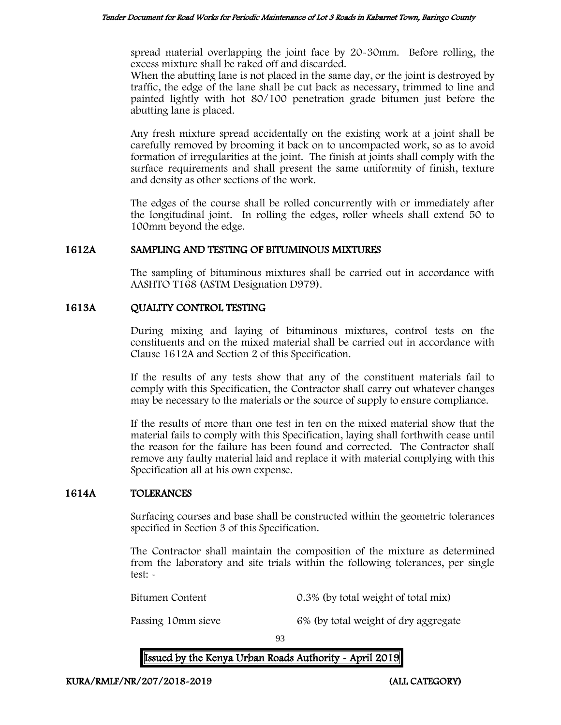spread material overlapping the joint face by 20-30mm. Before rolling, the excess mixture shall be raked off and discarded.

When the abutting lane is not placed in the same day, or the joint is destroyed by traffic, the edge of the lane shall be cut back as necessary, trimmed to line and painted lightly with hot 80/100 penetration grade bitumen just before the abutting lane is placed.

Any fresh mixture spread accidentally on the existing work at a joint shall be carefully removed by brooming it back on to uncompacted work, so as to avoid formation of irregularities at the joint. The finish at joints shall comply with the surface requirements and shall present the same uniformity of finish, texture and density as other sections of the work.

The edges of the course shall be rolled concurrently with or immediately after the longitudinal joint. In rolling the edges, roller wheels shall extend 50 to 100mm beyond the edge.

## 1612A SAMPLING AND TESTING OF BITUMINOUS MIXTURES

The sampling of bituminous mixtures shall be carried out in accordance with AASHTO T168 (ASTM Designation D979).

## 1613A QUALITY CONTROL TESTING

During mixing and laying of bituminous mixtures, control tests on the constituents and on the mixed material shall be carried out in accordance with Clause 1612A and Section 2 of this Specification.

If the results of any tests show that any of the constituent materials fail to comply with this Specification, the Contractor shall carry out whatever changes may be necessary to the materials or the source of supply to ensure compliance.

If the results of more than one test in ten on the mixed material show that the material fails to comply with this Specification, laying shall forthwith cease until the reason for the failure has been found and corrected. The Contractor shall remove any faulty material laid and replace it with material complying with this Specification all at his own expense.

## 1614A TOLERANCES

Surfacing courses and base shall be constructed within the geometric tolerances specified in Section 3 of this Specification.

The Contractor shall maintain the composition of the mixture as determined from the laboratory and site trials within the following tolerances, per single test: -

Bitumen Content 0.3% (by total weight of total mix)

Passing 10mm sieve 6% (by total weight of dry aggregate

93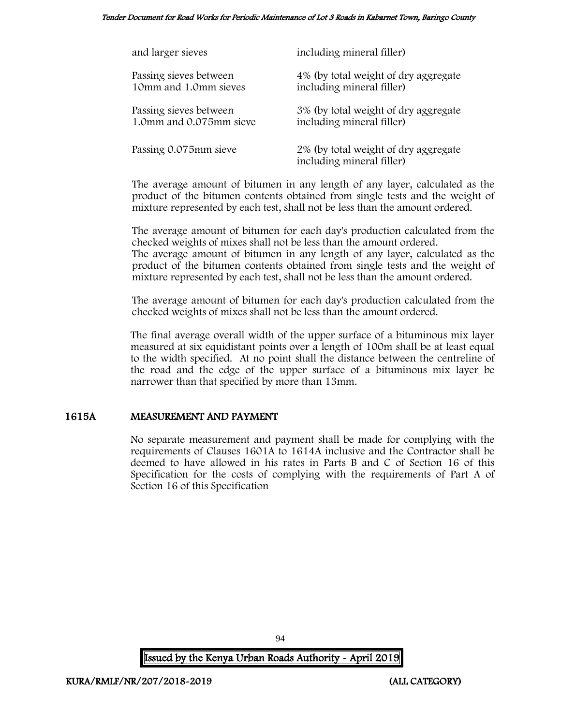Tender Document for Road Works for Periodic Maintenance of Lot 3 Roads in Kabarnet Town, Baringo County

| and larger sieves       | including mineral filler)                                         |
|-------------------------|-------------------------------------------------------------------|
| Passing sieves between  | 4% (by total weight of dry aggregate                              |
| 10mm and 1.0mm sieves   | including mineral filler)                                         |
| Passing sieves between  | 3% (by total weight of dry aggregate                              |
| 1.0mm and 0.075mm sieve | including mineral filler)                                         |
| Passing 0.075mm sieve   | 2% (by total weight of dry aggregate<br>including mineral filler) |

The average amount of bitumen in any length of any layer, calculated as the product of the bitumen contents obtained from single tests and the weight of mixture represented by each test, shall not be less than the amount ordered.

The average amount of bitumen for each day's production calculated from the checked weights of mixes shall not be less than the amount ordered. The average amount of bitumen in any length of any layer, calculated as the

product of the bitumen contents obtained from single tests and the weight of mixture represented by each test, shall not be less than the amount ordered.

The average amount of bitumen for each day's production calculated from the checked weights of mixes shall not be less than the amount ordered.

The final average overall width of the upper surface of a bituminous mix layer measured at six equidistant points over a length of 100m shall be at least equal to the width specified. At no point shall the distance between the centreline of the road and the edge of the upper surface of a bituminous mix layer be narrower than that specified by more than 13mm.

## 1615A MEASUREMENT AND PAYMENT

No separate measurement and payment shall be made for complying with the requirements of Clauses 1601A to 1614A inclusive and the Contractor shall be deemed to have allowed in his rates in Parts B and C of Section 16 of this Specification for the costs of complying with the requirements of Part A of Section 16 of this Specification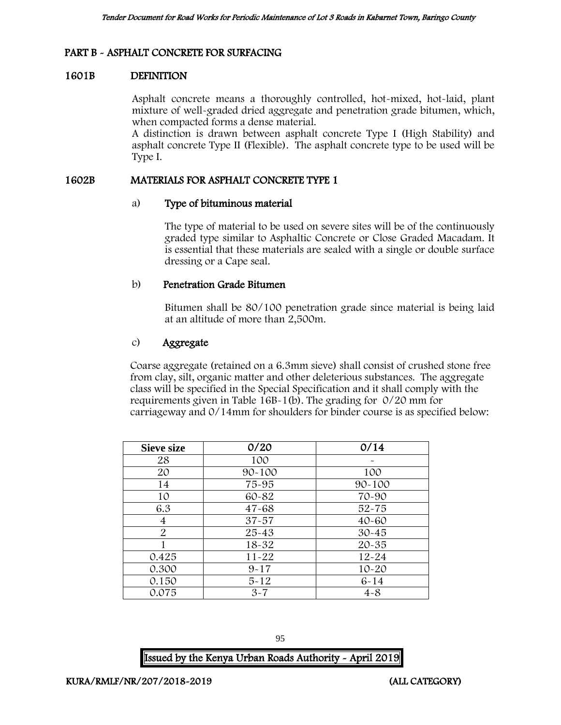## PART B - ASPHALT CONCRETE FOR SURFACING

## 1601B DEFINITION

Asphalt concrete means a thoroughly controlled, hot-mixed, hot-laid, plant mixture of well-graded dried aggregate and penetration grade bitumen, which, when compacted forms a dense material.

A distinction is drawn between asphalt concrete Type I (High Stability) and asphalt concrete Type II (Flexible). The asphalt concrete type to be used will be Type I.

## 1602B MATERIALS FOR ASPHALT CONCRETE TYPE 1

## a) Type of bituminous material

The type of material to be used on severe sites will be of the continuously graded type similar to Asphaltic Concrete or Close Graded Macadam. It is essential that these materials are sealed with a single or double surface dressing or a Cape seal.

## b) Penetration Grade Bitumen

Bitumen shall be 80/100 penetration grade since material is being laid at an altitude of more than 2,500m.

## c) Aggregate

Coarse aggregate (retained on a 6.3mm sieve) shall consist of crushed stone free from clay, silt, organic matter and other deleterious substances. The aggregate class will be specified in the Special Specification and it shall comply with the requirements given in Table 16B-1(b). The grading for 0/20 mm for carriageway and 0/14mm for shoulders for binder course is as specified below:

| <b>Sieve size</b> | 0/20       | 0/14       |
|-------------------|------------|------------|
| 28                | 100        |            |
| 20                | $90 - 100$ | 100        |
| 14                | 75-95      | $90 - 100$ |
| 10                | 60-82      | 70-90      |
| 6.3               | $47 - 68$  | $52 - 75$  |
| 4                 | $37 - 57$  | $40 - 60$  |
| $\overline{2}$    | $25 - 43$  | $30 - 45$  |
|                   | $18 - 32$  | $20 - 35$  |
| 0.425             | $11 - 22$  | $12 - 24$  |
| 0.300             | $9 - 17$   | $10 - 20$  |
| 0.150             | $5 - 12$   | $6 - 14$   |
| 0.075             | $3 - 7$    | $4 - 8$    |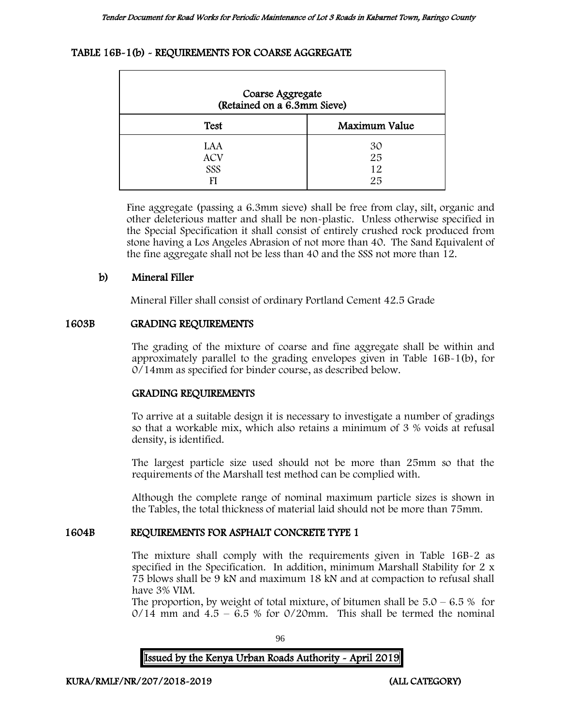## TABLE 16B-1(b) - REQUIREMENTS FOR COARSE AGGREGATE

| Coarse Aggregate<br>(Retained on a 6.3mm Sieve) |                      |  |
|-------------------------------------------------|----------------------|--|
| <b>Test</b>                                     | Maximum Value        |  |
| LAA<br><b>ACV</b><br>SSS<br>FI                  | 30<br>25<br>12<br>25 |  |

Fine aggregate (passing a 6.3mm sieve) shall be free from clay, silt, organic and other deleterious matter and shall be non-plastic. Unless otherwise specified in the Special Specification it shall consist of entirely crushed rock produced from stone having a Los Angeles Abrasion of not more than 40. The Sand Equivalent of the fine aggregate shall not be less than 40 and the SSS not more than 12.

## b) Mineral Filler

Mineral Filler shall consist of ordinary Portland Cement 42.5 Grade

## 1603B GRADING REQUIREMENTS

The grading of the mixture of coarse and fine aggregate shall be within and approximately parallel to the grading envelopes given in Table 16B-1(b), for 0/14mm as specified for binder course, as described below.

## GRADING REQUIREMENTS

To arrive at a suitable design it is necessary to investigate a number of gradings so that a workable mix, which also retains a minimum of 3 % voids at refusal density, is identified.

The largest particle size used should not be more than 25mm so that the requirements of the Marshall test method can be complied with.

Although the complete range of nominal maximum particle sizes is shown in the Tables, the total thickness of material laid should not be more than 75mm.

## 1604B REQUIREMENTS FOR ASPHALT CONCRETE TYPE 1

The mixture shall comply with the requirements given in Table 16B-2 as specified in the Specification. In addition, minimum Marshall Stability for 2 x 75 blows shall be 9 kN and maximum 18 kN and at compaction to refusal shall have 3% VIM.

The proportion, by weight of total mixture, of bitumen shall be  $5.0 - 6.5\%$  for  $0/14$  mm and  $4.5 - 6.5$  % for  $0/20$ mm. This shall be termed the nominal

96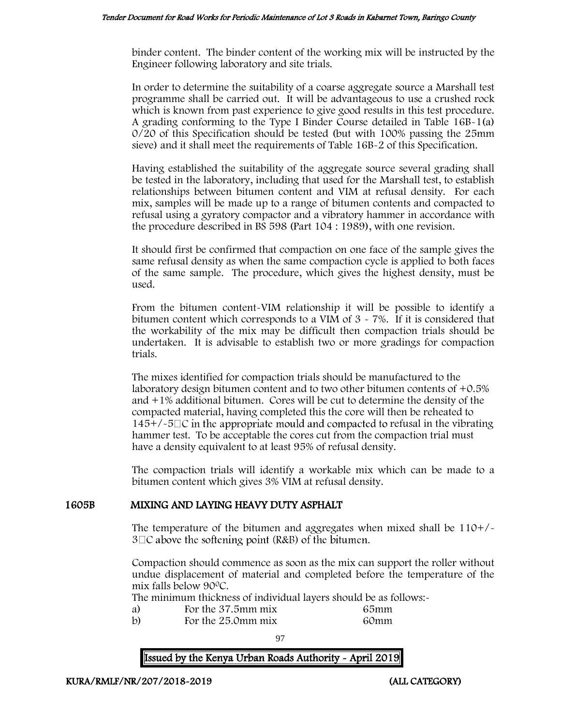binder content. The binder content of the working mix will be instructed by the Engineer following laboratory and site trials.

In order to determine the suitability of a coarse aggregate source a Marshall test programme shall be carried out. It will be advantageous to use a crushed rock which is known from past experience to give good results in this test procedure. A grading conforming to the Type I Binder Course detailed in Table 16B-1(a) 0/20 of this Specification should be tested (but with 100% passing the 25mm sieve) and it shall meet the requirements of Table 16B-2 of this Specification.

Having established the suitability of the aggregate source several grading shall be tested in the laboratory, including that used for the Marshall test, to establish relationships between bitumen content and VIM at refusal density. For each mix, samples will be made up to a range of bitumen contents and compacted to refusal using a gyratory compactor and a vibratory hammer in accordance with the procedure described in BS 598 (Part 104 : 1989), with one revision.

It should first be confirmed that compaction on one face of the sample gives the same refusal density as when the same compaction cycle is applied to both faces of the same sample. The procedure, which gives the highest density, must be used.

From the bitumen content-VIM relationship it will be possible to identify a bitumen content which corresponds to a VIM of  $3 \times 7\%$ . If it is considered that the workability of the mix may be difficult then compaction trials should be undertaken. It is advisable to establish two or more gradings for compaction trials.

The mixes identified for compaction trials should be manufactured to the laboratory design bitumen content and to two other bitumen contents of +0.5% and +1% additional bitumen. Cores will be cut to determine the density of the compacted material, having completed this the core will then be reheated to  $145+/-5\degree$  in the appropriate mould and compacted to refusal in the vibrating hammer test. To be acceptable the cores cut from the compaction trial must have a density equivalent to at least 95% of refusal density.

The compaction trials will identify a workable mix which can be made to a bitumen content which gives 3% VIM at refusal density.

## 1605B MIXING AND LAYING HEAVY DUTY ASPHALT

The temperature of the bitumen and aggregates when mixed shall be 110+/-  $3\Box C$  above the softening point (R&B) of the bitumen.

Compaction should commence as soon as the mix can support the roller without undue displacement of material and completed before the temperature of the mix falls below 90<sup>0</sup>C.

The minimum thickness of individual layers should be as follows:-

- 
- a) For the 37.5mm mix 65mm<br>b) For the 25.0mm mix 60mm For the 25.0mm mix 60mm

97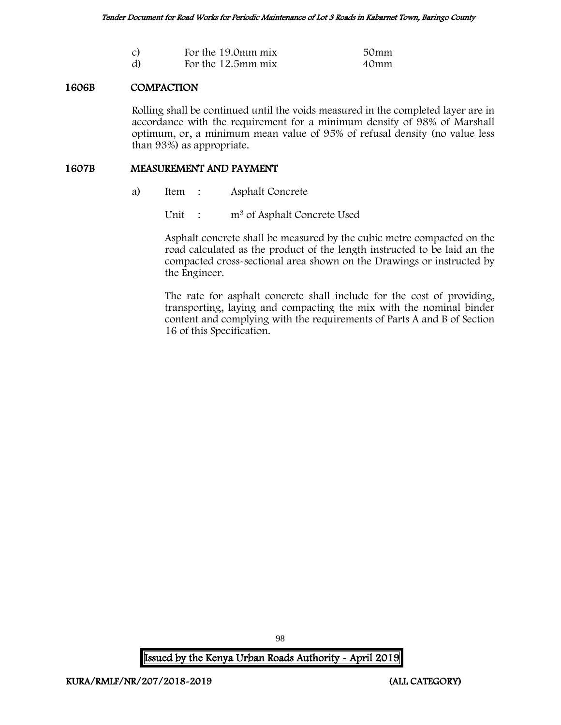| $\mathcal{C}$ | For the 19.0mm mix | 50mm |
|---------------|--------------------|------|
| d)            | For the 12.5mm mix | 40mm |

## 1606B COMPACTION

Rolling shall be continued until the voids measured in the completed layer are in accordance with the requirement for a minimum density of 98% of Marshall optimum, or, a minimum mean value of 95% of refusal density (no value less than 93%) as appropriate.

#### 1607B MEASUREMENT AND PAYMENT

a) Item : Asphalt Concrete

Unit : m<sup>3</sup> of Asphalt Concrete Used

Asphalt concrete shall be measured by the cubic metre compacted on the road calculated as the product of the length instructed to be laid an the compacted cross-sectional area shown on the Drawings or instructed by the Engineer.

The rate for asphalt concrete shall include for the cost of providing, transporting, laying and compacting the mix with the nominal binder content and complying with the requirements of Parts A and B of Section 16 of this Specification.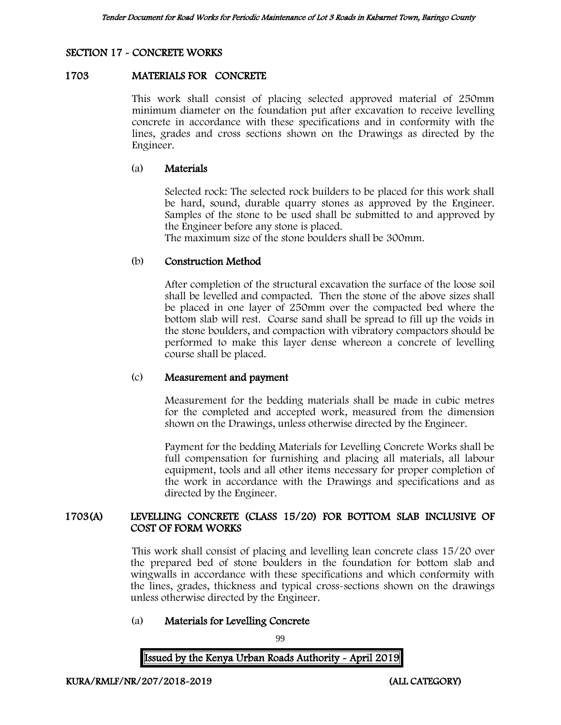# SECTION 17 - CONCRETE WORKS

## 1703 MATERIALS FOR CONCRETE

This work shall consist of placing selected approved material of 250mm minimum diameter on the foundation put after excavation to receive levelling concrete in accordance with these specifications and in conformity with the lines, grades and cross sections shown on the Drawings as directed by the Engineer.

## (a) Materials

Selected rock: The selected rock builders to be placed for this work shall be hard, sound, durable quarry stones as approved by the Engineer. Samples of the stone to be used shall be submitted to and approved by the Engineer before any stone is placed.

The maximum size of the stone boulders shall be 300mm.

## (b) Construction Method

After completion of the structural excavation the surface of the loose soil shall be levelled and compacted. Then the stone of the above sizes shall be placed in one layer of 250mm over the compacted bed where the bottom slab will rest. Coarse sand shall be spread to fill up the voids in the stone boulders, and compaction with vibratory compactors should be performed to make this layer dense whereon a concrete of levelling course shall be placed.

## (c) Measurement and payment

Measurement for the bedding materials shall be made in cubic metres for the completed and accepted work, measured from the dimension shown on the Drawings, unless otherwise directed by the Engineer.

Payment for the bedding Materials for Levelling Concrete Works shall be full compensation for furnishing and placing all materials, all labour equipment, tools and all other items necessary for proper completion of the work in accordance with the Drawings and specifications and as directed by the Engineer.

## 1703(A) LEVELLING CONCRETE (CLASS 15/20) FOR BOTTOM SLAB INCLUSIVE OF COST OF FORM WORKS

This work shall consist of placing and levelling lean concrete class 15/20 over the prepared bed of stone boulders in the foundation for bottom slab and wingwalls in accordance with these specifications and which conformity with the lines, grades, thickness and typical cross-sections shown on the drawings unless otherwise directed by the Engineer.

## (a) Materials for Levelling Concrete

99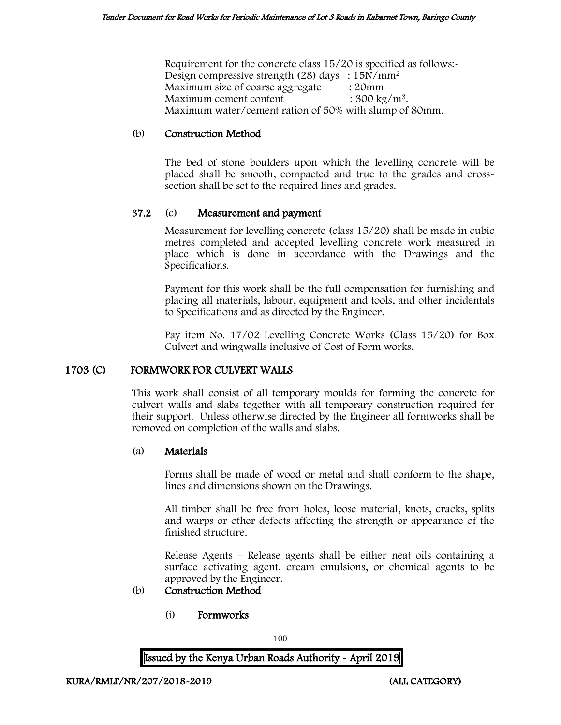Requirement for the concrete class 15/20 is specified as follows:- Design compressive strength (28) days : 15N/mm<sup>2</sup> Maximum size of coarse aggregate : 20mm Maximum cement content  $: 300 \text{ kg/m}^3$ . Maximum water/cement ration of 50% with slump of 80mm.

## (b) Construction Method

The bed of stone boulders upon which the levelling concrete will be placed shall be smooth, compacted and true to the grades and crosssection shall be set to the required lines and grades.

## 37.2 (c) Measurement and payment

Measurement for levelling concrete (class 15/20) shall be made in cubic metres completed and accepted levelling concrete work measured in place which is done in accordance with the Drawings and the Specifications.

Payment for this work shall be the full compensation for furnishing and placing all materials, labour, equipment and tools, and other incidentals to Specifications and as directed by the Engineer.

Pay item No. 17/02 Levelling Concrete Works (Class 15/20) for Box Culvert and wingwalls inclusive of Cost of Form works.

## 1703 (C) FORMWORK FOR CULVERT WALLS

This work shall consist of all temporary moulds for forming the concrete for culvert walls and slabs together with all temporary construction required for their support. Unless otherwise directed by the Engineer all formworks shall be removed on completion of the walls and slabs.

## (a) Materials

Forms shall be made of wood or metal and shall conform to the shape, lines and dimensions shown on the Drawings.

All timber shall be free from holes, loose material, knots, cracks, splits and warps or other defects affecting the strength or appearance of the finished structure.

Release Agents – Release agents shall be either neat oils containing a surface activating agent, cream emulsions, or chemical agents to be approved by the Engineer.

## (b) Construction Method

(i) Formworks

100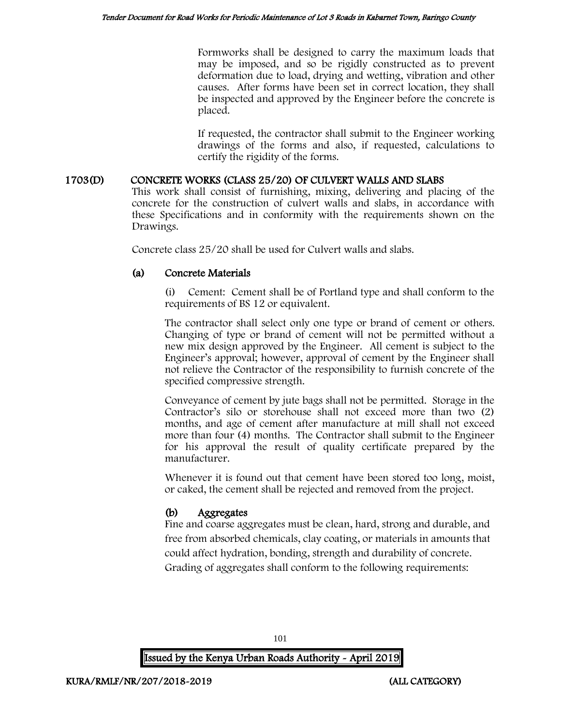Formworks shall be designed to carry the maximum loads that may be imposed, and so be rigidly constructed as to prevent deformation due to load, drying and wetting, vibration and other causes. After forms have been set in correct location, they shall be inspected and approved by the Engineer before the concrete is placed.

If requested, the contractor shall submit to the Engineer working drawings of the forms and also, if requested, calculations to certify the rigidity of the forms.

## 1703(D) CONCRETE WORKS (CLASS 25/20) OF CULVERT WALLS AND SLABS

This work shall consist of furnishing, mixing, delivering and placing of the concrete for the construction of culvert walls and slabs, in accordance with these Specifications and in conformity with the requirements shown on the Drawings.

Concrete class 25/20 shall be used for Culvert walls and slabs.

## (a) Concrete Materials

Cement: Cement shall be of Portland type and shall conform to the requirements of BS 12 or equivalent.

The contractor shall select only one type or brand of cement or others. Changing of type or brand of cement will not be permitted without a new mix design approved by the Engineer. All cement is subject to the Engineer's approval; however, approval of cement by the Engineer shall not relieve the Contractor of the responsibility to furnish concrete of the specified compressive strength.

Conveyance of cement by jute bags shall not be permitted. Storage in the Contractor's silo or storehouse shall not exceed more than two (2) months, and age of cement after manufacture at mill shall not exceed more than four (4) months. The Contractor shall submit to the Engineer for his approval the result of quality certificate prepared by the manufacturer.

Whenever it is found out that cement have been stored too long, moist, or caked, the cement shall be rejected and removed from the project.

# (b) Aggregates

Fine and coarse aggregates must be clean, hard, strong and durable, and free from absorbed chemicals, clay coating, or materials in amounts that could affect hydration, bonding, strength and durability of concrete. Grading of aggregates shall conform to the following requirements:

101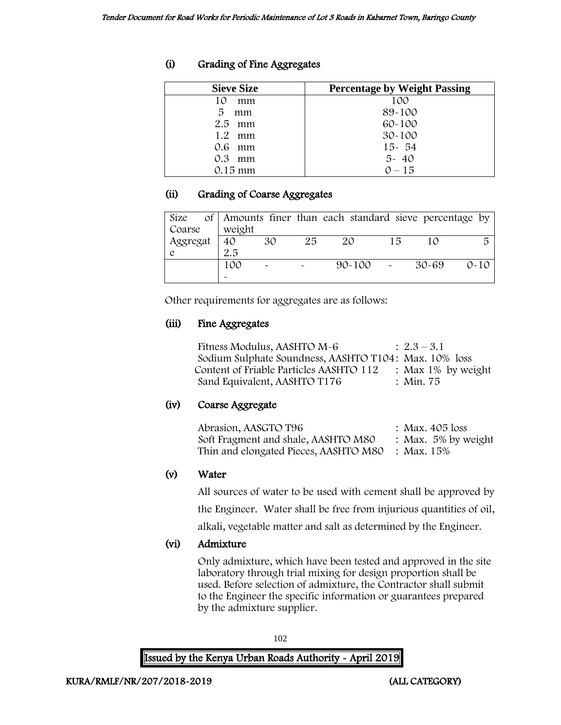# (i) Grading of Fine Aggregates

| <b>Sieve Size</b> | <b>Percentage by Weight Passing</b> |
|-------------------|-------------------------------------|
| 10<br>mm          | 100                                 |
| 5<br>mm           | 89-100                              |
| $2.5$ mm          | $60 - 100$                          |
| 1.2<br>mm         | $30 - 100$                          |
| 0.6 mm            | $15 - 54$                           |
| 0.3<br>mm         | $5 - 40$                            |
| $0.15$ mm         | $0 - 15$                            |

# (ii) Grading of Coarse Aggregates

| Size     |        |                       |    | of Amounts finer than each standard sieve percentage by |    |           |          |
|----------|--------|-----------------------|----|---------------------------------------------------------|----|-----------|----------|
| Coarse   | weight |                       |    |                                                         |    |           |          |
| Aggregat | 40     | 30                    | 25 | 20                                                      | 15 | 10        |          |
|          | 2.5    |                       |    |                                                         |    |           |          |
|          | 100    | $\tilde{\phantom{a}}$ |    | $90 - 100$                                              |    | $30 - 69$ | $0 - 10$ |
|          |        |                       |    |                                                         |    |           |          |

Other requirements for aggregates are as follows:

# (iii) Fine Aggregates

| Fitness Modulus, AASHTO M-6                           | $\therefore$ 2.3 – 3.1 |
|-------------------------------------------------------|------------------------|
| Sodium Sulphate Soundness, AASHTO T104: Max. 10% loss |                        |
| Content of Friable Particles AASHTO 112               | : Max $1\%$ by weight  |
| Sand Equivalent, AASHTO T176                          | : Min. 75              |

# (iv) Coarse Aggregate

| Abrasion, AASGTO T96                             | : Max. $405$ loss      |
|--------------------------------------------------|------------------------|
| Soft Fragment and shale, AASHTO M80              | : Max. $5\%$ by weight |
| Thin and elongated Pieces, AASHTO M80 : Max. 15% |                        |

# (v) Water

All sources of water to be used with cement shall be approved by

the Engineer. Water shall be free from injurious quantities of oil,

alkali, vegetable matter and salt as determined by the Engineer.

# (vi) Admixture

Only admixture, which have been tested and approved in the site laboratory through trial mixing for design proportion shall be used. Before selection of admixture, the Contractor shall submit to the Engineer the specific information or guarantees prepared by the admixture supplier.

102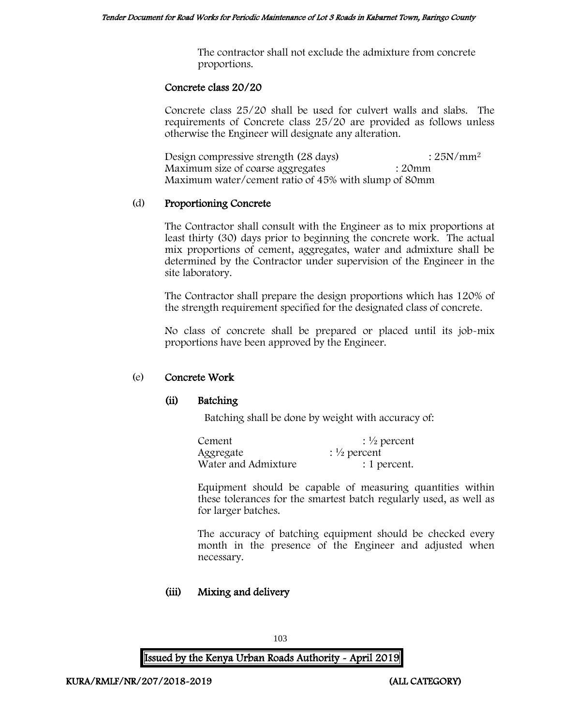The contractor shall not exclude the admixture from concrete proportions.

## Concrete class 20/20

Concrete class 25/20 shall be used for culvert walls and slabs. The requirements of Concrete class 25/20 are provided as follows unless otherwise the Engineer will designate any alteration.

Design compressive strength  $(28 \text{ days})$  :  $25N/mm^2$ Maximum size of coarse aggregates : 20mm Maximum water/cement ratio of 45% with slump of 80mm

## (d) Proportioning Concrete

The Contractor shall consult with the Engineer as to mix proportions at least thirty (30) days prior to beginning the concrete work. The actual mix proportions of cement, aggregates, water and admixture shall be determined by the Contractor under supervision of the Engineer in the site laboratory.

The Contractor shall prepare the design proportions which has 120% of the strength requirement specified for the designated class of concrete.

No class of concrete shall be prepared or placed until its job-mix proportions have been approved by the Engineer.

## (e) Concrete Work

## (ii) Batching

Batching shall be done by weight with accuracy of:

| Cement              | $\frac{1}{2}$ percent |
|---------------------|-----------------------|
| Aggregate           | $\frac{1}{2}$ percent |
| Water and Admixture | : 1 percent.          |

Equipment should be capable of measuring quantities within these tolerances for the smartest batch regularly used, as well as for larger batches.

The accuracy of batching equipment should be checked every month in the presence of the Engineer and adjusted when necessary.

## (iii) Mixing and delivery

103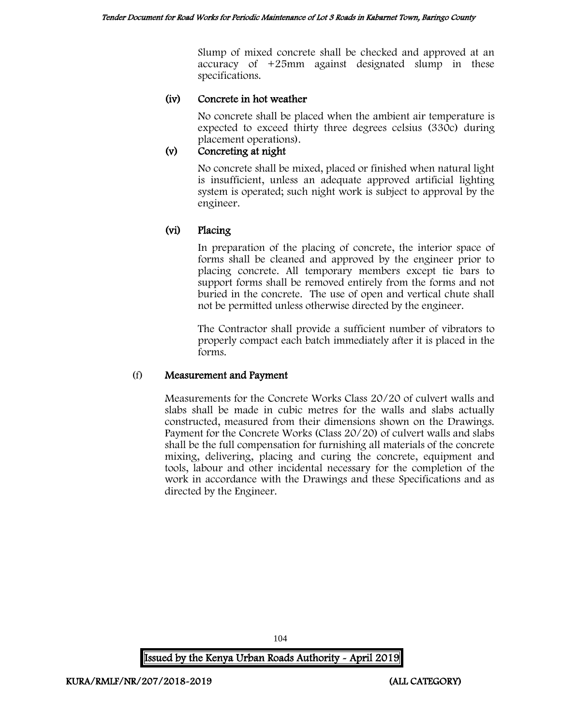Slump of mixed concrete shall be checked and approved at an accuracy of +25mm against designated slump in these specifications.

## (iv) Concrete in hot weather

No concrete shall be placed when the ambient air temperature is expected to exceed thirty three degrees celsius (330c) during placement operations).

# (v) Concreting at night

No concrete shall be mixed, placed or finished when natural light is insufficient, unless an adequate approved artificial lighting system is operated; such night work is subject to approval by the engineer.

## (vi) Placing

In preparation of the placing of concrete, the interior space of forms shall be cleaned and approved by the engineer prior to placing concrete. All temporary members except tie bars to support forms shall be removed entirely from the forms and not buried in the concrete. The use of open and vertical chute shall not be permitted unless otherwise directed by the engineer.

The Contractor shall provide a sufficient number of vibrators to properly compact each batch immediately after it is placed in the forms.

## (f) Measurement and Payment

Measurements for the Concrete Works Class 20/20 of culvert walls and slabs shall be made in cubic metres for the walls and slabs actually constructed, measured from their dimensions shown on the Drawings. Payment for the Concrete Works (Class 20/20) of culvert walls and slabs shall be the full compensation for furnishing all materials of the concrete mixing, delivering, placing and curing the concrete, equipment and tools, labour and other incidental necessary for the completion of the work in accordance with the Drawings and these Specifications and as directed by the Engineer.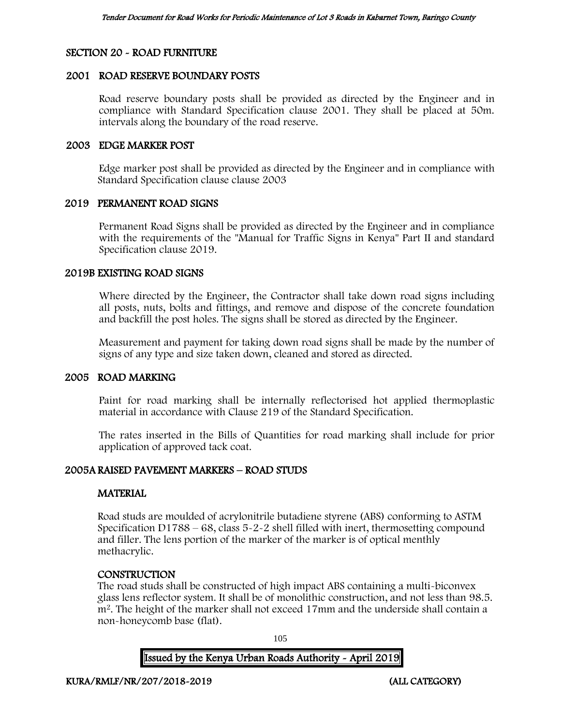## SECTION 20 - ROAD FURNITURE

## 2001 ROAD RESERVE BOUNDARY POSTS

Road reserve boundary posts shall be provided as directed by the Engineer and in compliance with Standard Specification clause 2001. They shall be placed at 50m. intervals along the boundary of the road reserve.

## 2003 EDGE MARKER POST

Edge marker post shall be provided as directed by the Engineer and in compliance with Standard Specification clause clause 2003

## 2019 PERMANENT ROAD SIGNS

Permanent Road Signs shall be provided as directed by the Engineer and in compliance with the requirements of the "Manual for Traffic Signs in Kenya" Part II and standard Specification clause 2019.

## 2019B EXISTING ROAD SIGNS

Where directed by the Engineer, the Contractor shall take down road signs including all posts, nuts, bolts and fittings, and remove and dispose of the concrete foundation and backfill the post holes. The signs shall be stored as directed by the Engineer.

Measurement and payment for taking down road signs shall be made by the number of signs of any type and size taken down, cleaned and stored as directed.

## 2005 ROAD MARKING

Paint for road marking shall be internally reflectorised hot applied thermoplastic material in accordance with Clause 219 of the Standard Specification.

The rates inserted in the Bills of Quantities for road marking shall include for prior application of approved tack coat.

## 2005A RAISED PAVEMENT MARKERS – ROAD STUDS

## **MATERIAL**

Road studs are moulded of acrylonitrile butadiene styrene (ABS) conforming to ASTM Specification D1788 – 68, class 5-2-2 shell filled with inert, thermosetting compound and filler. The lens portion of the marker of the marker is of optical menthly methacrylic.

## **CONSTRUCTION**

The road studs shall be constructed of high impact ABS containing a multi-biconvex glass lens reflector system. It shall be of monolithic construction, and not less than 98.5. m<sup>2</sup>. The height of the marker shall not exceed 17mm and the underside shall contain a non-honeycomb base (flat).

105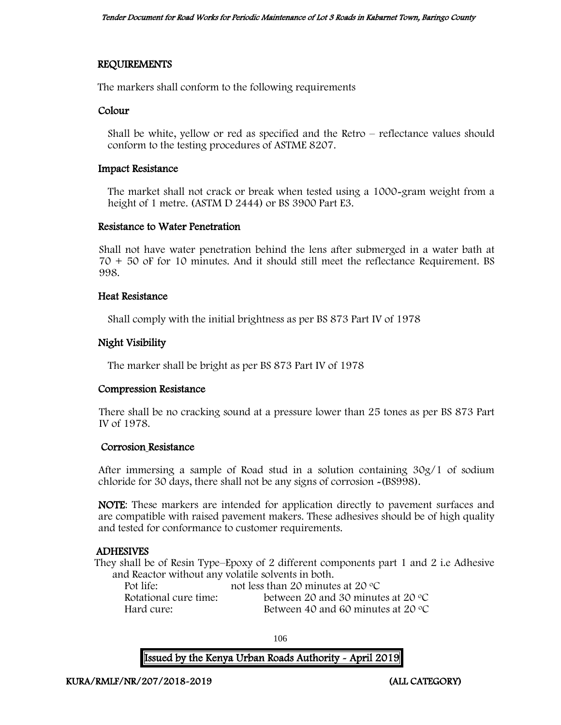## REQUIREMENTS

The markers shall conform to the following requirements

## Colour

Shall be white, yellow or red as specified and the Retro – reflectance values should conform to the testing procedures of ASTME 8207.

#### Impact Resistance

The market shall not crack or break when tested using a 1000-gram weight from a height of 1 metre. (ASTM D 2444) or BS 3900 Part E3.

## Resistance to Water Penetration

Shall not have water penetration behind the lens after submerged in a water bath at 70 + 50 oF for 10 minutes. And it should still meet the reflectance Requirement. BS 998.

## Heat Resistance

Shall comply with the initial brightness as per BS 873 Part IV of 1978

## Night Visibility

The marker shall be bright as per BS 873 Part IV of 1978

## Compression Resistance

There shall be no cracking sound at a pressure lower than 25 tones as per BS 873 Part IV of 1978.

## Corrosion Resistance

After immersing a sample of Road stud in a solution containing 30g/1 of sodium chloride for 30 days, there shall not be any signs of corrosion -(BS998).

NOTE: These markers are intended for application directly to pavement surfaces and are compatible with raised pavement makers. These adhesives should be of high quality and tested for conformance to customer requirements.

## ADHESIVES

They shall be of Resin Type–Epoxy of 2 different components part 1 and 2 i.e Adhesive and Reactor without any volatile solvents in both.

| Pot life:             | not less than 20 minutes at 20 $\rm{^{\circ}C}$ |
|-----------------------|-------------------------------------------------|
| Rotational cure time: | between 20 and 30 minutes at 20 $\degree$ C     |
| Hard cure:            | Between 40 and 60 minutes at 20 $\degree$ C     |

106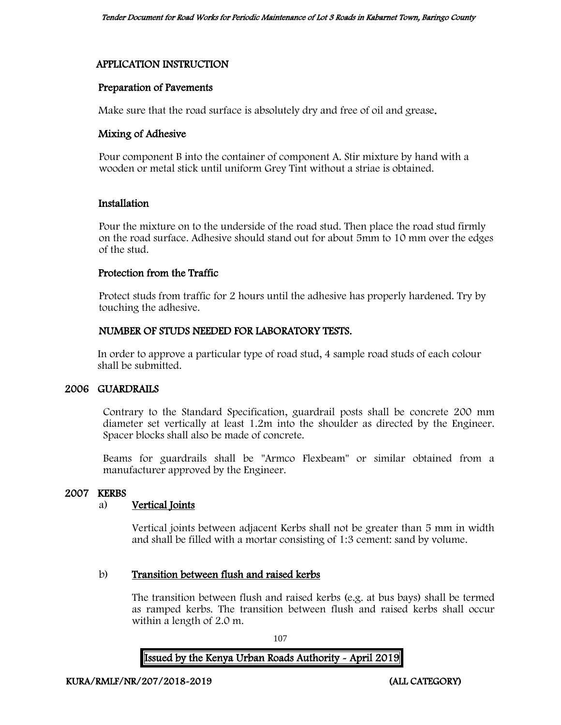## APPLICATION INSTRUCTION

## Preparation of Pavements

Make sure that the road surface is absolutely dry and free of oil and grease.

## Mixing of Adhesive

Pour component B into the container of component A. Stir mixture by hand with a wooden or metal stick until uniform Grey Tint without a striae is obtained.

## Installation

Pour the mixture on to the underside of the road stud. Then place the road stud firmly on the road surface. Adhesive should stand out for about 5mm to 10 mm over the edges of the stud.

## Protection from the Traffic

Protect studs from traffic for 2 hours until the adhesive has properly hardened. Try by touching the adhesive.

## NUMBER OF STUDS NEEDED FOR LABORATORY TESTS.

In order to approve a particular type of road stud, 4 sample road studs of each colour shall be submitted.

## 2006 GUARDRAILS

Contrary to the Standard Specification, guardrail posts shall be concrete 200 mm diameter set vertically at least 1.2m into the shoulder as directed by the Engineer. Spacer blocks shall also be made of concrete.

Beams for guardrails shall be "Armco Flexbeam" or similar obtained from a manufacturer approved by the Engineer.

## 2007 KERBS

## a) Vertical Joints

Vertical joints between adjacent Kerbs shall not be greater than 5 mm in width and shall be filled with a mortar consisting of 1:3 cement: sand by volume.

## b) Transition between flush and raised kerbs

The transition between flush and raised kerbs (e.g. at bus bays) shall be termed as ramped kerbs. The transition between flush and raised kerbs shall occur within a length of 2.0 m.

107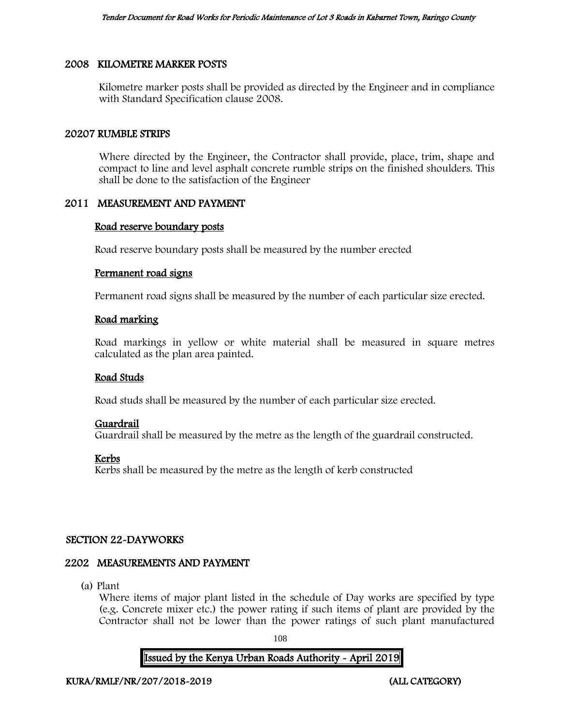#### 2008 KILOMETRE MARKER POSTS

Kilometre marker posts shall be provided as directed by the Engineer and in compliance with Standard Specification clause 2008.

#### 20207 RUMBLE STRIPS

Where directed by the Engineer, the Contractor shall provide, place, trim, shape and compact to line and level asphalt concrete rumble strips on the finished shoulders. This shall be done to the satisfaction of the Engineer

# 2011 MEASUREMENT AND PAYMENT

#### Road reserve boundary posts

Road reserve boundary posts shall be measured by the number erected

#### Permanent road signs

Permanent road signs shall be measured by the number of each particular size erected.

#### Road marking

Road markings in yellow or white material shall be measured in square metres calculated as the plan area painted.

#### Road Studs

Road studs shall be measured by the number of each particular size erected.

# Guardrail

Guardrail shall be measured by the metre as the length of the guardrail constructed.

# Kerbs

Kerbs shall be measured by the metre as the length of kerb constructed

# SECTION 22-DAYWORKS

#### 2202 MEASUREMENTS AND PAYMENT

(a) Plant

Where items of major plant listed in the schedule of Day works are specified by type (e.g. Concrete mixer etc.) the power rating if such items of plant are provided by the Contractor shall not be lower than the power ratings of such plant manufactured

108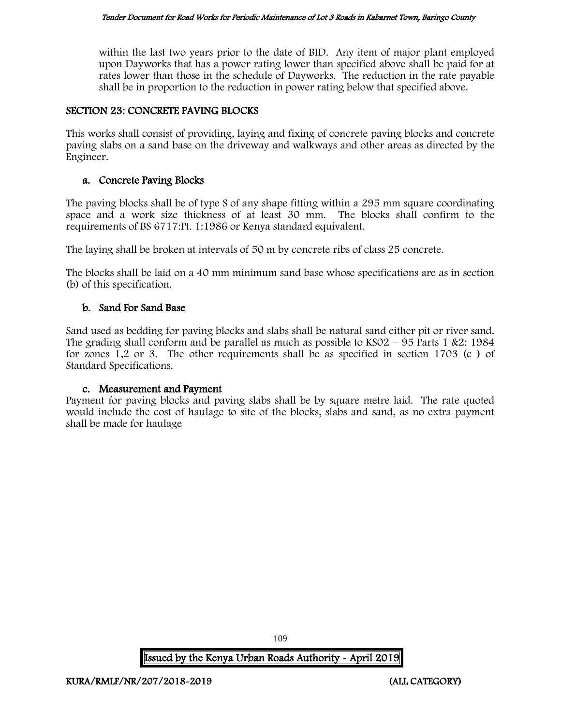within the last two years prior to the date of BID. Any item of major plant employed upon Dayworks that has a power rating lower than specified above shall be paid for at rates lower than those in the schedule of Dayworks. The reduction in the rate payable shall be in proportion to the reduction in power rating below that specified above.

# SECTION 23: CONCRETE PAVING BLOCKS

This works shall consist of providing, laying and fixing of concrete paving blocks and concrete paving slabs on a sand base on the driveway and walkways and other areas as directed by the Engineer.

# a. Concrete Paving Blocks

The paving blocks shall be of type S of any shape fitting within a 295 mm square coordinating space and a work size thickness of at least 30 mm. The blocks shall confirm to the requirements of BS 6717:Pt. 1:1986 or Kenya standard equivalent.

The laying shall be broken at intervals of 50 m by concrete ribs of class 25 concrete.

The blocks shall be laid on a 40 mm minimum sand base whose specifications are as in section (b) of this specification.

# b. Sand For Sand Base

Sand used as bedding for paving blocks and slabs shall be natural sand either pit or river sand. The grading shall conform and be parallel as much as possible to  $KSO2 - 95$  Parts 1 &2: 1984 for zones 1,2 or 3. The other requirements shall be as specified in section 1703 (c ) of Standard Specifications.

# c. Measurement and Payment

Payment for paving blocks and paving slabs shall be by square metre laid. The rate quoted would include the cost of haulage to site of the blocks, slabs and sand, as no extra payment shall be made for haulage

109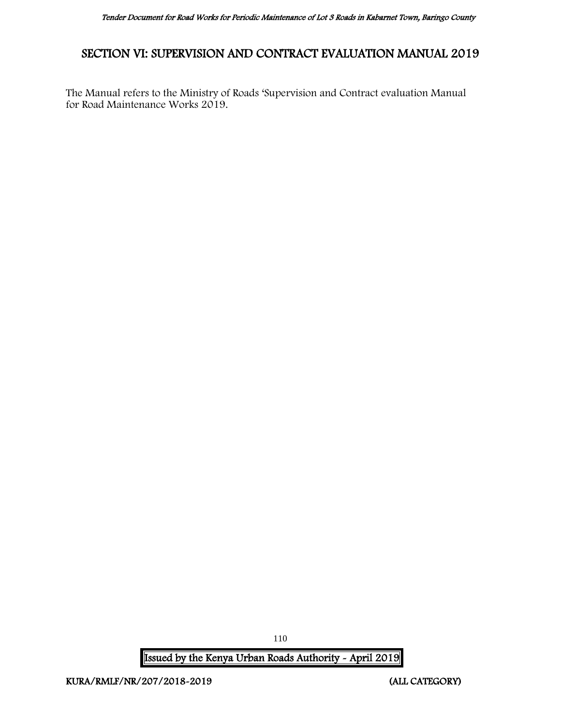# SECTION VI: SUPERVISION AND CONTRACT EVALUATION MANUAL 2019

The Manual refers to the Ministry of Roads 'Supervision and Contract evaluation Manual for Road Maintenance Works 2019.

Issued by the Kenya Urban Roads Authority - April 2019

110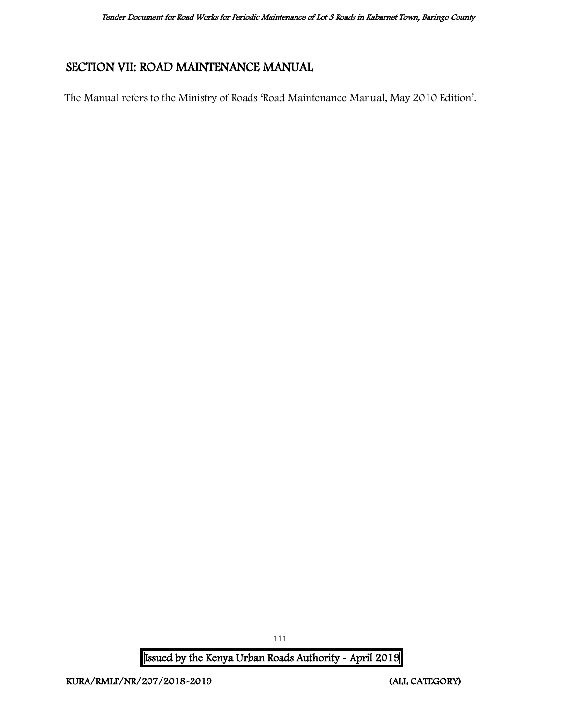# SECTION VII: ROAD MAINTENANCE MANUAL

The Manual refers to the Ministry of Roads 'Road Maintenance Manual, May 2010 Edition'.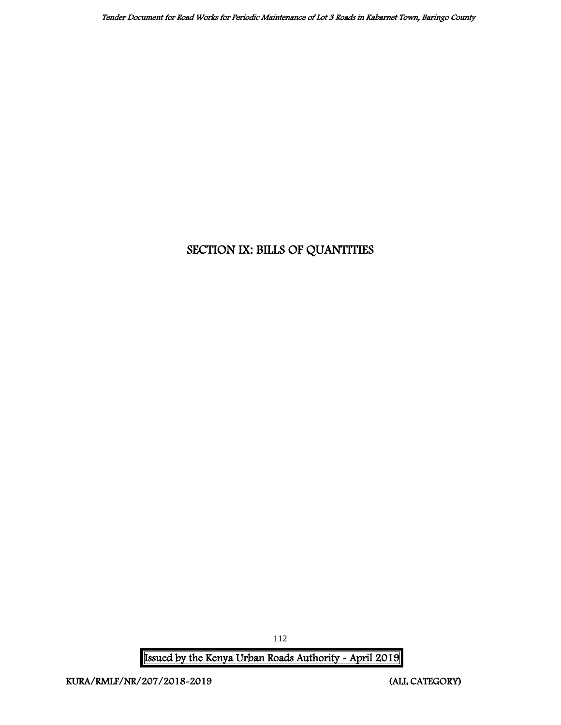# SECTION IX: BILLS OF QUANTITIES

Issued by the Kenya Urban Roads Authority - April 2019

112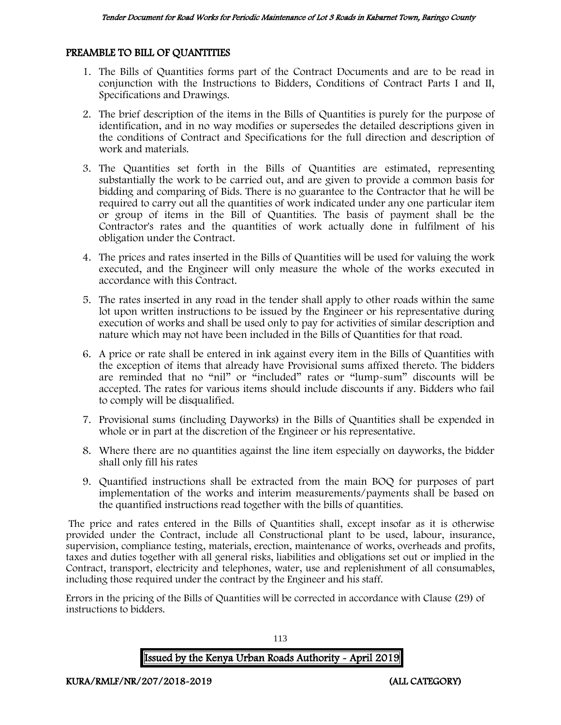#### PREAMBLE TO BILL OF QUANTITIES

- 1. The Bills of Quantities forms part of the Contract Documents and are to be read in conjunction with the Instructions to Bidders, Conditions of Contract Parts I and II, Specifications and Drawings.
- 2. The brief description of the items in the Bills of Quantities is purely for the purpose of identification, and in no way modifies or supersedes the detailed descriptions given in the conditions of Contract and Specifications for the full direction and description of work and materials.
- 3. The Quantities set forth in the Bills of Quantities are estimated, representing substantially the work to be carried out, and are given to provide a common basis for bidding and comparing of Bids. There is no guarantee to the Contractor that he will be required to carry out all the quantities of work indicated under any one particular item or group of items in the Bill of Quantities. The basis of payment shall be the Contractor's rates and the quantities of work actually done in fulfilment of his obligation under the Contract.
- 4. The prices and rates inserted in the Bills of Quantities will be used for valuing the work executed, and the Engineer will only measure the whole of the works executed in accordance with this Contract.
- 5. The rates inserted in any road in the tender shall apply to other roads within the same lot upon written instructions to be issued by the Engineer or his representative during execution of works and shall be used only to pay for activities of similar description and nature which may not have been included in the Bills of Quantities for that road.
- 6. A price or rate shall be entered in ink against every item in the Bills of Quantities with the exception of items that already have Provisional sums affixed thereto. The bidders are reminded that no "nil" or "included" rates or "lump-sum" discounts will be accepted. The rates for various items should include discounts if any. Bidders who fail to comply will be disqualified.
- 7. Provisional sums (including Dayworks) in the Bills of Quantities shall be expended in whole or in part at the discretion of the Engineer or his representative.
- 8. Where there are no quantities against the line item especially on dayworks, the bidder shall only fill his rates
- 9. Quantified instructions shall be extracted from the main BOQ for purposes of part implementation of the works and interim measurements/payments shall be based on the quantified instructions read together with the bills of quantities.

The price and rates entered in the Bills of Quantities shall, except insofar as it is otherwise provided under the Contract, include all Constructional plant to be used, labour, insurance, supervision, compliance testing, materials, erection, maintenance of works, overheads and profits, taxes and duties together with all general risks, liabilities and obligations set out or implied in the Contract, transport, electricity and telephones, water, use and replenishment of all consumables, including those required under the contract by the Engineer and his staff.

Errors in the pricing of the Bills of Quantities will be corrected in accordance with Clause (29) of instructions to bidders.

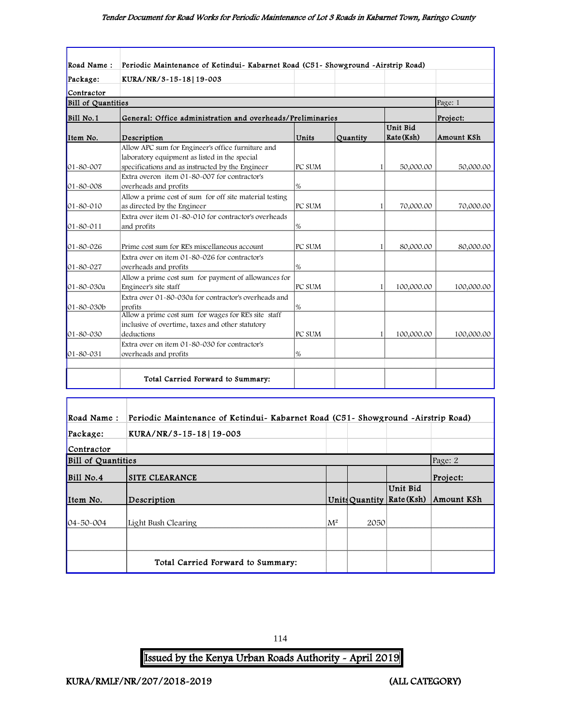#### Tender Document for Road Works for Periodic Maintenance of Lot 3 Roads in Kabarnet Town, Baringo County

| Road Name:                   | Periodic Maintenance of Ketindui- Kabarnet Road (C51- Showground -Airstrip Road)                                          |               |          |                        |            |
|------------------------------|---------------------------------------------------------------------------------------------------------------------------|---------------|----------|------------------------|------------|
| Package:                     | KURA/NR/3-15-18 19-003                                                                                                    |               |          |                        |            |
| Contractor                   |                                                                                                                           |               |          |                        |            |
| <b>Bill of Quantities</b>    |                                                                                                                           |               |          |                        | Page: 1    |
| Bill No.1                    | General: Office administration and overheads/Preliminaries                                                                |               |          |                        | Project:   |
| Item No.                     | Description                                                                                                               | Units         | Quantity | Unit Bid<br>Rate (Ksh) | Amount KSh |
|                              | Allow APC sum for Engineer's office furniture and<br>laboratory equipment as listed in the special                        |               |          |                        |            |
| 01-80-007<br>$01 - 80 - 008$ | specifications and as instructed by the Engineer<br>Extra overon item 01-80-007 for contractor's<br>overheads and profits | PC SUM<br>1%  |          | 50,000.00<br>11        | 50,000.00  |
| 01-80-010                    | Allow a prime cost of sum for off site material testing<br>as directed by the Engineer                                    | PC SUM        |          | 70,000.00<br>1         | 70,000.00  |
| 01-80-011                    | Extra over item 01-80-010 for contractor's overheads<br>and profits                                                       | 1%            |          |                        |            |
| $01 - 80 - 026$              | Prime cost sum for RE's miscellaneous account                                                                             | PC SUM        |          | 80,000.00<br>11        | 80,000.00  |
| 01-80-027                    | Extra over on item 01-80-026 for contractor's<br>overheads and profits                                                    | $\frac{9}{6}$ |          |                        |            |
| 01-80-030a                   | Allow a prime cost sum for payment of allowances for<br>Engineer's site staff                                             | PC SUM        |          | 100,000.00<br>1        | 100,000.00 |
| 01-80-030b                   | Extra over 01-80-030a for contractor's overheads and<br>profits<br>Allow a prime cost sum for wages for RE's site staff   | 1%            |          |                        |            |
| $01 - 80 - 030$              | inclusive of overtime, taxes and other statutory<br>deductions                                                            | PC SUM        |          | 11<br>100,000.00       | 100,000.00 |
| 01-80-031                    | Extra over on item 01-80-030 for contractor's<br>overheads and profits                                                    | %             |          |                        |            |
|                              | Total Carried Forward to Summary:                                                                                         |               |          |                        |            |

| Road Name:                | Periodic Maintenance of Ketindui- Kabarnet Road (C51- Showground -Airstrip Road) |       |      |                                       |            |
|---------------------------|----------------------------------------------------------------------------------|-------|------|---------------------------------------|------------|
| Package:                  | KURA/NR/3-15-18   19-003                                                         |       |      |                                       |            |
| Contractor                |                                                                                  |       |      |                                       |            |
| <b>Bill of Quantities</b> |                                                                                  |       |      |                                       | Page: 2    |
| Bill No.4                 | <b>SITE CLEARANCE</b>                                                            |       |      |                                       | Project:   |
| Item No.                  | Description                                                                      |       |      | Unit Bid<br>Units Quantity Rate (Ksh) | Amount KSh |
| $04 - 50 - 004$           | Light Bush Clearing                                                              | $M^2$ | 2050 |                                       |            |
|                           |                                                                                  |       |      |                                       |            |
|                           | Total Carried Forward to Summary:                                                |       |      |                                       |            |

114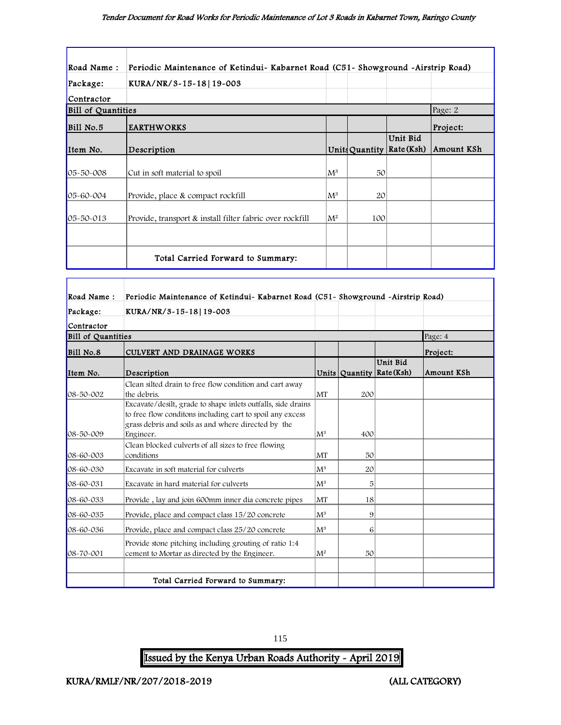| Road Name:                | Periodic Maintenance of Ketindui- Kabarnet Road (C51- Showground -Airstrip Road) |                |     |                                       |            |
|---------------------------|----------------------------------------------------------------------------------|----------------|-----|---------------------------------------|------------|
| Package:                  | KURA/NR/3-15-18 19-003                                                           |                |     |                                       |            |
| Contractor                |                                                                                  |                |     |                                       |            |
| <b>Bill of Quantities</b> |                                                                                  |                |     |                                       | Page: 2    |
| Bill No.5                 | <b>EARTHWORKS</b>                                                                |                |     |                                       | Project:   |
| Item No.                  | Description                                                                      |                |     | Unit Bid<br>Units Quantity Rate (Ksh) | Amount KSh |
|                           |                                                                                  |                |     |                                       |            |
| 05-50-008                 | Cut in soft material to spoil                                                    | $\mathrm{M}^3$ | 50  |                                       |            |
| $05 - 60 - 004$           | Provide, place & compact rockfill                                                | $\mathrm{M}^3$ | 20  |                                       |            |
|                           |                                                                                  |                |     |                                       |            |
| 05-50-013                 | Provide, transport & install filter fabric over rockfill                         | $M^2$          | 100 |                                       |            |
|                           |                                                                                  |                |     |                                       |            |
|                           | Total Carried Forward to Summary:                                                |                |     |                                       |            |

| Road Name:                | Periodic Maintenance of Ketindui- Kabarnet Road (C51- Showground -Airstrip Road)                                                                                                              |                |     |                                       |            |
|---------------------------|-----------------------------------------------------------------------------------------------------------------------------------------------------------------------------------------------|----------------|-----|---------------------------------------|------------|
| Package:                  | KURA/NR/3-15-18 19-003                                                                                                                                                                        |                |     |                                       |            |
| Contractor                |                                                                                                                                                                                               |                |     |                                       |            |
| <b>Bill of Quantities</b> |                                                                                                                                                                                               |                |     |                                       | Page: 4    |
| Bill No.8                 | CULVERT AND DRAINAGE WORKS                                                                                                                                                                    |                |     |                                       | Project:   |
| Item No.                  | Description                                                                                                                                                                                   |                |     | Unit Bid<br>Units Quantity Rate (Ksh) | Amount KSh |
| 08-50-002                 | Clean silted drain to free flow condition and cart away<br>the debris.                                                                                                                        | MT             | 200 |                                       |            |
| 08-50-009                 | Excavate/desilt, grade to shape inlets outfalls, side drains<br>to free flow conditons including cart to spoil any excess<br>grass debris and soils as and where directed by the<br>Engineer. | $M^3$          | 400 |                                       |            |
| 08-60-003                 | Clean blocked culverts of all sizes to free flowing<br>conditions                                                                                                                             | lΜT            | 50  |                                       |            |
| 08-60-030                 | Excavate in soft material for culverts                                                                                                                                                        | $M^3$          | 20  |                                       |            |
| 08-60-031                 | Excavate in hard material for culverts                                                                                                                                                        | ${\rm M}^3$    | 5   |                                       |            |
| 08-60-033                 | Provide, lay and join 600mm inner dia concrete pipes                                                                                                                                          | MT             | 18  |                                       |            |
| 08-60-035                 | Provide, place and compact class 15/20 concrete                                                                                                                                               | $\mathsf{M}^3$ | 9   |                                       |            |
| 08-60-036                 | Provide, place and compact class 25/20 concrete                                                                                                                                               | ${\rm M}^3$    | 6   |                                       |            |
| 08-70-001                 | Provide stone pitching including grouting of ratio 1:4<br>cement to Mortar as directed by the Engineer.                                                                                       | $M^2$          | 50  |                                       |            |
|                           | Total Carried Forward to Summary:                                                                                                                                                             |                |     |                                       |            |

115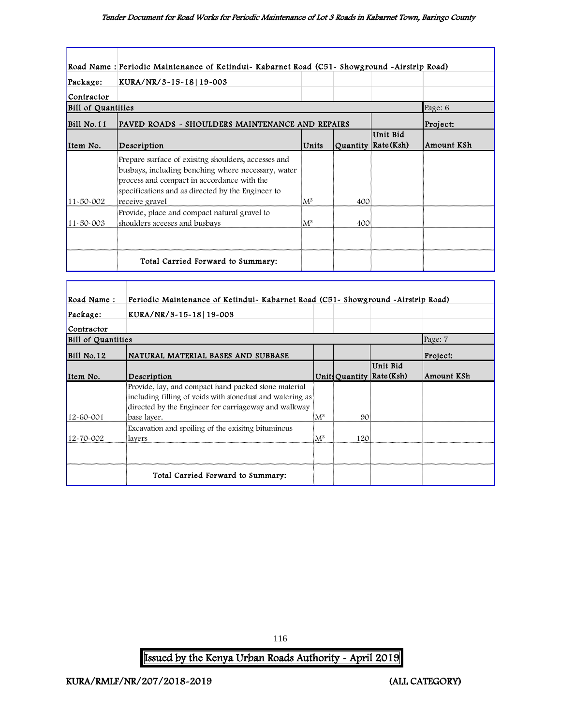|                           | Road Name : Periodic Maintenance of Ketindui- Kabarnet Road (C51- Showground -Airstrip Road)                                                                                                                                    |           |     |                                   |            |
|---------------------------|---------------------------------------------------------------------------------------------------------------------------------------------------------------------------------------------------------------------------------|-----------|-----|-----------------------------------|------------|
| Package:                  | KURA/NR/3-15-18 19-003                                                                                                                                                                                                          |           |     |                                   |            |
| Contractor                |                                                                                                                                                                                                                                 |           |     |                                   |            |
| <b>Bill of Quantities</b> |                                                                                                                                                                                                                                 |           |     |                                   | Page: 6    |
| $Bill$ No. 11             | PAVED ROADS - SHOULDERS MAINTENANCE AND REPAIRS                                                                                                                                                                                 |           |     |                                   | Project:   |
| Item No.                  | Description                                                                                                                                                                                                                     | Units     |     | Unit Bid<br>Quantity   Rate (Ksh) | Amount KSh |
| 11-50-002                 | Prepare surface of exisiting shoulders, accesses and<br>busbays, including benching where necessary, water<br>process and compact in accordance with the<br>specifications and as directed by the Engineer to<br>receive gravel | $\rm M^3$ | 400 |                                   |            |
| 11-50-003                 | Provide, place and compact natural gravel to<br>shoulders aceeses and busbays                                                                                                                                                   | $\rm M^3$ | 400 |                                   |            |
|                           | Total Carried Forward to Summary:                                                                                                                                                                                               |           |     |                                   |            |

| Road Name:                | Periodic Maintenance of Ketindui- Kabarnet Road (C51- Showground -Airstrip Road)                                                                                          |                |     |                                         |            |
|---------------------------|---------------------------------------------------------------------------------------------------------------------------------------------------------------------------|----------------|-----|-----------------------------------------|------------|
| Package:                  | KURA/NR/3-15-18 19-003                                                                                                                                                    |                |     |                                         |            |
| Contractor                |                                                                                                                                                                           |                |     |                                         |            |
| <b>Bill of Quantities</b> |                                                                                                                                                                           |                |     |                                         | Page: 7    |
| Bill No.12                | NATURAL MATERIAL BASES AND SUBBASE                                                                                                                                        |                |     |                                         | Project:   |
| Item No.                  | Description                                                                                                                                                               |                |     | Unit Bid<br>Units Quantity   Rate (Ksh) | Amount KSh |
|                           | Provide, lay, and compact hand packed stone material<br>including filling of voids with stonedust and watering as<br>directed by the Engineer for carriageway and walkway |                |     |                                         |            |
| 12-60-001                 | base laver.                                                                                                                                                               | ${\rm M}^3$    | 90  |                                         |            |
| 12-70-002                 | Excavation and spoiling of the exisiting bituminous<br>layers                                                                                                             | $\mathbf{M}^3$ | 120 |                                         |            |
|                           |                                                                                                                                                                           |                |     |                                         |            |
|                           | Total Carried Forward to Summary:                                                                                                                                         |                |     |                                         |            |

116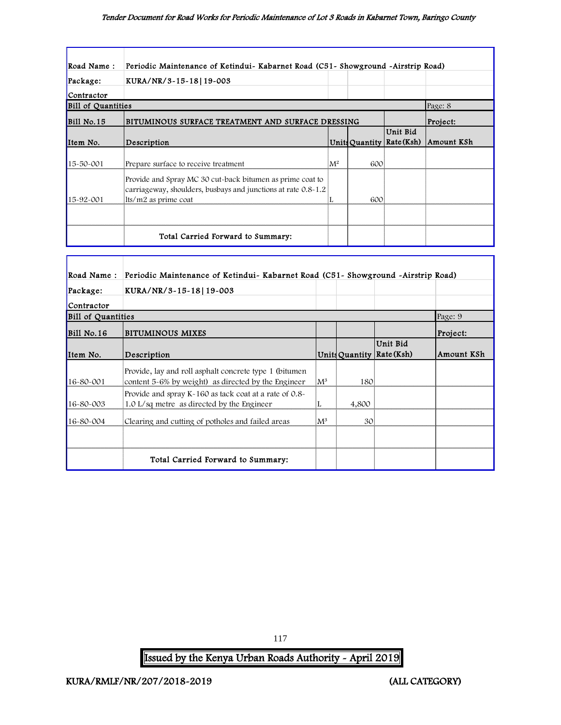| Road Name:                | Periodic Maintenance of Ketindui- Kabarnet Road (C51- Showground -Airstrip Road)                                                                   |       |     |                                       |            |
|---------------------------|----------------------------------------------------------------------------------------------------------------------------------------------------|-------|-----|---------------------------------------|------------|
| Package:                  | KURA/NR/3~15~18 19~003                                                                                                                             |       |     |                                       |            |
| Contractor                |                                                                                                                                                    |       |     |                                       |            |
| <b>Bill of Quantities</b> |                                                                                                                                                    |       |     |                                       | Page: 8    |
| $Bill$ No. 15             | BITUMINOUS SURFACE TREATMENT AND SURFACE DRESSING                                                                                                  |       |     |                                       | Project:   |
| Item No.                  | Description                                                                                                                                        |       |     | Unit Bid<br>Units Quantity Rate (Ksh) | Amount KSh |
| 15-50-001                 | Prepare surface to receive treatment                                                                                                               | $M^2$ | 600 |                                       |            |
| 15-92-001                 | Provide and Spray MC 30 cut-back bitumen as prime coat to<br>carriageway, shoulders, busbays and junctions at rate 0.8-1.2<br>lts/m2 as prime coat |       | 600 |                                       |            |
|                           |                                                                                                                                                    |       |     |                                       |            |
|                           | Total Carried Forward to Summary:                                                                                                                  |       |     |                                       |            |

| Road Name:                | Periodic Maintenance of Ketindui- Kabarnet Road (C51- Showground -Airstrip Road)                               |                |       |                                         |            |
|---------------------------|----------------------------------------------------------------------------------------------------------------|----------------|-------|-----------------------------------------|------------|
| Package:                  | KURA/NR/3~15~18 19~003                                                                                         |                |       |                                         |            |
| Contractor                |                                                                                                                |                |       |                                         |            |
| <b>Bill of Quantities</b> |                                                                                                                |                |       |                                         | Page: 9    |
| $BI1$ No. 16              | <b>BITUMINOUS MIXES</b>                                                                                        |                |       |                                         | Project:   |
| Item No.                  | Description                                                                                                    |                |       | Unit Bid<br>Units Quantity   Rate (Ksh) | Amount KSh |
| 16-80-001                 | Provide, lay and roll asphalt concrete type 1 (bitumen)<br>content 5-6% by weight) as directed by the Engineer | $\mathbf{M}^3$ | 180   |                                         |            |
| 16-80-003                 | Provide and spray $K - 160$ as tack coat at a rate of 0.8-<br>1.0 L/sq metre as directed by the Engineer       | L              | 4,800 |                                         |            |
| 16-80-004                 | Clearing and cutting of potholes and failed areas                                                              | $M^3$          | 301   |                                         |            |
|                           |                                                                                                                |                |       |                                         |            |
|                           | Total Carried Forward to Summary:                                                                              |                |       |                                         |            |

Issued by the Kenya Urban Roads Authority - April 2019

117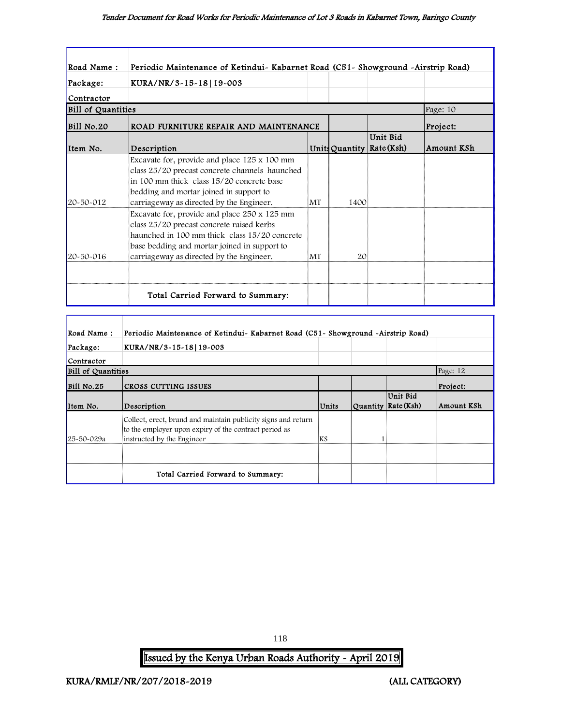| Road Name:         | Periodic Maintenance of Ketindui- Kabarnet Road (C51- Showground -Airstrip Road)                                                                                                                                                       |           |                |                               |            |
|--------------------|----------------------------------------------------------------------------------------------------------------------------------------------------------------------------------------------------------------------------------------|-----------|----------------|-------------------------------|------------|
| Package:           | KURA/NR/3-15-18 19-003                                                                                                                                                                                                                 |           |                |                               |            |
| Contractor         |                                                                                                                                                                                                                                        |           |                |                               |            |
| Bill of Quantities |                                                                                                                                                                                                                                        |           |                |                               | Page: 10   |
| <b>Bill No.20</b>  | ROAD FURNITURE REPAIR AND MAINTENANCE                                                                                                                                                                                                  |           |                |                               | Project:   |
| Item No.           | Description                                                                                                                                                                                                                            |           | Units Quantity | Unit Bid<br>$\vert$ Rate(Ksh) | Amount KSh |
| 20-50-012          | Excavate for, provide and place 125 x 100 mm<br>class 25/20 precast concrete channels haunched<br>in 100 mm thick class 15/20 concrete base<br>bedding and mortar joined in support to<br>carriageway as directed by the Engineer.     | <b>MT</b> | 1400           |                               |            |
| 20-50-016          | Excavate for, provide and place 250 x 125 mm<br>class 25/20 precast concrete raised kerbs<br>haunched in 100 mm thick class 15/20 concrete<br>base bedding and mortar joined in support to<br>carriageway as directed by the Engineer. | MT        | 20             |                               |            |
|                    |                                                                                                                                                                                                                                        |           |                |                               |            |
|                    | Total Carried Forward to Summary:                                                                                                                                                                                                      |           |                |                               |            |

| Road Name:                | Periodic Maintenance of Ketindui- Kabarnet Road (C51- Showground -Airstrip Road)                                                                     |           |                                   |            |
|---------------------------|------------------------------------------------------------------------------------------------------------------------------------------------------|-----------|-----------------------------------|------------|
| Package:                  | KURA/NR/3-15-18 19-003                                                                                                                               |           |                                   |            |
| Contractor                |                                                                                                                                                      |           |                                   |            |
| <b>Bill of Quantities</b> |                                                                                                                                                      |           |                                   | Page: 12   |
| Bill No.25                | CROSS CUTTING ISSUES                                                                                                                                 |           |                                   | Project:   |
| Item No.                  | Description                                                                                                                                          | Units     | Unit Bid<br>Quantity   Rate (Ksh) | Amount KSh |
| 25-50-029a                | Collect, erect, brand and maintain publicity signs and return<br>to the employer upon expiry of the contract period as<br>instructed by the Engineer | <b>KS</b> |                                   |            |
|                           |                                                                                                                                                      |           |                                   |            |
|                           | Total Carried Forward to Summary:                                                                                                                    |           |                                   |            |

118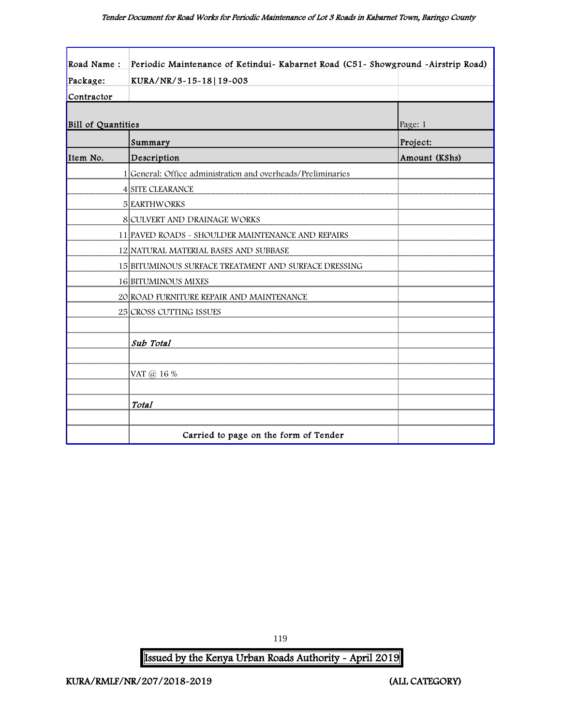| Road Name:                | Periodic Maintenance of Ketindui- Kabarnet Road (C51- Showground -Airstrip Road) |               |
|---------------------------|----------------------------------------------------------------------------------|---------------|
| Package:                  | KURA/NR/3-15-18 19-003                                                           |               |
| Contractor                |                                                                                  |               |
| <b>Bill of Quantities</b> |                                                                                  | Page: 1       |
|                           | Summary                                                                          | Project:      |
| Item No.                  | Description                                                                      | Amount (KShs) |
|                           | 1 General: Office administration and overheads/Preliminaries                     |               |
|                           | <b>4 SITE CLEARANCE</b>                                                          |               |
|                           | <b>5 EARTHWORKS</b>                                                              |               |
|                           | 8 CULVERT AND DRAINAGE WORKS                                                     |               |
|                           | 11 PAVED ROADS - SHOULDER MAINTENANCE AND REPAIRS                                |               |
|                           | 12 NATURAL MATERIAL BASES AND SUBBASE                                            |               |
|                           | 15 BITUMINOUS SURFACE TREATMENT AND SURFACE DRESSING                             |               |
|                           | <b>16 BITUMINOUS MIXES</b>                                                       |               |
|                           | 20 ROAD FURNITURE REPAIR AND MAINTENANCE                                         |               |
|                           | 25 CROSS CUTTING ISSUES                                                          |               |
|                           |                                                                                  |               |
|                           | Sub Total                                                                        |               |
|                           |                                                                                  |               |
|                           | VAT @ 16 %                                                                       |               |
|                           |                                                                                  |               |
|                           | Total                                                                            |               |
|                           |                                                                                  |               |
|                           | Carried to page on the form of Tender                                            |               |

119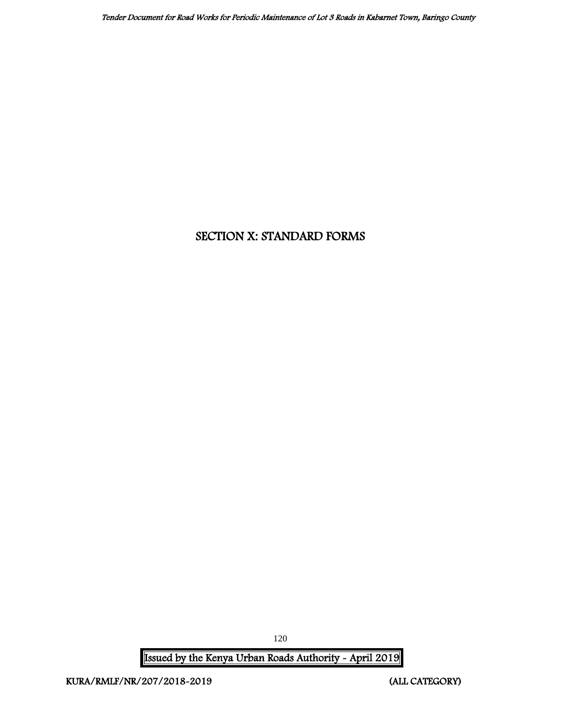# SECTION X: STANDARD FORMS

Issued by the Kenya Urban Roads Authority - April 2019

120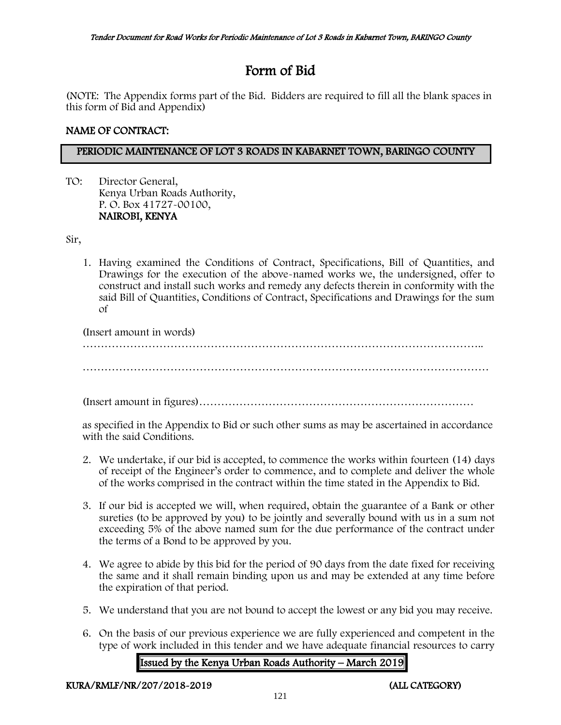# Form of Bid

(NOTE: The Appendix forms part of the Bid. Bidders are required to fill all the blank spaces in this form of Bid and Appendix)

# NAME OF CONTRACT:

# PERIODIC MAINTENANCE OF LOT 3 ROADS IN KABARNET TOWN, BARINGO COUNTY

TO: Director General, Kenya Urban Roads Authority, P. O. Box 41727-00100, NAIROBI, KENYA

Sir,

1. Having examined the Conditions of Contract, Specifications, Bill of Quantities, and Drawings for the execution of the above-named works we, the undersigned, offer to construct and install such works and remedy any defects therein in conformity with the said Bill of Quantities, Conditions of Contract, Specifications and Drawings for the sum of

(Insert amount in words) ……………………………………………………………………………………………….. …………………………………………………………………………………………………

(Insert amount in figures)…………………………………………………………………

as specified in the Appendix to Bid or such other sums as may be ascertained in accordance with the said Conditions.

- 2. We undertake, if our bid is accepted, to commence the works within fourteen (14) days of receipt of the Engineer's order to commence, and to complete and deliver the whole of the works comprised in the contract within the time stated in the Appendix to Bid.
- 3. If our bid is accepted we will, when required, obtain the guarantee of a Bank or other sureties (to be approved by you) to be jointly and severally bound with us in a sum not exceeding 5% of the above named sum for the due performance of the contract under the terms of a Bond to be approved by you.
- 4. We agree to abide by this bid for the period of 90 days from the date fixed for receiving the same and it shall remain binding upon us and may be extended at any time before the expiration of that period.
- 5. We understand that you are not bound to accept the lowest or any bid you may receive.
- 6. On the basis of our previous experience we are fully experienced and competent in the type of work included in this tender and we have adequate financial resources to carry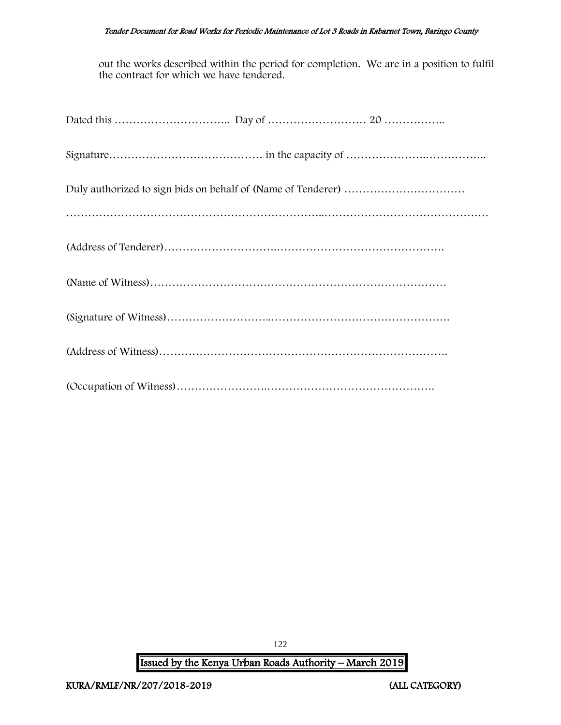#### Tender Document for Road Works for Periodic Maintenance of Lot 3 Roads in Kabarnet Town, Baringo County

out the works described within the period for completion. We are in a position to fulfil the contract for which we have tendered.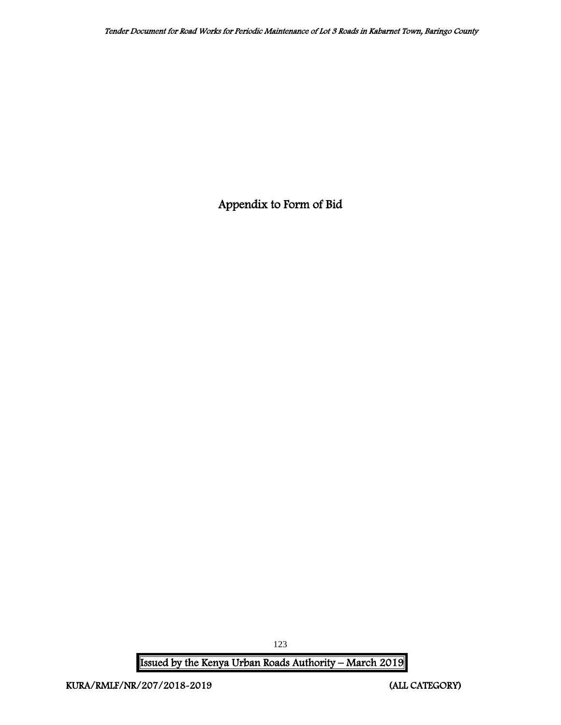Appendix to Form of Bid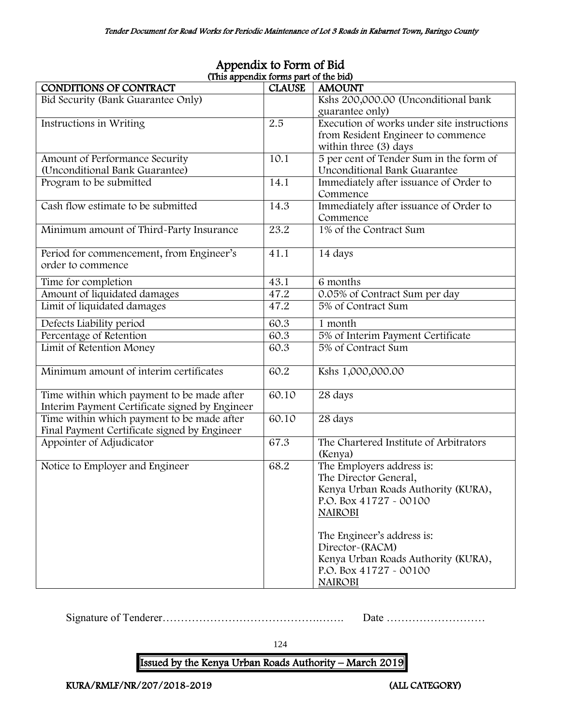| (This appendix forms part of the bid)          |               |                                            |  |  |  |
|------------------------------------------------|---------------|--------------------------------------------|--|--|--|
| CONDITIONS OF CONTRACT                         | <b>CLAUSE</b> | <b>AMOUNT</b>                              |  |  |  |
| Bid Security (Bank Guarantee Only)             |               | Kshs 200,000.00 (Unconditional bank        |  |  |  |
|                                                |               | guarantee only)                            |  |  |  |
| Instructions in Writing                        | 2.5           | Execution of works under site instructions |  |  |  |
|                                                |               | from Resident Engineer to commence         |  |  |  |
|                                                |               | within three (3) days                      |  |  |  |
| Amount of Performance Security                 | 10.1          | 5 per cent of Tender Sum in the form of    |  |  |  |
| (Unconditional Bank Guarantee)                 |               | Unconditional Bank Guarantee               |  |  |  |
| Program to be submitted                        | 14.1          | Immediately after issuance of Order to     |  |  |  |
|                                                |               | Commence                                   |  |  |  |
| Cash flow estimate to be submitted             | 14.3          | Immediately after issuance of Order to     |  |  |  |
|                                                |               | Commence                                   |  |  |  |
| Minimum amount of Third-Party Insurance        | 23.2          | 1% of the Contract Sum                     |  |  |  |
|                                                |               |                                            |  |  |  |
| Period for commencement, from Engineer's       | 41.1          | 14 days                                    |  |  |  |
| order to commence                              |               |                                            |  |  |  |
| Time for completion                            | 43.1          | 6 months                                   |  |  |  |
| Amount of liquidated damages                   | 47.2          | 0.05% of Contract Sum per day              |  |  |  |
| Limit of liquidated damages                    | 47.2          | 5% of Contract Sum                         |  |  |  |
|                                                |               |                                            |  |  |  |
| Defects Liability period                       | 60.3          | 1 month                                    |  |  |  |
| Percentage of Retention                        | 60.3          | 5% of Interim Payment Certificate          |  |  |  |
| Limit of Retention Money                       | 60.3          | 5% of Contract Sum                         |  |  |  |
|                                                |               |                                            |  |  |  |
| Minimum amount of interim certificates         | 60.2          | Kshs 1,000,000.00                          |  |  |  |
|                                                |               |                                            |  |  |  |
| Time within which payment to be made after     | 60.10         | 28 days                                    |  |  |  |
| Interim Payment Certificate signed by Engineer |               |                                            |  |  |  |
| Time within which payment to be made after     | 60.10         | 28 days                                    |  |  |  |
| Final Payment Certificate signed by Engineer   |               |                                            |  |  |  |
| Appointer of Adjudicator                       | 67.3          | The Chartered Institute of Arbitrators     |  |  |  |
|                                                |               | (Kenya)                                    |  |  |  |
| Notice to Employer and Engineer                | 68.2          | The Employers address is:                  |  |  |  |
|                                                |               | The Director General,                      |  |  |  |
|                                                |               | Kenya Urban Roads Authority (KURA),        |  |  |  |
|                                                |               | P.O. Box 41727 - 00100                     |  |  |  |
|                                                |               | <b>NAIROBI</b>                             |  |  |  |
|                                                |               |                                            |  |  |  |
|                                                |               | The Engineer's address is:                 |  |  |  |
|                                                |               | Director~(RACM)                            |  |  |  |
|                                                |               | Kenya Urban Roads Authority (KURA),        |  |  |  |
|                                                |               | P.O. Box 41727 - 00100                     |  |  |  |
|                                                |               | <b>NAIROBI</b>                             |  |  |  |

# Appendix to Form of Bid (This appendix forms part of the bid)

Signature of Tenderer…………………………………….……. Date ………………………

124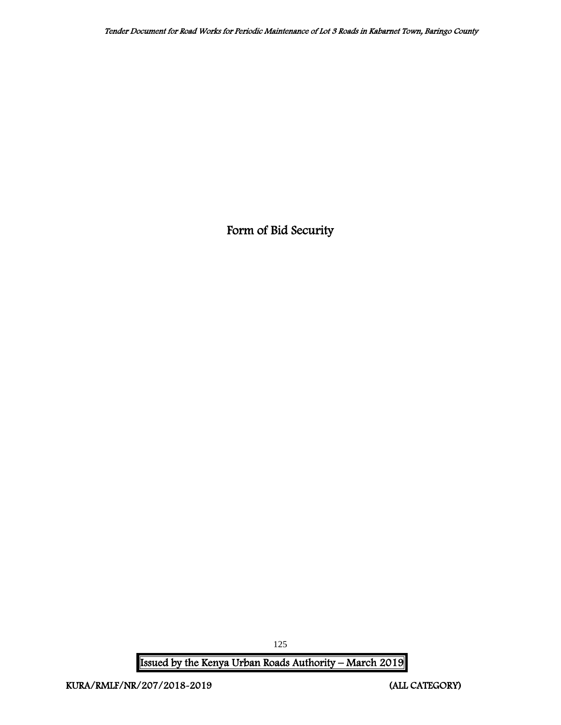Form of Bid Security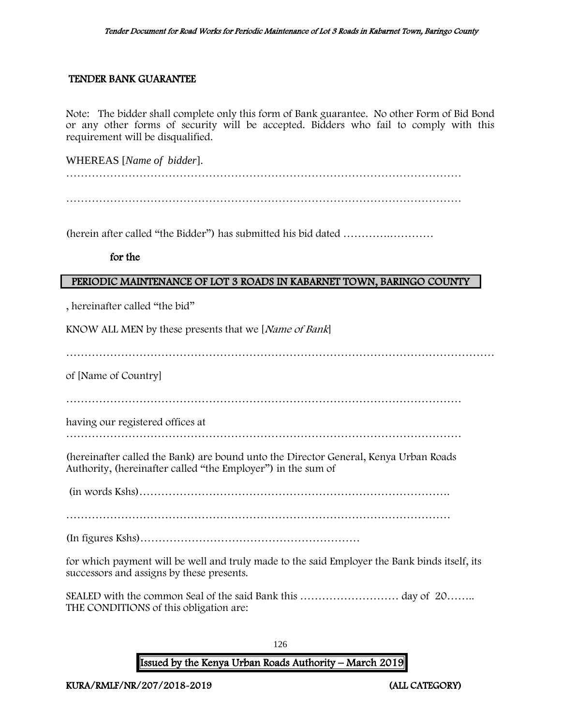#### TENDER BANK GUARANTEE

Note: The bidder shall complete only this form of Bank guarantee. No other Form of Bid Bond or any other forms of security will be accepted. Bidders who fail to comply with this requirement will be disqualified.

WHEREAS [*Name of bidder*].

………………………………………………………………………………………………

(herein after called "the Bidder") has submitted his bid dated ………….…………

for the

#### PERIODIC MAINTENANCE OF LOT 3 ROADS IN KABARNET TOWN, BARINGO COUNTY

, hereinafter called "the bid"

KNOW ALL MEN by these presents that we [Name of Bank]

………………………………………………………………………………………………………

of [Name of Country]

………………………………………………………………………………………………

having our registered offices at

………………………………………………………………………………………………

(hereinafter called the Bank) are bound unto the Director General, Kenya Urban Roads Authority, (hereinafter called "the Employer") in the sum of

(in words Kshs)………………………………………………………………………….

……………………………………………………………………………………………

(In figures Kshs)……………………………………………………

for which payment will be well and truly made to the said Employer the Bank binds itself, its successors and assigns by these presents.

SEALED with the common Seal of the said Bank this ……………………… day of 20…….. THE CONDITIONS of this obligation are:

126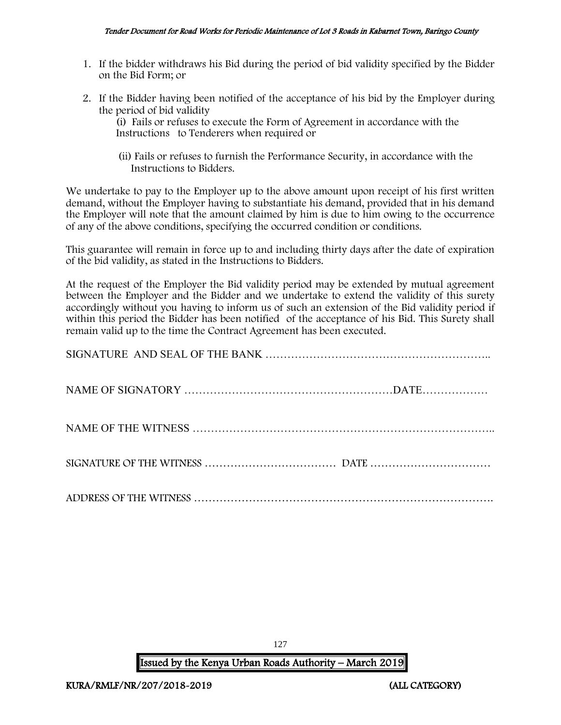- 1. If the bidder withdraws his Bid during the period of bid validity specified by the Bidder on the Bid Form; or
- 2. If the Bidder having been notified of the acceptance of his bid by the Employer during the period of bid validity

(i) Fails or refuses to execute the Form of Agreement in accordance with the Instructions to Tenderers when required or

 (ii) Fails or refuses to furnish the Performance Security, in accordance with the Instructions to Bidders.

We undertake to pay to the Employer up to the above amount upon receipt of his first written demand, without the Employer having to substantiate his demand, provided that in his demand the Employer will note that the amount claimed by him is due to him owing to the occurrence of any of the above conditions, specifying the occurred condition or conditions.

This guarantee will remain in force up to and including thirty days after the date of expiration of the bid validity, as stated in the Instructions to Bidders.

At the request of the Employer the Bid validity period may be extended by mutual agreement between the Employer and the Bidder and we undertake to extend the validity of this surety accordingly without you having to inform us of such an extension of the Bid validity period if within this period the Bidder has been notified of the acceptance of his Bid. This Surety shall remain valid up to the time the Contract Agreement has been executed.

127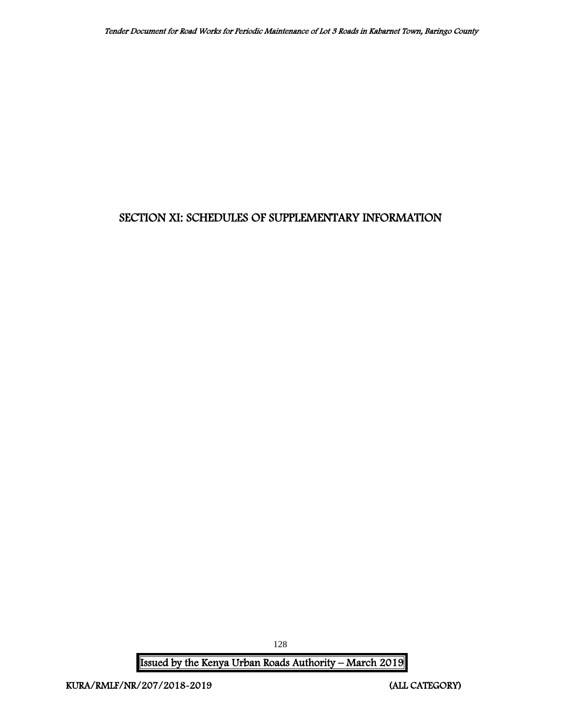# SECTION XI: SCHEDULES OF SUPPLEMENTARY INFORMATION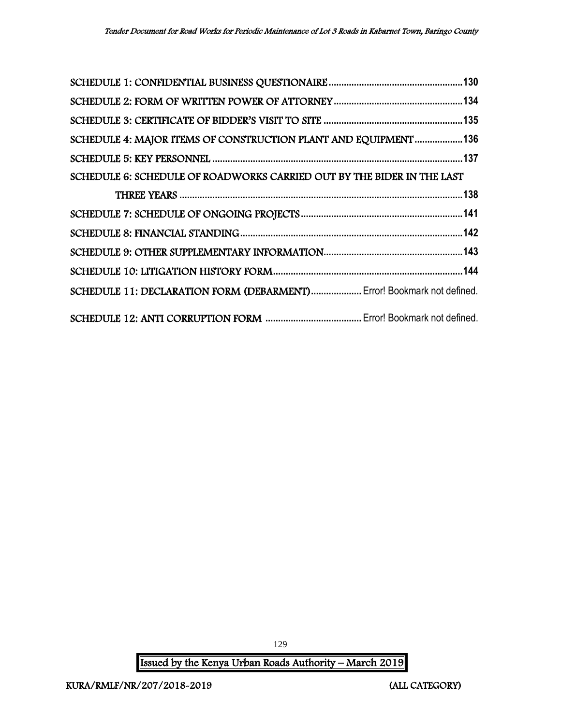| SCHEDULE 4: MAJOR ITEMS OF CONSTRUCTION PLANT AND EQUIPMENT136         |  |
|------------------------------------------------------------------------|--|
|                                                                        |  |
| SCHEDULE 6: SCHEDULE OF ROADWORKS CARRIED OUT BY THE BIDER IN THE LAST |  |
|                                                                        |  |
|                                                                        |  |
|                                                                        |  |
|                                                                        |  |
|                                                                        |  |
| SCHEDULE 11: DECLARATION FORM (DEBARMENT) Error! Bookmark not defined. |  |
|                                                                        |  |

129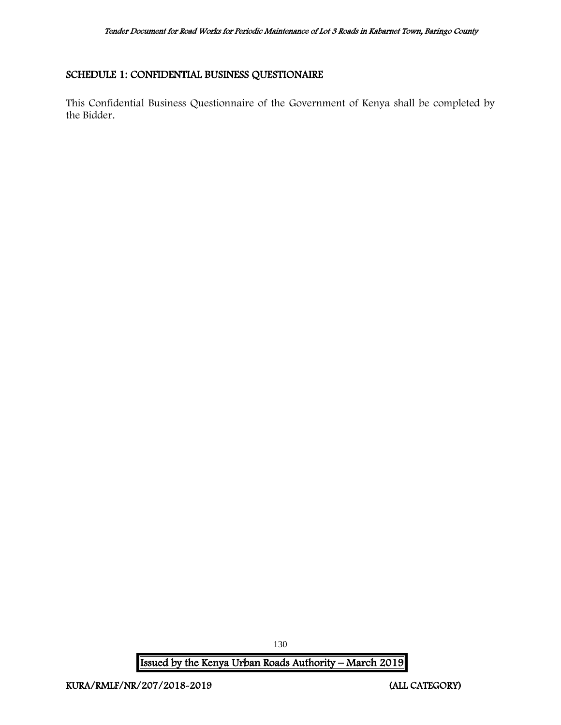# <span id="page-130-0"></span>SCHEDULE 1: CONFIDENTIAL BUSINESS QUESTIONAIRE

This Confidential Business Questionnaire of the Government of Kenya shall be completed by the Bidder.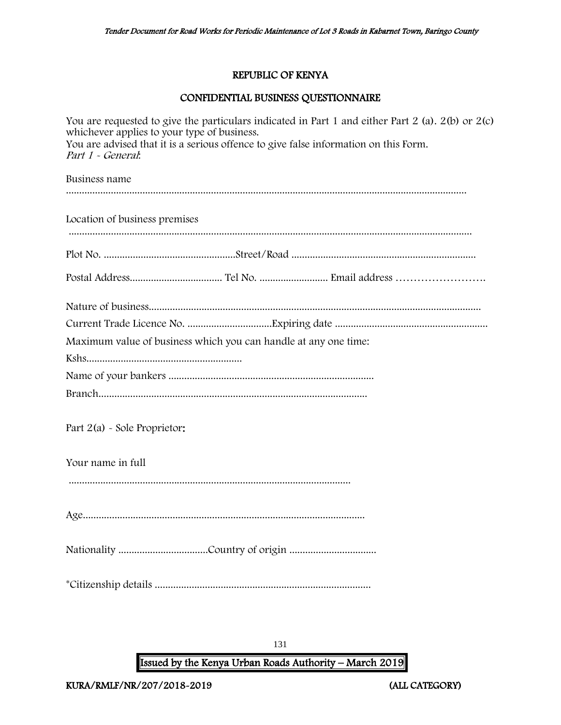# REPUBLIC OF KENYA

# CONFIDENTIAL BUSINESS QUESTIONNAIRE

| whichever applies to your type of business.<br>Part 1 - General: |  | You are requested to give the particulars indicated in Part 1 and either Part 2 (a). $2(b)$ or $2(c)$<br>You are advised that it is a serious offence to give false information on this Form. |  |
|------------------------------------------------------------------|--|-----------------------------------------------------------------------------------------------------------------------------------------------------------------------------------------------|--|
| Business name                                                    |  |                                                                                                                                                                                               |  |
| Location of business premises                                    |  |                                                                                                                                                                                               |  |
|                                                                  |  |                                                                                                                                                                                               |  |
|                                                                  |  |                                                                                                                                                                                               |  |
|                                                                  |  |                                                                                                                                                                                               |  |
| Maximum value of business which you can handle at any one time:  |  |                                                                                                                                                                                               |  |
|                                                                  |  |                                                                                                                                                                                               |  |
|                                                                  |  |                                                                                                                                                                                               |  |
| Part 2(a) - Sole Proprietor:                                     |  |                                                                                                                                                                                               |  |
| Your name in full                                                |  |                                                                                                                                                                                               |  |
|                                                                  |  |                                                                                                                                                                                               |  |
|                                                                  |  |                                                                                                                                                                                               |  |
|                                                                  |  |                                                                                                                                                                                               |  |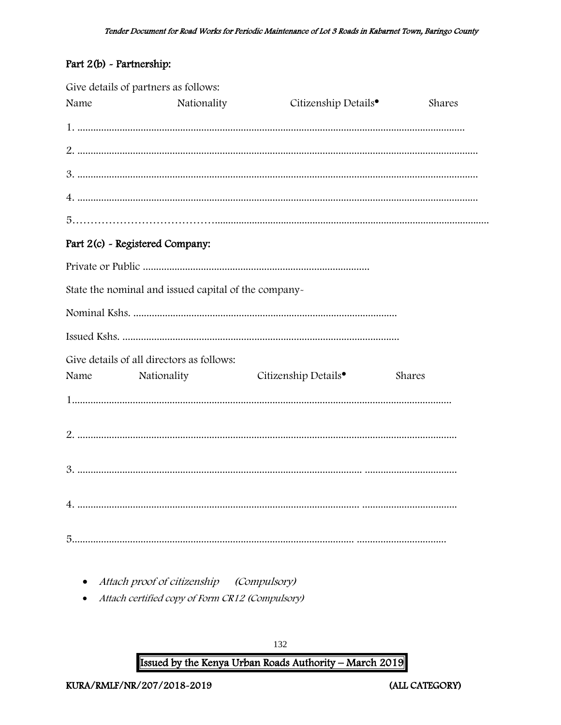# Part 2(b) - Partnership:

|      | Give details of partners as follows:                 |                                  |        |
|------|------------------------------------------------------|----------------------------------|--------|
| Name | Nationality                                          | Citizenship Details <sup>®</sup> | Shares |
|      |                                                      |                                  |        |
|      |                                                      |                                  |        |
|      |                                                      |                                  |        |
|      |                                                      |                                  |        |
|      |                                                      |                                  |        |
|      | Part 2(c) - Registered Company:                      |                                  |        |
|      |                                                      |                                  |        |
|      | State the nominal and issued capital of the company- |                                  |        |
|      |                                                      |                                  |        |
|      |                                                      |                                  |        |
|      | Give details of all directors as follows:            |                                  |        |
| Name | Nationality                                          | Citizenship Details <sup>•</sup> | Shares |
|      |                                                      |                                  |        |
|      |                                                      |                                  |        |
|      |                                                      |                                  |        |
|      |                                                      |                                  |        |
|      |                                                      |                                  |        |

- Attach proof of citizenship (Compulsory)
- Attach certified copy of Form CR12 (Compulsory)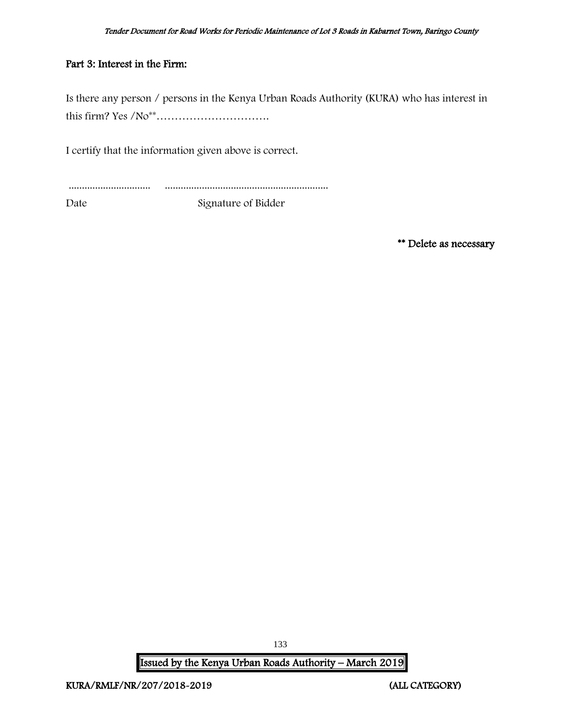# Part 3: Interest in the Firm:

Is there any person / persons in the Kenya Urban Roads Authority (KURA) who has interest in this firm? Yes /No\*\*………………………….

I certify that the information given above is correct.

............................... ..............................................................

Date Signature of Bidder

\*\* Delete as necessary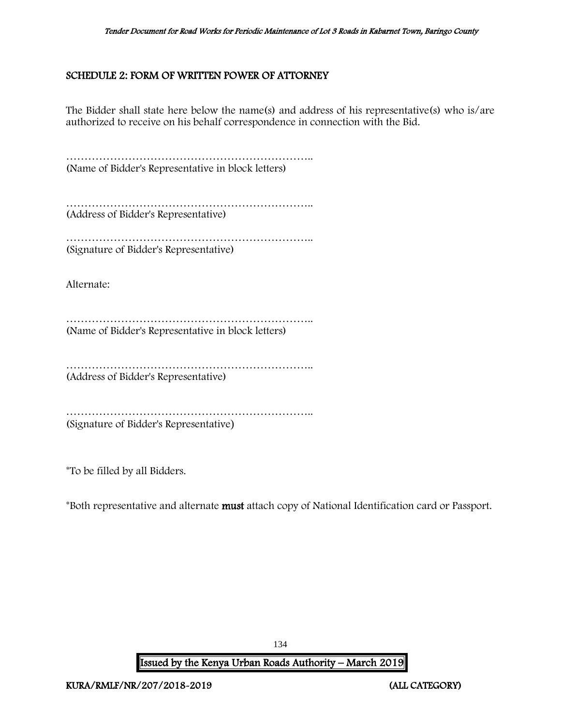# <span id="page-134-0"></span>SCHEDULE 2: FORM OF WRITTEN POWER OF ATTORNEY

The Bidder shall state here below the name(s) and address of his representative(s) who is/are authorized to receive on his behalf correspondence in connection with the Bid.

………………………………………………………….. (Name of Bidder's Representative in block letters)

………………………………………………………….. (Address of Bidder's Representative)

………………………………………………………….. (Signature of Bidder's Representative)

Alternate:

………………………………………………………….. (Name of Bidder's Representative in block letters)

………………………………………………………….. (Address of Bidder's Representative)

………………………………………………………………………… (Signature of Bidder's Representative)

\*To be filled by all Bidders.

\*Both representative and alternate must attach copy of National Identification card or Passport.

Issued by the Kenya Urban Roads Authority – March 2019

134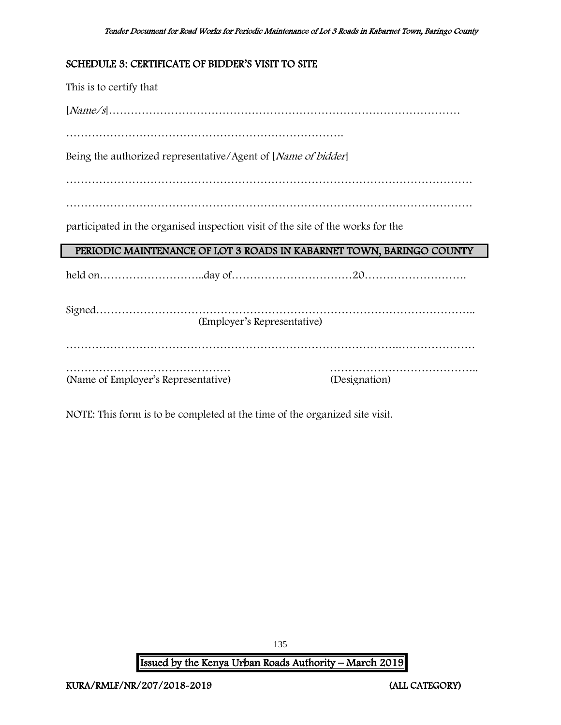# <span id="page-135-0"></span>SCHEDULE 3: CERTIFICATE OF BIDDER'S VISIT TO SITE

This is to certify that

[Name/s]……………………………………………………………………………………

………………………………………………………………….

Being the authorized representative/Agent of [Name of bidder]

…………………………………………………………………………………………………

…………………………………………………………………………………………………

participated in the organised inspection visit of the site of the works for the

# PERIODIC MAINTENANCE OF LOT 3 ROADS IN KABARNET TOWN, BARINGO COUNTY

held on………………………..day of……………………………20……………………….

| (Employer's Representative)         |               |
|-------------------------------------|---------------|
|                                     |               |
|                                     |               |
|                                     |               |
| (Name of Employer's Representative) | (Designation) |

NOTE: This form is to be completed at the time of the organized site visit.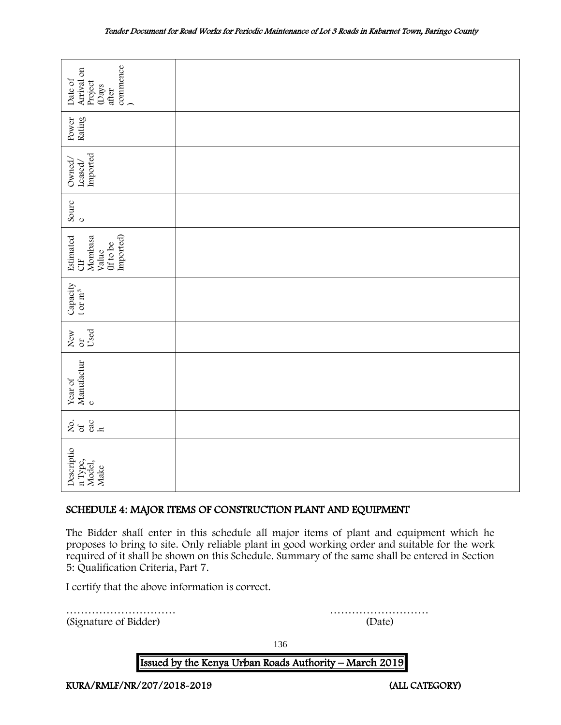| commence<br>Arrival on<br>Date of<br>Project<br>(Days<br>after                                                                                                                                                                                                                                                                     |                      |  |
|------------------------------------------------------------------------------------------------------------------------------------------------------------------------------------------------------------------------------------------------------------------------------------------------------------------------------------|----------------------|--|
| Rating<br>Power                                                                                                                                                                                                                                                                                                                    |                      |  |
| Imported<br>Owned,<br>Leased/                                                                                                                                                                                                                                                                                                      |                      |  |
| Sourc<br>$\circ$                                                                                                                                                                                                                                                                                                                   |                      |  |
| Imported)<br>Mombasa<br>Estimated<br>(If to be<br>Value<br>5H                                                                                                                                                                                                                                                                      |                      |  |
| Capacity<br>t or $m^3$                                                                                                                                                                                                                                                                                                             |                      |  |
| Used<br>New<br>or                                                                                                                                                                                                                                                                                                                  |                      |  |
| Manufactur<br>Year of<br>$\mathbf{o}$                                                                                                                                                                                                                                                                                              |                      |  |
| $rac{60}{h}$<br>ર્ષ્ટ જ                                                                                                                                                                                                                                                                                                            |                      |  |
| Descriptio<br>n Type,<br>Model,<br>Make                                                                                                                                                                                                                                                                                            |                      |  |
| SCHEDULE 4: MAJOR ITEMS OF CONSTRUCTION PLANT AND EQUIPMENT                                                                                                                                                                                                                                                                        |                      |  |
| The Bidder shall enter in this schedule all major items of plant and equipment which he<br>proposes to bring to site. Only reliable plant in good working order and suitable for the work<br>required of it shall be shown on this Schedule. Summary of the same shall be entered in Section<br>5: Qualification Criteria, Part 7. |                      |  |
| I certify that the above information is correct.                                                                                                                                                                                                                                                                                   |                      |  |
| (Signature of Bidder)                                                                                                                                                                                                                                                                                                              | . <b>.</b><br>(Date) |  |

# <span id="page-136-0"></span>SCHEDULE 4: MAJOR ITEMS OF CONSTRUCTION PLANT AND EQUIPMENT

136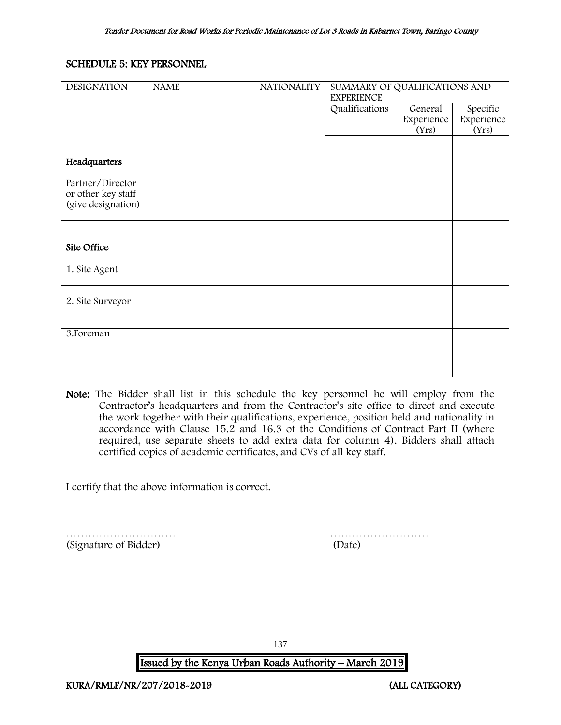# <span id="page-137-0"></span>SCHEDULE 5: KEY PERSONNEL

| <b>DESIGNATION</b> | <b>NAME</b> | <b>NATIONALITY</b> | SUMMARY OF QUALIFICATIONS AND<br><b>EXPERIENCE</b> |            |            |
|--------------------|-------------|--------------------|----------------------------------------------------|------------|------------|
|                    |             |                    | Qualifications                                     | General    | Specific   |
|                    |             |                    |                                                    | Experience | Experience |
|                    |             |                    |                                                    | (Yrs)      | (Yrs)      |
|                    |             |                    |                                                    |            |            |
| Headquarters       |             |                    |                                                    |            |            |
|                    |             |                    |                                                    |            |            |
| Partner/Director   |             |                    |                                                    |            |            |
| or other key staff |             |                    |                                                    |            |            |
| (give designation) |             |                    |                                                    |            |            |
|                    |             |                    |                                                    |            |            |
|                    |             |                    |                                                    |            |            |
| Site Office        |             |                    |                                                    |            |            |
|                    |             |                    |                                                    |            |            |
| 1. Site Agent      |             |                    |                                                    |            |            |
|                    |             |                    |                                                    |            |            |
| 2. Site Surveyor   |             |                    |                                                    |            |            |
|                    |             |                    |                                                    |            |            |
|                    |             |                    |                                                    |            |            |
| 3. Foreman         |             |                    |                                                    |            |            |
|                    |             |                    |                                                    |            |            |
|                    |             |                    |                                                    |            |            |
|                    |             |                    |                                                    |            |            |

Note: The Bidder shall list in this schedule the key personnel he will employ from the Contractor's headquarters and from the Contractor's site office to direct and execute the work together with their qualifications, experience, position held and nationality in accordance with Clause 15.2 and 16.3 of the Conditions of Contract Part II (where required, use separate sheets to add extra data for column 4). Bidders shall attach certified copies of academic certificates, and CVs of all key staff.

I certify that the above information is correct.

………………………… ……………………… (Signature of Bidder) (Date)

137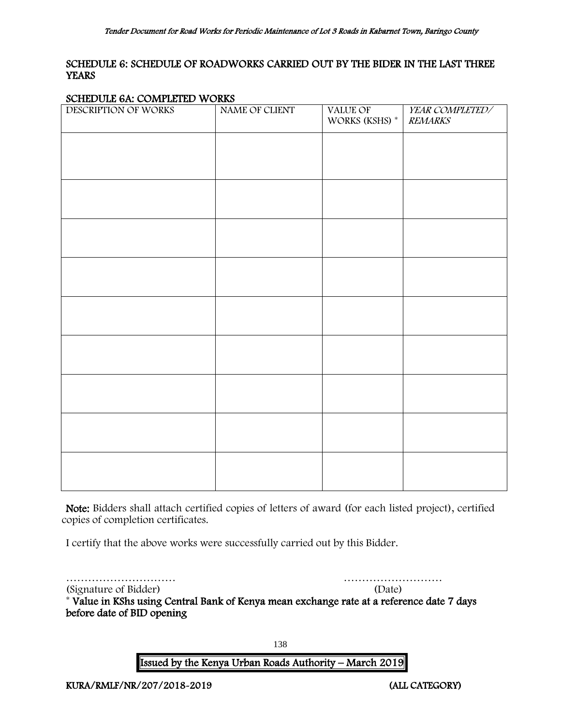# <span id="page-138-0"></span>SCHEDULE 6: SCHEDULE OF ROADWORKS CARRIED OUT BY THE BIDER IN THE LAST THREE **YEARS**

#### SCHEDULE 6A: COMPLETED WORKS

| DESCRIPTION OF WORKS | ----<br>NAME OF CLIENT | VALUE OF<br>WORKS (KSHS) * | YEAR COMPLETED/<br><b>REMARKS</b> |
|----------------------|------------------------|----------------------------|-----------------------------------|
|                      |                        |                            |                                   |
|                      |                        |                            |                                   |
|                      |                        |                            |                                   |
|                      |                        |                            |                                   |
|                      |                        |                            |                                   |
|                      |                        |                            |                                   |
|                      |                        |                            |                                   |
|                      |                        |                            |                                   |
|                      |                        |                            |                                   |
|                      |                        |                            |                                   |
|                      |                        |                            |                                   |
|                      |                        |                            |                                   |
|                      |                        |                            |                                   |
|                      |                        |                            |                                   |
|                      |                        |                            |                                   |
|                      |                        |                            |                                   |
|                      |                        |                            |                                   |

Note: Bidders shall attach certified copies of letters of award (for each listed project), certified copies of completion certificates.

I certify that the above works were successfully carried out by this Bidder.

………………………… ………………………

(Signature of Bidder) (Date) \* Value in KShs using Central Bank of Kenya mean exchange rate at a reference date 7 days before date of BID opening

138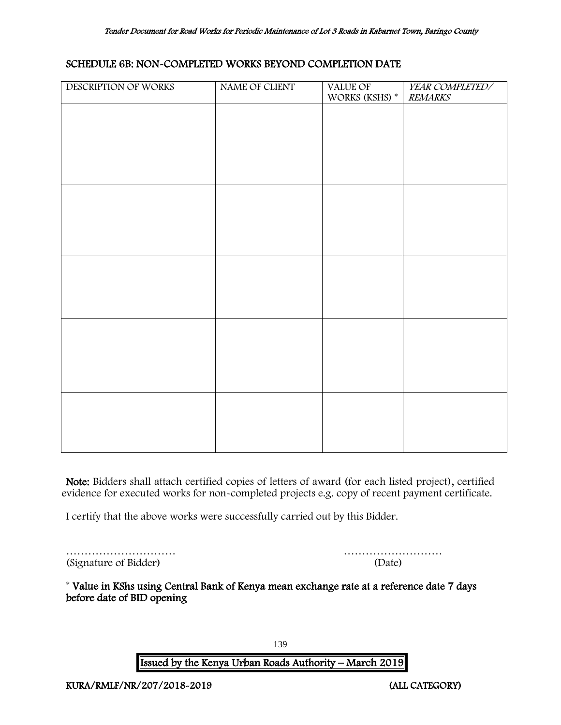#### SCHEDULE 6B: NON-COMPLETED WORKS BEYOND COMPLETION DATE

| DESCRIPTION OF WORKS | NAME OF CLIENT | VALUE OF<br>WORKS (KSHS) * | YEAR COMPLETED/<br><b>REMARKS</b> |
|----------------------|----------------|----------------------------|-----------------------------------|
|                      |                |                            |                                   |
|                      |                |                            |                                   |
|                      |                |                            |                                   |
|                      |                |                            |                                   |
|                      |                |                            |                                   |
|                      |                |                            |                                   |
|                      |                |                            |                                   |
|                      |                |                            |                                   |
|                      |                |                            |                                   |
|                      |                |                            |                                   |
|                      |                |                            |                                   |
|                      |                |                            |                                   |
|                      |                |                            |                                   |
|                      |                |                            |                                   |
|                      |                |                            |                                   |
|                      |                |                            |                                   |

Note: Bidders shall attach certified copies of letters of award (for each listed project), certified evidence for executed works for non-completed projects e.g. copy of recent payment certificate.

I certify that the above works were successfully carried out by this Bidder.

|                       | .      |
|-----------------------|--------|
| (Signature of Bidder) | (Date) |

| (Signature of Bidder) | (Date) |
|-----------------------|--------|

\* Value in KShs using Central Bank of Kenya mean exchange rate at a reference date 7 days before date of BID opening

139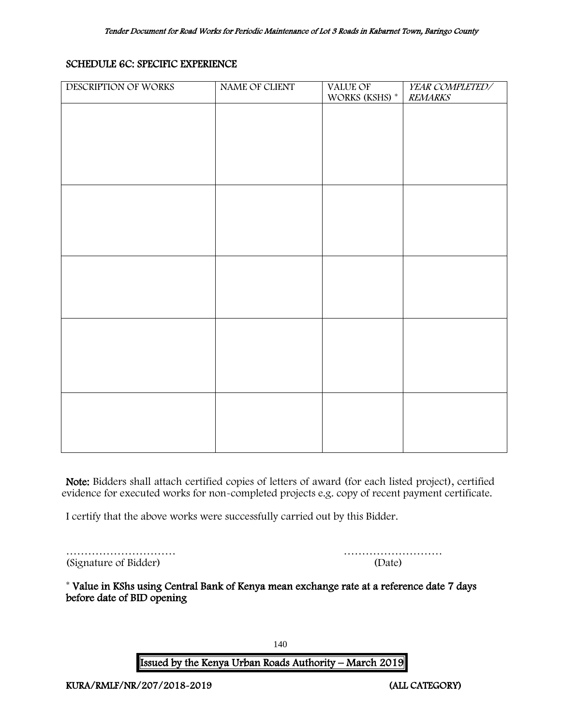# SCHEDULE 6C: SPECIFIC EXPERIENCE

| DESCRIPTION OF WORKS | NAME OF CLIENT | VALUE OF<br>WORKS (KSHS) $^\ast$ | YEAR COMPLETED/<br><b>REMARKS</b> |
|----------------------|----------------|----------------------------------|-----------------------------------|
|                      |                |                                  |                                   |
|                      |                |                                  |                                   |
|                      |                |                                  |                                   |
|                      |                |                                  |                                   |
|                      |                |                                  |                                   |
|                      |                |                                  |                                   |
|                      |                |                                  |                                   |
|                      |                |                                  |                                   |
|                      |                |                                  |                                   |
|                      |                |                                  |                                   |
|                      |                |                                  |                                   |
|                      |                |                                  |                                   |
|                      |                |                                  |                                   |
|                      |                |                                  |                                   |
|                      |                |                                  |                                   |
|                      |                |                                  |                                   |

Note: Bidders shall attach certified copies of letters of award (for each listed project), certified evidence for executed works for non-completed projects e.g. copy of recent payment certificate.

I certify that the above works were successfully carried out by this Bidder.

|                       | .      |
|-----------------------|--------|
| (Signature of Bidder) | (Date) |

| (Signature of Bidder) | (Date) |
|-----------------------|--------|

<span id="page-140-0"></span>\* Value in KShs using Central Bank of Kenya mean exchange rate at a reference date 7 days before date of BID opening

140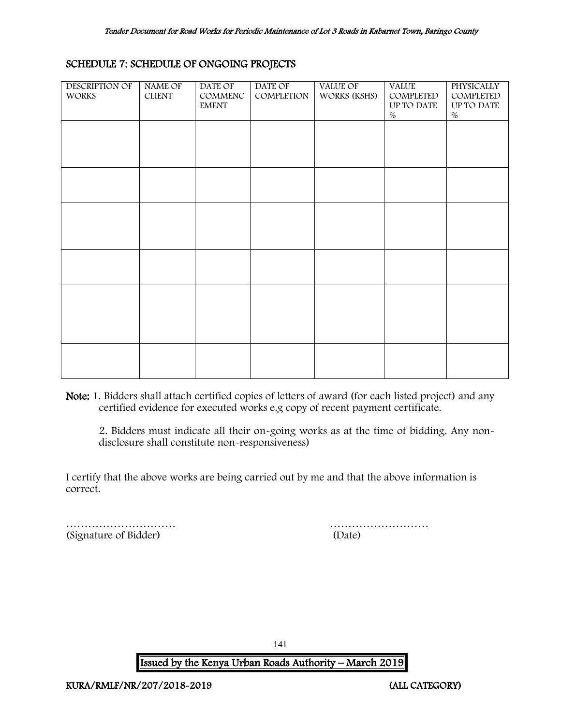#### SCHEDULE 7: SCHEDULE OF ONGOING PROJECTS

| DESCRIPTION OF<br><b>WORKS</b> | NAME OF<br><b>CLIENT</b> | DATE OF<br>COMMENC<br><b>EMENT</b> | DATE OF<br>COMPLETION | VALUE OF<br>WORKS (KSHS) | <b>VALUE</b><br>COMPLETED<br>UP TO DATE<br>$\%$ | <b>PHYSICALLY</b><br>COMPLETED<br>UP TO DATE<br>% |
|--------------------------------|--------------------------|------------------------------------|-----------------------|--------------------------|-------------------------------------------------|---------------------------------------------------|
|                                |                          |                                    |                       |                          |                                                 |                                                   |
|                                |                          |                                    |                       |                          |                                                 |                                                   |
|                                |                          |                                    |                       |                          |                                                 |                                                   |
|                                |                          |                                    |                       |                          |                                                 |                                                   |
|                                |                          |                                    |                       |                          |                                                 |                                                   |
|                                |                          |                                    |                       |                          |                                                 |                                                   |

Note: 1. Bidders shall attach certified copies of letters of award (for each listed project) and any certified evidence for executed works e.g copy of recent payment certificate.

2. Bidders must indicate all their on-going works as at the time of bidding. Any nondisclosure shall constitute non-responsiveness)

I certify that the above works are being carried out by me and that the above information is correct.

<span id="page-141-0"></span>(Signature of Bidder) (Date)

………………………… ………………………

141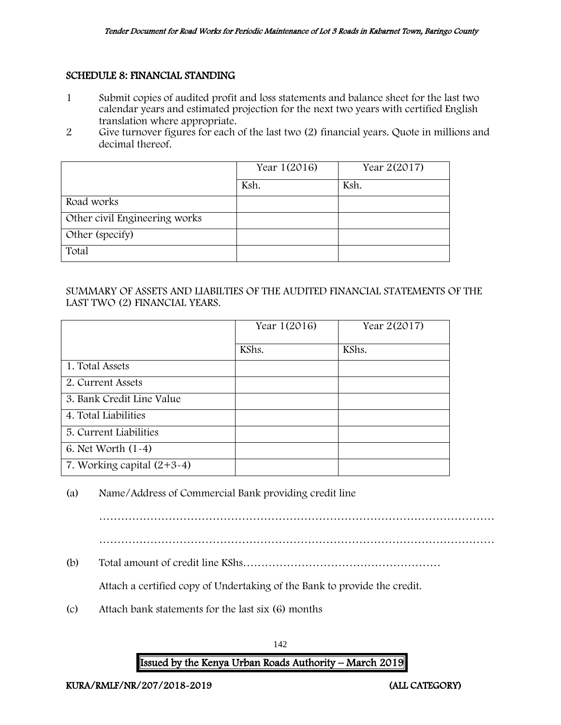#### SCHEDULE 8: FINANCIAL STANDING

- 1 Submit copies of audited profit and loss statements and balance sheet for the last two calendar years and estimated projection for the next two years with certified English translation where appropriate.
- 2 Give turnover figures for each of the last two (2) financial years. Quote in millions and decimal thereof.

|                               | Year 1(2016) | Year 2(2017) |
|-------------------------------|--------------|--------------|
|                               | Ksh.         | Ksh.         |
| Road works                    |              |              |
| Other civil Engineering works |              |              |
| Other (specify)               |              |              |
| Total                         |              |              |

### SUMMARY OF ASSETS AND LIABILTIES OF THE AUDITED FINANCIAL STATEMENTS OF THE LAST TWO (2) FINANCIAL YEARS.

|                              | Year 1(2016) | Year 2(2017) |
|------------------------------|--------------|--------------|
|                              | KShs.        | KShs.        |
| 1. Total Assets              |              |              |
| 2. Current Assets            |              |              |
| 3. Bank Credit Line Value    |              |              |
| 4. Total Liabilities         |              |              |
| 5. Current Liabilities       |              |              |
| 6. Net Worth $(1-4)$         |              |              |
| 7. Working capital $(2+3-4)$ |              |              |

(a) Name/Address of Commercial Bank providing credit line

……………………………………………………………………………………………… ………………………………………………………………………………………………

(b) Total amount of credit line KShs………………………………………………

Attach a certified copy of Undertaking of the Bank to provide the credit.

(c) Attach bank statements for the last six (6) months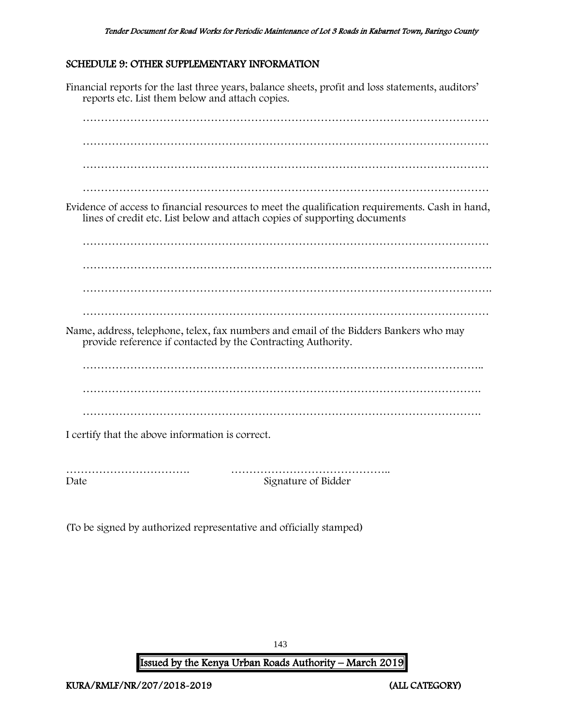# <span id="page-143-0"></span>SCHEDULE 9: OTHER SUPPLEMENTARY INFORMATION

Financial reports for the last three years, balance sheets, profit and loss statements, auditors' reports etc. List them below and attach copies. ………………………………………………………………………………………………… ………………………………………………………………………………………………… ………………………………………………………………………………………………… Evidence of access to financial resources to meet the qualification requirements. Cash in hand, lines of credit etc. List below and attach copies of supporting documents ………………………………………………………………………………………………… …………………………………………………………………………………………………. …………………………………………………………………………………………………. ………………………………………………………………………………………………… Name, address, telephone, telex, fax numbers and email of the Bidders Bankers who may provide reference if contacted by the Contracting Authority. ………………………………………………………………………………………………. ………………………………………………………………………………………………. I certify that the above information is correct. ……………………………. …………………………………….. Date Signature of Bidder

(To be signed by authorized representative and officially stamped)

143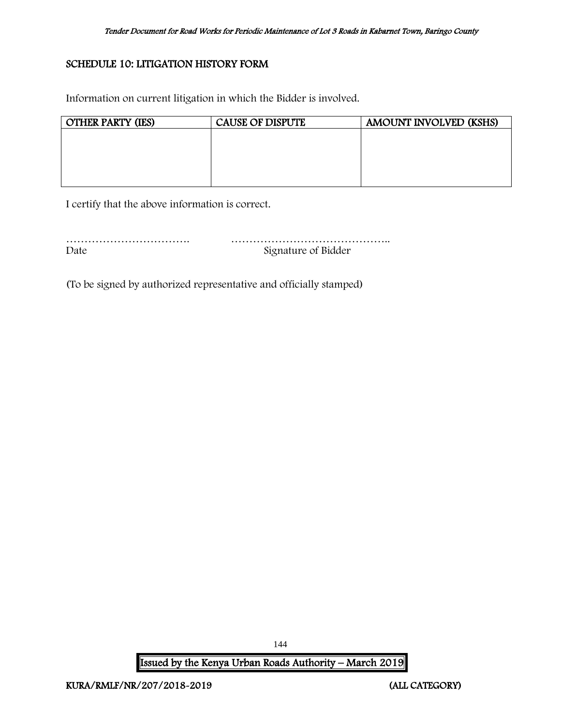## SCHEDULE 10: LITIGATION HISTORY FORM

Information on current litigation in which the Bidder is involved.

| <b>OTHER PARTY (IES)</b> | <b>CAUSE OF DISPUTE</b> | AMOUNT INVOLVED (KSHS) |
|--------------------------|-------------------------|------------------------|
|                          |                         |                        |
|                          |                         |                        |
|                          |                         |                        |
|                          |                         |                        |
|                          |                         |                        |

I certify that the above information is correct.

| Date | Signature of Bidder |
|------|---------------------|

(To be signed by authorized representative and officially stamped)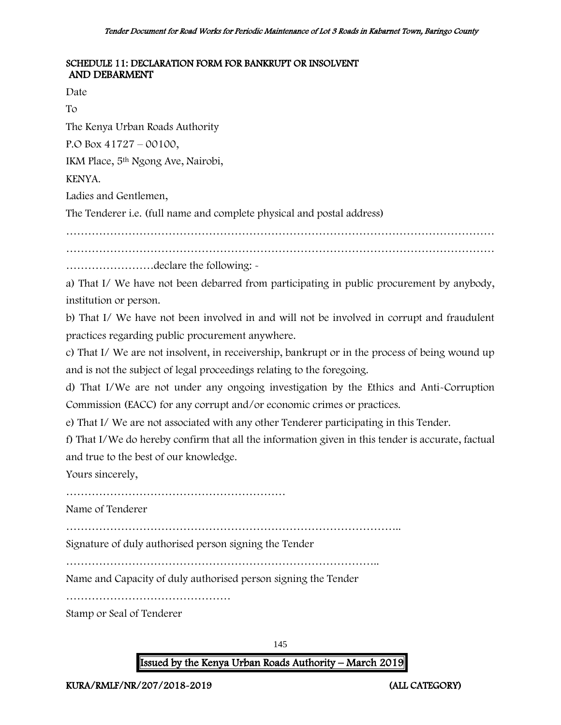### SCHEDULE 11: DECLARATION FORM FOR BANKRUPT OR INSOLVENT AND DEBARMENT

Date

To

The Kenya Urban Roads Authority

P.O Box 41727 – 00100,

IKM Place, 5th Ngong Ave, Nairobi,

KENYA.

Ladies and Gentlemen,

The Tenderer i.e. (full name and complete physical and postal address)

………………………………………………………………………………………………………

………………………………………………………………………………………………………

……………………declare the following: -

a) That I/ We have not been debarred from participating in public procurement by anybody, institution or person.

b) That I/ We have not been involved in and will not be involved in corrupt and fraudulent practices regarding public procurement anywhere.

c) That I/ We are not insolvent, in receivership, bankrupt or in the process of being wound up and is not the subject of legal proceedings relating to the foregoing.

d) That I/We are not under any ongoing investigation by the Ethics and Anti-Corruption Commission (EACC) for any corrupt and/or economic crimes or practices.

e) That I/ We are not associated with any other Tenderer participating in this Tender.

f) That I/We do hereby confirm that all the information given in this tender is accurate, factual and true to the best of our knowledge.

Yours sincerely,

……………………………………………………

Name of Tenderer

………………………………………………………………………………..

Signature of duly authorised person signing the Tender

…………………………………………………………………………..

Name and Capacity of duly authorised person signing the Tender

………………………………………

Stamp or Seal of Tenderer

145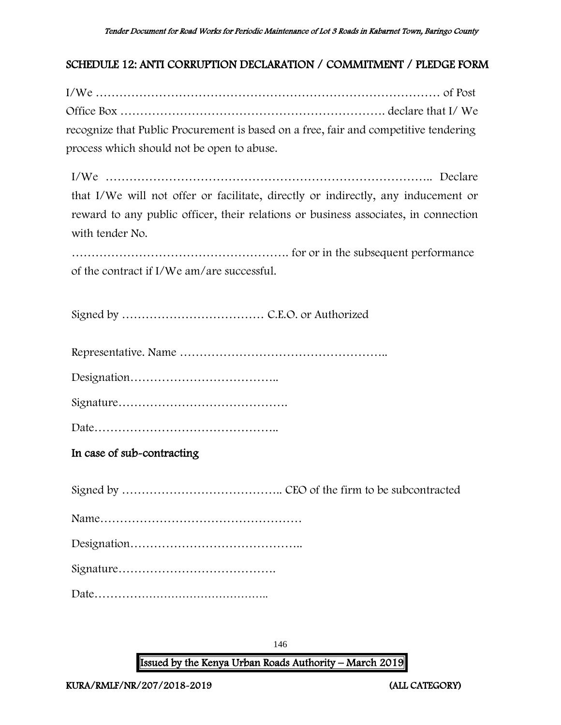## SCHEDULE 12: ANTI CORRUPTION DECLARATION / COMMITMENT / PLEDGE FORM

I/We …………………………………………………………………………… of Post Office Box …………………………………………………………. declare that I/ We recognize that Public Procurement is based on a free, fair and competitive tendering process which should not be open to abuse.

I/We ……………………………………………………………………….. Declare that I/We will not offer or facilitate, directly or indirectly, any inducement or reward to any public officer, their relations or business associates, in connection with tender No.

………………………………………………. for or in the subsequent performance of the contract if I/We am/are successful.

Signed by ……………………………… C.E.O. or Authorized

Representative. Name ……………………………………………..

Designation………………………………..

Signature…………………………………….

Date………………………………………..

In case of sub-contracting

Signed by ………………………………….. CEO of the firm to be subcontracted Name…………………………………………… Designation…………………………………….. Signature…………………………………. Date………………………………………..

146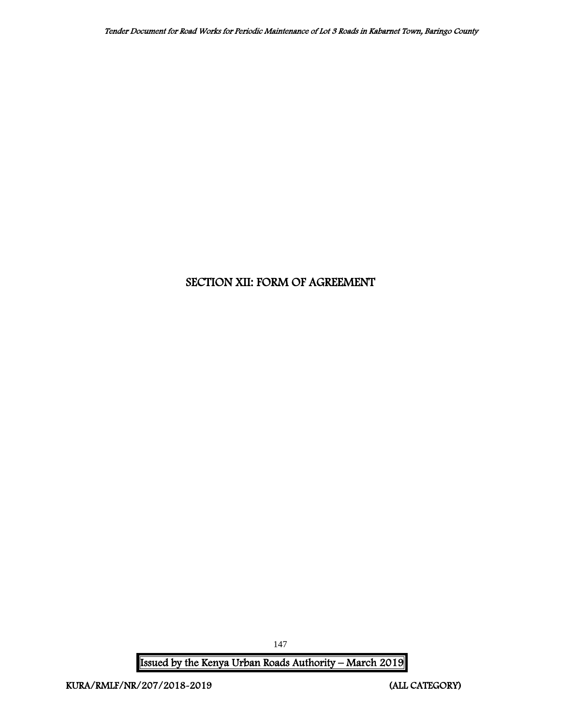# SECTION XII: FORM OF AGREEMENT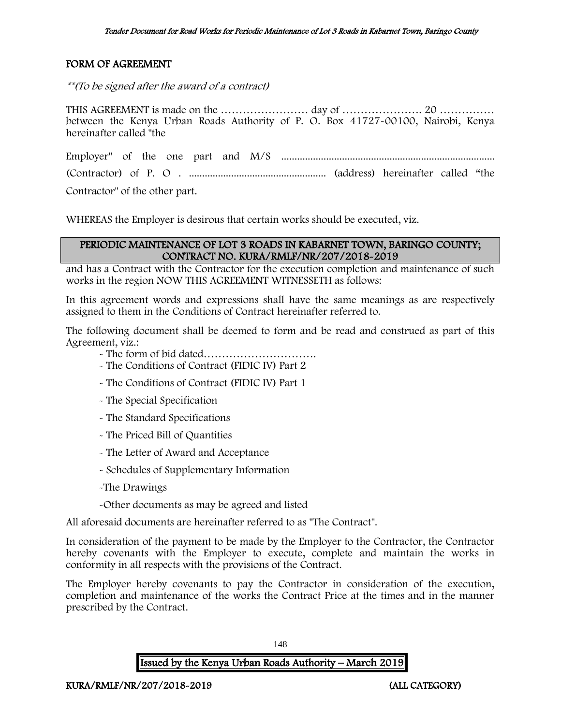## FORM OF AGREEMENT

\*\*(To be signed after the award of a contract)

THIS AGREEMENT is made on the …………………… day of …………………. 20 …………… between the Kenya Urban Roads Authority of P. O. Box 41727-00100, Nairobi, Kenya hereinafter called "the

Employer" of the one part and M/S ................................................................................. (Contractor) of P. O . .................................................... (address) hereinafter called "the Contractor" of the other part.

WHEREAS the Employer is desirous that certain works should be executed, viz.

### PERIODIC MAINTENANCE OF LOT 3 ROADS IN KABARNET TOWN, BARINGO COUNTY; CONTRACT NO. KURA/RMLF/NR/207/2018-2019

and has a Contract with the Contractor for the execution completion and maintenance of such works in the region NOW THIS AGREEMENT WITNESSETH as follows:

In this agreement words and expressions shall have the same meanings as are respectively assigned to them in the Conditions of Contract hereinafter referred to.

The following document shall be deemed to form and be read and construed as part of this Agreement, viz.:

- The form of bid dated………………………….
- The Conditions of Contract (FIDIC IV) Part 2
- The Conditions of Contract (FIDIC IV) Part 1
- The Special Specification
- The Standard Specifications
- The Priced Bill of Quantities
- The Letter of Award and Acceptance
- Schedules of Supplementary Information
- -The Drawings
- -Other documents as may be agreed and listed

All aforesaid documents are hereinafter referred to as "The Contract".

In consideration of the payment to be made by the Employer to the Contractor, the Contractor hereby covenants with the Employer to execute, complete and maintain the works in conformity in all respects with the provisions of the Contract.

The Employer hereby covenants to pay the Contractor in consideration of the execution, completion and maintenance of the works the Contract Price at the times and in the manner prescribed by the Contract.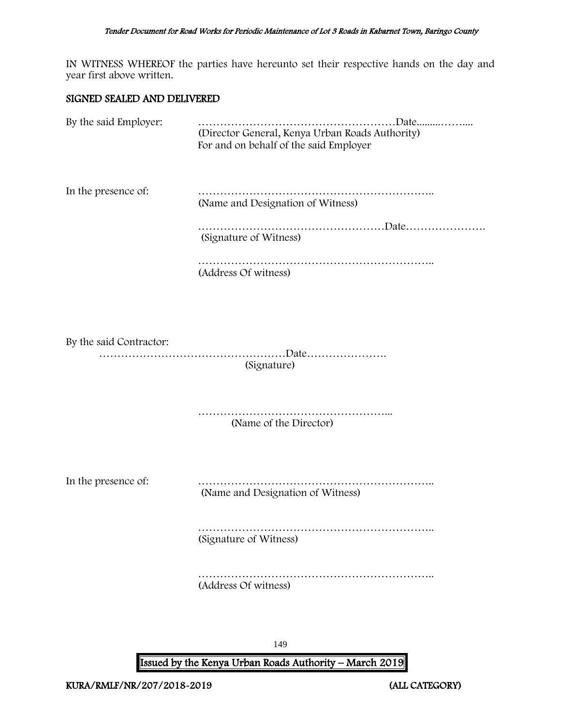IN WITNESS WHEREOF the parties have hereunto set their respective hands on the day and year first above written.

#### SIGNED SEALED AND DELIVERED

| By the said Employer:   | (Director General, Kenya Urban Roads Authority)<br>For and on behalf of the said Employer |
|-------------------------|-------------------------------------------------------------------------------------------|
| In the presence of:     | (Name and Designation of Witness)                                                         |
|                         | (Signature of Witness)                                                                    |
|                         | (Address Of witness)                                                                      |
|                         |                                                                                           |
| By the said Contractor: | (Signature)                                                                               |
|                         | .<br>(Name of the Director)                                                               |
| In the presence of:     | (Name and Designation of Witness)                                                         |

……………………………………………………….. (Signature of Witness)

………………………………………………………………… (Address Of witness)

149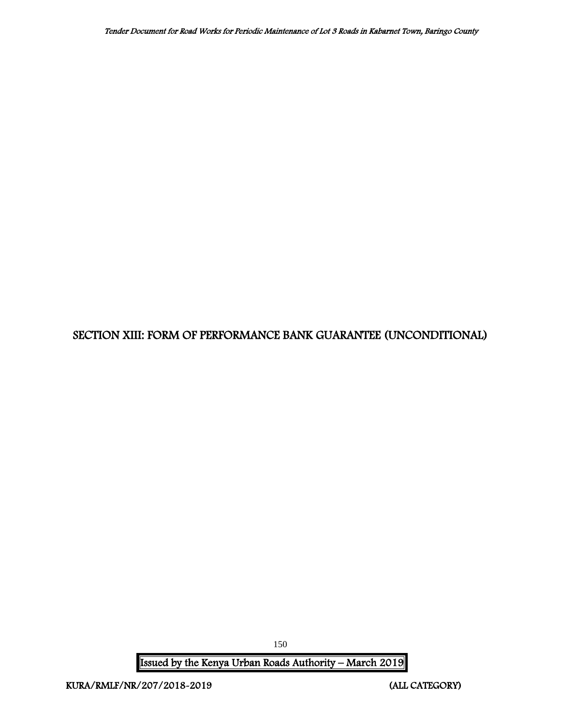# SECTION XIII: FORM OF PERFORMANCE BANK GUARANTEE (UNCONDITIONAL)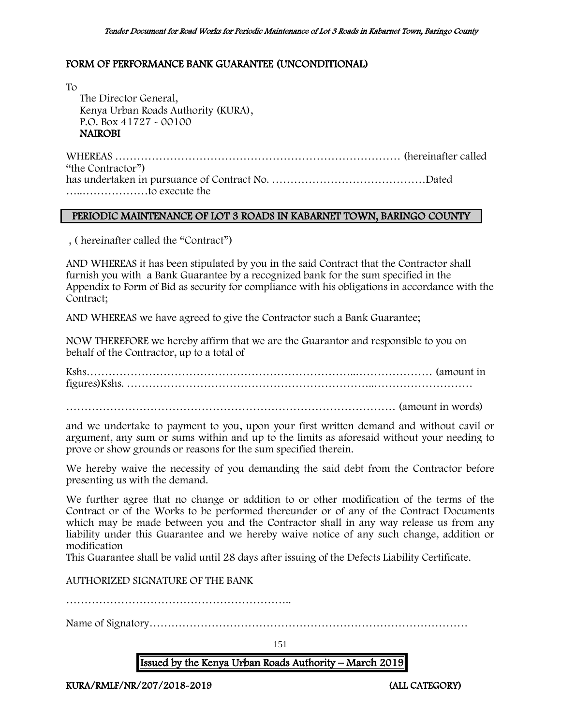## FORM OF PERFORMANCE BANK GUARANTEE (UNCONDITIONAL)

To The Director General, Kenya Urban Roads Authority (KURA), P.O. Box 41727 - 00100 NAIROBI

WHEREAS …………………………………………………………………… (hereinafter called "the Contractor") has undertaken in pursuance of Contract No. ……………………………………Dated …..………………to execute the

#### PERIODIC MAINTENANCE OF LOT 3 ROADS IN KABARNET TOWN, BARINGO COUNTY

, ( hereinafter called the "Contract")

AND WHEREAS it has been stipulated by you in the said Contract that the Contractor shall furnish you with a Bank Guarantee by a recognized bank for the sum specified in the Appendix to Form of Bid as security for compliance with his obligations in accordance with the Contract;

AND WHEREAS we have agreed to give the Contractor such a Bank Guarantee;

NOW THEREFORE we hereby affirm that we are the Guarantor and responsible to you on behalf of the Contractor, up to a total of

Kshs………………………………………………………………..………………… (amount in figures)Kshs. …………………………………………………………..………………………

……………………………………………………………………………… (amount in words)

and we undertake to payment to you, upon your first written demand and without cavil or argument, any sum or sums within and up to the limits as aforesaid without your needing to prove or show grounds or reasons for the sum specified therein.

We hereby waive the necessity of you demanding the said debt from the Contractor before presenting us with the demand.

We further agree that no change or addition to or other modification of the terms of the Contract or of the Works to be performed thereunder or of any of the Contract Documents which may be made between you and the Contractor shall in any way release us from any liability under this Guarantee and we hereby waive notice of any such change, addition or modification

This Guarantee shall be valid until 28 days after issuing of the Defects Liability Certificate.

AUTHORIZED SIGNATURE OF THE BANK

……………………………………………………..

Name of Signatory……………………………………………………………………………

151